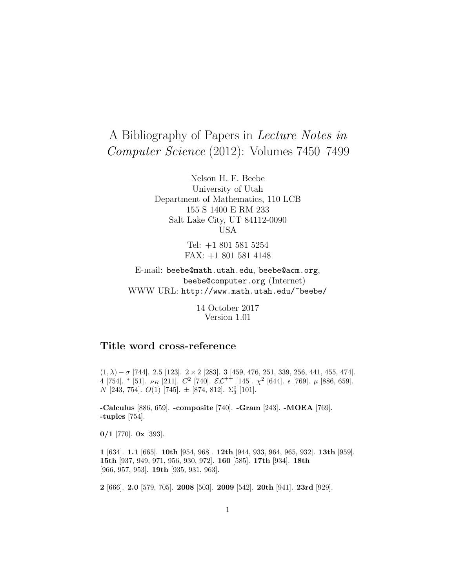# A Bibliography of Papers in Lecture Notes in Computer Science (2012): Volumes 7450–7499

Nelson H. F. Beebe University of Utah Department of Mathematics, 110 LCB 155 S 1400 E RM 233 Salt Lake City, UT 84112-0090 USA

> Tel: +1 801 581 5254 FAX: +1 801 581 4148

E-mail: beebe@math.utah.edu, beebe@acm.org, beebe@computer.org (Internet) WWW URL: http://www.math.utah.edu/~beebe/

> 14 October 2017 Version 1.01

# **Title word cross-reference**

(1, λ) − σ [744]. 2.5 [123]. 2 × 2 [283]. 3 [459, 476, 251, 339, 256, 441, 455, 474]. 4 [754]. \* [51].  $_{PB}$  [211].  $C^2$  [740].  $\mathcal{EL}^{++}$  [145].  $\chi^2$  [644].  $\epsilon$  [769].  $\mu$  [886, 659].  $N$  [243, 754].  $O(1)$  [745].  $\pm$  [874, 812].  $\Sigma_3^0$  [101].

**-Calculus** [886, 659]. **-composite** [740]. **-Gram** [243]. **-MOEA** [769]. **-tuples** [754].

**0/1** [770]. **0x** [393].

**1** [634]. **1.1** [665]. **10th** [954, 968]. **12th** [944, 933, 964, 965, 932]. **13th** [959]. **15th** [937, 949, 971, 956, 930, 972]. **160** [585]. **17th** [934]. **18th** [966, 957, 953]. **19th** [935, 931, 963].

**2** [666]. **2.0** [579, 705]. **2008** [503]. **2009** [542]. **20th** [941]. **23rd** [929].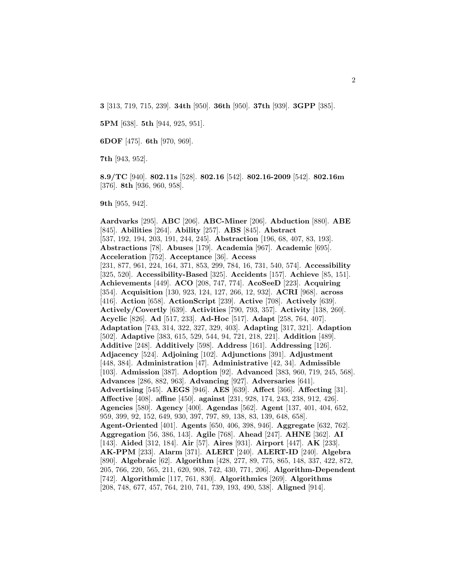**3** [313, 719, 715, 239]. **34th** [950]. **36th** [950]. **37th** [939]. **3GPP** [385].

**5PM** [638]. **5th** [944, 925, 951].

**6DOF** [475]. **6th** [970, 969].

**7th** [943, 952].

**8.9/TC** [940]. **802.11s** [528]. **802.16** [542]. **802.16-2009** [542]. **802.16m** [376]. **8th** [936, 960, 958].

**9th** [955, 942].

**Aardvarks** [295]. **ABC** [206]. **ABC-Miner** [206]. **Abduction** [880]. **ABE** [845]. **Abilities** [264]. **Ability** [257]. **ABS** [845]. **Abstract** [537, 192, 194, 203, 191, 244, 245]. **Abstraction** [196, 68, 407, 83, 193]. **Abstractions** [78]. **Abuses** [179]. **Academia** [967]. **Academic** [695]. **Acceleration** [752]. **Acceptance** [36]. **Access** [231, 877, 961, 224, 164, 371, 853, 299, 784, 16, 731, 540, 574]. **Accessibility** [325, 520]. **Accessibility-Based** [325]. **Accidents** [157]. **Achieve** [85, 151]. **Achievements** [449]. **ACO** [208, 747, 774]. **AcoSeeD** [223]. **Acquiring** [354]. **Acquisition** [130, 923, 124, 127, 266, 12, 932]. **ACRI** [968]. **across** [416]. **Action** [658]. **ActionScript** [239]. **Active** [708]. **Actively** [639]. **Actively/Covertly** [639]. **Activities** [790, 793, 357]. **Activity** [138, 260]. **Acyclic** [826]. **Ad** [517, 233]. **Ad-Hoc** [517]. **Adapt** [258, 764, 407]. **Adaptation** [743, 314, 322, 327, 329, 403]. **Adapting** [317, 321]. **Adaption** [502]. **Adaptive** [383, 615, 529, 544, 94, 721, 218, 221]. **Addition** [489]. **Additive** [248]. **Additively** [598]. **Address** [161]. **Addressing** [126]. **Adjacency** [524]. **Adjoining** [102]. **Adjunctions** [391]. **Adjustment** [448, 384]. **Administration** [47]. **Administrative** [42, 34]. **Admissible** [103]. **Admission** [387]. **Adoption** [92]. **Advanced** [383, 960, 719, 245, 568]. **Advances** [286, 882, 963]. **Advancing** [927]. **Adversaries** [641]. **Advertising** [545]. **AEGS** [946]. **AES** [639]. **Affect** [366]. **Affecting** [31]. **Affective** [408]. **affine** [450]. **against** [231, 928, 174, 243, 238, 912, 426]. **Agencies** [580]. **Agency** [400]. **Agendas** [562]. **Agent** [137, 401, 404, 652, 959, 399, 92, 152, 649, 930, 397, 797, 89, 138, 83, 139, 648, 658]. **Agent-Oriented** [401]. **Agents** [650, 406, 398, 946]. **Aggregate** [632, 762]. **Aggregation** [56, 386, 143]. **Agile** [768]. **Ahead** [247]. **AHNE** [362]. **AI** [143]. **Aided** [312, 184]. **Air** [57]. **Aires** [931]. **Airport** [447]. **AK** [233]. **AK-PPM** [233]. **Alarm** [371]. **ALERT** [240]. **ALERT-ID** [240]. **Algebra** [890]. **Algebraic** [62]. **Algorithm** [428, 277, 89, 775, 865, 148, 337, 422, 872, 205, 766, 220, 565, 211, 620, 908, 742, 430, 771, 206]. **Algorithm-Dependent** [742]. **Algorithmic** [117, 761, 830]. **Algorithmics** [269]. **Algorithms** [208, 748, 677, 457, 764, 210, 741, 739, 193, 490, 538]. **Aligned** [914].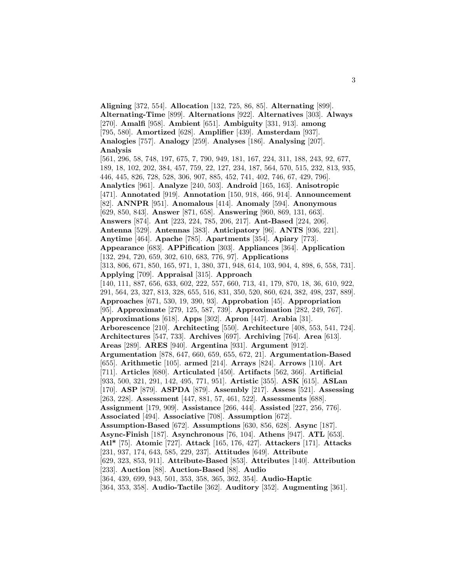**Aligning** [372, 554]. **Allocation** [132, 725, 86, 85]. **Alternating** [899]. **Alternating-Time** [899]. **Alternations** [922]. **Alternatives** [303]. **Always** [270]. **Amalfi** [958]. **Ambient** [651]. **Ambiguity** [331, 913]. **among** [795, 580]. **Amortized** [628]. **Amplifier** [439]. **Amsterdam** [937]. **Analogies** [757]. **Analogy** [259]. **Analyses** [186]. **Analysing** [207]. **Analysis** [561, 296, 58, 748, 197, 675, 7, 790, 949, 181, 167, 224, 311, 188, 243, 92, 677, 189, 18, 102, 202, 384, 457, 759, 22, 127, 234, 187, 564, 570, 515, 232, 813, 935, 446, 445, 826, 728, 528, 306, 907, 885, 452, 741, 402, 746, 67, 429, 796]. **Analytics** [961]. **Analyze** [240, 503]. **Android** [165, 163]. **Anisotropic** [471]. **Annotated** [919]. **Annotation** [150, 918, 466, 914]. **Announcement** [82]. **ANNPR** [951]. **Anomalous** [414]. **Anomaly** [594]. **Anonymous** [629, 850, 843]. **Answer** [871, 658]. **Answering** [960, 869, 131, 663]. **Answers** [874]. **Ant** [223, 224, 785, 206, 217]. **Ant-Based** [224, 206]. **Antenna** [529]. **Antennas** [383]. **Anticipatory** [96]. **ANTS** [936, 221]. **Anytime** [464]. **Apache** [785]. **Apartments** [354]. **Apiary** [773]. **Appearance** [683]. **APPification** [303]. **Appliances** [364]. **Application** [132, 294, 720, 659, 302, 610, 683, 776, 97]. **Applications** [313, 806, 671, 850, 165, 971, 1, 380, 371, 948, 614, 103, 904, 4, 898, 6, 558, 731]. **Applying** [709]. **Appraisal** [315]. **Approach** [140, 111, 887, 656, 633, 602, 222, 557, 660, 713, 41, 179, 870, 18, 36, 610, 922, 291, 564, 23, 327, 813, 328, 655, 516, 831, 350, 520, 860, 624, 382, 498, 237, 889]. **Approaches** [671, 530, 19, 390, 93]. **Approbation** [45]. **Appropriation** [95]. **Approximate** [279, 125, 587, 739]. **Approximation** [282, 249, 767]. **Approximations** [618]. **Apps** [302]. **Apron** [447]. **Arabia** [31]. **Arborescence** [210]. **Architecting** [550]. **Architecture** [408, 553, 541, 724]. **Architectures** [547, 733]. **Archives** [697]. **Archiving** [764]. **Area** [613]. **Areas** [289]. **ARES** [940]. **Argentina** [931]. **Argument** [912]. **Argumentation** [878, 647, 660, 659, 655, 672, 21]. **Argumentation-Based** [655]. **Arithmetic** [105]. **armed** [214]. **Arrays** [824]. **Arrows** [110]. **Art** [711]. **Articles** [680]. **Articulated** [450]. **Artifacts** [562, 366]. **Artificial** [933, 500, 321, 291, 142, 495, 771, 951]. **Artistic** [355]. **ASK** [615]. **ASLan** [170]. **ASP** [879]. **ASPDA** [879]. **Assembly** [217]. **Assess** [521]. **Assessing** [263, 228]. **Assessment** [447, 881, 57, 461, 522]. **Assessments** [688]. **Assignment** [179, 909]. **Assistance** [266, 444]. **Assisted** [227, 256, 776]. **Associated** [494]. **Associative** [708]. **Assumption** [672]. **Assumption-Based** [672]. **Assumptions** [630, 856, 628]. **Async** [187]. **Async-Finish** [187]. **Asynchronous** [76, 104]. **Athens** [947]. **ATL** [653]. **Atl\*** [75]. **Atomic** [727]. **Attack** [165, 176, 427]. **Attackers** [171]. **Attacks** [231, 937, 174, 643, 585, 229, 237]. **Attitudes** [649]. **Attribute** [629, 323, 853, 911]. **Attribute-Based** [853]. **Attributes** [140]. **Attribution** [233]. **Auction** [88]. **Auction-Based** [88]. **Audio** [364, 439, 699, 943, 501, 353, 358, 365, 362, 354]. **Audio-Haptic** [364, 353, 358]. **Audio-Tactile** [362]. **Auditory** [352]. **Augmenting** [361].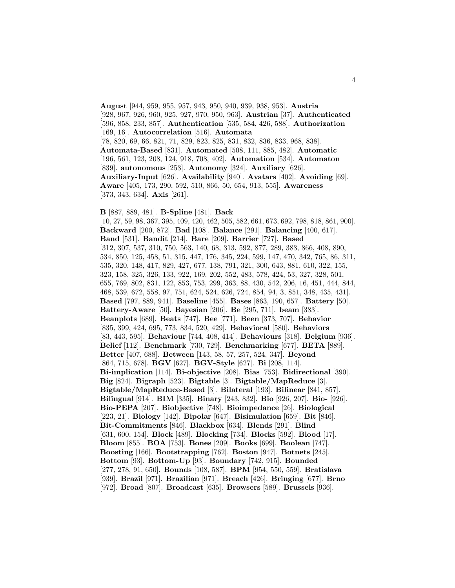**August** [944, 959, 955, 957, 943, 950, 940, 939, 938, 953]. **Austria** [928, 967, 926, 960, 925, 927, 970, 950, 963]. **Austrian** [37]. **Authenticated** [596, 858, 233, 857]. **Authentication** [535, 584, 426, 588]. **Authorization** [169, 16]. **Autocorrelation** [516]. **Automata** [78, 820, 69, 66, 821, 71, 829, 823, 825, 831, 832, 836, 833, 968, 838]. **Automata-Based** [831]. **Automated** [508, 111, 885, 482]. **Automatic** [196, 561, 123, 208, 124, 918, 708, 402]. **Automation** [534]. **Automaton** [839]. **autonomous** [253]. **Autonomy** [324]. **Auxiliary** [626]. **Auxiliary-Input** [626]. **Availability** [940]. **Avatars** [402]. **Avoiding** [69]. **Aware** [405, 173, 290, 592, 510, 866, 50, 654, 913, 555]. **Awareness** [373, 343, 634]. **Axis** [261].

**B** [887, 889, 481]. **B-Spline** [481]. **Back** [10, 27, 59, 98, 367, 395, 409, 420, 462, 505, 582, 661, 673, 692, 798, 818, 861, 900]. **Backward** [200, 872]. **Bad** [108]. **Balance** [291]. **Balancing** [400, 617]. **Band** [531]. **Bandit** [214]. **Bare** [209]. **Barrier** [727]. **Based** [312, 307, 537, 310, 750, 563, 140, 68, 313, 592, 877, 289, 383, 866, 408, 890, 534, 850, 125, 458, 51, 315, 447, 176, 345, 224, 599, 147, 470, 342, 765, 86, 311, 535, 320, 148, 417, 829, 427, 677, 138, 791, 321, 300, 643, 881, 610, 322, 155, 323, 158, 325, 326, 133, 922, 169, 202, 552, 483, 578, 424, 53, 327, 328, 501, 655, 769, 802, 831, 122, 853, 753, 299, 363, 88, 430, 542, 206, 16, 451, 444, 844, 468, 539, 672, 558, 97, 751, 624, 524, 626, 724, 854, 94, 3, 851, 348, 435, 431]. **Based** [797, 889, 941]. **Baseline** [455]. **Bases** [863, 190, 657]. **Battery** [50]. **Battery-Aware** [50]. **Bayesian** [206]. **Be** [295, 711]. **beam** [383]. **Beanplots** [689]. **Beats** [747]. **Bee** [771]. **Been** [373, 707]. **Behavior** [835, 399, 424, 695, 773, 834, 520, 429]. **Behavioral** [580]. **Behaviors** [83, 443, 595]. **Behaviour** [744, 408, 414]. **Behaviours** [318]. **Belgium** [936]. **Belief** [112]. **Benchmark** [730, 729]. **Benchmarking** [677]. **BETA** [889]. **Better** [407, 688]. **Between** [143, 58, 57, 257, 524, 347]. **Beyond** [864, 715, 678]. **BGV** [627]. **BGV-Style** [627]. **Bi** [208, 114]. **Bi-implication** [114]. **Bi-objective** [208]. **Bias** [753]. **Bidirectional** [390]. **Big** [824]. **Bigraph** [523]. **Bigtable** [3]. **Bigtable/MapReduce** [3]. **Bigtable/MapReduce-Based** [3]. **Bilateral** [193]. **Bilinear** [841, 857]. **Bilingual** [914]. **BIM** [335]. **Binary** [243, 832]. **Bio** [926, 207]. **Bio-** [926]. **Bio-PEPA** [207]. **Biobjective** [748]. **Bioimpedance** [26]. **Biological** [223, 21]. **Biology** [142]. **Bipolar** [647]. **Bisimulation** [659]. **Bit** [846]. **Bit-Commitments** [846]. **Blackbox** [634]. **Blends** [291]. **Blind** [631, 600, 154]. **Block** [489]. **Blocking** [734]. **Blocks** [592]. **Blood** [17]. **Bloom** [855]. **BOA** [753]. **Bones** [209]. **Books** [699]. **Boolean** [747]. **Boosting** [166]. **Bootstrapping** [762]. **Boston** [947]. **Botnets** [245]. **Bottom** [93]. **Bottom-Up** [93]. **Boundary** [742, 915]. **Bounded** [277, 278, 91, 650]. **Bounds** [108, 587]. **BPM** [954, 550, 559]. **Bratislava** [939]. **Brazil** [971]. **Brazilian** [971]. **Breach** [426]. **Bringing** [677]. **Brno** [972]. **Broad** [807]. **Broadcast** [635]. **Browsers** [589]. **Brussels** [936].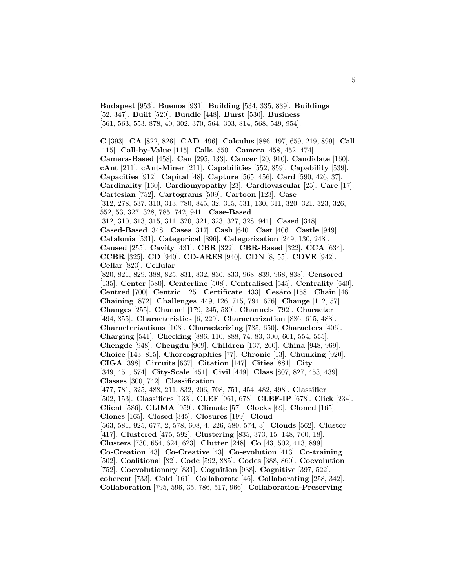**Budapest** [953]. **Buenos** [931]. **Building** [534, 335, 839]. **Buildings** [52, 347]. **Built** [520]. **Bundle** [448]. **Burst** [530]. **Business** [561, 563, 553, 878, 40, 302, 370, 564, 303, 814, 568, 549, 954].

**C** [393]. **CA** [822, 826]. **CAD** [496]. **Calculus** [886, 197, 659, 219, 899]. **Call** [115]. **Call-by-Value** [115]. **Calls** [550]. **Camera** [458, 452, 474]. **Camera-Based** [458]. **Can** [295, 133]. **Cancer** [20, 910]. **Candidate** [160]. **cAnt** [211]. **cAnt-Miner** [211]. **Capabilities** [552, 859]. **Capability** [539]. **Capacities** [912]. **Capital** [48]. **Capture** [565, 456]. **Card** [590, 426, 37]. **Cardinality** [160]. **Cardiomyopathy** [23]. **Cardiovascular** [25]. **Care** [17]. **Cartesian** [752]. **Cartograms** [509]. **Cartoon** [123]. **Case** [312, 278, 537, 310, 313, 780, 845, 32, 315, 531, 130, 311, 320, 321, 323, 326, 552, 53, 327, 328, 785, 742, 941]. **Case-Based** [312, 310, 313, 315, 311, 320, 321, 323, 327, 328, 941]. **Cased** [348]. **Cased-Based** [348]. **Cases** [317]. **Cash** [640]. **Cast** [406]. **Castle** [949]. **Catalonia** [531]. **Categorical** [896]. **Categorization** [249, 130, 248]. **Caused** [255]. **Cavity** [431]. **CBR** [322]. **CBR-Based** [322]. **CCA** [634]. **CCBR** [325]. **CD** [940]. **CD-ARES** [940]. **CDN** [8, 55]. **CDVE** [942]. **Cellar** [823]. **Cellular** [820, 821, 829, 388, 825, 831, 832, 836, 833, 968, 839, 968, 838]. **Censored** [135]. **Center** [580]. **Centerline** [508]. **Centralised** [545]. **Centrality** [640]. **Centred** [700]. **Centric** [125]. **Certificate** [433]. **Ces´aro** [158]. **Chain** [46]. **Chaining** [872]. **Challenges** [449, 126, 715, 794, 676]. **Change** [112, 57]. **Changes** [255]. **Channel** [179, 245, 530]. **Channels** [792]. **Character** [494, 855]. **Characteristics** [6, 229]. **Characterization** [886, 615, 488]. **Characterizations** [103]. **Characterizing** [785, 650]. **Characters** [406]. **Charging** [541]. **Checking** [886, 110, 888, 74, 83, 300, 601, 554, 555]. **Chengde** [948]. **Chengdu** [969]. **Children** [137, 260]. **China** [948, 969]. **Choice** [143, 815]. **Choreographies** [77]. **Chronic** [13]. **Chunking** [920]. **CIGA** [398]. **Circuits** [637]. **Citation** [147]. **Cities** [881]. **City** [349, 451, 574]. **City-Scale** [451]. **Civil** [449]. **Class** [807, 827, 453, 439]. **Classes** [300, 742]. **Classification** [477, 781, 325, 488, 211, 832, 206, 708, 751, 454, 482, 498]. **Classifier** [502, 153]. **Classifiers** [133]. **CLEF** [961, 678]. **CLEF-IP** [678]. **Click** [234]. **Client** [586]. **CLIMA** [959]. **Climate** [57]. **Clocks** [69]. **Cloned** [165]. **Clones** [165]. **Closed** [345]. **Closures** [199]. **Cloud** [563, 581, 925, 677, 2, 578, 608, 4, 226, 580, 574, 3]. **Clouds** [562]. **Cluster** [417]. **Clustered** [475, 592]. **Clustering** [835, 373, 15, 148, 760, 18]. **Clusters** [730, 654, 624, 623]. **Clutter** [248]. **Co** [43, 502, 413, 899]. **Co-Creation** [43]. **Co-Creative** [43]. **Co-evolution** [413]. **Co-training** [502]. **Coalitional** [82]. **Code** [592, 885]. **Codes** [388, 860]. **Coevolution** [752]. **Coevolutionary** [831]. **Cognition** [938]. **Cognitive** [397, 522]. **coherent** [733]. **Cold** [161]. **Collaborate** [46]. **Collaborating** [258, 342]. **Collaboration** [795, 596, 35, 786, 517, 966]. **Collaboration-Preserving**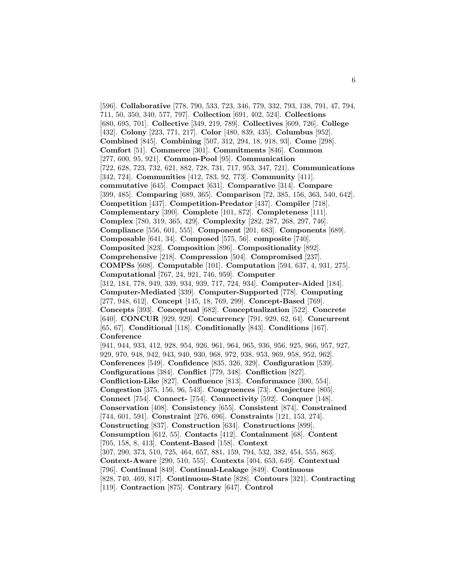[596]. **Collaborative** [778, 790, 533, 723, 346, 779, 332, 793, 138, 791, 47, 794, 711, 50, 350, 340, 577, 797]. **Collection** [691, 402, 524]. **Collections** [680, 695, 701]. **Collective** [349, 219, 789]. **Collectives** [609, 726]. **College** [432]. **Colony** [223, 771, 217]. **Color** [480, 839, 435]. **Columbus** [952]. **Combined** [845]. **Combining** [507, 312, 294, 18, 918, 93]. **Come** [298]. **Comfort** [51]. **Commerce** [301]. **Commitments** [846]. **Common** [277, 600, 95, 921]. **Common-Pool** [95]. **Communication** [722, 628, 723, 732, 621, 882, 728, 731, 717, 953, 347, 721]. **Communications** [342, 724]. **Communities** [412, 783, 92, 773]. **Community** [411]. **commutative** [645]. **Compact** [631]. **Comparative** [314]. **Compare** [399, 485]. **Comparing** [689, 365]. **Comparison** [72, 385, 156, 363, 540, 642]. **Competition** [437]. **Competition-Predator** [437]. **Compiler** [718]. **Complementary** [390]. **Complete** [101, 872]. **Completeness** [111]. **Complex** [780, 319, 365, 429]. **Complexity** [282, 287, 268, 297, 746]. **Compliance** [556, 601, 555]. **Component** [201, 683]. **Components** [689]. **Composable** [641, 34]. **Composed** [575, 56]. **composite** [740]. **Composited** [823]. **Composition** [896]. **Compositionality** [892]. **Comprehensive** [218]. **Compression** [504]. **Compromised** [237]. **COMPSs** [608]. **Computable** [101]. **Computation** [594, 637, 4, 931, 275]. **Computational** [767, 24, 921, 746, 959]. **Computer** [312, 184, 778, 949, 339, 934, 939, 717, 724, 934]. **Computer-Aided** [184]. **Computer-Mediated** [339]. **Computer-Supported** [778]. **Computing** [277, 948, 612]. **Concept** [145, 18, 769, 299]. **Concept-Based** [769]. **Concepts** [393]. **Conceptual** [682]. **Conceptualization** [522]. **Concrete** [640]. **CONCUR** [929, 929]. **Concurrency** [791, 929, 62, 64]. **Concurrent** [65, 67]. **Conditional** [118]. **Conditionally** [843]. **Conditions** [167]. **Conference** [941, 944, 933, 412, 928, 954, 926, 961, 964, 965, 936, 956, 925, 966, 957, 927, 929, 970, 948, 942, 943, 940, 930, 968, 972, 938, 953, 969, 958, 952, 962]. **Conferences** [549]. **Confidence** [835, 326, 329]. **Configuration** [539]. **Configurations** [384]. **Conflict** [779, 348]. **Confliction** [827]. **Confliction-Like** [827]. **Confluence** [813]. **Conformance** [300, 554]. **Congestion** [375, 156, 96, 543]. **Congruences** [73]. **Conjecture** [805]. **Connect** [754]. **Connect-** [754]. **Connectivity** [592]. **Conquer** [148]. **Conservation** [408]. **Consistency** [655]. **Consistent** [874]. **Constrained** [744, 601, 591]. **Constraint** [276, 696]. **Constraints** [121, 153, 274]. **Constructing** [837]. **Construction** [634]. **Constructions** [899]. **Consumption** [612, 55]. **Contacts** [412]. **Containment** [68]. **Content** [705, 158, 8, 413]. **Content-Based** [158]. **Context** [307, 290, 373, 510, 725, 464, 657, 881, 159, 794, 532, 382, 454, 555, 863]. **Context-Aware** [290, 510, 555]. **Contexts** [404, 653, 649]. **Contextual** [796]. **Continual** [849]. **Continual-Leakage** [849]. **Continuous** [828, 740, 469, 817]. **Continuous-State** [828]. **Contours** [321]. **Contracting** [119]. **Contraction** [875]. **Contrary** [647]. **Control**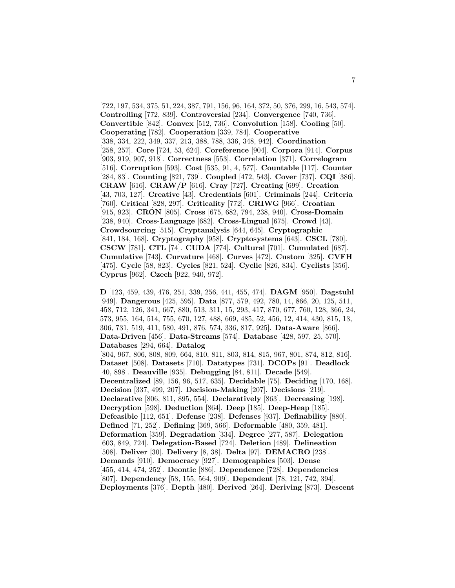[722, 197, 534, 375, 51, 224, 387, 791, 156, 96, 164, 372, 50, 376, 299, 16, 543, 574]. **Controlling** [772, 839]. **Controversial** [234]. **Convergence** [740, 736]. **Convertible** [842]. **Convex** [512, 736]. **Convolution** [158]. **Cooling** [50]. **Cooperating** [782]. **Cooperation** [339, 784]. **Cooperative** [338, 334, 222, 349, 337, 213, 388, 788, 336, 348, 942]. **Coordination** [258, 257]. **Core** [724, 53, 624]. **Coreference** [904]. **Corpora** [914]. **Corpus** [903, 919, 907, 918]. **Correctness** [553]. **Correlation** [371]. **Correlogram** [516]. **Corruption** [593]. **Cost** [535, 91, 4, 577]. **Countable** [117]. **Counter** [284, 83]. **Counting** [821, 739]. **Coupled** [472, 543]. **Cover** [737]. **CQI** [386]. **CRAW** [616]. **CRAW/P** [616]. **Cray** [727]. **Creating** [699]. **Creation** [43, 703, 127]. **Creative** [43]. **Credentials** [601]. **Criminals** [244]. **Criteria** [760]. **Critical** [828, 297]. **Criticality** [772]. **CRIWG** [966]. **Croatian** [915, 923]. **CRON** [805]. **Cross** [675, 682, 794, 238, 940]. **Cross-Domain** [238, 940]. **Cross-Language** [682]. **Cross-Lingual** [675]. **Crowd** [43]. **Crowdsourcing** [515]. **Cryptanalysis** [644, 645]. **Cryptographic** [841, 184, 168]. **Cryptography** [958]. **Cryptosystems** [643]. **CSCL** [780]. **CSCW** [781]. **CTL** [74]. **CUDA** [774]. **Cultural** [701]. **Cumulated** [687]. **Cumulative** [743]. **Curvature** [468]. **Curves** [472]. **Custom** [325]. **CVFH** [475]. **Cycle** [58, 823]. **Cycles** [821, 524]. **Cyclic** [826, 834]. **Cyclists** [356]. **Cyprus** [962]. **Czech** [922, 940, 972].

**D** [123, 459, 439, 476, 251, 339, 256, 441, 455, 474]. **DAGM** [950]. **Dagstuhl** [949]. **Dangerous** [425, 595]. **Data** [877, 579, 492, 780, 14, 866, 20, 125, 511, 458, 712, 126, 341, 667, 880, 513, 311, 15, 293, 417, 870, 677, 760, 128, 366, 24, 573, 955, 164, 514, 755, 670, 127, 488, 669, 485, 52, 456, 12, 414, 430, 815, 13, 306, 731, 519, 411, 580, 491, 876, 574, 336, 817, 925]. **Data-Aware** [866]. **Data-Driven** [456]. **Data-Streams** [574]. **Database** [428, 597, 25, 570]. **Databases** [294, 664]. **Datalog** [804, 967, 806, 808, 809, 664, 810, 811, 803, 814, 815, 967, 801, 874, 812, 816]. **Dataset** [508]. **Datasets** [710]. **Datatypes** [731]. **DCOPs** [91]. **Deadlock** [40, 898]. **Deauville** [935]. **Debugging** [84, 811]. **Decade** [549]. **Decentralized** [89, 156, 96, 517, 635]. **Decidable** [75]. **Deciding** [170, 168]. **Decision** [337, 499, 207]. **Decision-Making** [207]. **Decisions** [219]. **Declarative** [806, 811, 895, 554]. **Declaratively** [863]. **Decreasing** [198]. **Decryption** [598]. **Deduction** [864]. **Deep** [185]. **Deep-Heap** [185]. **Defeasible** [112, 651]. **Defense** [238]. **Defenses** [937]. **Definability** [880]. **Defined** [71, 252]. **Defining** [369, 566]. **Deformable** [480, 359, 481]. **Deformation** [359]. **Degradation** [334]. **Degree** [277, 587]. **Delegation** [603, 849, 724]. **Delegation-Based** [724]. **Deletion** [489]. **Delineation** [508]. **Deliver** [30]. **Delivery** [8, 38]. **Delta** [97]. **DEMACRO** [238]. **Demands** [910]. **Democracy** [927]. **Demographics** [503]. **Dense** [455, 414, 474, 252]. **Deontic** [886]. **Dependence** [728]. **Dependencies** [807]. **Dependency** [58, 155, 564, 909]. **Dependent** [78, 121, 742, 394]. **Deployments** [376]. **Depth** [480]. **Derived** [264]. **Deriving** [873]. **Descent**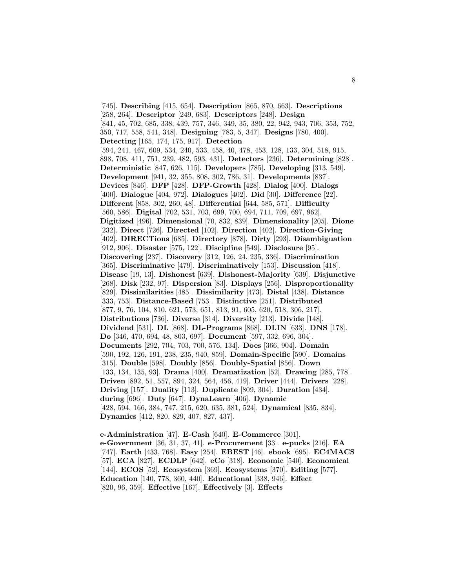[745]. **Describing** [415, 654]. **Description** [865, 870, 663]. **Descriptions** [258, 264]. **Descriptor** [249, 683]. **Descriptors** [248]. **Design** [841, 45, 702, 685, 338, 439, 757, 346, 349, 35, 380, 22, 942, 943, 706, 353, 752, 350, 717, 558, 541, 348]. **Designing** [783, 5, 347]. **Designs** [780, 400]. **Detecting** [165, 174, 175, 917]. **Detection** [594, 241, 467, 609, 534, 240, 533, 458, 40, 478, 453, 128, 133, 304, 518, 915, 898, 708, 411, 751, 239, 482, 593, 431]. **Detectors** [236]. **Determining** [828]. **Deterministic** [847, 626, 115]. **Developers** [785]. **Developing** [313, 549]. **Development** [941, 32, 355, 808, 302, 786, 31]. **Developments** [837]. **Devices** [846]. **DFP** [428]. **DFP-Growth** [428]. **Dialog** [400]. **Dialogs** [400]. **Dialogue** [404, 972]. **Dialogues** [402]. **Did** [30]. **Difference** [22]. **Different** [858, 302, 260, 48]. **Differential** [644, 585, 571]. **Difficulty** [560, 586]. **Digital** [702, 531, 703, 699, 700, 694, 711, 709, 697, 962]. **Digitized** [496]. **Dimensional** [70, 832, 839]. **Dimensionality** [205]. **Dione** [232]. **Direct** [726]. **Directed** [102]. **Direction** [402]. **Direction-Giving** [402]. **DIRECTions** [685]. **Directory** [878]. **Dirty** [293]. **Disambiguation** [912, 906]. **Disaster** [575, 122]. **Discipline** [549]. **Disclosure** [95]. **Discovering** [237]. **Discovery** [312, 126, 24, 235, 336]. **Discrimination** [365]. **Discriminative** [479]. **Discriminatively** [153]. **Discussion** [418]. **Disease** [19, 13]. **Dishonest** [639]. **Dishonest-Majority** [639]. **Disjunctive** [268]. **Disk** [232, 97]. **Dispersion** [83]. **Displays** [256]. **Disproportionality** [829]. **Dissimilarities** [485]. **Dissimilarity** [473]. **Distal** [438]. **Distance** [333, 753]. **Distance-Based** [753]. **Distinctive** [251]. **Distributed** [877, 9, 76, 104, 810, 621, 573, 651, 813, 91, 605, 620, 518, 306, 217]. **Distributions** [736]. **Diverse** [314]. **Diversity** [213]. **Divide** [148]. **Dividend** [531]. **DL** [868]. **DL-Programs** [868]. **DLIN** [633]. **DNS** [178]. **Do** [346, 470, 694, 48, 803, 697]. **Document** [597, 332, 696, 304]. **Documents** [292, 704, 703, 700, 576, 134]. **Does** [366, 904]. **Domain** [590, 192, 126, 191, 238, 235, 940, 859]. **Domain-Specific** [590]. **Domains** [315]. **Double** [598]. **Doubly** [856]. **Doubly-Spatial** [856]. **Down** [133, 134, 135, 93]. **Drama** [400]. **Dramatization** [52]. **Drawing** [285, 778]. **Driven** [892, 51, 557, 894, 324, 564, 456, 419]. **Driver** [444]. **Drivers** [228]. **Driving** [157]. **Duality** [113]. **Duplicate** [809, 304]. **Duration** [434]. **during** [696]. **Duty** [647]. **DynaLearn** [406]. **Dynamic** [428, 594, 166, 384, 747, 215, 620, 635, 381, 524]. **Dynamical** [835, 834]. **Dynamics** [412, 820, 829, 407, 827, 437].

**e-Administration** [47]. **E-Cash** [640]. **E-Commerce** [301]. **e-Government** [36, 31, 37, 41]. **e-Procurement** [33]. **e-pucks** [216]. **EA** [747]. **Earth** [433, 768]. **Easy** [254]. **EBEST** [46]. **ebook** [695]. **EC4MACS** [57]. **ECA** [827]. **ECDLP** [642]. **eCo** [318]. **Economic** [540]. **Economical** [144]. **ECOS** [52]. **Ecosystem** [369]. **Ecosystems** [370]. **Editing** [577]. **Education** [140, 778, 360, 440]. **Educational** [338, 946]. **Effect** [820, 96, 359]. **Effective** [167]. **Effectively** [3]. **Effects**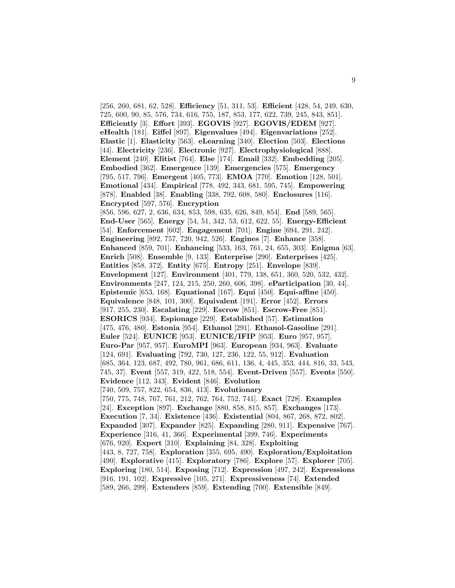[256, 260, 681, 62, 528]. **Efficiency** [51, 311, 53]. **Efficient** [428, 54, 249, 630, 725, 600, 90, 85, 576, 734, 616, 755, 187, 853, 177, 622, 739, 245, 843, 851]. **Efficiently** [3]. **Effort** [393]. **EGOVIS** [927]. **EGOVIS/EDEM** [927]. **eHealth** [181]. **Eiffel** [897]. **Eigenvalues** [494]. **Eigenvariations** [252]. **Elastic** [1]. **Elasticity** [563]. **eLearning** [340]. **Election** [503]. **Elections** [44]. **Electricity** [236]. **Electronic** [927]. **Electrophysiological** [888]. **Element** [240]. **Elitist** [764]. **Else** [174]. **Email** [332]. **Embedding** [205]. **Embodied** [362]. **Emergence** [139]. **Emergencies** [575]. **Emergency** [795, 517, 796]. **Emergent** [405, 773]. **EMOA** [770]. **Emotion** [128, 501]. **Emotional** [434]. **Empirical** [778, 492, 343, 681, 595, 745]. **Empowering** [878]. **Enabled** [38]. **Enabling** [338, 792, 608, 580]. **Enclosures** [116]. **Encrypted** [597, 576]. **Encryption** [856, 596, 627, 2, 636, 634, 853, 598, 635, 626, 849, 854]. **End** [589, 565]. **End-User** [565]. **Energy** [54, 51, 342, 53, 612, 622, 55]. **Energy-Efficient** [54]. **Enforcement** [602]. **Engagement** [701]. **Engine** [694, 291, 242]. **Engineering** [892, 757, 720, 942, 526]. **Engines** [7]. **Enhance** [358]. **Enhanced** [859, 701]. **Enhancing** [533, 163, 761, 24, 655, 303]. **Enigma** [63]. **Enrich** [508]. **Ensemble** [9, 133]. **Enterprise** [290]. **Enterprises** [425]. **Entities** [858, 372]. **Entity** [675]. **Entropy** [251]. **Envelope** [839]. **Envelopment** [127]. **Environment** [401, 779, 138, 651, 360, 520, 532, 432]. **Environments** [247, 124, 215, 250, 260, 606, 398]. **eParticipation** [30, 44]. **Epistemic** [653, 168]. **Equational** [167]. **Equi** [450]. **Equi-affine** [450]. **Equivalence** [848, 101, 300]. **Equivalent** [191]. **Error** [452]. **Errors** [917, 255, 230]. **Escalating** [229]. **Escrow** [851]. **Escrow-Free** [851]. **ESORICS** [934]. **Espionage** [229]. **Established** [57]. **Estimation** [475, 476, 480]. **Estonia** [954]. **Ethanol** [291]. **Ethanol-Gasoline** [291]. **Euler** [524]. **EUNICE** [953]. **EUNICE/IFIP** [953]. **Euro** [957, 957]. **Euro-Par** [957, 957]. **EuroMPI** [963]. **European** [934, 963]. **Evaluate** [124, 691]. **Evaluating** [792, 730, 127, 236, 122, 55, 912]. **Evaluation** [685, 364, 123, 687, 492, 780, 961, 686, 611, 136, 4, 445, 353, 444, 816, 33, 543, 745, 37]. **Event** [557, 319, 422, 518, 554]. **Event-Driven** [557]. **Events** [550]. **Evidence** [112, 343]. **Evident** [846]. **Evolution** [740, 509, 757, 822, 654, 836, 413]. **Evolutionary** [750, 775, 748, 767, 761, 212, 762, 764, 752, 741]. **Exact** [728]. **Examples** [24]. **Exception** [897]. **Exchange** [880, 858, 815, 857]. **Exchanges** [173]. **Execution** [7, 34]. **Existence** [436]. **Existential** [804, 867, 268, 872, 802]. **Expanded** [307]. **Expander** [825]. **Expanding** [280, 911]. **Expensive** [767]. **Experience** [316, 41, 366]. **Experimental** [399, 746]. **Experiments** [676, 920]. **Expert** [310]. **Explaining** [84, 328]. **Exploiting** [443, 8, 727, 758]. **Exploration** [355, 695, 490]. **Exploration/Exploitation** [490]. **Explorative** [415]. **Exploratory** [786]. **Explore** [57]. **Explorer** [705]. **Exploring** [180, 514]. **Exposing** [712]. **Expression** [497, 242]. **Expressions** [916, 191, 102]. **Expressive** [105, 271]. **Expressiveness** [74]. **Extended** [589, 266, 299]. **Extenders** [859]. **Extending** [700]. **Extensible** [849].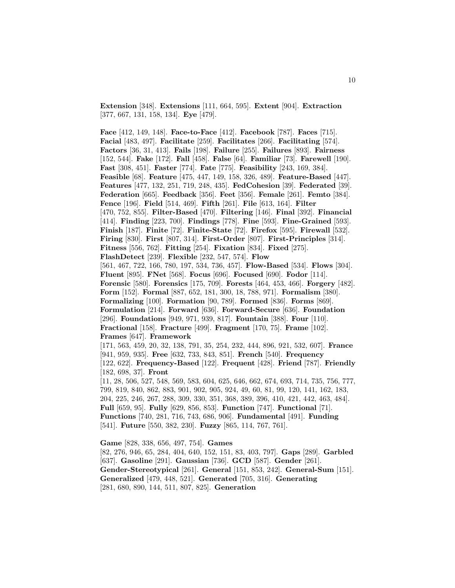**Extension** [348]. **Extensions** [111, 664, 595]. **Extent** [904]. **Extraction** [377, 667, 131, 158, 134]. **Eye** [479].

**Face** [412, 149, 148]. **Face-to-Face** [412]. **Facebook** [787]. **Faces** [715]. **Facial** [483, 497]. **Facilitate** [259]. **Facilitates** [266]. **Facilitating** [574]. **Factors** [36, 31, 413]. **Fails** [198]. **Failure** [255]. **Failures** [893]. **Fairness** [152, 544]. **Fake** [172]. **Fall** [458]. **False** [64]. **Familiar** [73]. **Farewell** [190]. **Fast** [308, 451]. **Faster** [774]. **Fate** [775]. **Feasibility** [243, 169, 384]. **Feasible** [68]. **Feature** [475, 447, 149, 158, 326, 489]. **Feature-Based** [447]. **Features** [477, 132, 251, 719, 248, 435]. **FedCohesion** [39]. **Federated** [39]. **Federation** [665]. **Feedback** [356]. **Feet** [356]. **Female** [261]. **Femto** [384]. **Fence** [196]. **Field** [514, 469]. **Fifth** [261]. **File** [613, 164]. **Filter** [470, 752, 855]. **Filter-Based** [470]. **Filtering** [146]. **Final** [392]. **Financial** [414]. **Finding** [223, 700]. **Findings** [778]. **Fine** [593]. **Fine-Grained** [593]. **Finish** [187]. **Finite** [72]. **Finite-State** [72]. **Firefox** [595]. **Firewall** [532]. **Firing** [830]. **First** [807, 314]. **First-Order** [807]. **First-Principles** [314]. **Fitness** [556, 762]. **Fitting** [254]. **Fixation** [834]. **Fixed** [275]. **FlashDetect** [239]. **Flexible** [232, 547, 574]. **Flow** [561, 467, 722, 166, 780, 197, 534, 736, 457]. **Flow-Based** [534]. **Flows** [304]. **Fluent** [895]. **FNet** [568]. **Focus** [696]. **Focused** [690]. **Fodor** [114]. **Forensic** [580]. **Forensics** [175, 709]. **Forests** [464, 453, 466]. **Forgery** [482]. **Form** [152]. **Formal** [887, 652, 181, 300, 18, 788, 971]. **Formalism** [380]. **Formalizing** [100]. **Formation** [90, 789]. **Formed** [836]. **Forms** [869]. **Formulation** [214]. **Forward** [636]. **Forward-Secure** [636]. **Foundation** [296]. **Foundations** [949, 971, 939, 817]. **Fountain** [388]. **Four** [110]. **Fractional** [158]. **Fracture** [499]. **Fragment** [170, 75]. **Frame** [102]. **Frames** [647]. **Framework** [171, 563, 459, 20, 32, 138, 791, 35, 254, 232, 444, 896, 921, 532, 607]. **France** [941, 959, 935]. **Free** [632, 733, 843, 851]. **French** [540]. **Frequency** [122, 622]. **Frequency-Based** [122]. **Frequent** [428]. **Friend** [787]. **Friendly** [182, 698, 37]. **Front** [11, 28, 506, 527, 548, 569, 583, 604, 625, 646, 662, 674, 693, 714, 735, 756, 777, 799, 819, 840, 862, 883, 901, 902, 905, 924, 49, 60, 81, 99, 120, 141, 162, 183, 204, 225, 246, 267, 288, 309, 330, 351, 368, 389, 396, 410, 421, 442, 463, 484]. **Full** [659, 95]. **Fully** [629, 856, 853]. **Function** [747]. **Functional** [71]. **Functions** [740, 281, 716, 743, 686, 906]. **Fundamental** [491]. **Funding** [541]. **Future** [550, 382, 230]. **Fuzzy** [865, 114, 767, 761].

**Game** [828, 338, 656, 497, 754]. **Games** [82, 276, 946, 65, 284, 404, 640, 152, 151, 83, 403, 797]. **Gaps** [289]. **Garbled** [637]. **Gasoline** [291]. **Gaussian** [736]. **GCD** [587]. **Gender** [261]. **Gender-Stereotypical** [261]. **General** [151, 853, 242]. **General-Sum** [151]. **Generalized** [479, 448, 521]. **Generated** [705, 316]. **Generating** [281, 680, 890, 144, 511, 807, 825]. **Generation**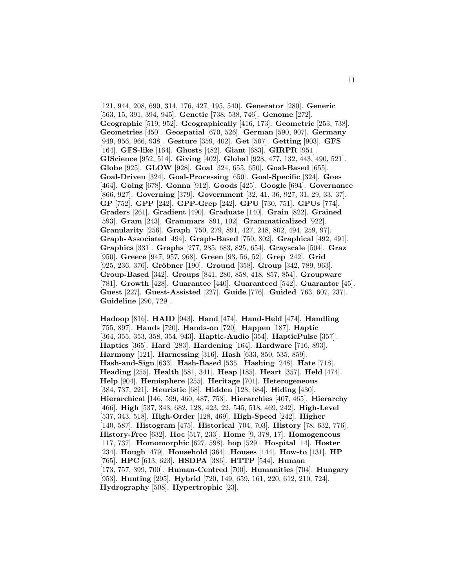[121, 944, 208, 690, 314, 176, 427, 195, 540]. **Generator** [280]. **Generic** [563, 15, 391, 394, 945]. **Genetic** [738, 538, 746]. **Genome** [272]. **Geographic** [519, 952]. **Geographically** [416, 173]. **Geometric** [253, 738]. **Geometries** [450]. **Geospatial** [670, 526]. **German** [590, 907]. **Germany** [949, 956, 966, 938]. **Gesture** [359, 402]. **Get** [507]. **Getting** [903]. **GFS** [164]. **GFS-like** [164]. **Ghosts** [482]. **Giant** [683]. **GIRPR** [951]. **GIScience** [952, 514]. **Giving** [402]. **Global** [928, 477, 132, 443, 490, 521]. **Globe** [925]. **GLOW** [928]. **Goal** [324, 655, 650]. **Goal-Based** [655]. **Goal-Driven** [324]. **Goal-Processing** [650]. **Goal-Specific** [324]. **Goes** [464]. **Going** [678]. **Gonna** [912]. **Goods** [425]. **Google** [694]. **Governance** [866, 927]. **Governing** [379]. **Government** [32, 41, 36, 927, 31, 29, 33, 37]. **GP** [752]. **GPP** [242]. **GPP-Grep** [242]. **GPU** [730, 751]. **GPUs** [774]. **Graders** [261]. **Gradient** [490]. **Graduate** [140]. **Grain** [822]. **Grained** [593]. **Gram** [243]. **Grammars** [891, 102]. **Grammaticalized** [922]. **Granularity** [256]. **Graph** [750, 279, 891, 427, 248, 802, 494, 259, 97]. **Graph-Associated** [494]. **Graph-Based** [750, 802]. **Graphical** [492, 491]. **Graphics** [331]. **Graphs** [277, 285, 683, 825, 654]. **Grayscale** [504]. **Graz** [950]. **Greece** [947, 957, 968]. **Green** [93, 56, 52]. **Grep** [242]. **Grid** [925, 236, 376]. **Gröbner** [190]. **Ground** [358]. **Group** [342, 789, 963]. **Group-Based** [342]. **Groups** [841, 280, 858, 418, 857, 854]. **Groupware** [781]. **Growth** [428]. **Guarantee** [440]. **Guaranteed** [542]. **Guarantor** [45]. **Guest** [227]. **Guest-Assisted** [227]. **Guide** [776]. **Guided** [763, 607, 237]. **Guideline** [290, 729].

**Hadoop** [816]. **HAID** [943]. **Hand** [474]. **Hand-Held** [474]. **Handling** [755, 897]. **Hands** [720]. **Hands-on** [720]. **Happen** [187]. **Haptic** [364, 355, 353, 358, 354, 943]. **Haptic-Audio** [354]. **HapticPulse** [357]. **Haptics** [365]. **Hard** [283]. **Hardening** [164]. **Hardware** [716, 893]. **Harmony** [121]. **Harnessing** [316]. **Hash** [633, 850, 535, 859]. **Hash-and-Sign** [633]. **Hash-Based** [535]. **Hashing** [248]. **Hate** [718]. **Heading** [255]. **Health** [581, 341]. **Heap** [185]. **Heart** [357]. **Held** [474]. **Help** [904]. **Hemisphere** [255]. **Heritage** [701]. **Heterogeneous** [384, 737, 221]. **Heuristic** [68]. **Hidden** [128, 684]. **Hiding** [430]. **Hierarchical** [146, 599, 460, 487, 753]. **Hierarchies** [407, 465]. **Hierarchy** [466]. **High** [537, 343, 682, 128, 423, 22, 545, 518, 469, 242]. **High-Level** [537, 343, 518]. **High-Order** [128, 469]. **High-Speed** [242]. **Higher** [140, 587]. **Histogram** [475]. **Historical** [704, 703]. **History** [78, 632, 776]. **History-Free** [632]. **Hoc** [517, 233]. **Home** [9, 378, 17]. **Homogeneous** [117, 737]. **Homomorphic** [627, 598]. **hop** [529]. **Hospital** [14]. **Hoster** [234]. **Hough** [479]. **Household** [364]. **Houses** [144]. **How-to** [131]. **HP** [765]. **HPC** [613, 623]. **HSDPA** [386]. **HTTP** [544]. **Human** [173, 757, 399, 700]. **Human-Centred** [700]. **Humanities** [704]. **Hungary** [953]. **Hunting** [295]. **Hybrid** [720, 149, 659, 161, 220, 612, 210, 724]. **Hydrography** [508]. **Hypertrophic** [23].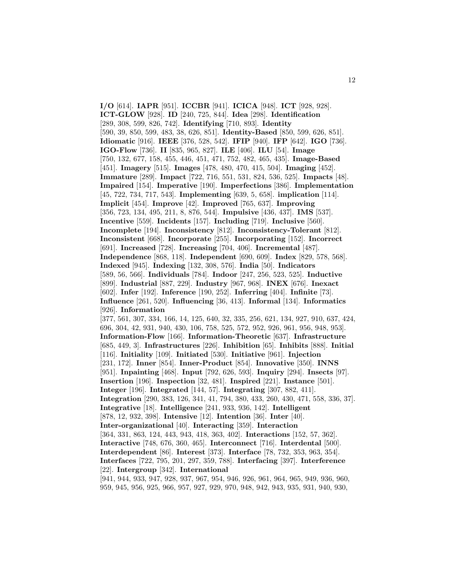**I/O** [614]. **IAPR** [951]. **ICCBR** [941]. **ICICA** [948]. **ICT** [928, 928]. **ICT-GLOW** [928]. **ID** [240, 725, 844]. **Idea** [298]. **Identification** [289, 308, 599, 826, 742]. **Identifying** [710, 893]. **Identity** [590, 39, 850, 599, 483, 38, 626, 851]. **Identity-Based** [850, 599, 626, 851]. **Idiomatic** [916]. **IEEE** [376, 528, 542]. **IFIP** [940]. **IFP** [642]. **IGO** [736]. **IGO-Flow** [736]. **II** [835, 965, 827]. **ILE** [406]. **ILU** [54]. **Image** [750, 132, 677, 158, 455, 446, 451, 471, 752, 482, 465, 435]. **Image-Based** [451]. **Imagery** [515]. **Images** [478, 480, 470, 415, 504]. **Imaging** [452]. **Immature** [289]. **Impact** [722, 716, 551, 531, 824, 536, 525]. **Impacts** [48]. **Impaired** [154]. **Imperative** [190]. **Imperfections** [386]. **Implementation** [45, 722, 734, 717, 543]. **Implementing** [639, 5, 658]. **implication** [114]. **Implicit** [454]. **Improve** [42]. **Improved** [765, 637]. **Improving** [356, 723, 134, 495, 211, 8, 876, 544]. **Impulsive** [436, 437]. **IMS** [537]. **Incentive** [559]. **Incidents** [157]. **Including** [719]. **Inclusive** [560]. **Incomplete** [194]. **Inconsistency** [812]. **Inconsistency-Tolerant** [812]. **Inconsistent** [668]. **Incorporate** [255]. **Incorporating** [152]. **Incorrect** [691]. **Increased** [728]. **Increasing** [704, 406]. **Incremental** [487]. **Independence** [868, 118]. **Independent** [690, 609]. **Index** [829, 578, 568]. **Indexed** [945]. **Indexing** [132, 308, 576]. **India** [50]. **Indicators** [589, 56, 566]. **Individuals** [784]. **Indoor** [247, 256, 523, 525]. **Inductive** [899]. **Industrial** [887, 229]. **Industry** [967, 968]. **INEX** [676]. **Inexact** [602]. **Infer** [192]. **Inference** [190, 252]. **Inferring** [404]. **Infinite** [73]. **Influence** [261, 520]. **Influencing** [36, 413]. **Informal** [134]. **Informatics** [926]. **Information** [377, 561, 307, 334, 166, 14, 125, 640, 32, 335, 256, 621, 134, 927, 910, 637, 424, 696, 304, 42, 931, 940, 430, 106, 758, 525, 572, 952, 926, 961, 956, 948, 953]. **Information-Flow** [166]. **Information-Theoretic** [637]. **Infrastructure** [685, 449, 3]. **Infrastructures** [226]. **Inhibition** [65]. **Inhibits** [888]. **Initial** [116]. **Initiality** [109]. **Initiated** [530]. **Initiative** [961]. **Injection** [231, 172]. **Inner** [854]. **Inner-Product** [854]. **Innovative** [350]. **INNS** [951]. **Inpainting** [468]. **Input** [792, 626, 593]. **Inquiry** [294]. **Insects** [97]. **Insertion** [196]. **Inspection** [32, 481]. **Inspired** [221]. **Instance** [501]. **Integer** [196]. **Integrated** [144, 57]. **Integrating** [307, 882, 411]. **Integration** [290, 383, 126, 341, 41, 794, 380, 433, 260, 430, 471, 558, 336, 37]. **Integrative** [18]. **Intelligence** [241, 933, 936, 142]. **Intelligent** [878, 12, 932, 398]. **Intensive** [12]. **Intention** [36]. **Inter** [40]. **Inter-organizational** [40]. **Interacting** [359]. **Interaction** [364, 331, 863, 124, 443, 943, 418, 363, 402]. **Interactions** [152, 57, 362]. **Interactive** [748, 676, 360, 465]. **Interconnect** [716]. **Interdental** [500]. **Interdependent** [86]. **Interest** [373]. **Interface** [78, 732, 353, 963, 354]. **Interfaces** [722, 795, 201, 297, 359, 788]. **Interfacing** [397]. **Interference** [22]. **Intergroup** [342]. **International** [941, 944, 933, 947, 928, 937, 967, 954, 946, 926, 961, 964, 965, 949, 936, 960, 959, 945, 956, 925, 966, 957, 927, 929, 970, 948, 942, 943, 935, 931, 940, 930,

12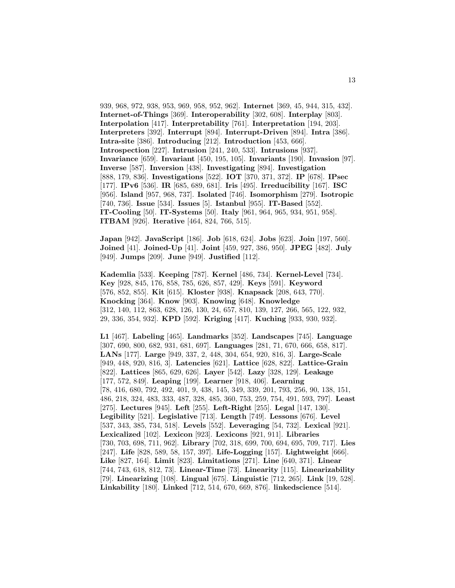939, 968, 972, 938, 953, 969, 958, 952, 962]. **Internet** [369, 45, 944, 315, 432]. **Internet-of-Things** [369]. **Interoperability** [302, 608]. **Interplay** [803]. **Interpolation** [417]. **Interpretability** [761]. **Interpretation** [194, 203]. **Interpreters** [392]. **Interrupt** [894]. **Interrupt-Driven** [894]. **Intra** [386]. **Intra-site** [386]. **Introducing** [212]. **Introduction** [453, 666]. **Introspection** [227]. **Intrusion** [241, 240, 533]. **Intrusions** [937]. **Invariance** [659]. **Invariant** [450, 195, 105]. **Invariants** [190]. **Invasion** [97]. **Inverse** [587]. **Inversion** [438]. **Investigating** [894]. **Investigation** [888, 179, 836]. **Investigations** [522]. **IOT** [370, 371, 372]. **IP** [678]. **IPsec** [177]. **IPv6** [536]. **IR** [685, 689, 681]. **Iris** [495]. **Irreducibility** [167]. **ISC** [956]. **Island** [957, 968, 737]. **Isolated** [746]. **Isomorphism** [279]. **Isotropic** [740, 736]. **Issue** [534]. **Issues** [5]. **Istanbul** [955]. **IT-Based** [552]. **IT-Cooling** [50]. **IT-Systems** [50]. **Italy** [961, 964, 965, 934, 951, 958]. **ITBAM** [926]. **Iterative** [464, 824, 766, 515].

**Japan** [942]. **JavaScript** [186]. **Job** [618, 624]. **Jobs** [623]. **Join** [197, 560]. **Joined** [41]. **Joined-Up** [41]. **Joint** [459, 927, 386, 950]. **JPEG** [482]. **July** [949]. **Jumps** [209]. **June** [949]. **Justified** [112].

**Kademlia** [533]. **Keeping** [787]. **Kernel** [486, 734]. **Kernel-Level** [734]. **Key** [928, 845, 176, 858, 785, 626, 857, 429]. **Keys** [591]. **Keyword** [576, 852, 855]. **Kit** [615]. **Kloster** [938]. **Knapsack** [208, 643, 770]. **Knocking** [364]. **Know** [903]. **Knowing** [648]. **Knowledge** [312, 140, 112, 863, 628, 126, 130, 24, 657, 810, 139, 127, 266, 565, 122, 932, 29, 336, 354, 932]. **KPD** [592]. **Kriging** [417]. **Kuching** [933, 930, 932].

**L1** [467]. **Labeling** [465]. **Landmarks** [352]. **Landscapes** [745]. **Language** [307, 690, 800, 682, 931, 681, 697]. **Languages** [281, 71, 670, 666, 658, 817]. **LANs** [177]. **Large** [949, 337, 2, 448, 304, 654, 920, 816, 3]. **Large-Scale** [949, 448, 920, 816, 3]. **Latencies** [621]. **Lattice** [628, 822]. **Lattice-Grain** [822]. **Lattices** [865, 629, 626]. **Layer** [542]. **Lazy** [328, 129]. **Leakage** [177, 572, 849]. **Leaping** [199]. **Learner** [918, 406]. **Learning** [78, 416, 680, 792, 492, 401, 9, 438, 145, 349, 339, 201, 793, 256, 90, 138, 151, 486, 218, 324, 483, 333, 487, 328, 485, 360, 753, 259, 754, 491, 593, 797]. **Least** [275]. **Lectures** [945]. **Left** [255]. **Left-Right** [255]. **Legal** [147, 130]. **Legibility** [521]. **Legislative** [713]. **Length** [749]. **Lessons** [676]. **Level** [537, 343, 385, 734, 518]. **Levels** [552]. **Leveraging** [54, 732]. **Lexical** [921]. **Lexicalized** [102]. **Lexicon** [923]. **Lexicons** [921, 911]. **Libraries** [730, 703, 698, 711, 962]. **Library** [702, 318, 699, 700, 694, 695, 709, 717]. **Lies** [247]. **Life** [828, 589, 58, 157, 397]. **Life-Logging** [157]. **Lightweight** [666]. **Like** [827, 164]. **Limit** [823]. **Limitations** [271]. **Line** [640, 371]. **Linear** [744, 743, 618, 812, 73]. **Linear-Time** [73]. **Linearity** [115]. **Linearizability** [79]. **Linearizing** [108]. **Lingual** [675]. **Linguistic** [712, 265]. **Link** [19, 528]. **Linkability** [180]. **Linked** [712, 514, 670, 669, 876]. **linkedscience** [514].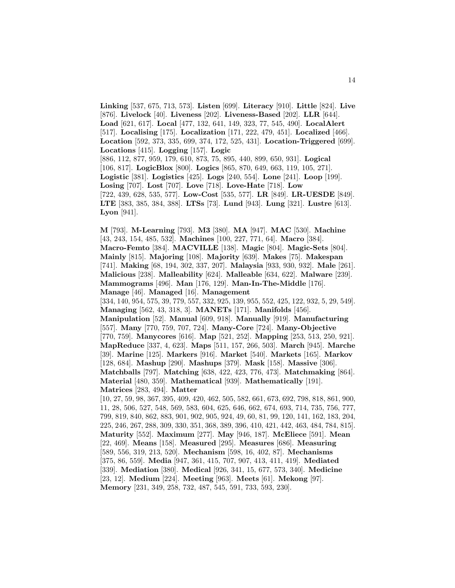**Linking** [537, 675, 713, 573]. **Listen** [699]. **Literacy** [910]. **Little** [824]. **Live** [876]. **Livelock** [40]. **Liveness** [202]. **Liveness-Based** [202]. **LLR** [644]. **Load** [621, 617]. **Local** [477, 132, 641, 149, 323, 77, 545, 490]. **LocalAlert** [517]. **Localising** [175]. **Localization** [171, 222, 479, 451]. **Localized** [466]. **Location** [592, 373, 335, 699, 374, 172, 525, 431]. **Location-Triggered** [699]. **Locations** [415]. **Logging** [157]. **Logic** [886, 112, 877, 959, 179, 610, 873, 75, 895, 440, 899, 650, 931]. **Logical** [106, 817]. **LogicBlox** [800]. **Logics** [865, 870, 649, 663, 119, 105, 271]. **Logistic** [381]. **Logistics** [425]. **Logs** [240, 554]. **Lone** [241]. **Loop** [199]. **Losing** [707]. **Lost** [707]. **Love** [718]. **Love-Hate** [718]. **Low** [722, 439, 628, 535, 577]. **Low-Cost** [535, 577]. **LR** [849]. **LR-UESDE** [849]. **LTE** [383, 385, 384, 388]. **LTSs** [73]. **Lund** [943]. **Lung** [321]. **Lustre** [613]. **Lyon** [941].

**M** [793]. **M-Learning** [793]. **M3** [380]. **MA** [947]. **MAC** [530]. **Machine** [43, 243, 154, 485, 532]. **Machines** [100, 227, 771, 64]. **Macro** [384]. **Macro-Femto** [384]. **MACVILLE** [138]. **Magic** [804]. **Magic-Sets** [804]. **Mainly** [815]. **Majoring** [108]. **Majority** [639]. **Makes** [75]. **Makespan** [741]. **Making** [68, 194, 302, 337, 207]. **Malaysia** [933, 930, 932]. **Male** [261]. **Malicious** [238]. **Malleability** [624]. **Malleable** [634, 622]. **Malware** [239]. **Mammograms** [496]. **Man** [176, 129]. **Man-In-The-Middle** [176]. **Manage** [46]. **Managed** [16]. **Management** [334, 140, 954, 575, 39, 779, 557, 332, 925, 139, 955, 552, 425, 122, 932, 5, 29, 549]. **Managing** [562, 43, 318, 3]. **MANETs** [171]. **Manifolds** [456]. **Manipulation** [52]. **Manual** [609, 918]. **Manually** [919]. **Manufacturing** [557]. **Many** [770, 759, 707, 724]. **Many-Core** [724]. **Many-Objective**

[770, 759]. **Manycores** [616]. **Map** [521, 252]. **Mapping** [253, 513, 250, 921]. **MapReduce** [337, 4, 623]. **Maps** [511, 157, 266, 503]. **March** [945]. **Marche** [39]. **Marine** [125]. **Markers** [916]. **Market** [540]. **Markets** [165]. **Markov** [128, 684]. **Mashup** [290]. **Mashups** [379]. **Mask** [158]. **Massive** [306]. **Matchballs** [797]. **Matching** [638, 422, 423, 776, 473]. **Matchmaking** [864]. **Material** [480, 359]. **Mathematical** [939]. **Mathematically** [191]. **Matrices** [283, 494]. **Matter**

[10, 27, 59, 98, 367, 395, 409, 420, 462, 505, 582, 661, 673, 692, 798, 818, 861, 900, 11, 28, 506, 527, 548, 569, 583, 604, 625, 646, 662, 674, 693, 714, 735, 756, 777, 799, 819, 840, 862, 883, 901, 902, 905, 924, 49, 60, 81, 99, 120, 141, 162, 183, 204, 225, 246, 267, 288, 309, 330, 351, 368, 389, 396, 410, 421, 442, 463, 484, 784, 815]. **Maturity** [552]. **Maximum** [277]. **May** [946, 187]. **McEliece** [591]. **Mean** [22, 469]. **Means** [158]. **Measured** [295]. **Measures** [686]. **Measuring** [589, 556, 319, 213, 520]. **Mechanism** [598, 16, 402, 87]. **Mechanisms** [375, 86, 559]. **Media** [947, 361, 415, 707, 907, 413, 411, 419]. **Mediated** [339]. **Mediation** [380]. **Medical** [926, 341, 15, 677, 573, 340]. **Medicine** [23, 12]. **Medium** [224]. **Meeting** [963]. **Meets** [61]. **Mekong** [97]. **Memory** [231, 349, 258, 732, 487, 545, 591, 733, 593, 230].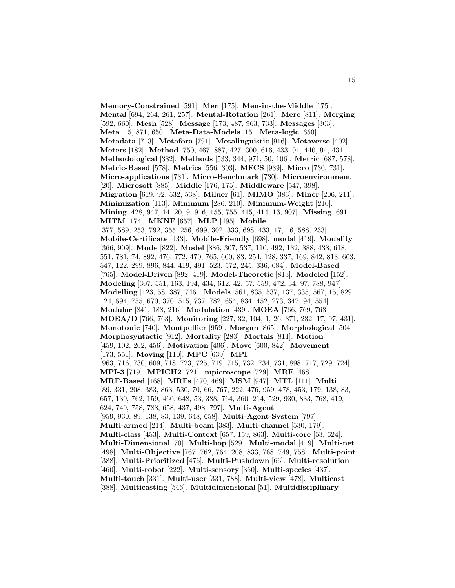**Memory-Constrained** [591]. **Men** [175]. **Men-in-the-Middle** [175]. **Mental** [694, 264, 261, 257]. **Mental-Rotation** [261]. **Mere** [811]. **Merging** [592, 660]. **Mesh** [528]. **Message** [173, 487, 963, 733]. **Messages** [303]. **Meta** [15, 871, 650]. **Meta-Data-Models** [15]. **Meta-logic** [650]. **Metadata** [713]. **Metafora** [791]. **Metalinguistic** [916]. **Metaverse** [402]. **Meters** [182]. **Method** [750, 467, 887, 427, 300, 616, 433, 91, 440, 94, 431]. **Methodological** [382]. **Methods** [533, 344, 971, 50, 106]. **Metric** [687, 578]. **Metric-Based** [578]. **Metrics** [556, 303]. **MFCS** [939]. **Micro** [730, 731]. **Micro-applications** [731]. **Micro-Benchmark** [730]. **Microenvironment** [20]. **Microsoft** [885]. **Middle** [176, 175]. **Middleware** [547, 398]. **Migration** [619, 92, 532, 538]. **Milner** [61]. **MIMO** [383]. **Miner** [206, 211]. **Minimization** [113]. **Minimum** [286, 210]. **Minimum-Weight** [210]. **Mining** [428, 947, 14, 20, 9, 916, 155, 755, 415, 414, 13, 907]. **Missing** [691]. **MITM** [174]. **MKNF** [657]. **MLP** [495]. **Mobile** [377, 589, 253, 792, 355, 256, 699, 302, 333, 698, 433, 17, 16, 588, 233]. **Mobile-Certificate** [433]. **Mobile-Friendly** [698]. **modal** [419]. **Modality** [366, 909]. **Mode** [822]. **Model** [886, 307, 537, 110, 492, 132, 888, 438, 618, 551, 781, 74, 892, 476, 772, 470, 765, 600, 83, 254, 128, 337, 169, 842, 813, 603, 547, 122, 299, 896, 844, 419, 491, 523, 572, 245, 336, 684]. **Model-Based** [765]. **Model-Driven** [892, 419]. **Model-Theoretic** [813]. **Modeled** [152]. **Modeling** [307, 551, 163, 194, 434, 612, 42, 57, 559, 472, 34, 97, 788, 947]. **Modelling** [123, 58, 387, 746]. **Models** [561, 835, 537, 137, 335, 567, 15, 829, 124, 694, 755, 670, 370, 515, 737, 782, 654, 834, 452, 273, 347, 94, 554]. **Modular** [841, 188, 216]. **Modulation** [439]. **MOEA** [766, 769, 763]. **MOEA/D** [766, 763]. **Monitoring** [227, 32, 104, 1, 26, 371, 232, 17, 97, 431]. **Monotonic** [740]. **Montpellier** [959]. **Morgan** [865]. **Morphological** [504]. **Morphosyntactic** [912]. **Mortality** [283]. **Mortals** [811]. **Motion** [459, 102, 262, 456]. **Motivation** [406]. **Move** [600, 842]. **Movement** [173, 551]. **Moving** [110]. **MPC** [639]. **MPI** [963, 716, 730, 609, 718, 723, 725, 719, 715, 732, 734, 731, 898, 717, 729, 724]. **MPI-3** [719]. **MPICH2** [721]. **mpicroscope** [729]. **MRF** [468]. **MRF-Based** [468]. **MRFs** [470, 469]. **MSM** [947]. **MTL** [111]. **Multi** [89, 331, 208, 383, 863, 530, 70, 66, 767, 222, 476, 959, 478, 453, 179, 138, 83, 657, 139, 762, 159, 460, 648, 53, 388, 764, 360, 214, 529, 930, 833, 768, 419, 624, 749, 758, 788, 658, 437, 498, 797]. **Multi-Agent** [959, 930, 89, 138, 83, 139, 648, 658]. **Multi-Agent-System** [797]. **Multi-armed** [214]. **Multi-beam** [383]. **Multi-channel** [530, 179]. **Multi-class** [453]. **Multi-Context** [657, 159, 863]. **Multi-core** [53, 624]. **Multi-Dimensional** [70]. **Multi-hop** [529]. **Multi-modal** [419]. **Multi-net** [498]. **Multi-Objective** [767, 762, 764, 208, 833, 768, 749, 758]. **Multi-point** [388]. **Multi-Prioritized** [476]. **Multi-Pushdown** [66]. **Multi-resolution** [460]. **Multi-robot** [222]. **Multi-sensory** [360]. **Multi-species** [437]. **Multi-touch** [331]. **Multi-user** [331, 788]. **Multi-view** [478]. **Multicast** [388]. **Multicasting** [546]. **Multidimensional** [51]. **Multidisciplinary**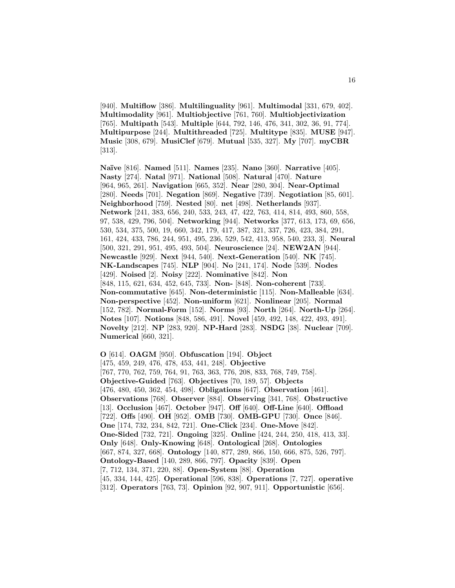[940]. **Multiflow** [386]. **Multilinguality** [961]. **Multimodal** [331, 679, 402]. **Multimodality** [961]. **Multiobjective** [761, 760]. **Multiobjectivization** [765]. **Multipath** [543]. **Multiple** [644, 792, 146, 476, 341, 302, 36, 91, 774]. **Multipurpose** [244]. **Multithreaded** [725]. **Multitype** [835]. **MUSE** [947]. **Music** [308, 679]. **MusiClef** [679]. **Mutual** [535, 327]. **My** [707]. **myCBR** [313].

**Na¨ıve** [816]. **Named** [511]. **Names** [235]. **Nano** [360]. **Narrative** [405]. **Nasty** [274]. **Natal** [971]. **National** [508]. **Natural** [470]. **Nature** [964, 965, 261]. **Navigation** [665, 352]. **Near** [280, 304]. **Near-Optimal** [280]. **Needs** [701]. **Negation** [869]. **Negative** [739]. **Negotiation** [85, 601]. **Neighborhood** [759]. **Nested** [80]. **net** [498]. **Netherlands** [937]. **Network** [241, 383, 656, 240, 533, 243, 47, 422, 763, 414, 814, 493, 860, 558, 97, 538, 429, 796, 504]. **Networking** [944]. **Networks** [377, 613, 173, 69, 656, 530, 534, 375, 500, 19, 660, 342, 179, 417, 387, 321, 337, 726, 423, 384, 291, 161, 424, 433, 786, 244, 951, 495, 236, 529, 542, 413, 958, 540, 233, 3]. **Neural** [500, 321, 291, 951, 495, 493, 504]. **Neuroscience** [24]. **NEW2AN** [944]. **Newcastle** [929]. **Next** [944, 540]. **Next-Generation** [540]. **NK** [745]. **NK-Landscapes** [745]. **NLP** [904]. **No** [241, 174]. **Node** [539]. **Nodes** [429]. **Noised** [2]. **Noisy** [222]. **Nominative** [842]. **Non** [848, 115, 621, 634, 452, 645, 733]. **Non-** [848]. **Non-coherent** [733]. **Non-commutative** [645]. **Non-deterministic** [115]. **Non-Malleable** [634]. **Non-perspective** [452]. **Non-uniform** [621]. **Nonlinear** [205]. **Normal** [152, 782]. **Normal-Form** [152]. **Norms** [93]. **North** [264]. **North-Up** [264]. **Notes** [107]. **Notions** [848, 586, 491]. **Novel** [459, 492, 148, 422, 493, 491]. **Novelty** [212]. **NP** [283, 920]. **NP-Hard** [283]. **NSDG** [38]. **Nuclear** [709]. **Numerical** [660, 321].

**O** [614]. **OAGM** [950]. **Obfuscation** [194]. **Object** [475, 459, 249, 476, 478, 453, 441, 248]. **Objective** [767, 770, 762, 759, 764, 91, 763, 363, 776, 208, 833, 768, 749, 758]. **Objective-Guided** [763]. **Objectives** [70, 189, 57]. **Objects** [476, 480, 450, 362, 454, 498]. **Obligations** [647]. **Observation** [461]. **Observations** [768]. **Observer** [884]. **Observing** [341, 768]. **Obstructive** [13]. **Occlusion** [467]. **October** [947]. **Off** [640]. **Off-Line** [640]. **Offload** [722]. **Offs** [490]. **OH** [952]. **OMB** [730]. **OMB-GPU** [730]. **Once** [846]. **One** [174, 732, 234, 842, 721]. **One-Click** [234]. **One-Move** [842]. **One-Sided** [732, 721]. **Ongoing** [325]. **Online** [424, 244, 250, 418, 413, 33]. **Only** [648]. **Only-Knowing** [648]. **Ontological** [268]. **Ontologies** [667, 874, 327, 668]. **Ontology** [140, 877, 289, 866, 150, 666, 875, 526, 797]. **Ontology-Based** [140, 289, 866, 797]. **Opacity** [839]. **Open** [7, 712, 134, 371, 220, 88]. **Open-System** [88]. **Operation** [45, 334, 144, 425]. **Operational** [596, 838]. **Operations** [7, 727]. **operative** [312]. **Operators** [763, 73]. **Opinion** [92, 907, 911]. **Opportunistic** [656].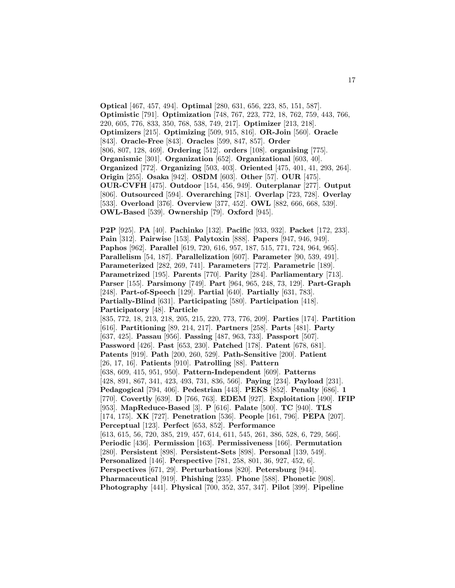**Optical** [467, 457, 494]. **Optimal** [280, 631, 656, 223, 85, 151, 587]. **Optimistic** [791]. **Optimization** [748, 767, 223, 772, 18, 762, 759, 443, 766, 220, 605, 776, 833, 350, 768, 538, 749, 217]. **Optimizer** [213, 218]. **Optimizers** [215]. **Optimizing** [509, 915, 816]. **OR-Join** [560]. **Oracle** [843]. **Oracle-Free** [843]. **Oracles** [599, 847, 857]. **Order** [806, 807, 128, 469]. **Ordering** [512]. **orders** [108]. **organising** [775]. **Organismic** [301]. **Organization** [652]. **Organizational** [603, 40]. **Organized** [772]. **Organizing** [503, 403]. **Oriented** [475, 401, 41, 293, 264]. **Origin** [255]. **Osaka** [942]. **OSDM** [603]. **Other** [57]. **OUR** [475]. **OUR-CVFH** [475]. **Outdoor** [154, 456, 949]. **Outerplanar** [277]. **Output** [806]. **Outsourced** [594]. **Overarching** [781]. **Overlap** [723, 728]. **Overlay** [533]. **Overload** [376]. **Overview** [377, 452]. **OWL** [882, 666, 668, 539]. **OWL-Based** [539]. **Ownership** [79]. **Oxford** [945].

**P2P** [925]. **PA** [40]. **Pachinko** [132]. **Pacific** [933, 932]. **Packet** [172, 233]. **Pain** [312]. **Pairwise** [153]. **Palytoxin** [888]. **Papers** [947, 946, 949]. **Paphos** [962]. **Parallel** [619, 720, 616, 957, 187, 515, 771, 724, 964, 965]. **Parallelism** [54, 187]. **Parallelization** [607]. **Parameter** [90, 539, 491]. **Parameterized** [282, 269, 741]. **Parameters** [772]. **Parametric** [189]. **Parametrized** [195]. **Parents** [770]. **Parity** [284]. **Parliamentary** [713]. **Parser** [155]. **Parsimony** [749]. **Part** [964, 965, 248, 73, 129]. **Part-Graph** [248]. **Part-of-Speech** [129]. **Partial** [640]. **Partially** [631, 783]. **Partially-Blind** [631]. **Participating** [580]. **Participation** [418]. **Participatory** [48]. **Particle** [835, 772, 18, 213, 218, 205, 215, 220, 773, 776, 209]. **Parties** [174]. **Partition** [616]. **Partitioning** [89, 214, 217]. **Partners** [258]. **Parts** [481]. **Party** [637, 425]. **Passau** [956]. **Passing** [487, 963, 733]. **Passport** [507]. **Password** [426]. **Past** [653, 230]. **Patched** [178]. **Patent** [678, 681]. **Patents** [919]. **Path** [200, 260, 529]. **Path-Sensitive** [200]. **Patient** [26, 17, 16]. **Patients** [910]. **Patrolling** [88]. **Pattern** [638, 609, 415, 951, 950]. **Pattern-Independent** [609]. **Patterns** [428, 891, 867, 341, 423, 493, 731, 836, 566]. **Paying** [234]. **Payload** [231]. **Pedagogical** [794, 406]. **Pedestrian** [443]. **PEKS** [852]. **Penalty** [686]. **1** [770]. **Covertly** [639]. **D** [766, 763]. **EDEM** [927]. **Exploitation** [490]. **IFIP** [953]. **MapReduce-Based** [3]. **P** [616]. **Palate** [500]. **TC** [940]. **TLS** [174, 175]. **XK** [727]. **Penetration** [536]. **People** [161, 796]. **PEPA** [207]. **Perceptual** [123]. **Perfect** [653, 852]. **Performance** [613, 615, 56, 720, 385, 219, 457, 614, 611, 545, 261, 386, 528, 6, 729, 566]. **Periodic** [436]. **Permission** [163]. **Permissiveness** [166]. **Permutation** [280]. **Persistent** [898]. **Persistent-Sets** [898]. **Personal** [139, 549]. **Personalized** [146]. **Perspective** [781, 258, 801, 36, 927, 452, 6]. **Perspectives** [671, 29]. **Perturbations** [820]. **Petersburg** [944]. **Pharmaceutical** [919]. **Phishing** [235]. **Phone** [588]. **Phonetic** [908]. **Photography** [441]. **Physical** [700, 352, 357, 347]. **Pilot** [399]. **Pipeline**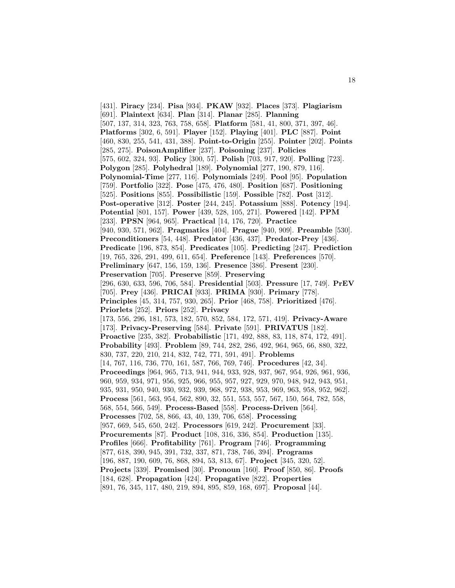[431]. **Piracy** [234]. **Pisa** [934]. **PKAW** [932]. **Places** [373]. **Plagiarism** [691]. **Plaintext** [634]. **Plan** [314]. **Planar** [285]. **Planning** [507, 137, 314, 323, 763, 758, 658]. **Platform** [581, 41, 800, 371, 397, 46]. **Platforms** [302, 6, 591]. **Player** [152]. **Playing** [401]. **PLC** [887]. **Point** [460, 830, 255, 541, 431, 388]. **Point-to-Origin** [255]. **Pointer** [202]. **Points** [285, 275]. **PoisonAmplifier** [237]. **Poisoning** [237]. **Policies** [575, 602, 324, 93]. **Policy** [300, 57]. **Polish** [703, 917, 920]. **Polling** [723]. **Polygon** [285]. **Polyhedral** [189]. **Polynomial** [277, 190, 879, 116]. **Polynomial-Time** [277, 116]. **Polynomials** [249]. **Pool** [95]. **Population** [759]. **Portfolio** [322]. **Pose** [475, 476, 480]. **Position** [687]. **Positioning** [525]. **Positions** [855]. **Possibilistic** [159]. **Possible** [782]. **Post** [312]. **Post-operative** [312]. **Poster** [244, 245]. **Potassium** [888]. **Potency** [194]. **Potential** [801, 157]. **Power** [439, 528, 105, 271]. **Powered** [142]. **PPM** [233]. **PPSN** [964, 965]. **Practical** [14, 176, 720]. **Practice** [940, 930, 571, 962]. **Pragmatics** [404]. **Prague** [940, 909]. **Preamble** [530]. **Preconditioners** [54, 448]. **Predator** [436, 437]. **Predator-Prey** [436]. **Predicate** [196, 873, 854]. **Predicates** [105]. **Predicting** [247]. **Prediction** [19, 765, 326, 291, 499, 611, 654]. **Preference** [143]. **Preferences** [570]. **Preliminary** [647, 156, 159, 136]. **Presence** [386]. **Present** [230]. **Preservation** [705]. **Preserve** [859]. **Preserving** [296, 630, 633, 596, 706, 584]. **Presidential** [503]. **Pressure** [17, 749]. **PrEV** [705]. **Prey** [436]. **PRICAI** [933]. **PRIMA** [930]. **Primary** [778]. **Principles** [45, 314, 757, 930, 265]. **Prior** [468, 758]. **Prioritized** [476]. **Priorlets** [252]. **Priors** [252]. **Privacy** [173, 556, 296, 181, 573, 182, 570, 852, 584, 172, 571, 419]. **Privacy-Aware** [173]. **Privacy-Preserving** [584]. **Private** [591]. **PRIVATUS** [182]. **Proactive** [235, 382]. **Probabilistic** [171, 492, 888, 83, 118, 874, 172, 491]. **Probability** [493]. **Problem** [89, 744, 282, 286, 492, 964, 965, 66, 880, 322, 830, 737, 220, 210, 214, 832, 742, 771, 591, 491]. **Problems** [14, 767, 116, 736, 770, 161, 587, 766, 769, 746]. **Procedures** [42, 34]. **Proceedings** [964, 965, 713, 941, 944, 933, 928, 937, 967, 954, 926, 961, 936, 960, 959, 934, 971, 956, 925, 966, 955, 957, 927, 929, 970, 948, 942, 943, 951, 935, 931, 950, 940, 930, 932, 939, 968, 972, 938, 953, 969, 963, 958, 952, 962]. **Process** [561, 563, 954, 562, 890, 32, 551, 553, 557, 567, 150, 564, 782, 558, 568, 554, 566, 549]. **Process-Based** [558]. **Process-Driven** [564]. **Processes** [702, 58, 866, 43, 40, 139, 706, 658]. **Processing** [957, 669, 545, 650, 242]. **Processors** [619, 242]. **Procurement** [33]. **Procurements** [87]. **Product** [108, 316, 336, 854]. **Production** [135]. **Profiles** [666]. **Profitability** [761]. **Program** [746]. **Programming** [877, 618, 390, 945, 391, 732, 337, 871, 738, 746, 394]. **Programs** [196, 887, 190, 609, 76, 868, 894, 53, 813, 67]. **Project** [345, 320, 52]. **Projects** [339]. **Promised** [30]. **Pronoun** [160]. **Proof** [850, 86]. **Proofs** [184, 628]. **Propagation** [424]. **Propagative** [822]. **Properties** [891, 76, 345, 117, 480, 219, 894, 895, 859, 168, 697]. **Proposal** [44].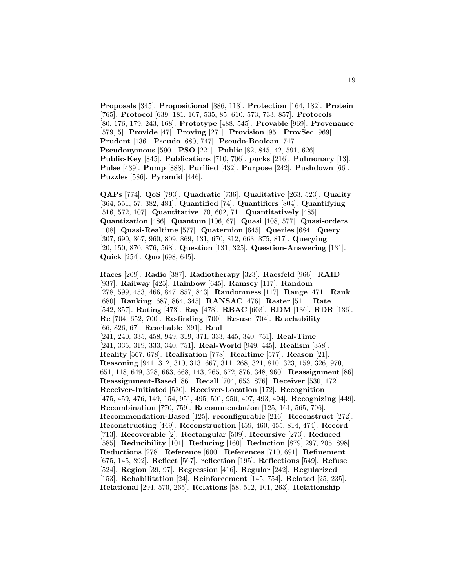**Proposals** [345]. **Propositional** [886, 118]. **Protection** [164, 182]. **Protein** [765]. **Protocol** [639, 181, 167, 535, 85, 610, 573, 733, 857]. **Protocols** [80, 176, 179, 243, 168]. **Prototype** [488, 545]. **Provable** [969]. **Provenance** [579, 5]. **Provide** [47]. **Proving** [271]. **Provision** [95]. **ProvSec** [969]. **Prudent** [136]. **Pseudo** [680, 747]. **Pseudo-Boolean** [747]. **Pseudonymous** [590]. **PSO** [221]. **Public** [82, 845, 42, 591, 626]. **Public-Key** [845]. **Publications** [710, 706]. **pucks** [216]. **Pulmonary** [13]. **Pulse** [439]. **Pump** [888]. **Purified** [432]. **Purpose** [242]. **Pushdown** [66]. **Puzzles** [586]. **Pyramid** [446].

**QAPs** [774]. **QoS** [793]. **Quadratic** [736]. **Qualitative** [263, 523]. **Quality** [364, 551, 57, 382, 481]. **Quantified** [74]. **Quantifiers** [804]. **Quantifying** [516, 572, 107]. **Quantitative** [70, 602, 71]. **Quantitatively** [485]. **Quantization** [486]. **Quantum** [106, 67]. **Quasi** [108, 577]. **Quasi-orders** [108]. **Quasi-Realtime** [577]. **Quaternion** [645]. **Queries** [684]. **Query** [307, 690, 867, 960, 809, 869, 131, 670, 812, 663, 875, 817]. **Querying** [20, 150, 870, 876, 568]. **Question** [131, 325]. **Question-Answering** [131]. **Quick** [254]. **Quo** [698, 645].

**Races** [269]. **Radio** [387]. **Radiotherapy** [323]. **Raesfeld** [966]. **RAID** [937]. **Railway** [425]. **Rainbow** [645]. **Ramsey** [117]. **Random** [278, 599, 453, 466, 847, 857, 843]. **Randomness** [117]. **Range** [471]. **Rank** [680]. **Ranking** [687, 864, 345]. **RANSAC** [476]. **Raster** [511]. **Rate** [542, 357]. **Rating** [473]. **Ray** [478]. **RBAC** [603]. **RDM** [136]. **RDR** [136]. **Re** [704, 652, 700]. **Re-finding** [700]. **Re-use** [704]. **Reachability** [66, 826, 67]. **Reachable** [891]. **Real** [241, 240, 335, 458, 949, 319, 371, 333, 445, 340, 751]. **Real-Time** [241, 335, 319, 333, 340, 751]. **Real-World** [949, 445]. **Realism** [358]. **Reality** [567, 678]. **Realization** [778]. **Realtime** [577]. **Reason** [21]. **Reasoning** [941, 312, 310, 313, 667, 311, 268, 321, 810, 323, 159, 326, 970, 651, 118, 649, 328, 663, 668, 143, 265, 672, 876, 348, 960]. **Reassignment** [86]. **Reassignment-Based** [86]. **Recall** [704, 653, 876]. **Receiver** [530, 172]. **Receiver-Initiated** [530]. **Receiver-Location** [172]. **Recognition** [475, 459, 476, 149, 154, 951, 495, 501, 950, 497, 493, 494]. **Recognizing** [449]. **Recombination** [770, 759]. **Recommendation** [125, 161, 565, 796]. **Recommendation-Based** [125]. **reconfigurable** [216]. **Reconstruct** [272]. **Reconstructing** [449]. **Reconstruction** [459, 460, 455, 814, 474]. **Record** [713]. **Recoverable** [2]. **Rectangular** [509]. **Recursive** [273]. **Reduced** [585]. **Reducibility** [101]. **Reducing** [160]. **Reduction** [879, 297, 205, 898]. **Reductions** [278]. **Reference** [600]. **References** [710, 691]. **Refinement** [675, 145, 892]. **Reflect** [567]. **reflection** [195]. **Reflections** [549]. **Refuse** [524]. **Region** [39, 97]. **Regression** [416]. **Regular** [242]. **Regularized** [153]. **Rehabilitation** [24]. **Reinforcement** [145, 754]. **Related** [25, 235]. **Relational** [294, 570, 265]. **Relations** [58, 512, 101, 263]. **Relationship**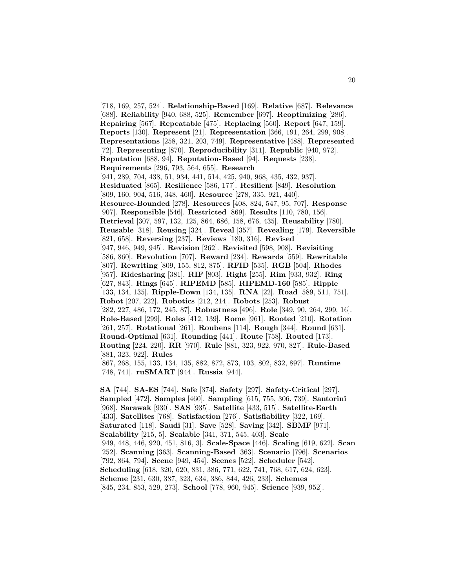[718, 169, 257, 524]. **Relationship-Based** [169]. **Relative** [687]. **Relevance** [688]. **Reliability** [940, 688, 525]. **Remember** [697]. **Reoptimizing** [286]. **Repairing** [567]. **Repeatable** [475]. **Replacing** [560]. **Report** [647, 159]. **Reports** [130]. **Represent** [21]. **Representation** [366, 191, 264, 299, 908]. **Representations** [258, 321, 203, 749]. **Representative** [488]. **Represented** [72]. **Representing** [870]. **Reproducibility** [311]. **Republic** [940, 972]. **Reputation** [688, 94]. **Reputation-Based** [94]. **Requests** [238]. **Requirements** [296, 793, 564, 655]. **Research** [941, 289, 704, 438, 51, 934, 441, 514, 425, 940, 968, 435, 432, 937]. **Residuated** [865]. **Resilience** [586, 177]. **Resilient** [849]. **Resolution** [809, 160, 904, 516, 348, 460]. **Resource** [278, 335, 921, 440]. **Resource-Bounded** [278]. **Resources** [408, 824, 547, 95, 707]. **Response** [907]. **Responsible** [546]. **Restricted** [869]. **Results** [110, 780, 156]. **Retrieval** [307, 597, 132, 125, 864, 686, 158, 676, 435]. **Reusability** [780]. **Reusable** [318]. **Reusing** [324]. **Reveal** [357]. **Revealing** [179]. **Reversible** [821, 658]. **Reversing** [237]. **Reviews** [180, 316]. **Revised** [947, 946, 949, 945]. **Revision** [262]. **Revisited** [598, 908]. **Revisiting** [586, 860]. **Revolution** [707]. **Reward** [234]. **Rewards** [559]. **Rewritable** [807]. **Rewriting** [809, 155, 812, 875]. **RFID** [535]. **RGB** [504]. **Rhodes** [957]. **Ridesharing** [381]. **RIF** [803]. **Right** [255]. **Rim** [933, 932]. **Ring** [627, 843]. **Rings** [645]. **RIPEMD** [585]. **RIPEMD-160** [585]. **Ripple** [133, 134, 135]. **Ripple-Down** [134, 135]. **RNA** [22]. **Road** [589, 511, 751]. **Robot** [207, 222]. **Robotics** [212, 214]. **Robots** [253]. **Robust** [282, 227, 486, 172, 245, 87]. **Robustness** [496]. **Role** [349, 90, 264, 299, 16]. **Role-Based** [299]. **Roles** [412, 139]. **Rome** [961]. **Rooted** [210]. **Rotation** [261, 257]. **Rotational** [261]. **Roubens** [114]. **Rough** [344]. **Round** [631]. **Round-Optimal** [631]. **Rounding** [441]. **Route** [758]. **Routed** [173]. **Routing** [224, 220]. **RR** [970]. **Rule** [881, 323, 922, 970, 827]. **Rule-Based** [881, 323, 922]. **Rules** [867, 268, 155, 133, 134, 135, 882, 872, 873, 103, 802, 832, 897]. **Runtime** [748, 741]. **ruSMART** [944]. **Russia** [944].

**SA** [744]. **SA-ES** [744]. **Safe** [374]. **Safety** [297]. **Safety-Critical** [297]. **Sampled** [472]. **Samples** [460]. **Sampling** [615, 755, 306, 739]. **Santorini** [968]. **Sarawak** [930]. **SAS** [935]. **Satellite** [433, 515]. **Satellite-Earth** [433]. **Satellites** [768]. **Satisfaction** [276]. **Satisfiability** [322, 169]. **Saturated** [118]. **Saudi** [31]. **Save** [528]. **Saving** [342]. **SBMF** [971]. **Scalability** [215, 5]. **Scalable** [341, 371, 545, 403]. **Scale** [949, 448, 446, 920, 451, 816, 3]. **Scale-Space** [446]. **Scaling** [619, 622]. **Scan** [252]. **Scanning** [363]. **Scanning-Based** [363]. **Scenario** [796]. **Scenarios** [792, 864, 794]. **Scene** [949, 454]. **Scenes** [522]. **Scheduler** [542]. **Scheduling** [618, 320, 620, 831, 386, 771, 622, 741, 768, 617, 624, 623]. **Scheme** [231, 630, 387, 323, 634, 386, 844, 426, 233]. **Schemes** [845, 234, 853, 529, 273]. **School** [778, 960, 945]. **Science** [939, 952].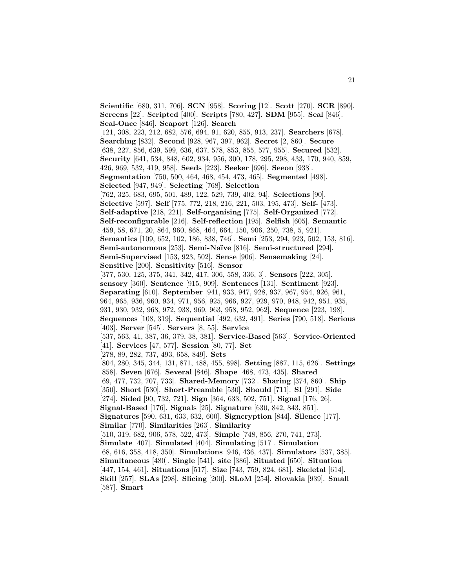**Scientific** [680, 311, 706]. **SCN** [958]. **Scoring** [12]. **Scott** [270]. **SCR** [890]. **Screens** [22]. **Scripted** [400]. **Scripts** [780, 427]. **SDM** [955]. **Seal** [846]. **Seal-Once** [846]. **Seaport** [126]. **Search** [121, 308, 223, 212, 682, 576, 694, 91, 620, 855, 913, 237]. **Searchers** [678]. **Searching** [832]. **Second** [928, 967, 397, 962]. **Secret** [2, 860]. **Secure** [638, 227, 856, 639, 599, 636, 637, 578, 853, 855, 577, 955]. **Secured** [532]. **Security** [641, 534, 848, 602, 934, 956, 300, 178, 295, 298, 433, 170, 940, 859, 426, 969, 532, 419, 958]. **Seeds** [223]. **Seeker** [696]. **Seeon** [938]. **Segmentation** [750, 500, 464, 468, 454, 473, 465]. **Segmented** [498]. **Selected** [947, 949]. **Selecting** [768]. **Selection** [762, 325, 683, 695, 501, 489, 122, 529, 739, 402, 94]. **Selections** [90]. **Selective** [597]. **Self** [775, 772, 218, 216, 221, 503, 195, 473]. **Self-** [473]. **Self-adaptive** [218, 221]. **Self-organising** [775]. **Self-Organized** [772]. **Self-reconfigurable** [216]. **Self-reflection** [195]. **Selfish** [605]. **Semantic** [459, 58, 671, 20, 864, 960, 868, 464, 664, 150, 906, 250, 738, 5, 921]. **Semantics** [109, 652, 102, 186, 838, 746]. **Semi** [253, 294, 923, 502, 153, 816]. **Semi-autonomous** [253]. **Semi-Na¨ıve** [816]. **Semi-structured** [294]. **Semi-Supervised** [153, 923, 502]. **Sense** [906]. **Sensemaking** [24]. **Sensitive** [200]. **Sensitivity** [516]. **Sensor** [377, 530, 125, 375, 341, 342, 417, 306, 558, 336, 3]. **Sensors** [222, 305]. **sensory** [360]. **Sentence** [915, 909]. **Sentences** [131]. **Sentiment** [923]. **Separating** [610]. **September** [941, 933, 947, 928, 937, 967, 954, 926, 961, 964, 965, 936, 960, 934, 971, 956, 925, 966, 927, 929, 970, 948, 942, 951, 935, 931, 930, 932, 968, 972, 938, 969, 963, 958, 952, 962]. **Sequence** [223, 198]. **Sequences** [108, 319]. **Sequential** [492, 632, 491]. **Series** [790, 518]. **Serious** [403]. **Server** [545]. **Servers** [8, 55]. **Service** [537, 563, 41, 387, 36, 379, 38, 381]. **Service-Based** [563]. **Service-Oriented** [41]. **Services** [47, 577]. **Session** [80, 77]. **Set** [278, 89, 282, 737, 493, 658, 849]. **Sets** [804, 280, 345, 344, 131, 871, 488, 455, 898]. **Setting** [887, 115, 626]. **Settings** [858]. **Seven** [676]. **Several** [846]. **Shape** [468, 473, 435]. **Shared** [69, 477, 732, 707, 733]. **Shared-Memory** [732]. **Sharing** [374, 860]. **Ship** [350]. **Short** [530]. **Short-Preamble** [530]. **Should** [711]. **SI** [291]. **Side** [274]. **Sided** [90, 732, 721]. **Sign** [364, 633, 502, 751]. **Signal** [176, 26]. **Signal-Based** [176]. **Signals** [25]. **Signature** [630, 842, 843, 851]. **Signatures** [590, 631, 633, 632, 600]. **Signcryption** [844]. **Silence** [177]. **Similar** [770]. **Similarities** [263]. **Similarity** [510, 319, 682, 906, 578, 522, 473]. **Simple** [748, 856, 270, 741, 273]. **Simulate** [407]. **Simulated** [404]. **Simulating** [517]. **Simulation** [68, 616, 358, 418, 350]. **Simulations** [946, 436, 437]. **Simulators** [537, 385]. **Simultaneous** [480]. **Single** [541]. **site** [386]. **Situated** [650]. **Situation** [447, 154, 461]. **Situations** [517]. **Size** [743, 759, 824, 681]. **Skeletal** [614]. **Skill** [257]. **SLAs** [298]. **Slicing** [200]. **SLoM** [254]. **Slovakia** [939]. **Small** [587]. **Smart**

21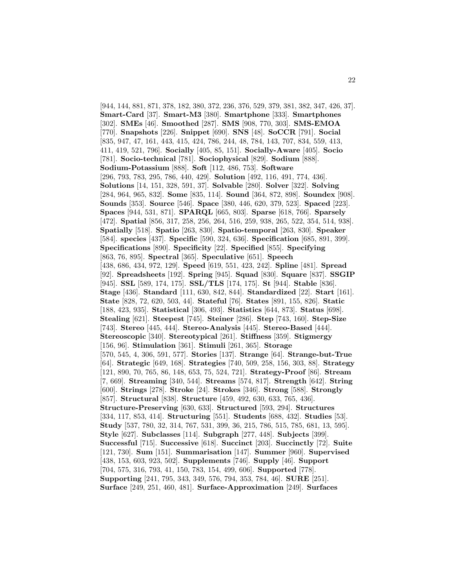[944, 144, 881, 871, 378, 182, 380, 372, 236, 376, 529, 379, 381, 382, 347, 426, 37]. **Smart-Card** [37]. **Smart-M3** [380]. **Smartphone** [333]. **Smartphones** [302]. **SMEs** [46]. **Smoothed** [287]. **SMS** [908, 770, 303]. **SMS-EMOA** [770]. **Snapshots** [226]. **Snippet** [690]. **SNS** [48]. **SoCCR** [791]. **Social** [835, 947, 47, 161, 443, 415, 424, 786, 244, 48, 784, 143, 707, 834, 559, 413, 411, 419, 521, 796]. **Socially** [405, 85, 151]. **Socially-Aware** [405]. **Socio** [781]. **Socio-technical** [781]. **Sociophysical** [829]. **Sodium** [888]. **Sodium-Potassium** [888]. **Soft** [112, 486, 753]. **Software** [296, 793, 783, 295, 786, 440, 429]. **Solution** [492, 116, 491, 774, 436]. **Solutions** [14, 151, 328, 591, 37]. **Solvable** [280]. **Solver** [322]. **Solving** [284, 964, 965, 832]. **Some** [835, 114]. **Sound** [364, 872, 898]. **Soundex** [908]. **Sounds** [353]. **Source** [546]. **Space** [380, 446, 620, 379, 523]. **Spaced** [223]. **Spaces** [944, 531, 871]. **SPARQL** [665, 803]. **Sparse** [618, 766]. **Sparsely** [472]. **Spatial** [856, 317, 258, 256, 264, 516, 259, 938, 265, 522, 354, 514, 938]. **Spatially** [518]. **Spatio** [263, 830]. **Spatio-temporal** [263, 830]. **Speaker** [584]. **species** [437]. **Specific** [590, 324, 636]. **Specification** [685, 891, 399]. **Specifications** [890]. **Specificity** [22]. **Specified** [855]. **Specifying** [863, 76, 895]. **Spectral** [365]. **Speculative** [651]. **Speech** [438, 686, 434, 972, 129]. **Speed** [619, 551, 423, 242]. **Spline** [481]. **Spread** [92]. **Spreadsheets** [192]. **Spring** [945]. **Squad** [830]. **Square** [837]. **SSGIP** [945]. **SSL** [589, 174, 175]. **SSL/TLS** [174, 175]. **St** [944]. **Stable** [836]. **Stage** [436]. **Standard** [111, 630, 842, 844]. **Standardized** [22]. **Start** [161]. **State** [828, 72, 620, 503, 44]. **Stateful** [76]. **States** [891, 155, 826]. **Static** [188, 423, 935]. **Statistical** [306, 493]. **Statistics** [644, 873]. **Status** [698]. **Stealing** [621]. **Steepest** [745]. **Steiner** [286]. **Step** [743, 160]. **Step-Size** [743]. **Stereo** [445, 444]. **Stereo-Analysis** [445]. **Stereo-Based** [444]. **Stereoscopic** [340]. **Stereotypical** [261]. **Stiffness** [359]. **Stigmergy** [156, 96]. **Stimulation** [361]. **Stimuli** [261, 365]. **Storage** [570, 545, 4, 306, 591, 577]. **Stories** [137]. **Strange** [64]. **Strange-but-True** [64]. **Strategic** [649, 168]. **Strategies** [740, 509, 258, 156, 303, 88]. **Strategy** [121, 890, 70, 765, 86, 148, 653, 75, 524, 721]. **Strategy-Proof** [86]. **Stream** [7, 669]. **Streaming** [340, 544]. **Streams** [574, 817]. **Strength** [642]. **String** [600]. **Strings** [278]. **Stroke** [24]. **Strokes** [346]. **Strong** [588]. **Strongly** [857]. **Structural** [838]. **Structure** [459, 492, 630, 633, 765, 436]. **Structure-Preserving** [630, 633]. **Structured** [593, 294]. **Structures** [334, 117, 853, 414]. **Structuring** [551]. **Students** [688, 432]. **Studies** [53]. **Study** [537, 780, 32, 314, 767, 531, 399, 36, 215, 786, 515, 785, 681, 13, 595]. **Style** [627]. **Subclasses** [114]. **Subgraph** [277, 448]. **Subjects** [399]. **Successful** [715]. **Successive** [618]. **Succinct** [203]. **Succinctly** [72]. **Suite** [121, 730]. **Sum** [151]. **Summarisation** [147]. **Summer** [960]. **Supervised** [438, 153, 603, 923, 502]. **Supplements** [746]. **Supply** [46]. **Support** [704, 575, 316, 793, 41, 150, 783, 154, 499, 606]. **Supported** [778]. **Supporting** [241, 795, 343, 349, 576, 794, 353, 784, 46]. **SURE** [251]. **Surface** [249, 251, 460, 481]. **Surface-Approximation** [249]. **Surfaces**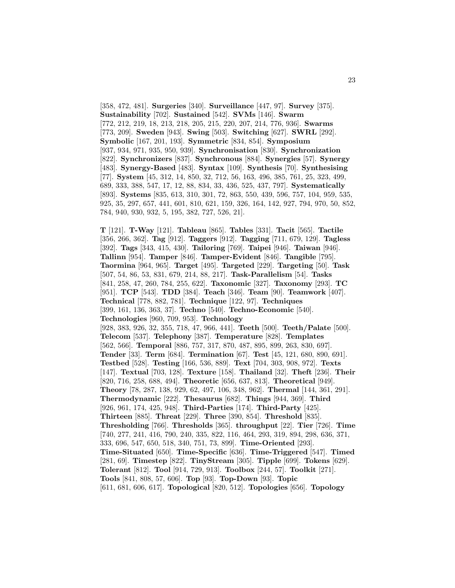[358, 472, 481]. **Surgeries** [340]. **Surveillance** [447, 97]. **Survey** [375]. **Sustainability** [702]. **Sustained** [542]. **SVMs** [146]. **Swarm** [772, 212, 219, 18, 213, 218, 205, 215, 220, 207, 214, 776, 936]. **Swarms** [773, 209]. **Sweden** [943]. **Swing** [503]. **Switching** [627]. **SWRL** [292]. **Symbolic** [167, 201, 193]. **Symmetric** [834, 854]. **Symposium** [937, 934, 971, 935, 950, 939]. **Synchronisation** [830]. **Synchronization** [822]. **Synchronizers** [837]. **Synchronous** [884]. **Synergies** [57]. **Synergy** [483]. **Synergy-Based** [483]. **Syntax** [109]. **Synthesis** [70]. **Synthesising** [77]. **System** [45, 312, 14, 850, 32, 712, 56, 163, 496, 385, 761, 25, 323, 499, 689, 333, 388, 547, 17, 12, 88, 834, 33, 436, 525, 437, 797]. **Systematically** [893]. **Systems** [835, 613, 310, 301, 72, 863, 550, 439, 596, 757, 104, 959, 535, 925, 35, 297, 657, 441, 601, 810, 621, 159, 326, 164, 142, 927, 794, 970, 50, 852, 784, 940, 930, 932, 5, 195, 382, 727, 526, 21].

**T** [121]. **T-Way** [121]. **Tableau** [865]. **Tables** [331]. **Tacit** [565]. **Tactile** [356, 266, 362]. **Tag** [912]. **Taggers** [912]. **Tagging** [711, 679, 129]. **Tagless** [392]. **Tags** [343, 415, 430]. **Tailoring** [769]. **Taipei** [946]. **Taiwan** [946]. **Tallinn** [954]. **Tamper** [846]. **Tamper-Evident** [846]. **Tangible** [795]. **Taormina** [964, 965]. **Target** [495]. **Targeted** [229]. **Targeting** [50]. **Task** [507, 54, 86, 53, 831, 679, 214, 88, 217]. **Task-Parallelism** [54]. **Tasks** [841, 258, 47, 260, 784, 255, 622]. **Taxonomic** [327]. **Taxonomy** [293]. **TC** [951]. **TCP** [543]. **TDD** [384]. **Teach** [346]. **Team** [90]. **Teamwork** [407]. **Technical** [778, 882, 781]. **Technique** [122, 97]. **Techniques** [399, 161, 136, 363, 37]. **Techno** [540]. **Techno-Economic** [540]. **Technologies** [960, 709, 953]. **Technology** [928, 383, 926, 32, 355, 718, 47, 966, 441]. **Teeth** [500]. **Teeth/Palate** [500]. **Telecom** [537]. **Telephony** [387]. **Temperature** [828]. **Templates** [562, 566]. **Temporal** [886, 757, 317, 870, 487, 895, 899, 263, 830, 697]. **Tender** [33]. **Term** [684]. **Termination** [67]. **Test** [45, 121, 680, 890, 691]. **Testbed** [528]. **Testing** [166, 536, 889]. **Text** [704, 303, 908, 972]. **Texts** [147]. **Textual** [703, 128]. **Texture** [158]. **Thailand** [32]. **Theft** [236]. **Their** [820, 716, 258, 688, 494]. **Theoretic** [656, 637, 813]. **Theoretical** [949]. **Theory** [78, 287, 138, 929, 62, 497, 106, 348, 962]. **Thermal** [144, 361, 291]. **Thermodynamic** [222]. **Thesaurus** [682]. **Things** [944, 369]. **Third** [926, 961, 174, 425, 948]. **Third-Parties** [174]. **Third-Party** [425]. **Thirteen** [885]. **Threat** [229]. **Three** [390, 854]. **Threshold** [835]. **Thresholding** [766]. **Thresholds** [365]. **throughput** [22]. **Tier** [726]. **Time** [740, 277, 241, 416, 790, 240, 335, 822, 116, 464, 293, 319, 894, 298, 636, 371, 333, 696, 547, 650, 518, 340, 751, 73, 899]. **Time-Oriented** [293]. **Time-Situated** [650]. **Time-Specific** [636]. **Time-Triggered** [547]. **Timed** [281, 69]. **Timestep** [822]. **TinyStream** [305]. **Tipple** [699]. **Tokens** [629]. **Tolerant** [812]. **Tool** [914, 729, 913]. **Toolbox** [244, 57]. **Toolkit** [271]. **Tools** [841, 808, 57, 606]. **Top** [93]. **Top-Down** [93]. **Topic** [611, 681, 606, 617]. **Topological** [820, 512]. **Topologies** [656]. **Topology**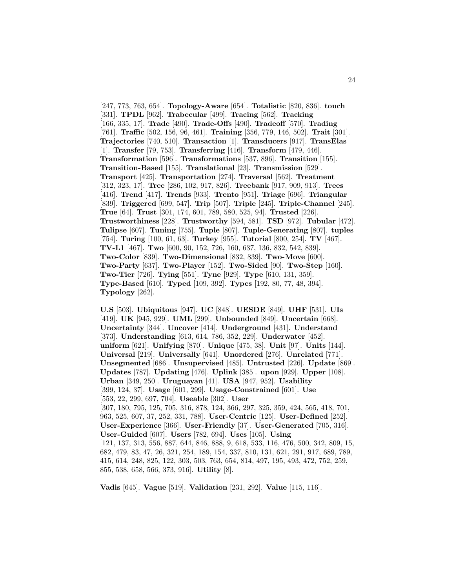[247, 773, 763, 654]. **Topology-Aware** [654]. **Totalistic** [820, 836]. **touch** [331]. **TPDL** [962]. **Trabecular** [499]. **Tracing** [562]. **Tracking** [166, 335, 17]. **Trade** [490]. **Trade-Offs** [490]. **Tradeoff** [570]. **Trading** [761]. **Traffic** [502, 156, 96, 461]. **Training** [356, 779, 146, 502]. **Trait** [301]. **Trajectories** [740, 510]. **Transaction** [1]. **Transducers** [917]. **TransElas** [1]. **Transfer** [79, 753]. **Transferring** [416]. **Transform** [479, 446]. **Transformation** [596]. **Transformations** [537, 896]. **Transition** [155]. **Transition-Based** [155]. **Translational** [23]. **Transmission** [529]. **Transport** [425]. **Transportation** [274]. **Traversal** [562]. **Treatment** [312, 323, 17]. **Tree** [286, 102, 917, 826]. **Treebank** [917, 909, 913]. **Trees** [416]. **Trend** [417]. **Trends** [933]. **Trento** [951]. **Triage** [696]. **Triangular** [839]. **Triggered** [699, 547]. **Trip** [507]. **Triple** [245]. **Triple-Channel** [245]. **True** [64]. **Trust** [301, 174, 601, 789, 580, 525, 94]. **Trusted** [226]. **Trustworthiness** [228]. **Trustworthy** [594, 581]. **TSD** [972]. **Tubular** [472]. **Tulipse** [607]. **Tuning** [755]. **Tuple** [807]. **Tuple-Generating** [807]. **tuples** [754]. **Turing** [100, 61, 63]. **Turkey** [955]. **Tutorial** [800, 254]. **TV** [467]. **TV-L1** [467]. **Two** [600, 90, 152, 726, 160, 637, 136, 832, 542, 839]. **Two-Color** [839]. **Two-Dimensional** [832, 839]. **Two-Move** [600]. **Two-Party** [637]. **Two-Player** [152]. **Two-Sided** [90]. **Two-Step** [160]. **Two-Tier** [726]. **Tying** [551]. **Tyne** [929]. **Type** [610, 131, 359]. **Type-Based** [610]. **Typed** [109, 392]. **Types** [192, 80, 77, 48, 394]. **Typology** [262].

**U.S** [503]. **Ubiquitous** [947]. **UC** [848]. **UESDE** [849]. **UHF** [531]. **UIs** [419]. **UK** [945, 929]. **UML** [299]. **Unbounded** [849]. **Uncertain** [668]. **Uncertainty** [344]. **Uncover** [414]. **Underground** [431]. **Understand** [373]. **Understanding** [613, 614, 786, 352, 229]. **Underwater** [452]. **uniform** [621]. **Unifying** [870]. **Unique** [475, 38]. **Unit** [97]. **Units** [144]. **Universal** [219]. **Universally** [641]. **Unordered** [276]. **Unrelated** [771]. **Unsegmented** [686]. **Unsupervised** [485]. **Untrusted** [226]. **Update** [869]. **Updates** [787]. **Updating** [476]. **Uplink** [385]. **upon** [929]. **Upper** [108]. **Urban** [349, 250]. **Uruguayan** [41]. **USA** [947, 952]. **Usability** [399, 124, 37]. **Usage** [601, 299]. **Usage-Constrained** [601]. **Use** [553, 22, 299, 697, 704]. **Useable** [302]. **User** [307, 180, 795, 125, 705, 316, 878, 124, 366, 297, 325, 359, 424, 565, 418, 701, 963, 525, 607, 37, 252, 331, 788]. **User-Centric** [125]. **User-Defined** [252]. **User-Experience** [366]. **User-Friendly** [37]. **User-Generated** [705, 316]. **User-Guided** [607]. **Users** [782, 694]. **Uses** [105]. **Using** [121, 137, 313, 556, 887, 644, 846, 888, 9, 618, 533, 116, 476, 500, 342, 809, 15, 682, 479, 83, 47, 26, 321, 254, 189, 154, 337, 810, 131, 621, 291, 917, 689, 789, 415, 614, 248, 825, 122, 303, 503, 763, 654, 814, 497, 195, 493, 472, 752, 259, 855, 538, 658, 566, 373, 916]. **Utility** [8].

**Vadis** [645]. **Vague** [519]. **Validation** [231, 292]. **Value** [115, 116].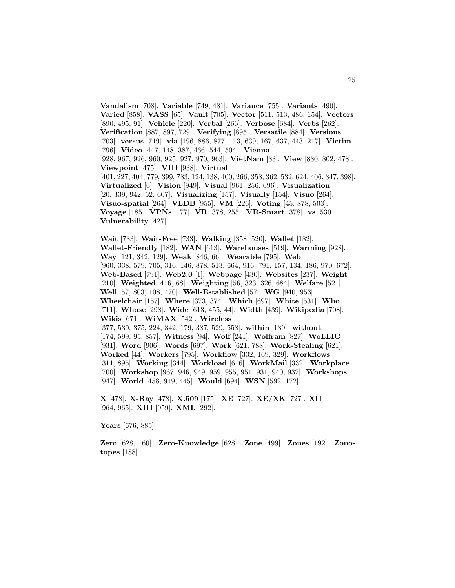**Vandalism** [708]. **Variable** [749, 481]. **Variance** [755]. **Variants** [490]. **Varied** [858]. **VASS** [65]. **Vault** [705]. **Vector** [511, 513, 486, 154]. **Vectors** [890, 495, 91]. **Vehicle** [220]. **Verbal** [266]. **Verbose** [684]. **Verbs** [262]. **Verification** [887, 897, 729]. **Verifying** [895]. **Versatile** [884]. **Versions** [703]. **versus** [749]. **via** [196, 886, 877, 113, 639, 167, 637, 443, 217]. **Victim** [796]. **Video** [447, 148, 387, 466, 544, 504]. **Vienna** [928, 967, 926, 960, 925, 927, 970, 963]. **VietNam** [33]. **View** [830, 802, 478]. **Viewpoint** [475]. **VIII** [938]. **Virtual** [401, 227, 404, 779, 399, 783, 124, 138, 400, 266, 358, 362, 532, 624, 406, 347, 398]. **Virtualized** [6]. **Vision** [949]. **Visual** [961, 256, 696]. **Visualization** [20, 339, 942, 52, 607]. **Visualizing** [157]. **Visually** [154]. **Visuo** [264]. **Visuo-spatial** [264]. **VLDB** [955]. **VM** [226]. **Voting** [45, 878, 503]. **Voyage** [185]. **VPNs** [177]. **VR** [378, 255]. **VR-Smart** [378]. **vs** [530]. **Vulnerability** [427].

**Wait** [733]. **Wait-Free** [733]. **Walking** [358, 520]. **Wallet** [182]. **Wallet-Friendly** [182]. **WAN** [613]. **Warehouses** [519]. **Warming** [928]. **Way** [121, 342, 129]. **Weak** [846, 66]. **Wearable** [795]. **Web** [960, 338, 579, 705, 316, 146, 878, 513, 664, 916, 791, 157, 134, 186, 970, 672]. **Web-Based** [791]. **Web2.0** [1]. **Webpage** [430]. **Websites** [237]. **Weight** [210]. **Weighted** [416, 68]. **Weighting** [56, 323, 326, 684]. **Welfare** [521]. **Well** [57, 803, 108, 470]. **Well-Established** [57]. **WG** [940, 953]. **Wheelchair** [157]. **Where** [373, 374]. **Which** [697]. **White** [531]. **Who** [711]. **Whose** [298]. **Wide** [613, 455, 44]. **Width** [439]. **Wikipedia** [708]. **Wikis** [671]. **WiMAX** [542]. **Wireless** [377, 530, 375, 224, 342, 179, 387, 529, 558]. **within** [139]. **without** [174, 599, 95, 857]. **Witness** [94]. **Wolf** [241]. **Wolfram** [827]. **WoLLIC** [931]. **Word** [906]. **Words** [697]. **Work** [621, 788]. **Work-Stealing** [621]. **Worked** [44]. **Workers** [795]. **Workflow** [332, 169, 329]. **Workflows** [311, 895]. **Working** [344]. **Workload** [616]. **WorkMail** [332]. **Workplace** [700]. **Workshop** [967, 946, 949, 959, 955, 951, 931, 940, 932]. **Workshops** [947]. **World** [458, 949, 445]. **Would** [694]. **WSN** [592, 172].

**X** [478]. **X-Ray** [478]. **X.509** [175]. **XE** [727]. **XE/XK** [727]. **XII** [964, 965]. **XIII** [959]. **XML** [292].

**Years** [676, 885].

**Zero** [628, 160]. **Zero-Knowledge** [628]. **Zone** [499]. **Zones** [192]. **Zonotopes** [188].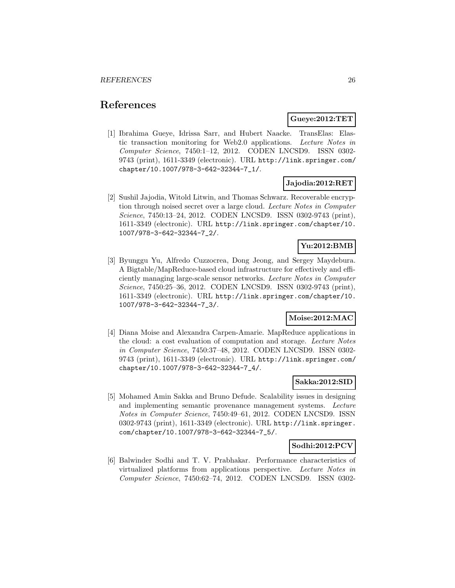# **References**

### **Gueye:2012:TET**

[1] Ibrahima Gueye, Idrissa Sarr, and Hubert Naacke. TransElas: Elastic transaction monitoring for Web2.0 applications. Lecture Notes in Computer Science, 7450:1–12, 2012. CODEN LNCSD9. ISSN 0302- 9743 (print), 1611-3349 (electronic). URL http://link.springer.com/ chapter/10.1007/978-3-642-32344-7\_1/.

# **Jajodia:2012:RET**

[2] Sushil Jajodia, Witold Litwin, and Thomas Schwarz. Recoverable encryption through noised secret over a large cloud. Lecture Notes in Computer Science, 7450:13–24, 2012. CODEN LNCSD9. ISSN 0302-9743 (print), 1611-3349 (electronic). URL http://link.springer.com/chapter/10. 1007/978-3-642-32344-7\_2/.

# **Yu:2012:BMB**

[3] Byunggu Yu, Alfredo Cuzzocrea, Dong Jeong, and Sergey Maydebura. A Bigtable/MapReduce-based cloud infrastructure for effectively and efficiently managing large-scale sensor networks. Lecture Notes in Computer Science, 7450:25–36, 2012. CODEN LNCSD9. ISSN 0302-9743 (print), 1611-3349 (electronic). URL http://link.springer.com/chapter/10. 1007/978-3-642-32344-7\_3/.

# **Moise:2012:MAC**

[4] Diana Moise and Alexandra Carpen-Amarie. MapReduce applications in the cloud: a cost evaluation of computation and storage. Lecture Notes in Computer Science, 7450:37–48, 2012. CODEN LNCSD9. ISSN 0302- 9743 (print), 1611-3349 (electronic). URL http://link.springer.com/ chapter/10.1007/978-3-642-32344-7\_4/.

### **Sakka:2012:SID**

[5] Mohamed Amin Sakka and Bruno Defude. Scalability issues in designing and implementing semantic provenance management systems. Lecture Notes in Computer Science, 7450:49–61, 2012. CODEN LNCSD9. ISSN 0302-9743 (print), 1611-3349 (electronic). URL http://link.springer. com/chapter/10.1007/978-3-642-32344-7\_5/.

# **Sodhi:2012:PCV**

[6] Balwinder Sodhi and T. V. Prabhakar. Performance characteristics of virtualized platforms from applications perspective. Lecture Notes in Computer Science, 7450:62–74, 2012. CODEN LNCSD9. ISSN 0302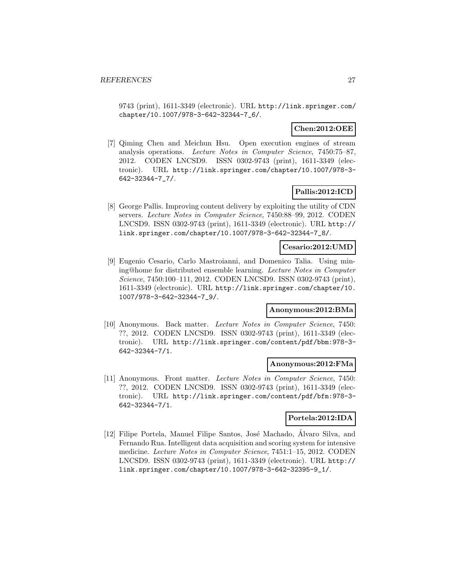9743 (print), 1611-3349 (electronic). URL http://link.springer.com/ chapter/10.1007/978-3-642-32344-7\_6/.

# **Chen:2012:OEE**

[7] Qiming Chen and Meichun Hsu. Open execution engines of stream analysis operations. Lecture Notes in Computer Science, 7450:75–87, 2012. CODEN LNCSD9. ISSN 0302-9743 (print), 1611-3349 (electronic). URL http://link.springer.com/chapter/10.1007/978-3- 642-32344-7\_7/.

# **Pallis:2012:ICD**

[8] George Pallis. Improving content delivery by exploiting the utility of CDN servers. Lecture Notes in Computer Science, 7450:88–99, 2012. CODEN LNCSD9. ISSN 0302-9743 (print), 1611-3349 (electronic). URL http:// link.springer.com/chapter/10.1007/978-3-642-32344-7\_8/.

### **Cesario:2012:UMD**

[9] Eugenio Cesario, Carlo Mastroianni, and Domenico Talia. Using mining@home for distributed ensemble learning. Lecture Notes in Computer Science, 7450:100–111, 2012. CODEN LNCSD9. ISSN 0302-9743 (print), 1611-3349 (electronic). URL http://link.springer.com/chapter/10. 1007/978-3-642-32344-7\_9/.

# **Anonymous:2012:BMa**

[10] Anonymous. Back matter. Lecture Notes in Computer Science, 7450: ??, 2012. CODEN LNCSD9. ISSN 0302-9743 (print), 1611-3349 (electronic). URL http://link.springer.com/content/pdf/bbm:978-3- 642-32344-7/1.

### **Anonymous:2012:FMa**

[11] Anonymous. Front matter. Lecture Notes in Computer Science, 7450: ??, 2012. CODEN LNCSD9. ISSN 0302-9743 (print), 1611-3349 (electronic). URL http://link.springer.com/content/pdf/bfm:978-3- 642-32344-7/1.

# **Portela:2012:IDA**

[12] Filipe Portela, Manuel Filipe Santos, José Machado, Alvaro Silva, and Fernando Rua. Intelligent data acquisition and scoring system for intensive medicine. Lecture Notes in Computer Science, 7451:1–15, 2012. CODEN LNCSD9. ISSN 0302-9743 (print), 1611-3349 (electronic). URL http:// link.springer.com/chapter/10.1007/978-3-642-32395-9\_1/.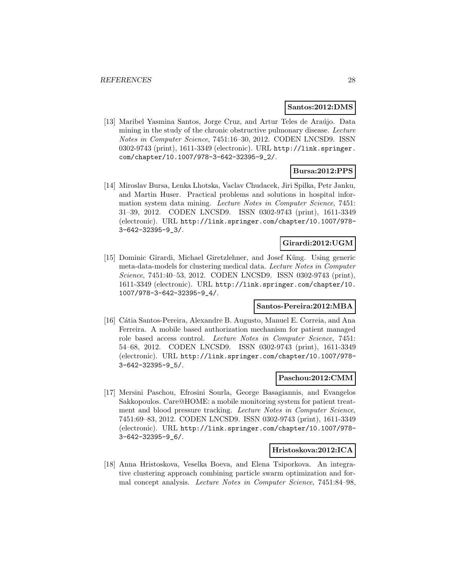### **Santos:2012:DMS**

[13] Maribel Yasmina Santos, Jorge Cruz, and Artur Teles de Araújo. Data mining in the study of the chronic obstructive pulmonary disease. Lecture Notes in Computer Science, 7451:16–30, 2012. CODEN LNCSD9. ISSN 0302-9743 (print), 1611-3349 (electronic). URL http://link.springer. com/chapter/10.1007/978-3-642-32395-9\_2/.

# **Bursa:2012:PPS**

[14] Miroslav Bursa, Lenka Lhotska, Vaclav Chudacek, Jiri Spilka, Petr Janku, and Martin Huser. Practical problems and solutions in hospital information system data mining. Lecture Notes in Computer Science, 7451: 31–39, 2012. CODEN LNCSD9. ISSN 0302-9743 (print), 1611-3349 (electronic). URL http://link.springer.com/chapter/10.1007/978- 3-642-32395-9\_3/.

### **Girardi:2012:UGM**

[15] Dominic Girardi, Michael Giretzlehner, and Josef Küng. Using generic meta-data-models for clustering medical data. Lecture Notes in Computer Science, 7451:40–53, 2012. CODEN LNCSD9. ISSN 0302-9743 (print), 1611-3349 (electronic). URL http://link.springer.com/chapter/10. 1007/978-3-642-32395-9\_4/.

# **Santos-Pereira:2012:MBA**

[16] C´atia Santos-Pereira, Alexandre B. Augusto, Manuel E. Correia, and Ana Ferreira. A mobile based authorization mechanism for patient managed role based access control. Lecture Notes in Computer Science, 7451: 54–68, 2012. CODEN LNCSD9. ISSN 0302-9743 (print), 1611-3349 (electronic). URL http://link.springer.com/chapter/10.1007/978- 3-642-32395-9\_5/.

### **Paschou:2012:CMM**

[17] Mersini Paschou, Efrosini Sourla, George Basagiannis, and Evangelos Sakkopoulos. Care@HOME: a mobile monitoring system for patient treatment and blood pressure tracking. Lecture Notes in Computer Science, 7451:69–83, 2012. CODEN LNCSD9. ISSN 0302-9743 (print), 1611-3349 (electronic). URL http://link.springer.com/chapter/10.1007/978- 3-642-32395-9\_6/.

#### **Hristoskova:2012:ICA**

[18] Anna Hristoskova, Veselka Boeva, and Elena Tsiporkova. An integrative clustering approach combining particle swarm optimization and formal concept analysis. Lecture Notes in Computer Science, 7451:84–98,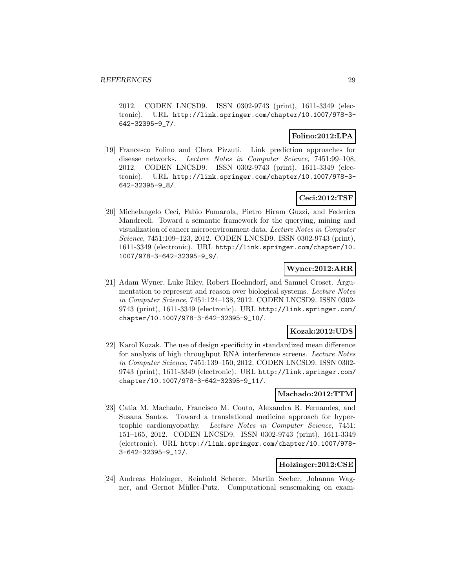2012. CODEN LNCSD9. ISSN 0302-9743 (print), 1611-3349 (electronic). URL http://link.springer.com/chapter/10.1007/978-3- 642-32395-9\_7/.

### **Folino:2012:LPA**

[19] Francesco Folino and Clara Pizzuti. Link prediction approaches for disease networks. Lecture Notes in Computer Science, 7451:99–108, 2012. CODEN LNCSD9. ISSN 0302-9743 (print), 1611-3349 (electronic). URL http://link.springer.com/chapter/10.1007/978-3- 642-32395-9\_8/.

# **Ceci:2012:TSF**

[20] Michelangelo Ceci, Fabio Fumarola, Pietro Hiram Guzzi, and Federica Mandreoli. Toward a semantic framework for the querying, mining and visualization of cancer microenvironment data. Lecture Notes in Computer Science, 7451:109–123, 2012. CODEN LNCSD9. ISSN 0302-9743 (print), 1611-3349 (electronic). URL http://link.springer.com/chapter/10. 1007/978-3-642-32395-9\_9/.

# **Wyner:2012:ARR**

[21] Adam Wyner, Luke Riley, Robert Hoehndorf, and Samuel Croset. Argumentation to represent and reason over biological systems. Lecture Notes in Computer Science, 7451:124–138, 2012. CODEN LNCSD9. ISSN 0302- 9743 (print), 1611-3349 (electronic). URL http://link.springer.com/ chapter/10.1007/978-3-642-32395-9\_10/.

# **Kozak:2012:UDS**

[22] Karol Kozak. The use of design specificity in standardized mean difference for analysis of high throughput RNA interference screens. Lecture Notes in Computer Science, 7451:139–150, 2012. CODEN LNCSD9. ISSN 0302- 9743 (print), 1611-3349 (electronic). URL http://link.springer.com/ chapter/10.1007/978-3-642-32395-9\_11/.

### **Machado:2012:TTM**

[23] Catia M. Machado, Francisco M. Couto, Alexandra R. Fernandes, and Susana Santos. Toward a translational medicine approach for hypertrophic cardiomyopathy. Lecture Notes in Computer Science, 7451: 151–165, 2012. CODEN LNCSD9. ISSN 0302-9743 (print), 1611-3349 (electronic). URL http://link.springer.com/chapter/10.1007/978- 3-642-32395-9\_12/.

# **Holzinger:2012:CSE**

[24] Andreas Holzinger, Reinhold Scherer, Martin Seeber, Johanna Wagner, and Gernot Müller-Putz. Computational sensemaking on exam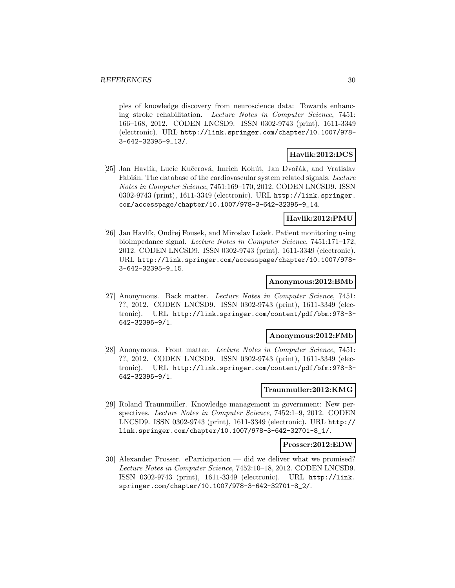ples of knowledge discovery from neuroscience data: Towards enhancing stroke rehabilitation. Lecture Notes in Computer Science, 7451: 166–168, 2012. CODEN LNCSD9. ISSN 0302-9743 (print), 1611-3349 (electronic). URL http://link.springer.com/chapter/10.1007/978- 3-642-32395-9\_13/.

# **Havlik:2012:DCS**

[25] Jan Havlík, Lucie Kučerová, Imrich Kohút, Jan Dvořák, and Vratislav Fabián. The database of the cardiovascular system related signals. Lecture Notes in Computer Science, 7451:169–170, 2012. CODEN LNCSD9. ISSN 0302-9743 (print), 1611-3349 (electronic). URL http://link.springer. com/accesspage/chapter/10.1007/978-3-642-32395-9\_14.

# **Havlik:2012:PMU**

[26] Jan Havlík, Ondřej Fousek, and Miroslav Ložek. Patient monitoring using bioimpedance signal. Lecture Notes in Computer Science, 7451:171–172, 2012. CODEN LNCSD9. ISSN 0302-9743 (print), 1611-3349 (electronic). URL http://link.springer.com/accesspage/chapter/10.1007/978- 3-642-32395-9\_15.

### **Anonymous:2012:BMb**

[27] Anonymous. Back matter. Lecture Notes in Computer Science, 7451: ??, 2012. CODEN LNCSD9. ISSN 0302-9743 (print), 1611-3349 (electronic). URL http://link.springer.com/content/pdf/bbm:978-3- 642-32395-9/1.

#### **Anonymous:2012:FMb**

[28] Anonymous. Front matter. Lecture Notes in Computer Science, 7451: ??, 2012. CODEN LNCSD9. ISSN 0302-9743 (print), 1611-3349 (electronic). URL http://link.springer.com/content/pdf/bfm:978-3- 642-32395-9/1.

### **Traunmuller:2012:KMG**

[29] Roland Traunmüller. Knowledge management in government: New perspectives. Lecture Notes in Computer Science, 7452:1–9, 2012. CODEN LNCSD9. ISSN 0302-9743 (print), 1611-3349 (electronic). URL http:// link.springer.com/chapter/10.1007/978-3-642-32701-8\_1/.

### **Prosser:2012:EDW**

[30] Alexander Prosser. eParticipation — did we deliver what we promised? Lecture Notes in Computer Science, 7452:10–18, 2012. CODEN LNCSD9. ISSN 0302-9743 (print), 1611-3349 (electronic). URL http://link. springer.com/chapter/10.1007/978-3-642-32701-8\_2/.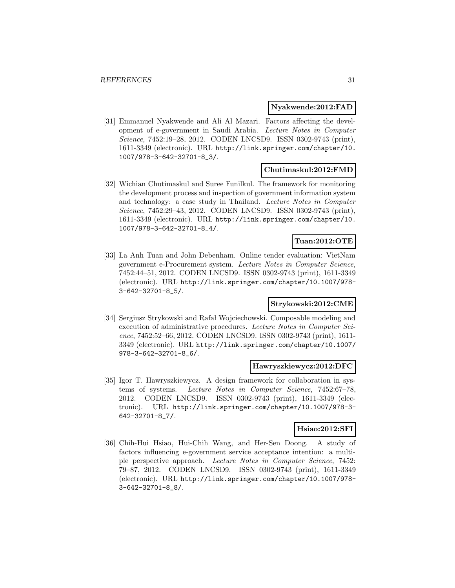### **Nyakwende:2012:FAD**

[31] Emmanuel Nyakwende and Ali Al Mazari. Factors affecting the development of e-government in Saudi Arabia. Lecture Notes in Computer Science, 7452:19–28, 2012. CODEN LNCSD9. ISSN 0302-9743 (print), 1611-3349 (electronic). URL http://link.springer.com/chapter/10. 1007/978-3-642-32701-8\_3/.

### **Chutimaskul:2012:FMD**

[32] Wichian Chutimaskul and Suree Funilkul. The framework for monitoring the development process and inspection of government information system and technology: a case study in Thailand. Lecture Notes in Computer Science, 7452:29–43, 2012. CODEN LNCSD9. ISSN 0302-9743 (print), 1611-3349 (electronic). URL http://link.springer.com/chapter/10. 1007/978-3-642-32701-8\_4/.

# **Tuan:2012:OTE**

[33] La Anh Tuan and John Debenham. Online tender evaluation: VietNam government e-Procurement system. Lecture Notes in Computer Science, 7452:44–51, 2012. CODEN LNCSD9. ISSN 0302-9743 (print), 1611-3349 (electronic). URL http://link.springer.com/chapter/10.1007/978- 3-642-32701-8\_5/.

### **Strykowski:2012:CME**

[34] Sergiusz Strykowski and Rafał Wojciechowski. Composable modeling and execution of administrative procedures. Lecture Notes in Computer Science, 7452:52–66, 2012. CODEN LNCSD9. ISSN 0302-9743 (print), 1611- 3349 (electronic). URL http://link.springer.com/chapter/10.1007/ 978-3-642-32701-8\_6/.

#### **Hawryszkiewycz:2012:DFC**

[35] Igor T. Hawryszkiewycz. A design framework for collaboration in systems of systems. Lecture Notes in Computer Science, 7452:67–78, 2012. CODEN LNCSD9. ISSN 0302-9743 (print), 1611-3349 (electronic). URL http://link.springer.com/chapter/10.1007/978-3- 642-32701-8\_7/.

# **Hsiao:2012:SFI**

[36] Chih-Hui Hsiao, Hui-Chih Wang, and Her-Sen Doong. A study of factors influencing e-government service acceptance intention: a multiple perspective approach. Lecture Notes in Computer Science, 7452: 79–87, 2012. CODEN LNCSD9. ISSN 0302-9743 (print), 1611-3349 (electronic). URL http://link.springer.com/chapter/10.1007/978- 3-642-32701-8\_8/.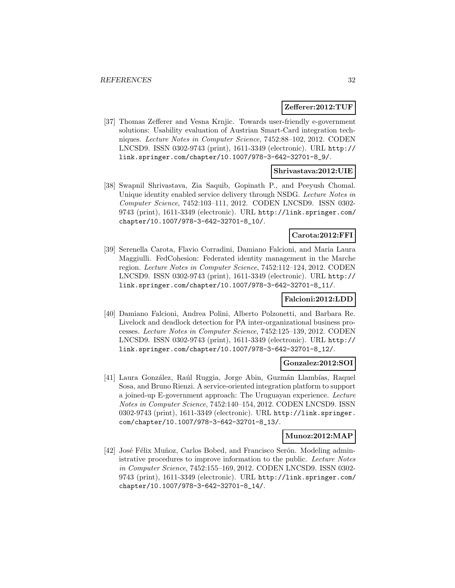#### **Zefferer:2012:TUF**

[37] Thomas Zefferer and Vesna Krnjic. Towards user-friendly e-government solutions: Usability evaluation of Austrian Smart-Card integration techniques. Lecture Notes in Computer Science, 7452:88–102, 2012. CODEN LNCSD9. ISSN 0302-9743 (print), 1611-3349 (electronic). URL http:// link.springer.com/chapter/10.1007/978-3-642-32701-8\_9/.

# **Shrivastava:2012:UIE**

[38] Swapnil Shrivastava, Zia Saquib, Gopinath P., and Peeyush Chomal. Unique identity enabled service delivery through NSDG. Lecture Notes in Computer Science, 7452:103–111, 2012. CODEN LNCSD9. ISSN 0302- 9743 (print), 1611-3349 (electronic). URL http://link.springer.com/ chapter/10.1007/978-3-642-32701-8\_10/.

# **Carota:2012:FFI**

[39] Serenella Carota, Flavio Corradini, Damiano Falcioni, and Maria Laura Maggiulli. FedCohesion: Federated identity management in the Marche region. Lecture Notes in Computer Science, 7452:112–124, 2012. CODEN LNCSD9. ISSN 0302-9743 (print), 1611-3349 (electronic). URL http:// link.springer.com/chapter/10.1007/978-3-642-32701-8\_11/.

# **Falcioni:2012:LDD**

[40] Damiano Falcioni, Andrea Polini, Alberto Polzonetti, and Barbara Re. Livelock and deadlock detection for PA inter-organizational business processes. Lecture Notes in Computer Science, 7452:125–139, 2012. CODEN LNCSD9. ISSN 0302-9743 (print), 1611-3349 (electronic). URL http:// link.springer.com/chapter/10.1007/978-3-642-32701-8\_12/.

### **Gonzalez:2012:SOI**

[41] Laura González, Raúl Ruggia, Jorge Abin, Guzmán Llambías, Raquel Sosa, and Bruno Rienzi. A service-oriented integration platform to support a joined-up E-government approach: The Uruguayan experience. Lecture Notes in Computer Science, 7452:140–154, 2012. CODEN LNCSD9. ISSN 0302-9743 (print), 1611-3349 (electronic). URL http://link.springer. com/chapter/10.1007/978-3-642-32701-8\_13/.

### **Munoz:2012:MAP**

[42] José Félix Muñoz, Carlos Bobed, and Francisco Serón. Modeling administrative procedures to improve information to the public. Lecture Notes in Computer Science, 7452:155–169, 2012. CODEN LNCSD9. ISSN 0302- 9743 (print), 1611-3349 (electronic). URL http://link.springer.com/ chapter/10.1007/978-3-642-32701-8\_14/.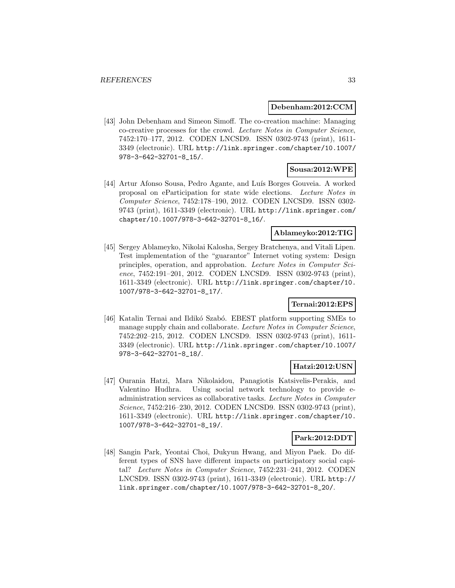### **Debenham:2012:CCM**

[43] John Debenham and Simeon Simoff. The co-creation machine: Managing co-creative processes for the crowd. Lecture Notes in Computer Science, 7452:170–177, 2012. CODEN LNCSD9. ISSN 0302-9743 (print), 1611- 3349 (electronic). URL http://link.springer.com/chapter/10.1007/ 978-3-642-32701-8\_15/.

# **Sousa:2012:WPE**

[44] Artur Afonso Sousa, Pedro Agante, and Luís Borges Gouveia. A worked proposal on eParticipation for state wide elections. Lecture Notes in Computer Science, 7452:178–190, 2012. CODEN LNCSD9. ISSN 0302- 9743 (print), 1611-3349 (electronic). URL http://link.springer.com/ chapter/10.1007/978-3-642-32701-8\_16/.

### **Ablameyko:2012:TIG**

[45] Sergey Ablameyko, Nikolai Kalosha, Sergey Bratchenya, and Vitali Lipen. Test implementation of the "guarantor" Internet voting system: Design principles, operation, and approbation. Lecture Notes in Computer Science, 7452:191–201, 2012. CODEN LNCSD9. ISSN 0302-9743 (print), 1611-3349 (electronic). URL http://link.springer.com/chapter/10. 1007/978-3-642-32701-8\_17/.

# **Ternai:2012:EPS**

[46] Katalin Ternai and Ildikó Szabó. EBEST platform supporting SMEs to manage supply chain and collaborate. Lecture Notes in Computer Science, 7452:202–215, 2012. CODEN LNCSD9. ISSN 0302-9743 (print), 1611- 3349 (electronic). URL http://link.springer.com/chapter/10.1007/ 978-3-642-32701-8\_18/.

# **Hatzi:2012:USN**

[47] Ourania Hatzi, Mara Nikolaidou, Panagiotis Katsivelis-Perakis, and Valentino Hudhra. Using social network technology to provide eadministration services as collaborative tasks. Lecture Notes in Computer Science, 7452:216–230, 2012. CODEN LNCSD9. ISSN 0302-9743 (print), 1611-3349 (electronic). URL http://link.springer.com/chapter/10. 1007/978-3-642-32701-8\_19/.

### **Park:2012:DDT**

[48] Sangin Park, Yeontai Choi, Dukyun Hwang, and Miyon Paek. Do different types of SNS have different impacts on participatory social capital? Lecture Notes in Computer Science, 7452:231–241, 2012. CODEN LNCSD9. ISSN 0302-9743 (print), 1611-3349 (electronic). URL http:// link.springer.com/chapter/10.1007/978-3-642-32701-8\_20/.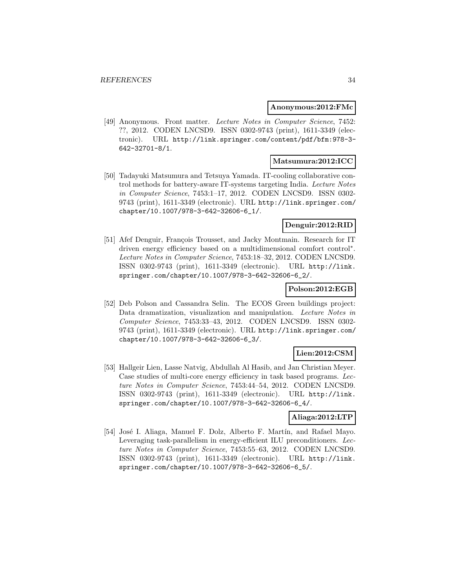#### **Anonymous:2012:FMc**

[49] Anonymous. Front matter. Lecture Notes in Computer Science, 7452: ??, 2012. CODEN LNCSD9. ISSN 0302-9743 (print), 1611-3349 (electronic). URL http://link.springer.com/content/pdf/bfm:978-3- 642-32701-8/1.

# **Matsumura:2012:ICC**

[50] Tadayuki Matsumura and Tetsuya Yamada. IT-cooling collaborative control methods for battery-aware IT-systems targeting India. Lecture Notes in Computer Science, 7453:1–17, 2012. CODEN LNCSD9. ISSN 0302- 9743 (print), 1611-3349 (electronic). URL http://link.springer.com/ chapter/10.1007/978-3-642-32606-6\_1/.

### **Denguir:2012:RID**

[51] Afef Denguir, François Trousset, and Jacky Montmain. Research for IT driven energy efficiency based on a multidimensional comfort control∗. Lecture Notes in Computer Science, 7453:18–32, 2012. CODEN LNCSD9. ISSN 0302-9743 (print), 1611-3349 (electronic). URL http://link. springer.com/chapter/10.1007/978-3-642-32606-6\_2/.

### **Polson:2012:EGB**

[52] Deb Polson and Cassandra Selin. The ECOS Green buildings project: Data dramatization, visualization and manipulation. Lecture Notes in Computer Science, 7453:33–43, 2012. CODEN LNCSD9. ISSN 0302- 9743 (print), 1611-3349 (electronic). URL http://link.springer.com/ chapter/10.1007/978-3-642-32606-6\_3/.

# **Lien:2012:CSM**

[53] Hallgeir Lien, Lasse Natvig, Abdullah Al Hasib, and Jan Christian Meyer. Case studies of multi-core energy efficiency in task based programs. Lecture Notes in Computer Science, 7453:44–54, 2012. CODEN LNCSD9. ISSN 0302-9743 (print), 1611-3349 (electronic). URL http://link. springer.com/chapter/10.1007/978-3-642-32606-6\_4/.

# **Aliaga:2012:LTP**

[54] José I. Aliaga, Manuel F. Dolz, Alberto F. Martín, and Rafael Mayo. Leveraging task-parallelism in energy-efficient ILU preconditioners. Lecture Notes in Computer Science, 7453:55–63, 2012. CODEN LNCSD9. ISSN 0302-9743 (print), 1611-3349 (electronic). URL http://link. springer.com/chapter/10.1007/978-3-642-32606-6\_5/.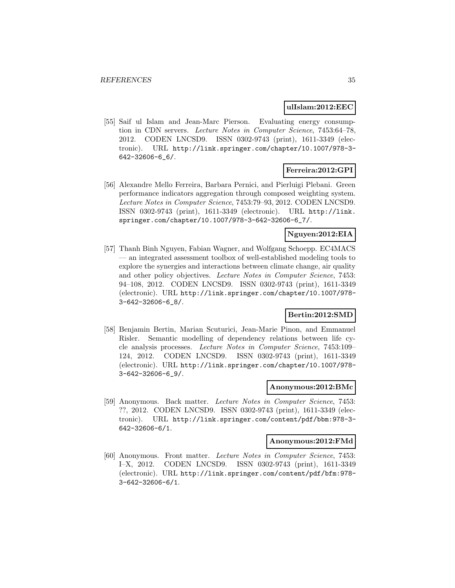#### **ulIslam:2012:EEC**

[55] Saif ul Islam and Jean-Marc Pierson. Evaluating energy consumption in CDN servers. Lecture Notes in Computer Science, 7453:64–78, 2012. CODEN LNCSD9. ISSN 0302-9743 (print), 1611-3349 (electronic). URL http://link.springer.com/chapter/10.1007/978-3- 642-32606-6\_6/.

### **Ferreira:2012:GPI**

[56] Alexandre Mello Ferreira, Barbara Pernici, and Pierluigi Plebani. Green performance indicators aggregation through composed weighting system. Lecture Notes in Computer Science, 7453:79–93, 2012. CODEN LNCSD9. ISSN 0302-9743 (print), 1611-3349 (electronic). URL http://link. springer.com/chapter/10.1007/978-3-642-32606-6\_7/.

# **Nguyen:2012:EIA**

[57] Thanh Binh Nguyen, Fabian Wagner, and Wolfgang Schoepp. EC4MACS — an integrated assessment toolbox of well-established modeling tools to explore the synergies and interactions between climate change, air quality and other policy objectives. Lecture Notes in Computer Science, 7453: 94–108, 2012. CODEN LNCSD9. ISSN 0302-9743 (print), 1611-3349 (electronic). URL http://link.springer.com/chapter/10.1007/978- 3-642-32606-6\_8/.

### **Bertin:2012:SMD**

[58] Benjamin Bertin, Marian Scuturici, Jean-Marie Pinon, and Emmanuel Risler. Semantic modelling of dependency relations between life cycle analysis processes. Lecture Notes in Computer Science, 7453:109– 124, 2012. CODEN LNCSD9. ISSN 0302-9743 (print), 1611-3349 (electronic). URL http://link.springer.com/chapter/10.1007/978- 3-642-32606-6\_9/.

#### **Anonymous:2012:BMc**

[59] Anonymous. Back matter. Lecture Notes in Computer Science, 7453: ??, 2012. CODEN LNCSD9. ISSN 0302-9743 (print), 1611-3349 (electronic). URL http://link.springer.com/content/pdf/bbm:978-3- 642-32606-6/1.

#### **Anonymous:2012:FMd**

[60] Anonymous. Front matter. Lecture Notes in Computer Science, 7453: I–X, 2012. CODEN LNCSD9. ISSN 0302-9743 (print), 1611-3349 (electronic). URL http://link.springer.com/content/pdf/bfm:978- 3-642-32606-6/1.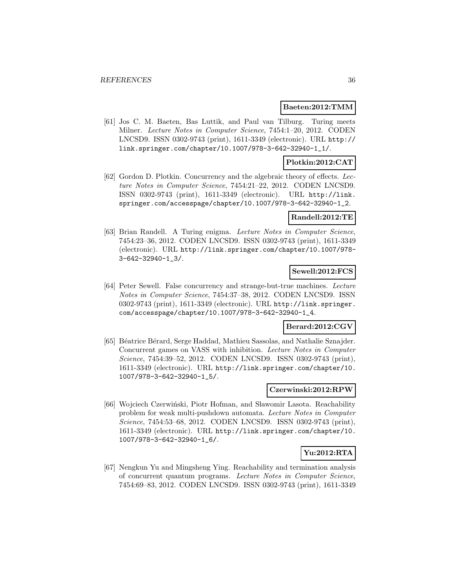#### **Baeten:2012:TMM**

[61] Jos C. M. Baeten, Bas Luttik, and Paul van Tilburg. Turing meets Milner. Lecture Notes in Computer Science, 7454:1–20, 2012. CODEN LNCSD9. ISSN 0302-9743 (print), 1611-3349 (electronic). URL http:// link.springer.com/chapter/10.1007/978-3-642-32940-1\_1/.

### **Plotkin:2012:CAT**

[62] Gordon D. Plotkin. Concurrency and the algebraic theory of effects. Lecture Notes in Computer Science, 7454:21–22, 2012. CODEN LNCSD9. ISSN 0302-9743 (print), 1611-3349 (electronic). URL http://link. springer.com/accesspage/chapter/10.1007/978-3-642-32940-1\_2.

### **Randell:2012:TE**

[63] Brian Randell. A Turing enigma. Lecture Notes in Computer Science, 7454:23–36, 2012. CODEN LNCSD9. ISSN 0302-9743 (print), 1611-3349 (electronic). URL http://link.springer.com/chapter/10.1007/978- 3-642-32940-1\_3/.

# **Sewell:2012:FCS**

[64] Peter Sewell. False concurrency and strange-but-true machines. Lecture Notes in Computer Science, 7454:37–38, 2012. CODEN LNCSD9. ISSN 0302-9743 (print), 1611-3349 (electronic). URL http://link.springer. com/accesspage/chapter/10.1007/978-3-642-32940-1\_4.

### **Berard:2012:CGV**

[65] Béatrice Bérard, Serge Haddad, Mathieu Sassolas, and Nathalie Sznajder. Concurrent games on VASS with inhibition. Lecture Notes in Computer Science, 7454:39–52, 2012. CODEN LNCSD9. ISSN 0302-9743 (print), 1611-3349 (electronic). URL http://link.springer.com/chapter/10. 1007/978-3-642-32940-1\_5/.

#### **Czerwinski:2012:RPW**

[66] Wojciech Czerwiński, Piotr Hofman, and Sławomir Lasota. Reachability problem for weak multi-pushdown automata. Lecture Notes in Computer Science, 7454:53–68, 2012. CODEN LNCSD9. ISSN 0302-9743 (print), 1611-3349 (electronic). URL http://link.springer.com/chapter/10. 1007/978-3-642-32940-1\_6/.

# **Yu:2012:RTA**

[67] Nengkun Yu and Mingsheng Ying. Reachability and termination analysis of concurrent quantum programs. Lecture Notes in Computer Science, 7454:69–83, 2012. CODEN LNCSD9. ISSN 0302-9743 (print), 1611-3349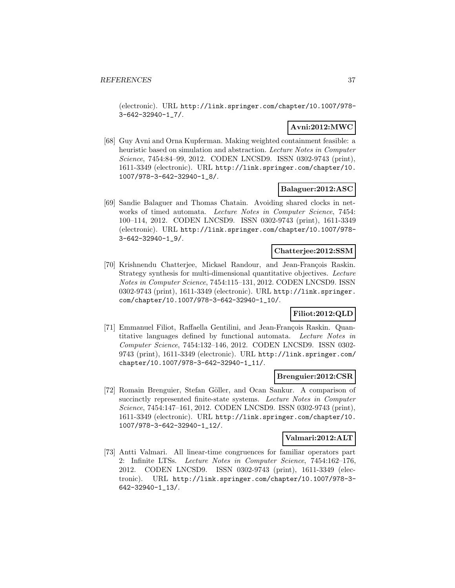(electronic). URL http://link.springer.com/chapter/10.1007/978- 3-642-32940-1\_7/.

## **Avni:2012:MWC**

[68] Guy Avni and Orna Kupferman. Making weighted containment feasible: a heuristic based on simulation and abstraction. Lecture Notes in Computer Science, 7454:84–99, 2012. CODEN LNCSD9. ISSN 0302-9743 (print), 1611-3349 (electronic). URL http://link.springer.com/chapter/10. 1007/978-3-642-32940-1\_8/.

## **Balaguer:2012:ASC**

[69] Sandie Balaguer and Thomas Chatain. Avoiding shared clocks in networks of timed automata. Lecture Notes in Computer Science, 7454: 100–114, 2012. CODEN LNCSD9. ISSN 0302-9743 (print), 1611-3349 (electronic). URL http://link.springer.com/chapter/10.1007/978- 3-642-32940-1\_9/.

#### **Chatterjee:2012:SSM**

[70] Krishnendu Chatterjee, Mickael Randour, and Jean-François Raskin. Strategy synthesis for multi-dimensional quantitative objectives. Lecture Notes in Computer Science, 7454:115–131, 2012. CODEN LNCSD9. ISSN 0302-9743 (print), 1611-3349 (electronic). URL http://link.springer. com/chapter/10.1007/978-3-642-32940-1\_10/.

## **Filiot:2012:QLD**

[71] Emmanuel Filiot, Raffaella Gentilini, and Jean-François Raskin. Quantitative languages defined by functional automata. Lecture Notes in Computer Science, 7454:132–146, 2012. CODEN LNCSD9. ISSN 0302- 9743 (print), 1611-3349 (electronic). URL http://link.springer.com/ chapter/10.1007/978-3-642-32940-1\_11/.

#### **Brenguier:2012:CSR**

[72] Romain Brenguier, Stefan Göller, and Ocan Sankur. A comparison of succinctly represented finite-state systems. Lecture Notes in Computer Science, 7454:147–161, 2012. CODEN LNCSD9. ISSN 0302-9743 (print), 1611-3349 (electronic). URL http://link.springer.com/chapter/10. 1007/978-3-642-32940-1\_12/.

#### **Valmari:2012:ALT**

[73] Antti Valmari. All linear-time congruences for familiar operators part 2: Infinite LTSs. Lecture Notes in Computer Science, 7454:162–176, 2012. CODEN LNCSD9. ISSN 0302-9743 (print), 1611-3349 (electronic). URL http://link.springer.com/chapter/10.1007/978-3- 642-32940-1\_13/.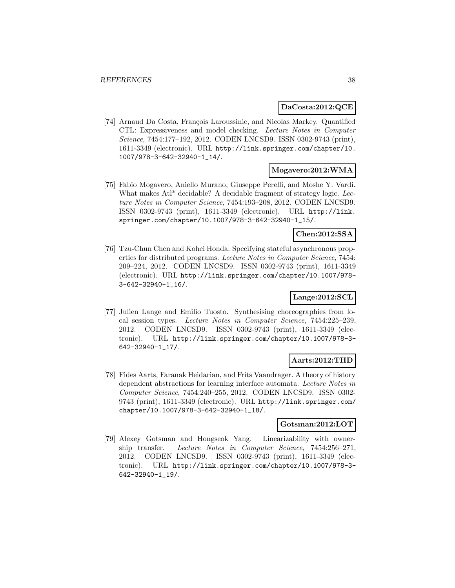#### **DaCosta:2012:QCE**

[74] Arnaud Da Costa, François Laroussinie, and Nicolas Markey. Quantified CTL: Expressiveness and model checking. Lecture Notes in Computer Science, 7454:177–192, 2012. CODEN LNCSD9. ISSN 0302-9743 (print), 1611-3349 (electronic). URL http://link.springer.com/chapter/10. 1007/978-3-642-32940-1\_14/.

#### **Mogavero:2012:WMA**

[75] Fabio Mogavero, Aniello Murano, Giuseppe Perelli, and Moshe Y. Vardi. What makes Atl<sup>\*</sup> decidable? A decidable fragment of strategy logic. Lecture Notes in Computer Science, 7454:193–208, 2012. CODEN LNCSD9. ISSN 0302-9743 (print), 1611-3349 (electronic). URL http://link. springer.com/chapter/10.1007/978-3-642-32940-1\_15/.

### **Chen:2012:SSA**

[76] Tzu-Chun Chen and Kohei Honda. Specifying stateful asynchronous properties for distributed programs. Lecture Notes in Computer Science, 7454: 209–224, 2012. CODEN LNCSD9. ISSN 0302-9743 (print), 1611-3349 (electronic). URL http://link.springer.com/chapter/10.1007/978- 3-642-32940-1\_16/.

## **Lange:2012:SCL**

[77] Julien Lange and Emilio Tuosto. Synthesising choreographies from local session types. Lecture Notes in Computer Science, 7454:225–239, 2012. CODEN LNCSD9. ISSN 0302-9743 (print), 1611-3349 (electronic). URL http://link.springer.com/chapter/10.1007/978-3- 642-32940-1\_17/.

## **Aarts:2012:THD**

[78] Fides Aarts, Faranak Heidarian, and Frits Vaandrager. A theory of history dependent abstractions for learning interface automata. Lecture Notes in Computer Science, 7454:240–255, 2012. CODEN LNCSD9. ISSN 0302- 9743 (print), 1611-3349 (electronic). URL http://link.springer.com/ chapter/10.1007/978-3-642-32940-1\_18/.

## **Gotsman:2012:LOT**

[79] Alexey Gotsman and Hongseok Yang. Linearizability with ownership transfer. Lecture Notes in Computer Science, 7454:256–271, 2012. CODEN LNCSD9. ISSN 0302-9743 (print), 1611-3349 (electronic). URL http://link.springer.com/chapter/10.1007/978-3- 642-32940-1\_19/.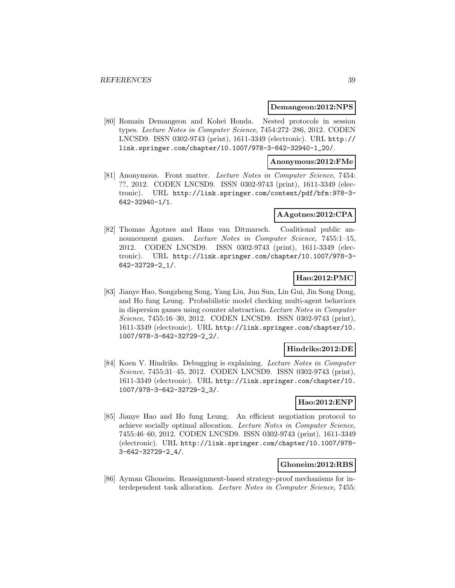#### **Demangeon:2012:NPS**

[80] Romain Demangeon and Kohei Honda. Nested protocols in session types. Lecture Notes in Computer Science, 7454:272–286, 2012. CODEN LNCSD9. ISSN 0302-9743 (print), 1611-3349 (electronic). URL http:// link.springer.com/chapter/10.1007/978-3-642-32940-1\_20/.

## **Anonymous:2012:FMe**

[81] Anonymous. Front matter. Lecture Notes in Computer Science, 7454: ??, 2012. CODEN LNCSD9. ISSN 0302-9743 (print), 1611-3349 (electronic). URL http://link.springer.com/content/pdf/bfm:978-3- 642-32940-1/1.

#### **AAgotnes:2012:CPA**

[82] Thomas Ågotnes and Hans van Ditmarsch. Coalitional public announcement games. Lecture Notes in Computer Science, 7455:1-15, 2012. CODEN LNCSD9. ISSN 0302-9743 (print), 1611-3349 (electronic). URL http://link.springer.com/chapter/10.1007/978-3- 642-32729-2\_1/.

## **Hao:2012:PMC**

[83] Jianye Hao, Songzheng Song, Yang Liu, Jun Sun, Lin Gui, Jin Song Dong, and Ho fung Leung. Probabilistic model checking multi-agent behaviors in dispersion games using counter abstraction. Lecture Notes in Computer Science, 7455:16–30, 2012. CODEN LNCSD9. ISSN 0302-9743 (print), 1611-3349 (electronic). URL http://link.springer.com/chapter/10. 1007/978-3-642-32729-2\_2/.

#### **Hindriks:2012:DE**

[84] Koen V. Hindriks. Debugging is explaining. Lecture Notes in Computer Science, 7455:31-45, 2012. CODEN LNCSD9. ISSN 0302-9743 (print), 1611-3349 (electronic). URL http://link.springer.com/chapter/10. 1007/978-3-642-32729-2\_3/.

## **Hao:2012:ENP**

[85] Jianye Hao and Ho fung Leung. An efficient negotiation protocol to achieve socially optimal allocation. Lecture Notes in Computer Science, 7455:46–60, 2012. CODEN LNCSD9. ISSN 0302-9743 (print), 1611-3349 (electronic). URL http://link.springer.com/chapter/10.1007/978- 3-642-32729-2\_4/.

## **Ghoneim:2012:RBS**

[86] Ayman Ghoneim. Reassignment-based strategy-proof mechanisms for interdependent task allocation. Lecture Notes in Computer Science, 7455: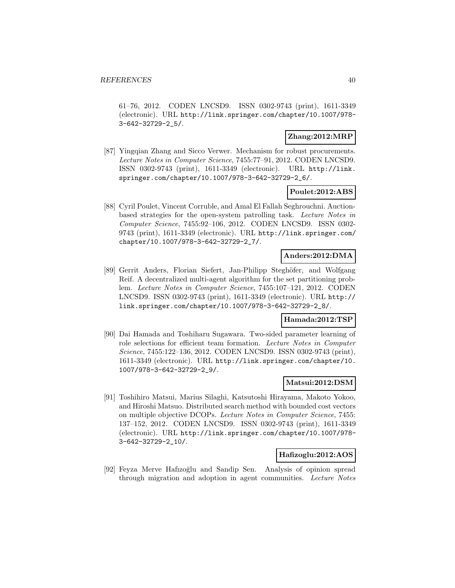61–76, 2012. CODEN LNCSD9. ISSN 0302-9743 (print), 1611-3349 (electronic). URL http://link.springer.com/chapter/10.1007/978- 3-642-32729-2\_5/.

### **Zhang:2012:MRP**

[87] Yingqian Zhang and Sicco Verwer. Mechanism for robust procurements. Lecture Notes in Computer Science, 7455:77–91, 2012. CODEN LNCSD9. ISSN 0302-9743 (print), 1611-3349 (electronic). URL http://link. springer.com/chapter/10.1007/978-3-642-32729-2\_6/.

## **Poulet:2012:ABS**

[88] Cyril Poulet, Vincent Corruble, and Amal El Fallah Seghrouchni. Auctionbased strategies for the open-system patrolling task. Lecture Notes in Computer Science, 7455:92–106, 2012. CODEN LNCSD9. ISSN 0302- 9743 (print), 1611-3349 (electronic). URL http://link.springer.com/ chapter/10.1007/978-3-642-32729-2\_7/.

## **Anders:2012:DMA**

[89] Gerrit Anders, Florian Siefert, Jan-Philipp Steghöfer, and Wolfgang Reif. A decentralized multi-agent algorithm for the set partitioning problem. Lecture Notes in Computer Science, 7455:107–121, 2012. CODEN LNCSD9. ISSN 0302-9743 (print), 1611-3349 (electronic). URL http:// link.springer.com/chapter/10.1007/978-3-642-32729-2\_8/.

## **Hamada:2012:TSP**

[90] Dai Hamada and Toshiharu Sugawara. Two-sided parameter learning of role selections for efficient team formation. Lecture Notes in Computer Science, 7455:122–136, 2012. CODEN LNCSD9. ISSN 0302-9743 (print), 1611-3349 (electronic). URL http://link.springer.com/chapter/10. 1007/978-3-642-32729-2\_9/.

### **Matsui:2012:DSM**

[91] Toshihiro Matsui, Marius Silaghi, Katsutoshi Hirayama, Makoto Yokoo, and Hiroshi Matsuo. Distributed search method with bounded cost vectors on multiple objective DCOPs. Lecture Notes in Computer Science, 7455: 137–152, 2012. CODEN LNCSD9. ISSN 0302-9743 (print), 1611-3349 (electronic). URL http://link.springer.com/chapter/10.1007/978- 3-642-32729-2\_10/.

### **Hafizoglu:2012:AOS**

[92] Feyza Merve Hafizoğlu and Sandip Sen. Analysis of opinion spread through migration and adoption in agent communities. Lecture Notes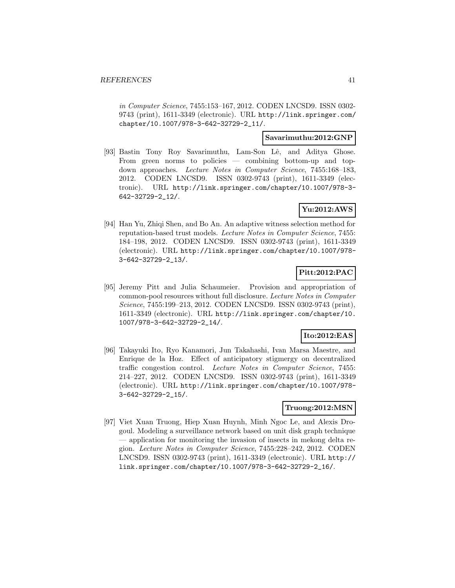in Computer Science, 7455:153–167, 2012. CODEN LNCSD9. ISSN 0302- 9743 (print), 1611-3349 (electronic). URL http://link.springer.com/ chapter/10.1007/978-3-642-32729-2\_11/.

### **Savarimuthu:2012:GNP**

[93] Bastin Tony Roy Savarimuthu, Lam-Son Lê, and Aditya Ghose. From green norms to policies — combining bottom-up and topdown approaches. Lecture Notes in Computer Science, 7455:168–183, 2012. CODEN LNCSD9. ISSN 0302-9743 (print), 1611-3349 (electronic). URL http://link.springer.com/chapter/10.1007/978-3- 642-32729-2\_12/.

## **Yu:2012:AWS**

[94] Han Yu, Zhiqi Shen, and Bo An. An adaptive witness selection method for reputation-based trust models. Lecture Notes in Computer Science, 7455: 184–198, 2012. CODEN LNCSD9. ISSN 0302-9743 (print), 1611-3349 (electronic). URL http://link.springer.com/chapter/10.1007/978- 3-642-32729-2\_13/.

## **Pitt:2012:PAC**

[95] Jeremy Pitt and Julia Schaumeier. Provision and appropriation of common-pool resources without full disclosure. Lecture Notes in Computer Science, 7455:199–213, 2012. CODEN LNCSD9. ISSN 0302-9743 (print), 1611-3349 (electronic). URL http://link.springer.com/chapter/10. 1007/978-3-642-32729-2\_14/.

## **Ito:2012:EAS**

[96] Takayuki Ito, Ryo Kanamori, Jun Takahashi, Ivan Marsa Maestre, and Enrique de la Hoz. Effect of anticipatory stigmergy on decentralized traffic congestion control. Lecture Notes in Computer Science, 7455: 214–227, 2012. CODEN LNCSD9. ISSN 0302-9743 (print), 1611-3349 (electronic). URL http://link.springer.com/chapter/10.1007/978- 3-642-32729-2\_15/.

### **Truong:2012:MSN**

[97] Viet Xuan Truong, Hiep Xuan Huynh, Minh Ngoc Le, and Alexis Drogoul. Modeling a surveillance network based on unit disk graph technique — application for monitoring the invasion of insects in mekong delta region. Lecture Notes in Computer Science, 7455:228–242, 2012. CODEN LNCSD9. ISSN 0302-9743 (print), 1611-3349 (electronic). URL http:// link.springer.com/chapter/10.1007/978-3-642-32729-2\_16/.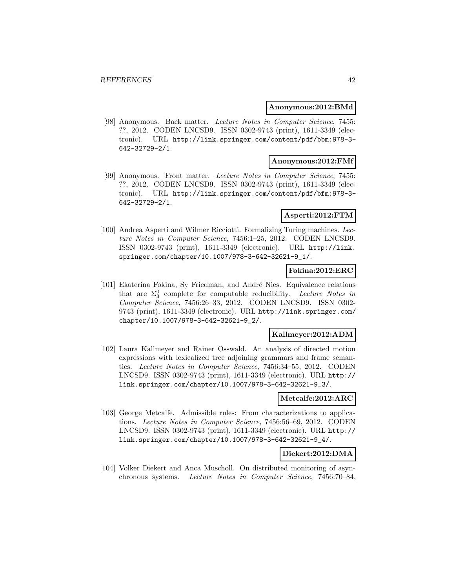#### **Anonymous:2012:BMd**

[98] Anonymous. Back matter. Lecture Notes in Computer Science, 7455: ??, 2012. CODEN LNCSD9. ISSN 0302-9743 (print), 1611-3349 (electronic). URL http://link.springer.com/content/pdf/bbm:978-3- 642-32729-2/1.

## **Anonymous:2012:FMf**

[99] Anonymous. Front matter. Lecture Notes in Computer Science, 7455: ??, 2012. CODEN LNCSD9. ISSN 0302-9743 (print), 1611-3349 (electronic). URL http://link.springer.com/content/pdf/bfm:978-3- 642-32729-2/1.

#### **Asperti:2012:FTM**

[100] Andrea Asperti and Wilmer Ricciotti. Formalizing Turing machines. Lecture Notes in Computer Science, 7456:1–25, 2012. CODEN LNCSD9. ISSN 0302-9743 (print), 1611-3349 (electronic). URL http://link. springer.com/chapter/10.1007/978-3-642-32621-9\_1/.

## **Fokina:2012:ERC**

[101] Ekaterina Fokina, Sy Friedman, and André Nies. Equivalence relations that are  $\Sigma_3^0$  complete for computable reducibility. Lecture Notes in Computer Science, 7456:26–33, 2012. CODEN LNCSD9. ISSN 0302- 9743 (print), 1611-3349 (electronic). URL http://link.springer.com/ chapter/10.1007/978-3-642-32621-9\_2/.

### **Kallmeyer:2012:ADM**

[102] Laura Kallmeyer and Rainer Osswald. An analysis of directed motion expressions with lexicalized tree adjoining grammars and frame semantics. Lecture Notes in Computer Science, 7456:34–55, 2012. CODEN LNCSD9. ISSN 0302-9743 (print), 1611-3349 (electronic). URL http:// link.springer.com/chapter/10.1007/978-3-642-32621-9\_3/.

#### **Metcalfe:2012:ARC**

[103] George Metcalfe. Admissible rules: From characterizations to applications. Lecture Notes in Computer Science, 7456:56–69, 2012. CODEN LNCSD9. ISSN 0302-9743 (print), 1611-3349 (electronic). URL http:// link.springer.com/chapter/10.1007/978-3-642-32621-9\_4/.

#### **Diekert:2012:DMA**

[104] Volker Diekert and Anca Muscholl. On distributed monitoring of asynchronous systems. Lecture Notes in Computer Science, 7456:70–84,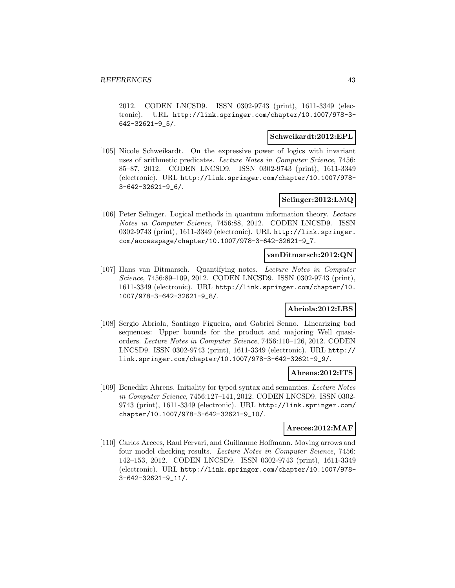2012. CODEN LNCSD9. ISSN 0302-9743 (print), 1611-3349 (electronic). URL http://link.springer.com/chapter/10.1007/978-3- 642-32621-9\_5/.

#### **Schweikardt:2012:EPL**

[105] Nicole Schweikardt. On the expressive power of logics with invariant uses of arithmetic predicates. Lecture Notes in Computer Science, 7456: 85–87, 2012. CODEN LNCSD9. ISSN 0302-9743 (print), 1611-3349 (electronic). URL http://link.springer.com/chapter/10.1007/978- 3-642-32621-9\_6/.

## **Selinger:2012:LMQ**

[106] Peter Selinger. Logical methods in quantum information theory. Lecture Notes in Computer Science, 7456:88, 2012. CODEN LNCSD9. ISSN 0302-9743 (print), 1611-3349 (electronic). URL http://link.springer. com/accesspage/chapter/10.1007/978-3-642-32621-9\_7.

#### **vanDitmarsch:2012:QN**

[107] Hans van Ditmarsch. Quantifying notes. Lecture Notes in Computer Science, 7456:89–109, 2012. CODEN LNCSD9. ISSN 0302-9743 (print), 1611-3349 (electronic). URL http://link.springer.com/chapter/10. 1007/978-3-642-32621-9\_8/.

## **Abriola:2012:LBS**

[108] Sergio Abriola, Santiago Figueira, and Gabriel Senno. Linearizing bad sequences: Upper bounds for the product and majoring Well quasiorders. Lecture Notes in Computer Science, 7456:110–126, 2012. CODEN LNCSD9. ISSN 0302-9743 (print), 1611-3349 (electronic). URL http:// link.springer.com/chapter/10.1007/978-3-642-32621-9\_9/.

#### **Ahrens:2012:ITS**

[109] Benedikt Ahrens. Initiality for typed syntax and semantics. Lecture Notes in Computer Science, 7456:127–141, 2012. CODEN LNCSD9. ISSN 0302- 9743 (print), 1611-3349 (electronic). URL http://link.springer.com/ chapter/10.1007/978-3-642-32621-9\_10/.

## **Areces:2012:MAF**

[110] Carlos Areces, Raul Fervari, and Guillaume Hoffmann. Moving arrows and four model checking results. Lecture Notes in Computer Science, 7456: 142–153, 2012. CODEN LNCSD9. ISSN 0302-9743 (print), 1611-3349 (electronic). URL http://link.springer.com/chapter/10.1007/978- 3-642-32621-9\_11/.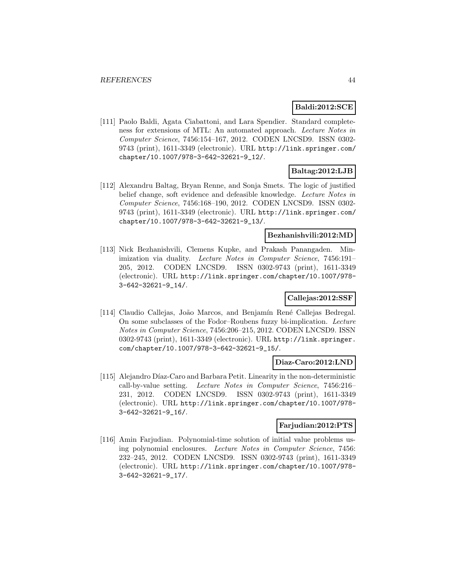#### **Baldi:2012:SCE**

[111] Paolo Baldi, Agata Ciabattoni, and Lara Spendier. Standard completeness for extensions of MTL: An automated approach. Lecture Notes in Computer Science, 7456:154–167, 2012. CODEN LNCSD9. ISSN 0302- 9743 (print), 1611-3349 (electronic). URL http://link.springer.com/ chapter/10.1007/978-3-642-32621-9\_12/.

## **Baltag:2012:LJB**

[112] Alexandru Baltag, Bryan Renne, and Sonja Smets. The logic of justified belief change, soft evidence and defeasible knowledge. Lecture Notes in Computer Science, 7456:168–190, 2012. CODEN LNCSD9. ISSN 0302- 9743 (print), 1611-3349 (electronic). URL http://link.springer.com/ chapter/10.1007/978-3-642-32621-9\_13/.

## **Bezhanishvili:2012:MD**

[113] Nick Bezhanishvili, Clemens Kupke, and Prakash Panangaden. Minimization via duality. Lecture Notes in Computer Science, 7456:191– 205, 2012. CODEN LNCSD9. ISSN 0302-9743 (print), 1611-3349 (electronic). URL http://link.springer.com/chapter/10.1007/978- 3-642-32621-9\_14/.

## **Callejas:2012:SSF**

[114] Claudio Callejas, João Marcos, and Benjamín René Callejas Bedregal. On some subclasses of the Fodor–Roubens fuzzy bi-implication. Lecture Notes in Computer Science, 7456:206–215, 2012. CODEN LNCSD9. ISSN 0302-9743 (print), 1611-3349 (electronic). URL http://link.springer. com/chapter/10.1007/978-3-642-32621-9\_15/.

#### **Diaz-Caro:2012:LND**

[115] Alejandro Díaz-Caro and Barbara Petit. Linearity in the non-deterministic call-by-value setting. Lecture Notes in Computer Science, 7456:216– 231, 2012. CODEN LNCSD9. ISSN 0302-9743 (print), 1611-3349 (electronic). URL http://link.springer.com/chapter/10.1007/978- 3-642-32621-9\_16/.

### **Farjudian:2012:PTS**

[116] Amin Farjudian. Polynomial-time solution of initial value problems using polynomial enclosures. Lecture Notes in Computer Science, 7456: 232–245, 2012. CODEN LNCSD9. ISSN 0302-9743 (print), 1611-3349 (electronic). URL http://link.springer.com/chapter/10.1007/978- 3-642-32621-9\_17/.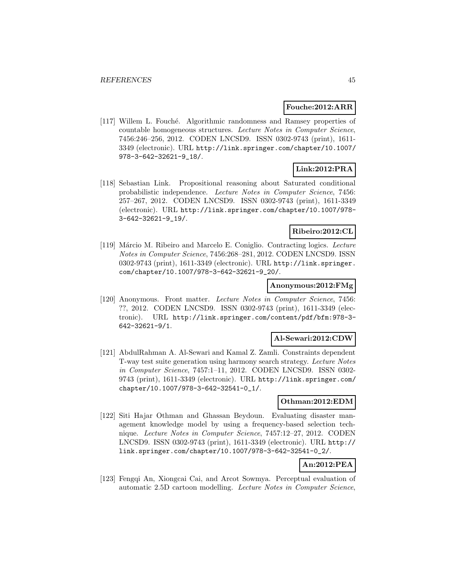#### **Fouche:2012:ARR**

[117] Willem L. Fouché. Algorithmic randomness and Ramsey properties of countable homogeneous structures. Lecture Notes in Computer Science, 7456:246–256, 2012. CODEN LNCSD9. ISSN 0302-9743 (print), 1611- 3349 (electronic). URL http://link.springer.com/chapter/10.1007/ 978-3-642-32621-9\_18/.

## **Link:2012:PRA**

[118] Sebastian Link. Propositional reasoning about Saturated conditional probabilistic independence. Lecture Notes in Computer Science, 7456: 257–267, 2012. CODEN LNCSD9. ISSN 0302-9743 (print), 1611-3349 (electronic). URL http://link.springer.com/chapter/10.1007/978- 3-642-32621-9\_19/.

### **Ribeiro:2012:CL**

[119] Márcio M. Ribeiro and Marcelo E. Coniglio. Contracting logics. Lecture Notes in Computer Science, 7456:268–281, 2012. CODEN LNCSD9. ISSN 0302-9743 (print), 1611-3349 (electronic). URL http://link.springer. com/chapter/10.1007/978-3-642-32621-9\_20/.

#### **Anonymous:2012:FMg**

[120] Anonymous. Front matter. Lecture Notes in Computer Science, 7456: ??, 2012. CODEN LNCSD9. ISSN 0302-9743 (print), 1611-3349 (electronic). URL http://link.springer.com/content/pdf/bfm:978-3- 642-32621-9/1.

## **Al-Sewari:2012:CDW**

[121] AbdulRahman A. Al-Sewari and Kamal Z. Zamli. Constraints dependent T-way test suite generation using harmony search strategy. Lecture Notes in Computer Science, 7457:1–11, 2012. CODEN LNCSD9. ISSN 0302- 9743 (print), 1611-3349 (electronic). URL http://link.springer.com/ chapter/10.1007/978-3-642-32541-0\_1/.

#### **Othman:2012:EDM**

[122] Siti Hajar Othman and Ghassan Beydoun. Evaluating disaster management knowledge model by using a frequency-based selection technique. Lecture Notes in Computer Science, 7457:12–27, 2012. CODEN LNCSD9. ISSN 0302-9743 (print), 1611-3349 (electronic). URL http:// link.springer.com/chapter/10.1007/978-3-642-32541-0\_2/.

# **An:2012:PEA**

[123] Fengqi An, Xiongcai Cai, and Arcot Sowmya. Perceptual evaluation of automatic 2.5D cartoon modelling. Lecture Notes in Computer Science,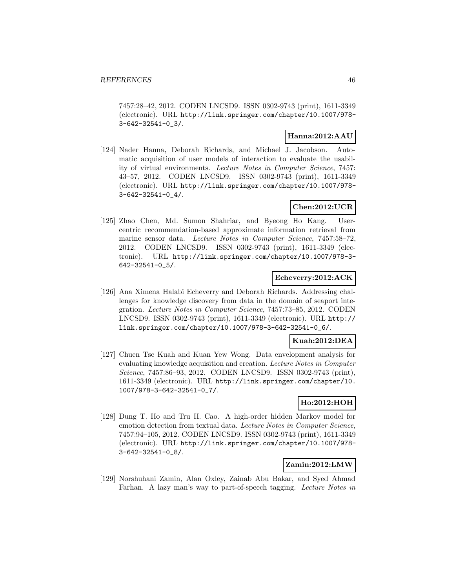7457:28–42, 2012. CODEN LNCSD9. ISSN 0302-9743 (print), 1611-3349 (electronic). URL http://link.springer.com/chapter/10.1007/978- 3-642-32541-0\_3/.

### **Hanna:2012:AAU**

[124] Nader Hanna, Deborah Richards, and Michael J. Jacobson. Automatic acquisition of user models of interaction to evaluate the usability of virtual environments. Lecture Notes in Computer Science, 7457: 43–57, 2012. CODEN LNCSD9. ISSN 0302-9743 (print), 1611-3349 (electronic). URL http://link.springer.com/chapter/10.1007/978- 3-642-32541-0\_4/.

## **Chen:2012:UCR**

[125] Zhao Chen, Md. Sumon Shahriar, and Byeong Ho Kang. Usercentric recommendation-based approximate information retrieval from marine sensor data. Lecture Notes in Computer Science, 7457:58–72, 2012. CODEN LNCSD9. ISSN 0302-9743 (print), 1611-3349 (electronic). URL http://link.springer.com/chapter/10.1007/978-3- 642-32541-0\_5/.

### **Echeverry:2012:ACK**

[126] Ana Ximena Halabi Echeverry and Deborah Richards. Addressing challenges for knowledge discovery from data in the domain of seaport integration. Lecture Notes in Computer Science, 7457:73–85, 2012. CODEN LNCSD9. ISSN 0302-9743 (print), 1611-3349 (electronic). URL http:// link.springer.com/chapter/10.1007/978-3-642-32541-0\_6/.

## **Kuah:2012:DEA**

[127] Chuen Tse Kuah and Kuan Yew Wong. Data envelopment analysis for evaluating knowledge acquisition and creation. Lecture Notes in Computer Science, 7457:86–93, 2012. CODEN LNCSD9. ISSN 0302-9743 (print), 1611-3349 (electronic). URL http://link.springer.com/chapter/10. 1007/978-3-642-32541-0\_7/.

## **Ho:2012:HOH**

[128] Dung T. Ho and Tru H. Cao. A high-order hidden Markov model for emotion detection from textual data. Lecture Notes in Computer Science, 7457:94–105, 2012. CODEN LNCSD9. ISSN 0302-9743 (print), 1611-3349 (electronic). URL http://link.springer.com/chapter/10.1007/978- 3-642-32541-0\_8/.

## **Zamin:2012:LMW**

[129] Norshuhani Zamin, Alan Oxley, Zainab Abu Bakar, and Syed Ahmad Farhan. A lazy man's way to part-of-speech tagging. Lecture Notes in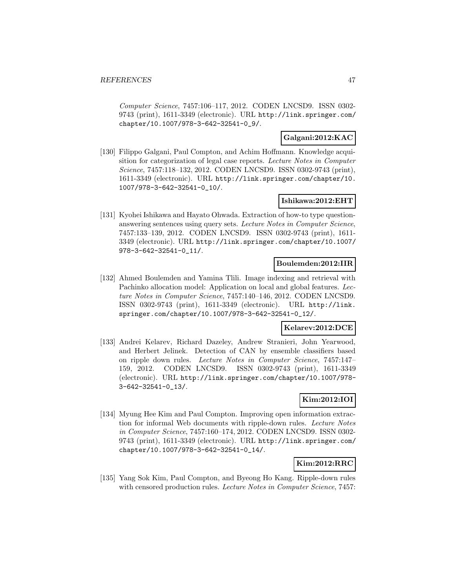Computer Science, 7457:106–117, 2012. CODEN LNCSD9. ISSN 0302- 9743 (print), 1611-3349 (electronic). URL http://link.springer.com/ chapter/10.1007/978-3-642-32541-0\_9/.

## **Galgani:2012:KAC**

[130] Filippo Galgani, Paul Compton, and Achim Hoffmann. Knowledge acquisition for categorization of legal case reports. Lecture Notes in Computer Science, 7457:118–132, 2012. CODEN LNCSD9. ISSN 0302-9743 (print), 1611-3349 (electronic). URL http://link.springer.com/chapter/10. 1007/978-3-642-32541-0\_10/.

## **Ishikawa:2012:EHT**

[131] Kyohei Ishikawa and Hayato Ohwada. Extraction of how-to type questionanswering sentences using query sets. Lecture Notes in Computer Science, 7457:133–139, 2012. CODEN LNCSD9. ISSN 0302-9743 (print), 1611- 3349 (electronic). URL http://link.springer.com/chapter/10.1007/ 978-3-642-32541-0\_11/.

#### **Boulemden:2012:IIR**

[132] Ahmed Boulemden and Yamina Tlili. Image indexing and retrieval with Pachinko allocation model: Application on local and global features. Lecture Notes in Computer Science, 7457:140–146, 2012. CODEN LNCSD9. ISSN 0302-9743 (print), 1611-3349 (electronic). URL http://link. springer.com/chapter/10.1007/978-3-642-32541-0\_12/.

### **Kelarev:2012:DCE**

[133] Andrei Kelarev, Richard Dazeley, Andrew Stranieri, John Yearwood, and Herbert Jelinek. Detection of CAN by ensemble classifiers based on ripple down rules. Lecture Notes in Computer Science, 7457:147– 159, 2012. CODEN LNCSD9. ISSN 0302-9743 (print), 1611-3349 (electronic). URL http://link.springer.com/chapter/10.1007/978- 3-642-32541-0\_13/.

## **Kim:2012:IOI**

[134] Myung Hee Kim and Paul Compton. Improving open information extraction for informal Web documents with ripple-down rules. Lecture Notes in Computer Science, 7457:160–174, 2012. CODEN LNCSD9. ISSN 0302- 9743 (print), 1611-3349 (electronic). URL http://link.springer.com/ chapter/10.1007/978-3-642-32541-0\_14/.

## **Kim:2012:RRC**

[135] Yang Sok Kim, Paul Compton, and Byeong Ho Kang. Ripple-down rules with censored production rules. Lecture Notes in Computer Science, 7457: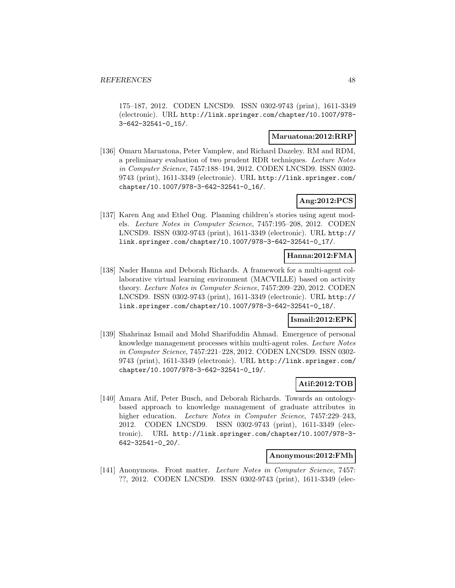175–187, 2012. CODEN LNCSD9. ISSN 0302-9743 (print), 1611-3349 (electronic). URL http://link.springer.com/chapter/10.1007/978- 3-642-32541-0\_15/.

#### **Maruatona:2012:RRP**

[136] Omaru Maruatona, Peter Vamplew, and Richard Dazeley. RM and RDM, a preliminary evaluation of two prudent RDR techniques. Lecture Notes in Computer Science, 7457:188–194, 2012. CODEN LNCSD9. ISSN 0302- 9743 (print), 1611-3349 (electronic). URL http://link.springer.com/ chapter/10.1007/978-3-642-32541-0\_16/.

## **Ang:2012:PCS**

[137] Karen Ang and Ethel Ong. Planning children's stories using agent models. Lecture Notes in Computer Science, 7457:195–208, 2012. CODEN LNCSD9. ISSN 0302-9743 (print), 1611-3349 (electronic). URL http:// link.springer.com/chapter/10.1007/978-3-642-32541-0\_17/.

## **Hanna:2012:FMA**

[138] Nader Hanna and Deborah Richards. A framework for a multi-agent collaborative virtual learning environment (MACVILLE) based on activity theory. Lecture Notes in Computer Science, 7457:209–220, 2012. CODEN LNCSD9. ISSN 0302-9743 (print), 1611-3349 (electronic). URL http:// link.springer.com/chapter/10.1007/978-3-642-32541-0\_18/.

#### **Ismail:2012:EPK**

[139] Shahrinaz Ismail and Mohd Sharifuddin Ahmad. Emergence of personal knowledge management processes within multi-agent roles. Lecture Notes in Computer Science, 7457:221–228, 2012. CODEN LNCSD9. ISSN 0302- 9743 (print), 1611-3349 (electronic). URL http://link.springer.com/ chapter/10.1007/978-3-642-32541-0\_19/.

## **Atif:2012:TOB**

[140] Amara Atif, Peter Busch, and Deborah Richards. Towards an ontologybased approach to knowledge management of graduate attributes in higher education. Lecture Notes in Computer Science, 7457:229-243, 2012. CODEN LNCSD9. ISSN 0302-9743 (print), 1611-3349 (electronic). URL http://link.springer.com/chapter/10.1007/978-3- 642-32541-0\_20/.

#### **Anonymous:2012:FMh**

[141] Anonymous. Front matter. Lecture Notes in Computer Science, 7457: ??, 2012. CODEN LNCSD9. ISSN 0302-9743 (print), 1611-3349 (elec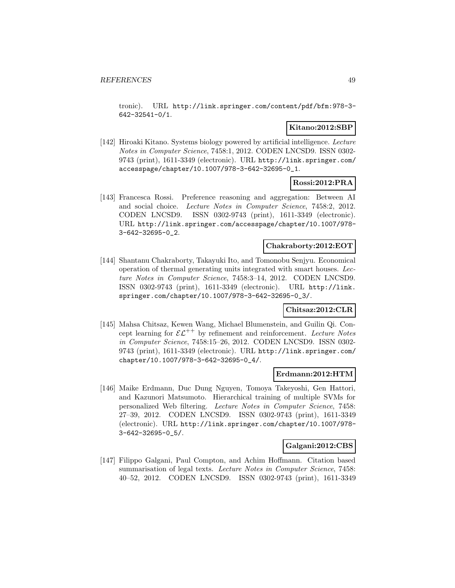tronic). URL http://link.springer.com/content/pdf/bfm:978-3- 642-32541-0/1.

### **Kitano:2012:SBP**

[142] Hiroaki Kitano. Systems biology powered by artificial intelligence. Lecture Notes in Computer Science, 7458:1, 2012. CODEN LNCSD9. ISSN 0302- 9743 (print), 1611-3349 (electronic). URL http://link.springer.com/ accesspage/chapter/10.1007/978-3-642-32695-0\_1.

## **Rossi:2012:PRA**

[143] Francesca Rossi. Preference reasoning and aggregation: Between AI and social choice. Lecture Notes in Computer Science, 7458:2, 2012. CODEN LNCSD9. ISSN 0302-9743 (print), 1611-3349 (electronic). URL http://link.springer.com/accesspage/chapter/10.1007/978- 3-642-32695-0\_2.

## **Chakraborty:2012:EOT**

[144] Shantanu Chakraborty, Takayuki Ito, and Tomonobu Senjyu. Economical operation of thermal generating units integrated with smart houses. Lecture Notes in Computer Science, 7458:3–14, 2012. CODEN LNCSD9. ISSN 0302-9743 (print), 1611-3349 (electronic). URL http://link. springer.com/chapter/10.1007/978-3-642-32695-0\_3/.

## **Chitsaz:2012:CLR**

[145] Mahsa Chitsaz, Kewen Wang, Michael Blumenstein, and Guilin Qi. Concept learning for  $\mathcal{EL}^{++}$  by refinement and reinforcement. Lecture Notes in Computer Science, 7458:15–26, 2012. CODEN LNCSD9. ISSN 0302- 9743 (print), 1611-3349 (electronic). URL http://link.springer.com/ chapter/10.1007/978-3-642-32695-0\_4/.

#### **Erdmann:2012:HTM**

[146] Maike Erdmann, Duc Dung Nguyen, Tomoya Takeyoshi, Gen Hattori, and Kazunori Matsumoto. Hierarchical training of multiple SVMs for personalized Web filtering. Lecture Notes in Computer Science, 7458: 27–39, 2012. CODEN LNCSD9. ISSN 0302-9743 (print), 1611-3349 (electronic). URL http://link.springer.com/chapter/10.1007/978- 3-642-32695-0\_5/.

#### **Galgani:2012:CBS**

[147] Filippo Galgani, Paul Compton, and Achim Hoffmann. Citation based summarisation of legal texts. Lecture Notes in Computer Science, 7458: 40–52, 2012. CODEN LNCSD9. ISSN 0302-9743 (print), 1611-3349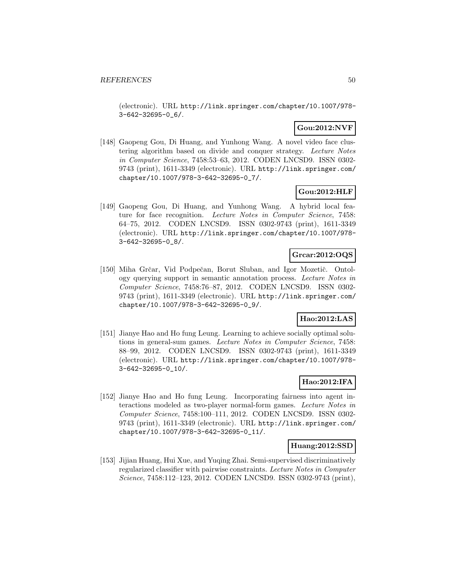(electronic). URL http://link.springer.com/chapter/10.1007/978- 3-642-32695-0\_6/.

## **Gou:2012:NVF**

[148] Gaopeng Gou, Di Huang, and Yunhong Wang. A novel video face clustering algorithm based on divide and conquer strategy. Lecture Notes in Computer Science, 7458:53–63, 2012. CODEN LNCSD9. ISSN 0302- 9743 (print), 1611-3349 (electronic). URL http://link.springer.com/ chapter/10.1007/978-3-642-32695-0\_7/.

## **Gou:2012:HLF**

[149] Gaopeng Gou, Di Huang, and Yunhong Wang. A hybrid local feature for face recognition. Lecture Notes in Computer Science, 7458: 64–75, 2012. CODEN LNCSD9. ISSN 0302-9743 (print), 1611-3349 (electronic). URL http://link.springer.com/chapter/10.1007/978- 3-642-32695-0\_8/.

## **Grcar:2012:OQS**

[150] Miha Grčar, Vid Podpečan, Borut Sluban, and Igor Mozetič. Ontology querying support in semantic annotation process. Lecture Notes in Computer Science, 7458:76–87, 2012. CODEN LNCSD9. ISSN 0302- 9743 (print), 1611-3349 (electronic). URL http://link.springer.com/ chapter/10.1007/978-3-642-32695-0\_9/.

## **Hao:2012:LAS**

[151] Jianye Hao and Ho fung Leung. Learning to achieve socially optimal solutions in general-sum games. Lecture Notes in Computer Science, 7458: 88–99, 2012. CODEN LNCSD9. ISSN 0302-9743 (print), 1611-3349 (electronic). URL http://link.springer.com/chapter/10.1007/978- 3-642-32695-0\_10/.

### **Hao:2012:IFA**

[152] Jianye Hao and Ho fung Leung. Incorporating fairness into agent interactions modeled as two-player normal-form games. Lecture Notes in Computer Science, 7458:100–111, 2012. CODEN LNCSD9. ISSN 0302- 9743 (print), 1611-3349 (electronic). URL http://link.springer.com/ chapter/10.1007/978-3-642-32695-0\_11/.

## **Huang:2012:SSD**

[153] Jijian Huang, Hui Xue, and Yuqing Zhai. Semi-supervised discriminatively regularized classifier with pairwise constraints. Lecture Notes in Computer Science, 7458:112–123, 2012. CODEN LNCSD9. ISSN 0302-9743 (print),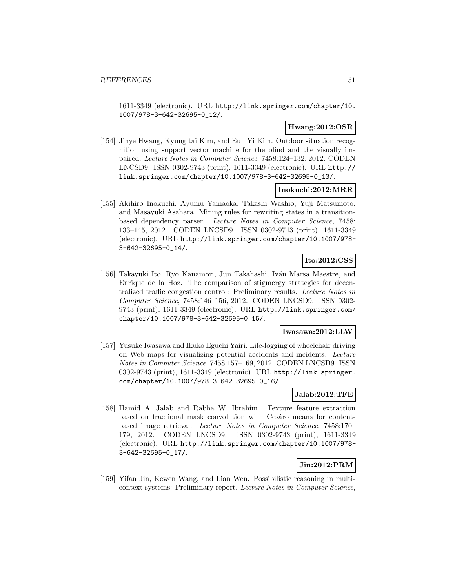1611-3349 (electronic). URL http://link.springer.com/chapter/10. 1007/978-3-642-32695-0\_12/.

### **Hwang:2012:OSR**

[154] Jihye Hwang, Kyung tai Kim, and Eun Yi Kim. Outdoor situation recognition using support vector machine for the blind and the visually impaired. Lecture Notes in Computer Science, 7458:124–132, 2012. CODEN LNCSD9. ISSN 0302-9743 (print), 1611-3349 (electronic). URL http:// link.springer.com/chapter/10.1007/978-3-642-32695-0\_13/.

#### **Inokuchi:2012:MRR**

[155] Akihiro Inokuchi, Ayumu Yamaoka, Takashi Washio, Yuji Matsumoto, and Masayuki Asahara. Mining rules for rewriting states in a transitionbased dependency parser. Lecture Notes in Computer Science, 7458: 133–145, 2012. CODEN LNCSD9. ISSN 0302-9743 (print), 1611-3349 (electronic). URL http://link.springer.com/chapter/10.1007/978- 3-642-32695-0\_14/.

## **Ito:2012:CSS**

[156] Takayuki Ito, Ryo Kanamori, Jun Takahashi, Iván Marsa Maestre, and Enrique de la Hoz. The comparison of stigmergy strategies for decentralized traffic congestion control: Preliminary results. Lecture Notes in Computer Science, 7458:146–156, 2012. CODEN LNCSD9. ISSN 0302- 9743 (print), 1611-3349 (electronic). URL http://link.springer.com/ chapter/10.1007/978-3-642-32695-0\_15/.

## **Iwasawa:2012:LLW**

[157] Yusuke Iwasawa and Ikuko Eguchi Yairi. Life-logging of wheelchair driving on Web maps for visualizing potential accidents and incidents. Lecture Notes in Computer Science, 7458:157–169, 2012. CODEN LNCSD9. ISSN 0302-9743 (print), 1611-3349 (electronic). URL http://link.springer. com/chapter/10.1007/978-3-642-32695-0\_16/.

## **Jalab:2012:TFE**

[158] Hamid A. Jalab and Rabha W. Ibrahim. Texture feature extraction based on fractional mask convolution with Cesáro means for contentbased image retrieval. Lecture Notes in Computer Science, 7458:170– 179, 2012. CODEN LNCSD9. ISSN 0302-9743 (print), 1611-3349 (electronic). URL http://link.springer.com/chapter/10.1007/978- 3-642-32695-0\_17/.

## **Jin:2012:PRM**

[159] Yifan Jin, Kewen Wang, and Lian Wen. Possibilistic reasoning in multicontext systems: Preliminary report. Lecture Notes in Computer Science,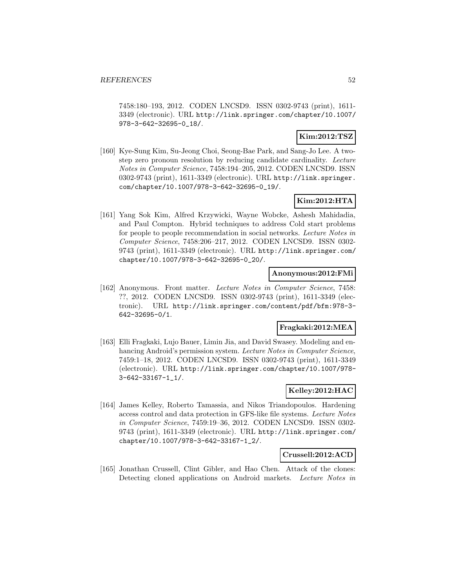7458:180–193, 2012. CODEN LNCSD9. ISSN 0302-9743 (print), 1611- 3349 (electronic). URL http://link.springer.com/chapter/10.1007/ 978-3-642-32695-0\_18/.

## **Kim:2012:TSZ**

[160] Kye-Sung Kim, Su-Jeong Choi, Seong-Bae Park, and Sang-Jo Lee. A twostep zero pronoun resolution by reducing candidate cardinality. Lecture Notes in Computer Science, 7458:194–205, 2012. CODEN LNCSD9. ISSN 0302-9743 (print), 1611-3349 (electronic). URL http://link.springer. com/chapter/10.1007/978-3-642-32695-0\_19/.

## **Kim:2012:HTA**

[161] Yang Sok Kim, Alfred Krzywicki, Wayne Wobcke, Ashesh Mahidadia, and Paul Compton. Hybrid techniques to address Cold start problems for people to people recommendation in social networks. Lecture Notes in Computer Science, 7458:206–217, 2012. CODEN LNCSD9. ISSN 0302- 9743 (print), 1611-3349 (electronic). URL http://link.springer.com/ chapter/10.1007/978-3-642-32695-0\_20/.

#### **Anonymous:2012:FMi**

[162] Anonymous. Front matter. Lecture Notes in Computer Science, 7458: ??, 2012. CODEN LNCSD9. ISSN 0302-9743 (print), 1611-3349 (electronic). URL http://link.springer.com/content/pdf/bfm:978-3- 642-32695-0/1.

#### **Fragkaki:2012:MEA**

[163] Elli Fragkaki, Lujo Bauer, Limin Jia, and David Swasey. Modeling and enhancing Android's permission system. Lecture Notes in Computer Science, 7459:1–18, 2012. CODEN LNCSD9. ISSN 0302-9743 (print), 1611-3349 (electronic). URL http://link.springer.com/chapter/10.1007/978- 3-642-33167-1\_1/.

## **Kelley:2012:HAC**

[164] James Kelley, Roberto Tamassia, and Nikos Triandopoulos. Hardening access control and data protection in GFS-like file systems. Lecture Notes in Computer Science, 7459:19–36, 2012. CODEN LNCSD9. ISSN 0302- 9743 (print), 1611-3349 (electronic). URL http://link.springer.com/ chapter/10.1007/978-3-642-33167-1\_2/.

#### **Crussell:2012:ACD**

[165] Jonathan Crussell, Clint Gibler, and Hao Chen. Attack of the clones: Detecting cloned applications on Android markets. Lecture Notes in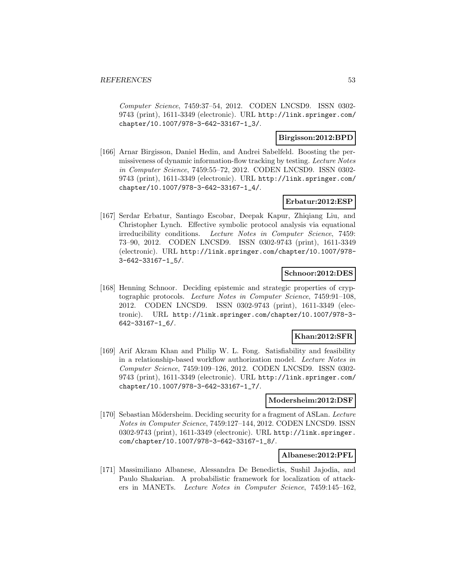Computer Science, 7459:37–54, 2012. CODEN LNCSD9. ISSN 0302- 9743 (print), 1611-3349 (electronic). URL http://link.springer.com/ chapter/10.1007/978-3-642-33167-1\_3/.

## **Birgisson:2012:BPD**

[166] Arnar Birgisson, Daniel Hedin, and Andrei Sabelfeld. Boosting the permissiveness of dynamic information-flow tracking by testing. Lecture Notes in Computer Science, 7459:55–72, 2012. CODEN LNCSD9. ISSN 0302- 9743 (print), 1611-3349 (electronic). URL http://link.springer.com/ chapter/10.1007/978-3-642-33167-1\_4/.

#### **Erbatur:2012:ESP**

[167] Serdar Erbatur, Santiago Escobar, Deepak Kapur, Zhiqiang Liu, and Christopher Lynch. Effective symbolic protocol analysis via equational irreducibility conditions. Lecture Notes in Computer Science, 7459: 73–90, 2012. CODEN LNCSD9. ISSN 0302-9743 (print), 1611-3349 (electronic). URL http://link.springer.com/chapter/10.1007/978- 3-642-33167-1\_5/.

## **Schnoor:2012:DES**

[168] Henning Schnoor. Deciding epistemic and strategic properties of cryptographic protocols. Lecture Notes in Computer Science, 7459:91–108, 2012. CODEN LNCSD9. ISSN 0302-9743 (print), 1611-3349 (electronic). URL http://link.springer.com/chapter/10.1007/978-3- 642-33167-1\_6/.

#### **Khan:2012:SFR**

[169] Arif Akram Khan and Philip W. L. Fong. Satisfiability and feasibility in a relationship-based workflow authorization model. Lecture Notes in Computer Science, 7459:109–126, 2012. CODEN LNCSD9. ISSN 0302- 9743 (print), 1611-3349 (electronic). URL http://link.springer.com/ chapter/10.1007/978-3-642-33167-1\_7/.

### **Modersheim:2012:DSF**

[170] Sebastian Mödersheim. Deciding security for a fragment of ASLan. Lecture Notes in Computer Science, 7459:127–144, 2012. CODEN LNCSD9. ISSN 0302-9743 (print), 1611-3349 (electronic). URL http://link.springer. com/chapter/10.1007/978-3-642-33167-1\_8/.

#### **Albanese:2012:PFL**

[171] Massimiliano Albanese, Alessandra De Benedictis, Sushil Jajodia, and Paulo Shakarian. A probabilistic framework for localization of attackers in MANETs. Lecture Notes in Computer Science, 7459:145–162,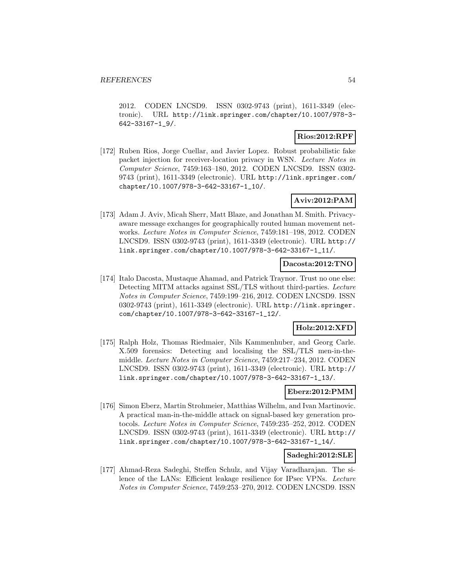2012. CODEN LNCSD9. ISSN 0302-9743 (print), 1611-3349 (electronic). URL http://link.springer.com/chapter/10.1007/978-3- 642-33167-1\_9/.

## **Rios:2012:RPF**

[172] Ruben Rios, Jorge Cuellar, and Javier Lopez. Robust probabilistic fake packet injection for receiver-location privacy in WSN. Lecture Notes in Computer Science, 7459:163–180, 2012. CODEN LNCSD9. ISSN 0302- 9743 (print), 1611-3349 (electronic). URL http://link.springer.com/ chapter/10.1007/978-3-642-33167-1\_10/.

## **Aviv:2012:PAM**

[173] Adam J. Aviv, Micah Sherr, Matt Blaze, and Jonathan M. Smith. Privacyaware message exchanges for geographically routed human movement networks. Lecture Notes in Computer Science, 7459:181–198, 2012. CODEN LNCSD9. ISSN 0302-9743 (print), 1611-3349 (electronic). URL http:// link.springer.com/chapter/10.1007/978-3-642-33167-1\_11/.

### **Dacosta:2012:TNO**

[174] Italo Dacosta, Mustaque Ahamad, and Patrick Traynor. Trust no one else: Detecting MITM attacks against SSL/TLS without third-parties. Lecture Notes in Computer Science, 7459:199–216, 2012. CODEN LNCSD9. ISSN 0302-9743 (print), 1611-3349 (electronic). URL http://link.springer. com/chapter/10.1007/978-3-642-33167-1\_12/.

## **Holz:2012:XFD**

[175] Ralph Holz, Thomas Riedmaier, Nils Kammenhuber, and Georg Carle. X.509 forensics: Detecting and localising the SSL/TLS men-in-themiddle. Lecture Notes in Computer Science, 7459:217–234, 2012. CODEN LNCSD9. ISSN 0302-9743 (print), 1611-3349 (electronic). URL http:// link.springer.com/chapter/10.1007/978-3-642-33167-1\_13/.

## **Eberz:2012:PMM**

[176] Simon Eberz, Martin Strohmeier, Matthias Wilhelm, and Ivan Martinovic. A practical man-in-the-middle attack on signal-based key generation protocols. Lecture Notes in Computer Science, 7459:235–252, 2012. CODEN LNCSD9. ISSN 0302-9743 (print), 1611-3349 (electronic). URL http:// link.springer.com/chapter/10.1007/978-3-642-33167-1\_14/.

#### **Sadeghi:2012:SLE**

[177] Ahmad-Reza Sadeghi, Steffen Schulz, and Vijay Varadharajan. The silence of the LANs: Efficient leakage resilience for IPsec VPNs. Lecture Notes in Computer Science, 7459:253–270, 2012. CODEN LNCSD9. ISSN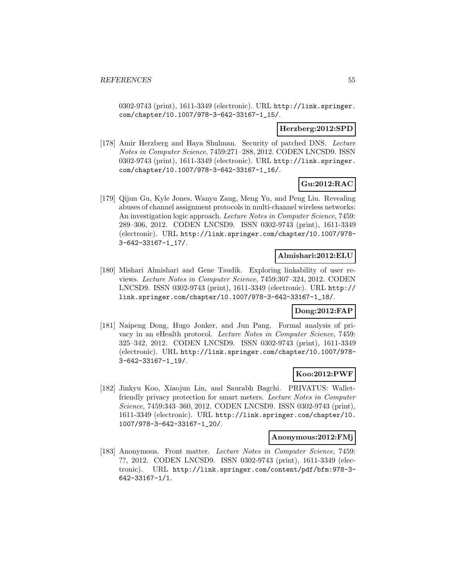0302-9743 (print), 1611-3349 (electronic). URL http://link.springer. com/chapter/10.1007/978-3-642-33167-1\_15/.

#### **Herzberg:2012:SPD**

[178] Amir Herzberg and Haya Shulman. Security of patched DNS. Lecture Notes in Computer Science, 7459:271–288, 2012. CODEN LNCSD9. ISSN 0302-9743 (print), 1611-3349 (electronic). URL http://link.springer. com/chapter/10.1007/978-3-642-33167-1\_16/.

## **Gu:2012:RAC**

[179] Qijun Gu, Kyle Jones, Wanyu Zang, Meng Yu, and Peng Liu. Revealing abuses of channel assignment protocols in multi-channel wireless networks: An investigation logic approach. Lecture Notes in Computer Science, 7459: 289–306, 2012. CODEN LNCSD9. ISSN 0302-9743 (print), 1611-3349 (electronic). URL http://link.springer.com/chapter/10.1007/978- 3-642-33167-1\_17/.

## **Almishari:2012:ELU**

[180] Mishari Almishari and Gene Tsudik. Exploring linkability of user reviews. Lecture Notes in Computer Science, 7459:307–324, 2012. CODEN LNCSD9. ISSN 0302-9743 (print), 1611-3349 (electronic). URL http:// link.springer.com/chapter/10.1007/978-3-642-33167-1\_18/.

## **Dong:2012:FAP**

[181] Naipeng Dong, Hugo Jonker, and Jun Pang. Formal analysis of privacy in an eHealth protocol. Lecture Notes in Computer Science, 7459: 325–342, 2012. CODEN LNCSD9. ISSN 0302-9743 (print), 1611-3349 (electronic). URL http://link.springer.com/chapter/10.1007/978- 3-642-33167-1\_19/.

## **Koo:2012:PWF**

[182] Jinkyu Koo, Xiaojun Lin, and Saurabh Bagchi. PRIVATUS: Walletfriendly privacy protection for smart meters. Lecture Notes in Computer Science, 7459:343–360, 2012. CODEN LNCSD9. ISSN 0302-9743 (print), 1611-3349 (electronic). URL http://link.springer.com/chapter/10. 1007/978-3-642-33167-1\_20/.

#### **Anonymous:2012:FMj**

[183] Anonymous. Front matter. Lecture Notes in Computer Science, 7459: ??, 2012. CODEN LNCSD9. ISSN 0302-9743 (print), 1611-3349 (electronic). URL http://link.springer.com/content/pdf/bfm:978-3- 642-33167-1/1.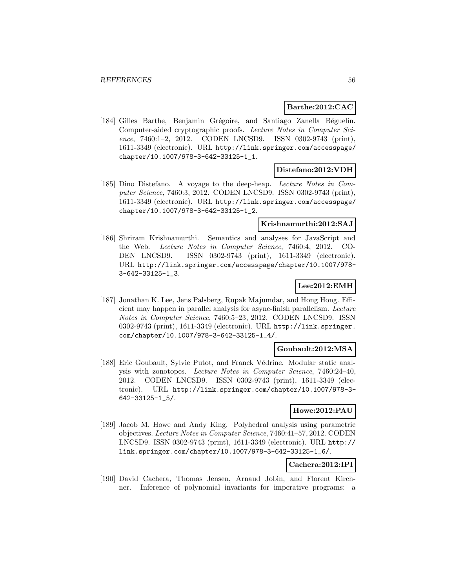### **Barthe:2012:CAC**

[184] Gilles Barthe, Benjamin Grégoire, and Santiago Zanella Béguelin. Computer-aided cryptographic proofs. Lecture Notes in Computer Science, 7460:1–2, 2012. CODEN LNCSD9. ISSN 0302-9743 (print), 1611-3349 (electronic). URL http://link.springer.com/accesspage/ chapter/10.1007/978-3-642-33125-1\_1.

#### **Distefano:2012:VDH**

[185] Dino Distefano. A voyage to the deep-heap. Lecture Notes in Computer Science, 7460:3, 2012. CODEN LNCSD9. ISSN 0302-9743 (print), 1611-3349 (electronic). URL http://link.springer.com/accesspage/ chapter/10.1007/978-3-642-33125-1\_2.

#### **Krishnamurthi:2012:SAJ**

[186] Shriram Krishnamurthi. Semantics and analyses for JavaScript and the Web. Lecture Notes in Computer Science, 7460:4, 2012. CO-DEN LNCSD9. ISSN 0302-9743 (print), 1611-3349 (electronic). URL http://link.springer.com/accesspage/chapter/10.1007/978- 3-642-33125-1\_3.

#### **Lee:2012:EMH**

[187] Jonathan K. Lee, Jens Palsberg, Rupak Majumdar, and Hong Hong. Efficient may happen in parallel analysis for async-finish parallelism. Lecture Notes in Computer Science, 7460:5–23, 2012. CODEN LNCSD9. ISSN 0302-9743 (print), 1611-3349 (electronic). URL http://link.springer. com/chapter/10.1007/978-3-642-33125-1\_4/.

#### **Goubault:2012:MSA**

[188] Eric Goubault, Sylvie Putot, and Franck Védrine. Modular static analysis with zonotopes. Lecture Notes in Computer Science, 7460:24–40, 2012. CODEN LNCSD9. ISSN 0302-9743 (print), 1611-3349 (electronic). URL http://link.springer.com/chapter/10.1007/978-3- 642-33125-1\_5/.

#### **Howe:2012:PAU**

[189] Jacob M. Howe and Andy King. Polyhedral analysis using parametric objectives. Lecture Notes in Computer Science, 7460:41–57, 2012. CODEN LNCSD9. ISSN 0302-9743 (print), 1611-3349 (electronic). URL http:// link.springer.com/chapter/10.1007/978-3-642-33125-1\_6/.

## **Cachera:2012:IPI**

[190] David Cachera, Thomas Jensen, Arnaud Jobin, and Florent Kirchner. Inference of polynomial invariants for imperative programs: a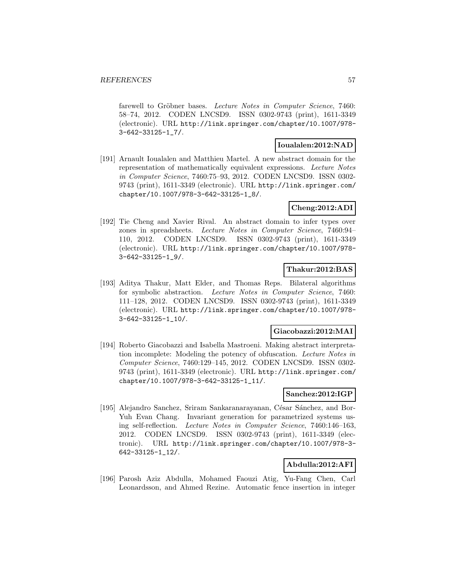farewell to Gröbner bases. Lecture Notes in Computer Science, 7460: 58–74, 2012. CODEN LNCSD9. ISSN 0302-9743 (print), 1611-3349 (electronic). URL http://link.springer.com/chapter/10.1007/978- 3-642-33125-1\_7/.

#### **Ioualalen:2012:NAD**

[191] Arnault Ioualalen and Matthieu Martel. A new abstract domain for the representation of mathematically equivalent expressions. Lecture Notes in Computer Science, 7460:75–93, 2012. CODEN LNCSD9. ISSN 0302- 9743 (print), 1611-3349 (electronic). URL http://link.springer.com/ chapter/10.1007/978-3-642-33125-1\_8/.

### **Cheng:2012:ADI**

[192] Tie Cheng and Xavier Rival. An abstract domain to infer types over zones in spreadsheets. Lecture Notes in Computer Science, 7460:94– 110, 2012. CODEN LNCSD9. ISSN 0302-9743 (print), 1611-3349 (electronic). URL http://link.springer.com/chapter/10.1007/978- 3-642-33125-1\_9/.

## **Thakur:2012:BAS**

[193] Aditya Thakur, Matt Elder, and Thomas Reps. Bilateral algorithms for symbolic abstraction. Lecture Notes in Computer Science, 7460: 111–128, 2012. CODEN LNCSD9. ISSN 0302-9743 (print), 1611-3349 (electronic). URL http://link.springer.com/chapter/10.1007/978- 3-642-33125-1\_10/.

## **Giacobazzi:2012:MAI**

[194] Roberto Giacobazzi and Isabella Mastroeni. Making abstract interpretation incomplete: Modeling the potency of obfuscation. Lecture Notes in Computer Science, 7460:129–145, 2012. CODEN LNCSD9. ISSN 0302- 9743 (print), 1611-3349 (electronic). URL http://link.springer.com/ chapter/10.1007/978-3-642-33125-1\_11/.

#### **Sanchez:2012:IGP**

[195] Alejandro Sanchez, Sriram Sankaranarayanan, César Sánchez, and Bor-Yuh Evan Chang. Invariant generation for parametrized systems using self-reflection. Lecture Notes in Computer Science, 7460:146–163, 2012. CODEN LNCSD9. ISSN 0302-9743 (print), 1611-3349 (electronic). URL http://link.springer.com/chapter/10.1007/978-3- 642-33125-1\_12/.

## **Abdulla:2012:AFI**

[196] Parosh Aziz Abdulla, Mohamed Faouzi Atig, Yu-Fang Chen, Carl Leonardsson, and Ahmed Rezine. Automatic fence insertion in integer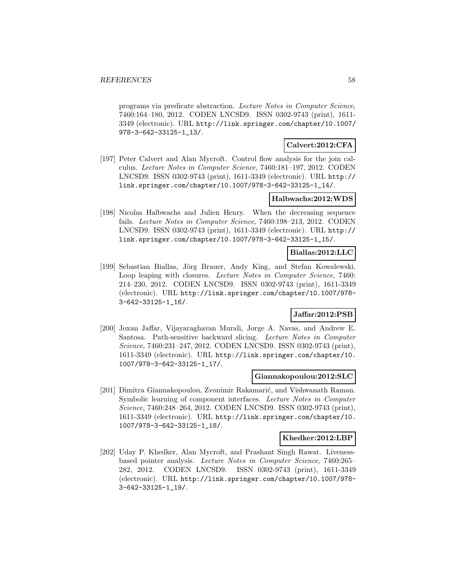programs via predicate abstraction. Lecture Notes in Computer Science, 7460:164–180, 2012. CODEN LNCSD9. ISSN 0302-9743 (print), 1611- 3349 (electronic). URL http://link.springer.com/chapter/10.1007/ 978-3-642-33125-1\_13/.

#### **Calvert:2012:CFA**

[197] Peter Calvert and Alan Mycroft. Control flow analysis for the join calculus. Lecture Notes in Computer Science, 7460:181–197, 2012. CODEN LNCSD9. ISSN 0302-9743 (print), 1611-3349 (electronic). URL http:// link.springer.com/chapter/10.1007/978-3-642-33125-1\_14/.

## **Halbwachs:2012:WDS**

[198] Nicolas Halbwachs and Julien Henry. When the decreasing sequence fails. Lecture Notes in Computer Science, 7460:198–213, 2012. CODEN LNCSD9. ISSN 0302-9743 (print), 1611-3349 (electronic). URL http:// link.springer.com/chapter/10.1007/978-3-642-33125-1\_15/.

### **Biallas:2012:LLC**

[199] Sebastian Biallas, Jörg Brauer, Andy King, and Stefan Kowalewski. Loop leaping with closures. *Lecture Notes in Computer Science*, 7460: 214–230, 2012. CODEN LNCSD9. ISSN 0302-9743 (print), 1611-3349 (electronic). URL http://link.springer.com/chapter/10.1007/978- 3-642-33125-1\_16/.

## **Jaffar:2012:PSB**

[200] Joxan Jaffar, Vijayaraghavan Murali, Jorge A. Navas, and Andrew E. Santosa. Path-sensitive backward slicing. Lecture Notes in Computer Science, 7460:231–247, 2012. CODEN LNCSD9. ISSN 0302-9743 (print), 1611-3349 (electronic). URL http://link.springer.com/chapter/10. 1007/978-3-642-33125-1\_17/.

#### **Giannakopoulou:2012:SLC**

[201] Dimitra Giannakopoulou, Zvonimir Rakamarić, and Vishwanath Raman. Symbolic learning of component interfaces. Lecture Notes in Computer Science, 7460:248–264, 2012. CODEN LNCSD9. ISSN 0302-9743 (print), 1611-3349 (electronic). URL http://link.springer.com/chapter/10. 1007/978-3-642-33125-1\_18/.

#### **Khedker:2012:LBP**

[202] Uday P. Khedker, Alan Mycroft, and Prashant Singh Rawat. Livenessbased pointer analysis. Lecture Notes in Computer Science, 7460:265– 282, 2012. CODEN LNCSD9. ISSN 0302-9743 (print), 1611-3349 (electronic). URL http://link.springer.com/chapter/10.1007/978- 3-642-33125-1\_19/.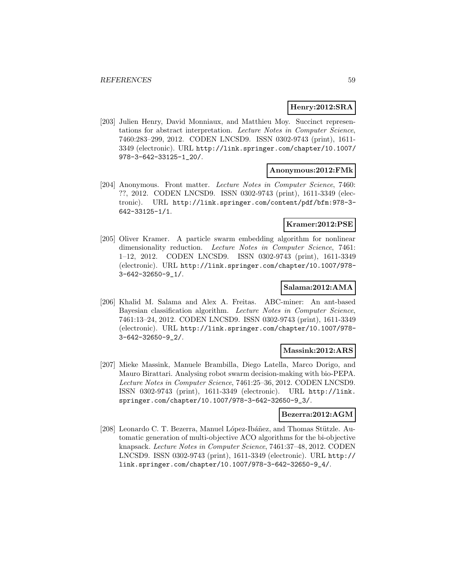### **Henry:2012:SRA**

[203] Julien Henry, David Monniaux, and Matthieu Moy. Succinct representations for abstract interpretation. Lecture Notes in Computer Science, 7460:283–299, 2012. CODEN LNCSD9. ISSN 0302-9743 (print), 1611- 3349 (electronic). URL http://link.springer.com/chapter/10.1007/ 978-3-642-33125-1\_20/.

#### **Anonymous:2012:FMk**

[204] Anonymous. Front matter. Lecture Notes in Computer Science, 7460: ??, 2012. CODEN LNCSD9. ISSN 0302-9743 (print), 1611-3349 (electronic). URL http://link.springer.com/content/pdf/bfm:978-3- 642-33125-1/1.

#### **Kramer:2012:PSE**

[205] Oliver Kramer. A particle swarm embedding algorithm for nonlinear dimensionality reduction. Lecture Notes in Computer Science, 7461: 1–12, 2012. CODEN LNCSD9. ISSN 0302-9743 (print), 1611-3349 (electronic). URL http://link.springer.com/chapter/10.1007/978- 3-642-32650-9\_1/.

#### **Salama:2012:AMA**

[206] Khalid M. Salama and Alex A. Freitas. ABC-miner: An ant-based Bayesian classification algorithm. Lecture Notes in Computer Science, 7461:13–24, 2012. CODEN LNCSD9. ISSN 0302-9743 (print), 1611-3349 (electronic). URL http://link.springer.com/chapter/10.1007/978- 3-642-32650-9\_2/.

#### **Massink:2012:ARS**

[207] Mieke Massink, Manuele Brambilla, Diego Latella, Marco Dorigo, and Mauro Birattari. Analysing robot swarm decision-making with bio-PEPA. Lecture Notes in Computer Science, 7461:25–36, 2012. CODEN LNCSD9. ISSN 0302-9743 (print), 1611-3349 (electronic). URL http://link. springer.com/chapter/10.1007/978-3-642-32650-9\_3/.

#### **Bezerra:2012:AGM**

[208] Leonardo C. T. Bezerra, Manuel López-Ibáñez, and Thomas Stützle. Automatic generation of multi-objective ACO algorithms for the bi-objective knapsack. Lecture Notes in Computer Science, 7461:37–48, 2012. CODEN LNCSD9. ISSN 0302-9743 (print), 1611-3349 (electronic). URL http:// link.springer.com/chapter/10.1007/978-3-642-32650-9\_4/.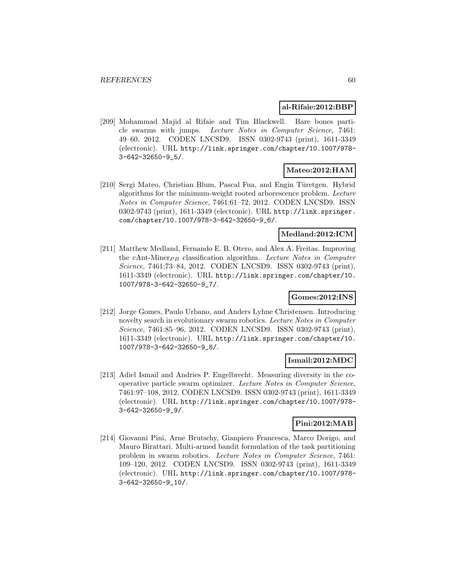#### **al-Rifaie:2012:BBP**

[209] Mohammad Majid al Rifaie and Tim Blackwell. Bare bones particle swarms with jumps. Lecture Notes in Computer Science, 7461: 49–60, 2012. CODEN LNCSD9. ISSN 0302-9743 (print), 1611-3349 (electronic). URL http://link.springer.com/chapter/10.1007/978- 3-642-32650-9\_5/.

## **Mateo:2012:HAM**

[210] Sergi Mateo, Christian Blum, Pascal Fua, and Engin Türetgen. Hybrid algorithms for the minimum-weight rooted arborescence problem. Lecture Notes in Computer Science, 7461:61–72, 2012. CODEN LNCSD9. ISSN 0302-9743 (print), 1611-3349 (electronic). URL http://link.springer. com/chapter/10.1007/978-3-642-32650-9\_6/.

### **Medland:2012:ICM**

[211] Matthew Medland, Fernando E. B. Otero, and Alex A. Freitas. Improving the cAnt-Miner $_{PB}$  classification algorithm. Lecture Notes in Computer Science, 7461:73–84, 2012. CODEN LNCSD9. ISSN 0302-9743 (print), 1611-3349 (electronic). URL http://link.springer.com/chapter/10. 1007/978-3-642-32650-9\_7/.

### **Gomes:2012:INS**

[212] Jorge Gomes, Paulo Urbano, and Anders Lyhne Christensen. Introducing novelty search in evolutionary swarm robotics. Lecture Notes in Computer Science, 7461:85–96, 2012. CODEN LNCSD9. ISSN 0302-9743 (print), 1611-3349 (electronic). URL http://link.springer.com/chapter/10. 1007/978-3-642-32650-9\_8/.

## **Ismail:2012:MDC**

[213] Adiel Ismail and Andries P. Engelbrecht. Measuring diversity in the cooperative particle swarm optimizer. Lecture Notes in Computer Science, 7461:97–108, 2012. CODEN LNCSD9. ISSN 0302-9743 (print), 1611-3349 (electronic). URL http://link.springer.com/chapter/10.1007/978- 3-642-32650-9\_9/.

## **Pini:2012:MAB**

[214] Giovanni Pini, Arne Brutschy, Gianpiero Francesca, Marco Dorigo, and Mauro Birattari. Multi-armed bandit formulation of the task partitioning problem in swarm robotics. Lecture Notes in Computer Science, 7461: 109–120, 2012. CODEN LNCSD9. ISSN 0302-9743 (print), 1611-3349 (electronic). URL http://link.springer.com/chapter/10.1007/978- 3-642-32650-9\_10/.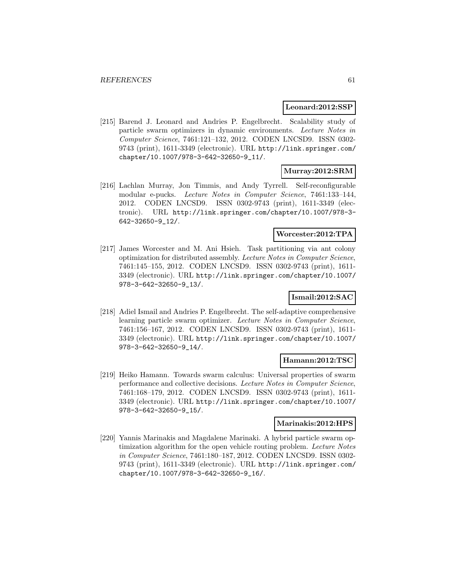#### **Leonard:2012:SSP**

[215] Barend J. Leonard and Andries P. Engelbrecht. Scalability study of particle swarm optimizers in dynamic environments. Lecture Notes in Computer Science, 7461:121–132, 2012. CODEN LNCSD9. ISSN 0302- 9743 (print), 1611-3349 (electronic). URL http://link.springer.com/ chapter/10.1007/978-3-642-32650-9\_11/.

## **Murray:2012:SRM**

[216] Lachlan Murray, Jon Timmis, and Andy Tyrrell. Self-reconfigurable modular e-pucks. Lecture Notes in Computer Science, 7461:133–144, 2012. CODEN LNCSD9. ISSN 0302-9743 (print), 1611-3349 (electronic). URL http://link.springer.com/chapter/10.1007/978-3- 642-32650-9\_12/.

#### **Worcester:2012:TPA**

[217] James Worcester and M. Ani Hsieh. Task partitioning via ant colony optimization for distributed assembly. Lecture Notes in Computer Science, 7461:145–155, 2012. CODEN LNCSD9. ISSN 0302-9743 (print), 1611- 3349 (electronic). URL http://link.springer.com/chapter/10.1007/ 978-3-642-32650-9\_13/.

### **Ismail:2012:SAC**

[218] Adiel Ismail and Andries P. Engelbrecht. The self-adaptive comprehensive learning particle swarm optimizer. Lecture Notes in Computer Science, 7461:156–167, 2012. CODEN LNCSD9. ISSN 0302-9743 (print), 1611- 3349 (electronic). URL http://link.springer.com/chapter/10.1007/ 978-3-642-32650-9\_14/.

#### **Hamann:2012:TSC**

[219] Heiko Hamann. Towards swarm calculus: Universal properties of swarm performance and collective decisions. Lecture Notes in Computer Science, 7461:168–179, 2012. CODEN LNCSD9. ISSN 0302-9743 (print), 1611- 3349 (electronic). URL http://link.springer.com/chapter/10.1007/ 978-3-642-32650-9\_15/.

#### **Marinakis:2012:HPS**

[220] Yannis Marinakis and Magdalene Marinaki. A hybrid particle swarm optimization algorithm for the open vehicle routing problem. Lecture Notes in Computer Science, 7461:180–187, 2012. CODEN LNCSD9. ISSN 0302- 9743 (print), 1611-3349 (electronic). URL http://link.springer.com/ chapter/10.1007/978-3-642-32650-9\_16/.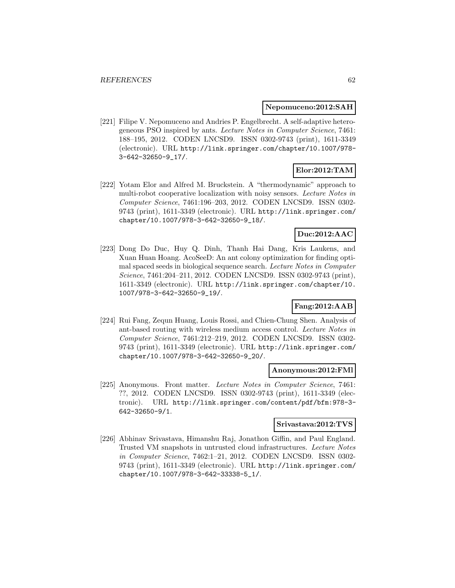#### **Nepomuceno:2012:SAH**

[221] Filipe V. Nepomuceno and Andries P. Engelbrecht. A self-adaptive heterogeneous PSO inspired by ants. Lecture Notes in Computer Science, 7461: 188–195, 2012. CODEN LNCSD9. ISSN 0302-9743 (print), 1611-3349 (electronic). URL http://link.springer.com/chapter/10.1007/978- 3-642-32650-9\_17/.

### **Elor:2012:TAM**

[222] Yotam Elor and Alfred M. Bruckstein. A "thermodynamic" approach to multi-robot cooperative localization with noisy sensors. Lecture Notes in Computer Science, 7461:196–203, 2012. CODEN LNCSD9. ISSN 0302- 9743 (print), 1611-3349 (electronic). URL http://link.springer.com/ chapter/10.1007/978-3-642-32650-9\_18/.

## **Duc:2012:AAC**

[223] Dong Do Duc, Huy Q. Dinh, Thanh Hai Dang, Kris Laukens, and Xuan Huan Hoang. AcoSeeD: An ant colony optimization for finding optimal spaced seeds in biological sequence search. Lecture Notes in Computer Science, 7461:204–211, 2012. CODEN LNCSD9. ISSN 0302-9743 (print), 1611-3349 (electronic). URL http://link.springer.com/chapter/10. 1007/978-3-642-32650-9\_19/.

## **Fang:2012:AAB**

[224] Rui Fang, Zequn Huang, Louis Rossi, and Chien-Chung Shen. Analysis of ant-based routing with wireless medium access control. Lecture Notes in Computer Science, 7461:212–219, 2012. CODEN LNCSD9. ISSN 0302- 9743 (print), 1611-3349 (electronic). URL http://link.springer.com/ chapter/10.1007/978-3-642-32650-9\_20/.

#### **Anonymous:2012:FMl**

[225] Anonymous. Front matter. Lecture Notes in Computer Science, 7461: ??, 2012. CODEN LNCSD9. ISSN 0302-9743 (print), 1611-3349 (electronic). URL http://link.springer.com/content/pdf/bfm:978-3- 642-32650-9/1.

#### **Srivastava:2012:TVS**

[226] Abhinav Srivastava, Himanshu Raj, Jonathon Giffin, and Paul England. Trusted VM snapshots in untrusted cloud infrastructures. Lecture Notes in Computer Science, 7462:1–21, 2012. CODEN LNCSD9. ISSN 0302- 9743 (print), 1611-3349 (electronic). URL http://link.springer.com/ chapter/10.1007/978-3-642-33338-5\_1/.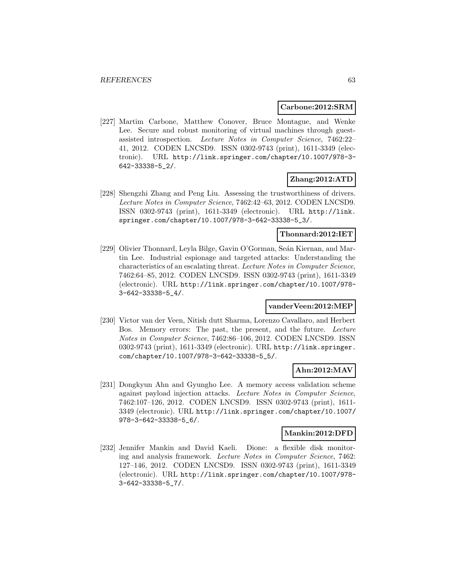#### **Carbone:2012:SRM**

[227] Martim Carbone, Matthew Conover, Bruce Montague, and Wenke Lee. Secure and robust monitoring of virtual machines through guestassisted introspection. Lecture Notes in Computer Science, 7462:22– 41, 2012. CODEN LNCSD9. ISSN 0302-9743 (print), 1611-3349 (electronic). URL http://link.springer.com/chapter/10.1007/978-3- 642-33338-5\_2/.

## **Zhang:2012:ATD**

[228] Shengzhi Zhang and Peng Liu. Assessing the trustworthiness of drivers. Lecture Notes in Computer Science, 7462:42–63, 2012. CODEN LNCSD9. ISSN 0302-9743 (print), 1611-3349 (electronic). URL http://link. springer.com/chapter/10.1007/978-3-642-33338-5\_3/.

## **Thonnard:2012:IET**

[229] Olivier Thonnard, Leyla Bilge, Gavin O'Gorman, Seán Kiernan, and Martin Lee. Industrial espionage and targeted attacks: Understanding the characteristics of an escalating threat. Lecture Notes in Computer Science, 7462:64–85, 2012. CODEN LNCSD9. ISSN 0302-9743 (print), 1611-3349 (electronic). URL http://link.springer.com/chapter/10.1007/978- 3-642-33338-5\_4/.

### **vanderVeen:2012:MEP**

[230] Victor van der Veen, Nitish dutt Sharma, Lorenzo Cavallaro, and Herbert Bos. Memory errors: The past, the present, and the future. Lecture Notes in Computer Science, 7462:86–106, 2012. CODEN LNCSD9. ISSN 0302-9743 (print), 1611-3349 (electronic). URL http://link.springer. com/chapter/10.1007/978-3-642-33338-5\_5/.

## **Ahn:2012:MAV**

[231] Dongkyun Ahn and Gyungho Lee. A memory access validation scheme against payload injection attacks. Lecture Notes in Computer Science, 7462:107–126, 2012. CODEN LNCSD9. ISSN 0302-9743 (print), 1611- 3349 (electronic). URL http://link.springer.com/chapter/10.1007/ 978-3-642-33338-5\_6/.

#### **Mankin:2012:DFD**

[232] Jennifer Mankin and David Kaeli. Dione: a flexible disk monitoring and analysis framework. Lecture Notes in Computer Science, 7462: 127–146, 2012. CODEN LNCSD9. ISSN 0302-9743 (print), 1611-3349 (electronic). URL http://link.springer.com/chapter/10.1007/978- 3-642-33338-5\_7/.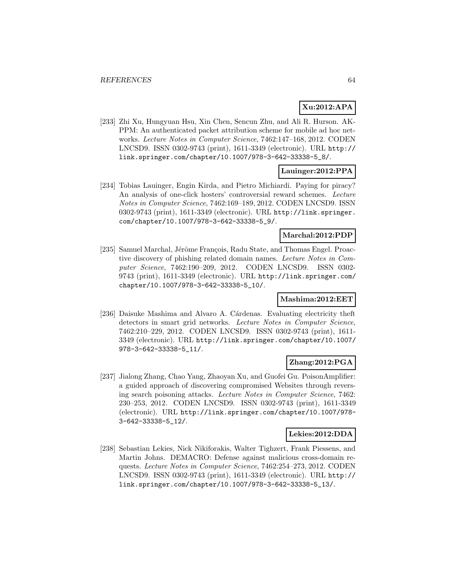## **Xu:2012:APA**

[233] Zhi Xu, Hungyuan Hsu, Xin Chen, Sencun Zhu, and Ali R. Hurson. AK-PPM: An authenticated packet attribution scheme for mobile ad hoc networks. Lecture Notes in Computer Science, 7462:147–168, 2012. CODEN LNCSD9. ISSN 0302-9743 (print), 1611-3349 (electronic). URL http:// link.springer.com/chapter/10.1007/978-3-642-33338-5\_8/.

## **Lauinger:2012:PPA**

[234] Tobias Lauinger, Engin Kirda, and Pietro Michiardi. Paying for piracy? An analysis of one-click hosters' controversial reward schemes. Lecture Notes in Computer Science, 7462:169–189, 2012. CODEN LNCSD9. ISSN 0302-9743 (print), 1611-3349 (electronic). URL http://link.springer. com/chapter/10.1007/978-3-642-33338-5\_9/.

## **Marchal:2012:PDP**

[235] Samuel Marchal, Jérôme François, Radu State, and Thomas Engel. Proactive discovery of phishing related domain names. Lecture Notes in Computer Science, 7462:190–209, 2012. CODEN LNCSD9. ISSN 0302- 9743 (print), 1611-3349 (electronic). URL http://link.springer.com/ chapter/10.1007/978-3-642-33338-5\_10/.

## **Mashima:2012:EET**

[236] Daisuke Mashima and Alvaro A. Cárdenas. Evaluating electricity theft detectors in smart grid networks. Lecture Notes in Computer Science, 7462:210–229, 2012. CODEN LNCSD9. ISSN 0302-9743 (print), 1611- 3349 (electronic). URL http://link.springer.com/chapter/10.1007/ 978-3-642-33338-5\_11/.

## **Zhang:2012:PGA**

[237] Jialong Zhang, Chao Yang, Zhaoyan Xu, and Guofei Gu. PoisonAmplifier: a guided approach of discovering compromised Websites through reversing search poisoning attacks. Lecture Notes in Computer Science, 7462: 230–253, 2012. CODEN LNCSD9. ISSN 0302-9743 (print), 1611-3349 (electronic). URL http://link.springer.com/chapter/10.1007/978- 3-642-33338-5\_12/.

#### **Lekies:2012:DDA**

[238] Sebastian Lekies, Nick Nikiforakis, Walter Tighzert, Frank Piessens, and Martin Johns. DEMACRO: Defense against malicious cross-domain requests. Lecture Notes in Computer Science, 7462:254–273, 2012. CODEN LNCSD9. ISSN 0302-9743 (print), 1611-3349 (electronic). URL http:// link.springer.com/chapter/10.1007/978-3-642-33338-5\_13/.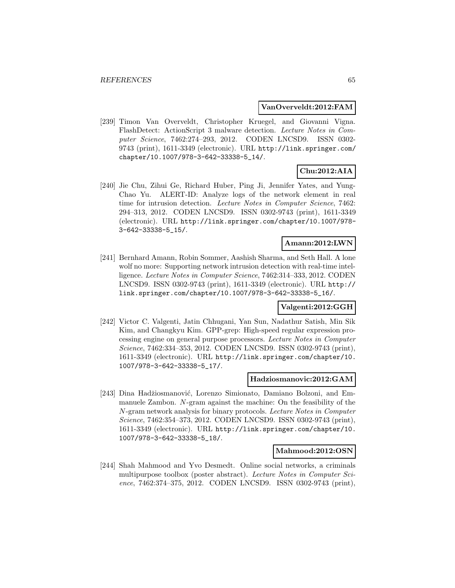#### **VanOverveldt:2012:FAM**

[239] Timon Van Overveldt, Christopher Kruegel, and Giovanni Vigna. FlashDetect: ActionScript 3 malware detection. Lecture Notes in Computer Science, 7462:274–293, 2012. CODEN LNCSD9. ISSN 0302- 9743 (print), 1611-3349 (electronic). URL http://link.springer.com/ chapter/10.1007/978-3-642-33338-5\_14/.

## **Chu:2012:AIA**

[240] Jie Chu, Zihui Ge, Richard Huber, Ping Ji, Jennifer Yates, and Yung-Chao Yu. ALERT-ID: Analyze logs of the network element in real time for intrusion detection. Lecture Notes in Computer Science, 7462: 294–313, 2012. CODEN LNCSD9. ISSN 0302-9743 (print), 1611-3349 (electronic). URL http://link.springer.com/chapter/10.1007/978- 3-642-33338-5\_15/.

## **Amann:2012:LWN**

[241] Bernhard Amann, Robin Sommer, Aashish Sharma, and Seth Hall. A lone wolf no more: Supporting network intrusion detection with real-time intelligence. Lecture Notes in Computer Science, 7462:314–333, 2012. CODEN LNCSD9. ISSN 0302-9743 (print), 1611-3349 (electronic). URL http:// link.springer.com/chapter/10.1007/978-3-642-33338-5\_16/.

#### **Valgenti:2012:GGH**

[242] Victor C. Valgenti, Jatin Chhugani, Yan Sun, Nadathur Satish, Min Sik Kim, and Changkyu Kim. GPP-grep: High-speed regular expression processing engine on general purpose processors. Lecture Notes in Computer Science, 7462:334–353, 2012. CODEN LNCSD9. ISSN 0302-9743 (print), 1611-3349 (electronic). URL http://link.springer.com/chapter/10. 1007/978-3-642-33338-5\_17/.

#### **Hadziosmanovic:2012:GAM**

[243] Dina Hadžiosmanović, Lorenzo Simionato, Damiano Bolzoni, and Emmanuele Zambon. N-gram against the machine: On the feasibility of the N-gram network analysis for binary protocols. Lecture Notes in Computer Science, 7462:354–373, 2012. CODEN LNCSD9. ISSN 0302-9743 (print), 1611-3349 (electronic). URL http://link.springer.com/chapter/10. 1007/978-3-642-33338-5\_18/.

#### **Mahmood:2012:OSN**

[244] Shah Mahmood and Yvo Desmedt. Online social networks, a criminals multipurpose toolbox (poster abstract). Lecture Notes in Computer Science, 7462:374–375, 2012. CODEN LNCSD9. ISSN 0302-9743 (print),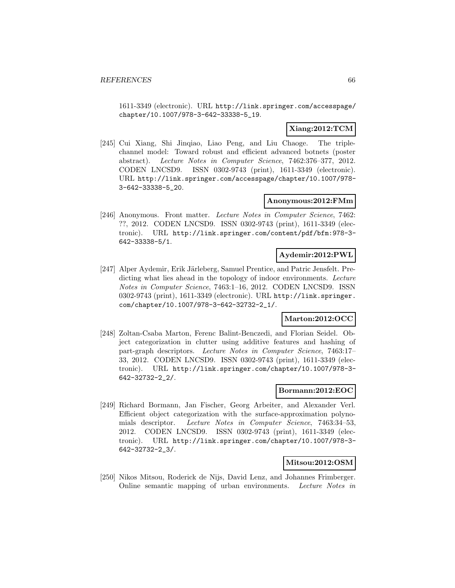1611-3349 (electronic). URL http://link.springer.com/accesspage/ chapter/10.1007/978-3-642-33338-5\_19.

## **Xiang:2012:TCM**

[245] Cui Xiang, Shi Jinqiao, Liao Peng, and Liu Chaoge. The triplechannel model: Toward robust and efficient advanced botnets (poster abstract). Lecture Notes in Computer Science, 7462:376–377, 2012. CODEN LNCSD9. ISSN 0302-9743 (print), 1611-3349 (electronic). URL http://link.springer.com/accesspage/chapter/10.1007/978- 3-642-33338-5\_20.

### **Anonymous:2012:FMm**

[246] Anonymous. Front matter. Lecture Notes in Computer Science, 7462: ??, 2012. CODEN LNCSD9. ISSN 0302-9743 (print), 1611-3349 (electronic). URL http://link.springer.com/content/pdf/bfm:978-3- 642-33338-5/1.

#### **Aydemir:2012:PWL**

[247] Alper Aydemir, Erik Järleberg, Samuel Prentice, and Patric Jensfelt. Predicting what lies ahead in the topology of indoor environments. Lecture Notes in Computer Science, 7463:1–16, 2012. CODEN LNCSD9. ISSN 0302-9743 (print), 1611-3349 (electronic). URL http://link.springer. com/chapter/10.1007/978-3-642-32732-2\_1/.

## **Marton:2012:OCC**

[248] Zoltan-Csaba Marton, Ferenc Balint-Benczedi, and Florian Seidel. Object categorization in clutter using additive features and hashing of part-graph descriptors. Lecture Notes in Computer Science, 7463:17– 33, 2012. CODEN LNCSD9. ISSN 0302-9743 (print), 1611-3349 (electronic). URL http://link.springer.com/chapter/10.1007/978-3- 642-32732-2\_2/.

### **Bormann:2012:EOC**

[249] Richard Bormann, Jan Fischer, Georg Arbeiter, and Alexander Verl. Efficient object categorization with the surface-approximation polynomials descriptor. Lecture Notes in Computer Science, 7463:34–53, 2012. CODEN LNCSD9. ISSN 0302-9743 (print), 1611-3349 (electronic). URL http://link.springer.com/chapter/10.1007/978-3- 642-32732-2\_3/.

#### **Mitsou:2012:OSM**

[250] Nikos Mitsou, Roderick de Nijs, David Lenz, and Johannes Frimberger. Online semantic mapping of urban environments. Lecture Notes in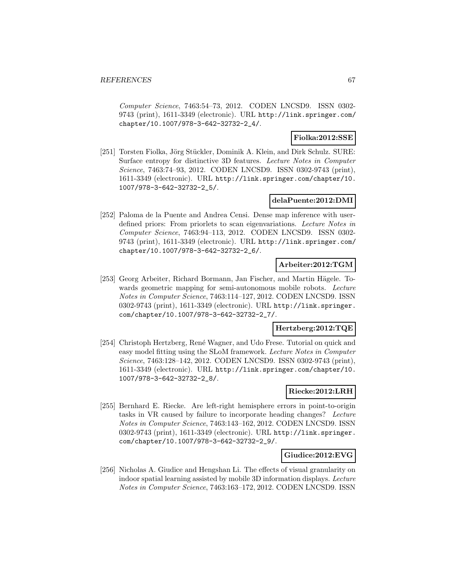Computer Science, 7463:54–73, 2012. CODEN LNCSD9. ISSN 0302- 9743 (print), 1611-3349 (electronic). URL http://link.springer.com/ chapter/10.1007/978-3-642-32732-2\_4/.

## **Fiolka:2012:SSE**

[251] Torsten Fiolka, Jörg Stückler, Dominik A. Klein, and Dirk Schulz. SURE: Surface entropy for distinctive 3D features. Lecture Notes in Computer Science, 7463:74–93, 2012. CODEN LNCSD9. ISSN 0302-9743 (print), 1611-3349 (electronic). URL http://link.springer.com/chapter/10. 1007/978-3-642-32732-2\_5/.

## **delaPuente:2012:DMI**

[252] Paloma de la Puente and Andrea Censi. Dense map inference with userdefined priors: From priorlets to scan eigenvariations. Lecture Notes in Computer Science, 7463:94–113, 2012. CODEN LNCSD9. ISSN 0302- 9743 (print), 1611-3349 (electronic). URL http://link.springer.com/ chapter/10.1007/978-3-642-32732-2\_6/.

## **Arbeiter:2012:TGM**

[253] Georg Arbeiter, Richard Bormann, Jan Fischer, and Martin Hägele. Towards geometric mapping for semi-autonomous mobile robots. Lecture Notes in Computer Science, 7463:114–127, 2012. CODEN LNCSD9. ISSN 0302-9743 (print), 1611-3349 (electronic). URL http://link.springer. com/chapter/10.1007/978-3-642-32732-2\_7/.

#### **Hertzberg:2012:TQE**

[254] Christoph Hertzberg, Ren´e Wagner, and Udo Frese. Tutorial on quick and easy model fitting using the SLoM framework. Lecture Notes in Computer Science, 7463:128–142, 2012. CODEN LNCSD9. ISSN 0302-9743 (print), 1611-3349 (electronic). URL http://link.springer.com/chapter/10. 1007/978-3-642-32732-2\_8/.

## **Riecke:2012:LRH**

[255] Bernhard E. Riecke. Are left-right hemisphere errors in point-to-origin tasks in VR caused by failure to incorporate heading changes? Lecture Notes in Computer Science, 7463:143–162, 2012. CODEN LNCSD9. ISSN 0302-9743 (print), 1611-3349 (electronic). URL http://link.springer. com/chapter/10.1007/978-3-642-32732-2\_9/.

### **Giudice:2012:EVG**

[256] Nicholas A. Giudice and Hengshan Li. The effects of visual granularity on indoor spatial learning assisted by mobile 3D information displays. Lecture Notes in Computer Science, 7463:163–172, 2012. CODEN LNCSD9. ISSN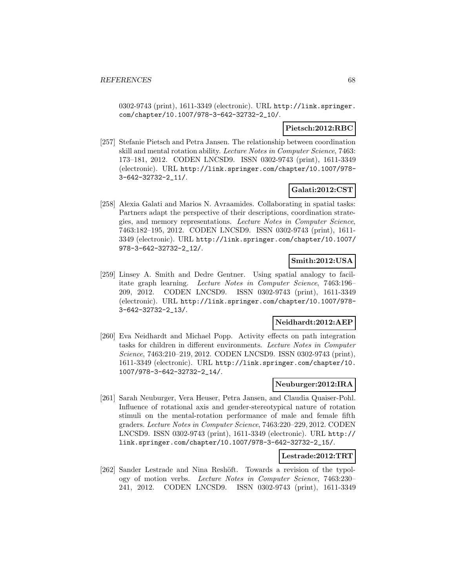0302-9743 (print), 1611-3349 (electronic). URL http://link.springer. com/chapter/10.1007/978-3-642-32732-2\_10/.

#### **Pietsch:2012:RBC**

[257] Stefanie Pietsch and Petra Jansen. The relationship between coordination skill and mental rotation ability. Lecture Notes in Computer Science, 7463: 173–181, 2012. CODEN LNCSD9. ISSN 0302-9743 (print), 1611-3349 (electronic). URL http://link.springer.com/chapter/10.1007/978- 3-642-32732-2\_11/.

## **Galati:2012:CST**

[258] Alexia Galati and Marios N. Avraamides. Collaborating in spatial tasks: Partners adapt the perspective of their descriptions, coordination strategies, and memory representations. Lecture Notes in Computer Science, 7463:182–195, 2012. CODEN LNCSD9. ISSN 0302-9743 (print), 1611- 3349 (electronic). URL http://link.springer.com/chapter/10.1007/ 978-3-642-32732-2\_12/.

## **Smith:2012:USA**

[259] Linsey A. Smith and Dedre Gentner. Using spatial analogy to facilitate graph learning. Lecture Notes in Computer Science, 7463:196– 209, 2012. CODEN LNCSD9. ISSN 0302-9743 (print), 1611-3349 (electronic). URL http://link.springer.com/chapter/10.1007/978- 3-642-32732-2\_13/.

## **Neidhardt:2012:AEP**

[260] Eva Neidhardt and Michael Popp. Activity effects on path integration tasks for children in different environments. Lecture Notes in Computer Science, 7463:210–219, 2012. CODEN LNCSD9. ISSN 0302-9743 (print), 1611-3349 (electronic). URL http://link.springer.com/chapter/10. 1007/978-3-642-32732-2\_14/.

#### **Neuburger:2012:IRA**

[261] Sarah Neuburger, Vera Heuser, Petra Jansen, and Claudia Quaiser-Pohl. Influence of rotational axis and gender-stereotypical nature of rotation stimuli on the mental-rotation performance of male and female fifth graders. Lecture Notes in Computer Science, 7463:220–229, 2012. CODEN LNCSD9. ISSN 0302-9743 (print), 1611-3349 (electronic). URL http:// link.springer.com/chapter/10.1007/978-3-642-32732-2\_15/.

#### **Lestrade:2012:TRT**

[262] Sander Lestrade and Nina Reshöft. Towards a revision of the typology of motion verbs. Lecture Notes in Computer Science, 7463:230– 241, 2012. CODEN LNCSD9. ISSN 0302-9743 (print), 1611-3349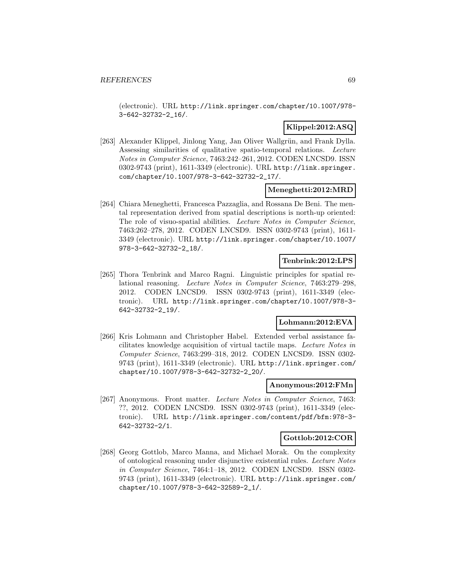(electronic). URL http://link.springer.com/chapter/10.1007/978- 3-642-32732-2\_16/.

## **Klippel:2012:ASQ**

[263] Alexander Klippel, Jinlong Yang, Jan Oliver Wallgrün, and Frank Dylla. Assessing similarities of qualitative spatio-temporal relations. Lecture Notes in Computer Science, 7463:242–261, 2012. CODEN LNCSD9. ISSN 0302-9743 (print), 1611-3349 (electronic). URL http://link.springer. com/chapter/10.1007/978-3-642-32732-2\_17/.

## **Meneghetti:2012:MRD**

[264] Chiara Meneghetti, Francesca Pazzaglia, and Rossana De Beni. The mental representation derived from spatial descriptions is north-up oriented: The role of visuo-spatial abilities. Lecture Notes in Computer Science, 7463:262–278, 2012. CODEN LNCSD9. ISSN 0302-9743 (print), 1611- 3349 (electronic). URL http://link.springer.com/chapter/10.1007/ 978-3-642-32732-2\_18/.

## **Tenbrink:2012:LPS**

[265] Thora Tenbrink and Marco Ragni. Linguistic principles for spatial relational reasoning. Lecture Notes in Computer Science, 7463:279–298, 2012. CODEN LNCSD9. ISSN 0302-9743 (print), 1611-3349 (electronic). URL http://link.springer.com/chapter/10.1007/978-3- 642-32732-2\_19/.

## **Lohmann:2012:EVA**

[266] Kris Lohmann and Christopher Habel. Extended verbal assistance facilitates knowledge acquisition of virtual tactile maps. Lecture Notes in Computer Science, 7463:299–318, 2012. CODEN LNCSD9. ISSN 0302- 9743 (print), 1611-3349 (electronic). URL http://link.springer.com/ chapter/10.1007/978-3-642-32732-2\_20/.

#### **Anonymous:2012:FMn**

[267] Anonymous. Front matter. Lecture Notes in Computer Science, 7463: ??, 2012. CODEN LNCSD9. ISSN 0302-9743 (print), 1611-3349 (electronic). URL http://link.springer.com/content/pdf/bfm:978-3- 642-32732-2/1.

#### **Gottlob:2012:COR**

[268] Georg Gottlob, Marco Manna, and Michael Morak. On the complexity of ontological reasoning under disjunctive existential rules. Lecture Notes in Computer Science, 7464:1–18, 2012. CODEN LNCSD9. ISSN 0302- 9743 (print), 1611-3349 (electronic). URL http://link.springer.com/ chapter/10.1007/978-3-642-32589-2\_1/.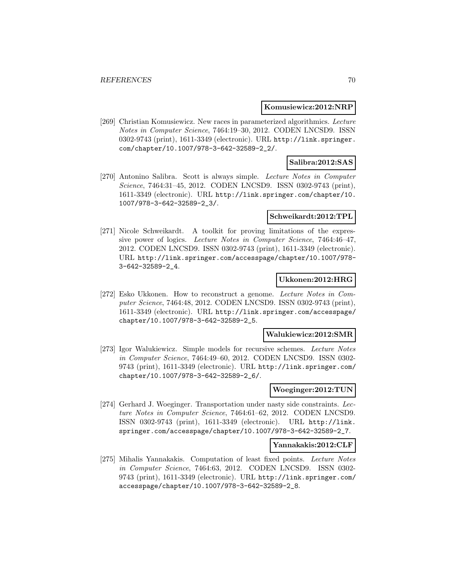#### **Komusiewicz:2012:NRP**

[269] Christian Komusiewicz. New races in parameterized algorithmics. Lecture Notes in Computer Science, 7464:19–30, 2012. CODEN LNCSD9. ISSN 0302-9743 (print), 1611-3349 (electronic). URL http://link.springer. com/chapter/10.1007/978-3-642-32589-2\_2/.

### **Salibra:2012:SAS**

[270] Antonino Salibra. Scott is always simple. Lecture Notes in Computer Science, 7464:31–45, 2012. CODEN LNCSD9. ISSN 0302-9743 (print), 1611-3349 (electronic). URL http://link.springer.com/chapter/10. 1007/978-3-642-32589-2\_3/.

#### **Schweikardt:2012:TPL**

[271] Nicole Schweikardt. A toolkit for proving limitations of the expressive power of logics. Lecture Notes in Computer Science, 7464:46–47, 2012. CODEN LNCSD9. ISSN 0302-9743 (print), 1611-3349 (electronic). URL http://link.springer.com/accesspage/chapter/10.1007/978- 3-642-32589-2\_4.

#### **Ukkonen:2012:HRG**

[272] Esko Ukkonen. How to reconstruct a genome. Lecture Notes in Computer Science, 7464:48, 2012. CODEN LNCSD9. ISSN 0302-9743 (print), 1611-3349 (electronic). URL http://link.springer.com/accesspage/ chapter/10.1007/978-3-642-32589-2\_5.

#### **Walukiewicz:2012:SMR**

[273] Igor Walukiewicz. Simple models for recursive schemes. Lecture Notes in Computer Science, 7464:49–60, 2012. CODEN LNCSD9. ISSN 0302- 9743 (print), 1611-3349 (electronic). URL http://link.springer.com/ chapter/10.1007/978-3-642-32589-2\_6/.

#### **Woeginger:2012:TUN**

[274] Gerhard J. Woeginger. Transportation under nasty side constraints. Lecture Notes in Computer Science, 7464:61–62, 2012. CODEN LNCSD9. ISSN 0302-9743 (print), 1611-3349 (electronic). URL http://link. springer.com/accesspage/chapter/10.1007/978-3-642-32589-2\_7.

#### **Yannakakis:2012:CLF**

[275] Mihalis Yannakakis. Computation of least fixed points. Lecture Notes in Computer Science, 7464:63, 2012. CODEN LNCSD9. ISSN 0302- 9743 (print), 1611-3349 (electronic). URL http://link.springer.com/ accesspage/chapter/10.1007/978-3-642-32589-2\_8.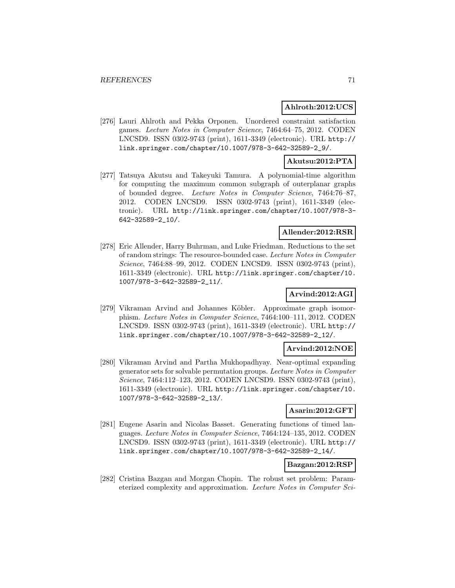## **Ahlroth:2012:UCS**

[276] Lauri Ahlroth and Pekka Orponen. Unordered constraint satisfaction games. Lecture Notes in Computer Science, 7464:64–75, 2012. CODEN LNCSD9. ISSN 0302-9743 (print), 1611-3349 (electronic). URL http:// link.springer.com/chapter/10.1007/978-3-642-32589-2\_9/.

### **Akutsu:2012:PTA**

[277] Tatsuya Akutsu and Takeyuki Tamura. A polynomial-time algorithm for computing the maximum common subgraph of outerplanar graphs of bounded degree. Lecture Notes in Computer Science, 7464:76–87, 2012. CODEN LNCSD9. ISSN 0302-9743 (print), 1611-3349 (electronic). URL http://link.springer.com/chapter/10.1007/978-3- 642-32589-2\_10/.

## **Allender:2012:RSR**

[278] Eric Allender, Harry Buhrman, and Luke Friedman. Reductions to the set of random strings: The resource-bounded case. Lecture Notes in Computer Science, 7464:88–99, 2012. CODEN LNCSD9. ISSN 0302-9743 (print), 1611-3349 (electronic). URL http://link.springer.com/chapter/10. 1007/978-3-642-32589-2\_11/.

## **Arvind:2012:AGI**

[279] Vikraman Arvind and Johannes Köbler. Approximate graph isomorphism. Lecture Notes in Computer Science, 7464:100–111, 2012. CODEN LNCSD9. ISSN 0302-9743 (print), 1611-3349 (electronic). URL http:// link.springer.com/chapter/10.1007/978-3-642-32589-2\_12/.

#### **Arvind:2012:NOE**

[280] Vikraman Arvind and Partha Mukhopadhyay. Near-optimal expanding generator sets for solvable permutation groups. Lecture Notes in Computer Science, 7464:112–123, 2012. CODEN LNCSD9. ISSN 0302-9743 (print), 1611-3349 (electronic). URL http://link.springer.com/chapter/10. 1007/978-3-642-32589-2\_13/.

## **Asarin:2012:GFT**

[281] Eugene Asarin and Nicolas Basset. Generating functions of timed languages. Lecture Notes in Computer Science, 7464:124–135, 2012. CODEN LNCSD9. ISSN 0302-9743 (print), 1611-3349 (electronic). URL http:// link.springer.com/chapter/10.1007/978-3-642-32589-2\_14/.

## **Bazgan:2012:RSP**

[282] Cristina Bazgan and Morgan Chopin. The robust set problem: Parameterized complexity and approximation. Lecture Notes in Computer Sci-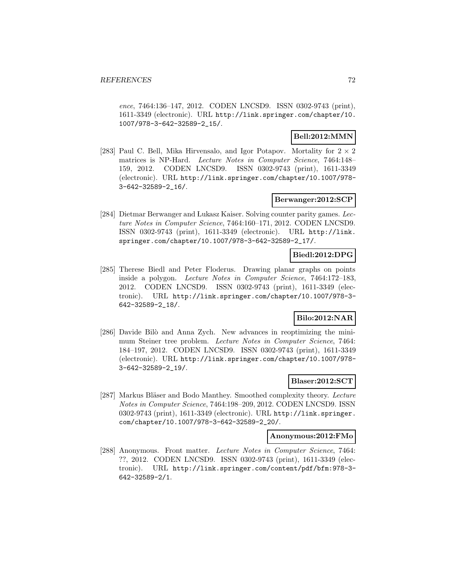ence, 7464:136–147, 2012. CODEN LNCSD9. ISSN 0302-9743 (print), 1611-3349 (electronic). URL http://link.springer.com/chapter/10. 1007/978-3-642-32589-2\_15/.

## **Bell:2012:MMN**

[283] Paul C. Bell, Mika Hirvensalo, and Igor Potapov. Mortality for  $2 \times 2$ matrices is NP-Hard. Lecture Notes in Computer Science, 7464:148– 159, 2012. CODEN LNCSD9. ISSN 0302-9743 (print), 1611-3349 (electronic). URL http://link.springer.com/chapter/10.1007/978- 3-642-32589-2\_16/.

## **Berwanger:2012:SCP**

[284] Dietmar Berwanger and Lukasz Kaiser. Solving counter parity games. Lecture Notes in Computer Science, 7464:160–171, 2012. CODEN LNCSD9. ISSN 0302-9743 (print), 1611-3349 (electronic). URL http://link. springer.com/chapter/10.1007/978-3-642-32589-2\_17/.

## **Biedl:2012:DPG**

[285] Therese Biedl and Peter Floderus. Drawing planar graphs on points inside a polygon. Lecture Notes in Computer Science, 7464:172–183, 2012. CODEN LNCSD9. ISSN 0302-9743 (print), 1611-3349 (electronic). URL http://link.springer.com/chapter/10.1007/978-3- 642-32589-2\_18/.

## **Bilo:2012:NAR**

[286] Davide Bilò and Anna Zych. New advances in reoptimizing the minimum Steiner tree problem. Lecture Notes in Computer Science, 7464: 184–197, 2012. CODEN LNCSD9. ISSN 0302-9743 (print), 1611-3349 (electronic). URL http://link.springer.com/chapter/10.1007/978- 3-642-32589-2\_19/.

## **Blaser:2012:SCT**

[287] Markus Bläser and Bodo Manthey. Smoothed complexity theory. Lecture Notes in Computer Science, 7464:198–209, 2012. CODEN LNCSD9. ISSN 0302-9743 (print), 1611-3349 (electronic). URL http://link.springer. com/chapter/10.1007/978-3-642-32589-2\_20/.

#### **Anonymous:2012:FMo**

[288] Anonymous. Front matter. Lecture Notes in Computer Science, 7464: ??, 2012. CODEN LNCSD9. ISSN 0302-9743 (print), 1611-3349 (electronic). URL http://link.springer.com/content/pdf/bfm:978-3- 642-32589-2/1.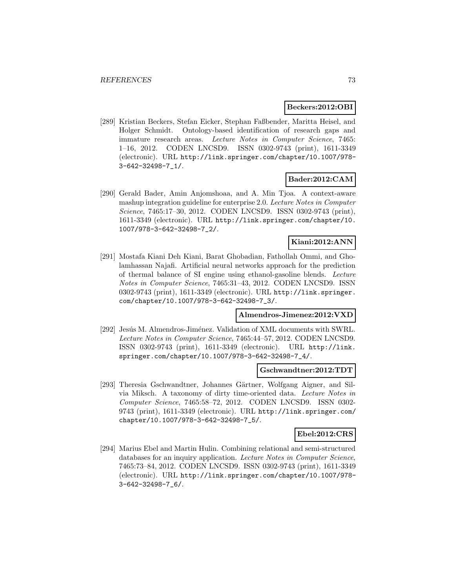#### **Beckers:2012:OBI**

[289] Kristian Beckers, Stefan Eicker, Stephan Faßbender, Maritta Heisel, and Holger Schmidt. Ontology-based identification of research gaps and immature research areas. Lecture Notes in Computer Science, 7465: 1–16, 2012. CODEN LNCSD9. ISSN 0302-9743 (print), 1611-3349 (electronic). URL http://link.springer.com/chapter/10.1007/978- 3-642-32498-7\_1/.

### **Bader:2012:CAM**

[290] Gerald Bader, Amin Anjomshoaa, and A. Min Tjoa. A context-aware mashup integration guideline for enterprise 2.0. Lecture Notes in Computer Science, 7465:17–30, 2012. CODEN LNCSD9. ISSN 0302-9743 (print), 1611-3349 (electronic). URL http://link.springer.com/chapter/10. 1007/978-3-642-32498-7\_2/.

## **Kiani:2012:ANN**

[291] Mostafa Kiani Deh Kiani, Barat Ghobadian, Fathollah Ommi, and Gholamhassan Najafi. Artificial neural networks approach for the prediction of thermal balance of SI engine using ethanol-gasoline blends. Lecture Notes in Computer Science, 7465:31–43, 2012. CODEN LNCSD9. ISSN 0302-9743 (print), 1611-3349 (electronic). URL http://link.springer. com/chapter/10.1007/978-3-642-32498-7\_3/.

#### **Almendros-Jimenez:2012:VXD**

[292] Jesús M. Almendros-Jiménez. Validation of XML documents with SWRL. Lecture Notes in Computer Science, 7465:44–57, 2012. CODEN LNCSD9. ISSN 0302-9743 (print), 1611-3349 (electronic). URL http://link. springer.com/chapter/10.1007/978-3-642-32498-7\_4/.

#### **Gschwandtner:2012:TDT**

[293] Theresia Gschwandtner, Johannes Gärtner, Wolfgang Aigner, and Silvia Miksch. A taxonomy of dirty time-oriented data. Lecture Notes in Computer Science, 7465:58–72, 2012. CODEN LNCSD9. ISSN 0302- 9743 (print), 1611-3349 (electronic). URL http://link.springer.com/ chapter/10.1007/978-3-642-32498-7\_5/.

### **Ebel:2012:CRS**

[294] Marius Ebel and Martin Hulin. Combining relational and semi-structured databases for an inquiry application. Lecture Notes in Computer Science, 7465:73–84, 2012. CODEN LNCSD9. ISSN 0302-9743 (print), 1611-3349 (electronic). URL http://link.springer.com/chapter/10.1007/978- 3-642-32498-7\_6/.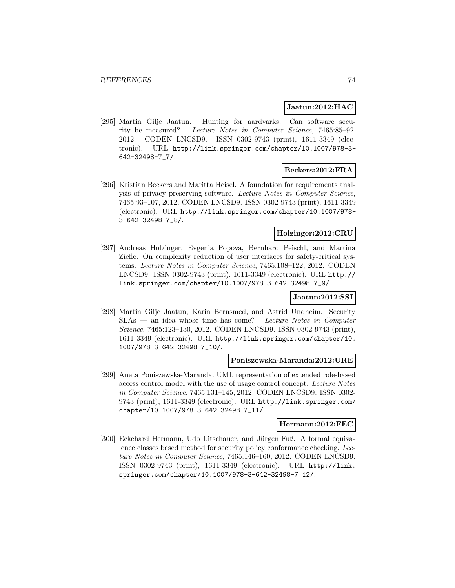#### **Jaatun:2012:HAC**

[295] Martin Gilje Jaatun. Hunting for aardvarks: Can software security be measured? Lecture Notes in Computer Science, 7465:85–92, 2012. CODEN LNCSD9. ISSN 0302-9743 (print), 1611-3349 (electronic). URL http://link.springer.com/chapter/10.1007/978-3- 642-32498-7\_7/.

#### **Beckers:2012:FRA**

[296] Kristian Beckers and Maritta Heisel. A foundation for requirements analysis of privacy preserving software. Lecture Notes in Computer Science, 7465:93–107, 2012. CODEN LNCSD9. ISSN 0302-9743 (print), 1611-3349 (electronic). URL http://link.springer.com/chapter/10.1007/978- 3-642-32498-7\_8/.

## **Holzinger:2012:CRU**

[297] Andreas Holzinger, Evgenia Popova, Bernhard Peischl, and Martina Ziefle. On complexity reduction of user interfaces for safety-critical systems. Lecture Notes in Computer Science, 7465:108–122, 2012. CODEN LNCSD9. ISSN 0302-9743 (print), 1611-3349 (electronic). URL http:// link.springer.com/chapter/10.1007/978-3-642-32498-7\_9/.

#### **Jaatun:2012:SSI**

[298] Martin Gilje Jaatun, Karin Bernsmed, and Astrid Undheim. Security SLAs — an idea whose time has come? Lecture Notes in Computer Science, 7465:123–130, 2012. CODEN LNCSD9. ISSN 0302-9743 (print), 1611-3349 (electronic). URL http://link.springer.com/chapter/10. 1007/978-3-642-32498-7\_10/.

#### **Poniszewska-Maranda:2012:URE**

[299] Aneta Poniszewska-Maranda. UML representation of extended role-based access control model with the use of usage control concept. Lecture Notes in Computer Science, 7465:131–145, 2012. CODEN LNCSD9. ISSN 0302- 9743 (print), 1611-3349 (electronic). URL http://link.springer.com/ chapter/10.1007/978-3-642-32498-7\_11/.

### **Hermann:2012:FEC**

[300] Eckehard Hermann, Udo Litschauer, and Jürgen Fuß. A formal equivalence classes based method for security policy conformance checking. Lecture Notes in Computer Science, 7465:146–160, 2012. CODEN LNCSD9. ISSN 0302-9743 (print), 1611-3349 (electronic). URL http://link. springer.com/chapter/10.1007/978-3-642-32498-7\_12/.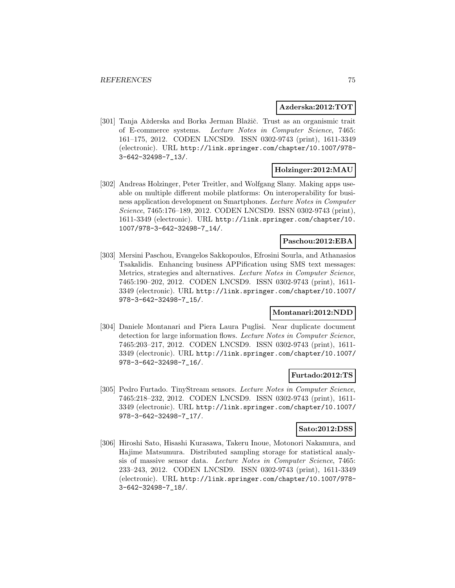#### **Azderska:2012:TOT**

[301] Tanja Ažderska and Borka Jerman Blažič. Trust as an organismic trait of E-commerce systems. Lecture Notes in Computer Science, 7465: 161–175, 2012. CODEN LNCSD9. ISSN 0302-9743 (print), 1611-3349 (electronic). URL http://link.springer.com/chapter/10.1007/978- 3-642-32498-7\_13/.

### **Holzinger:2012:MAU**

[302] Andreas Holzinger, Peter Treitler, and Wolfgang Slany. Making apps useable on multiple different mobile platforms: On interoperability for business application development on Smartphones. Lecture Notes in Computer Science, 7465:176–189, 2012. CODEN LNCSD9. ISSN 0302-9743 (print), 1611-3349 (electronic). URL http://link.springer.com/chapter/10. 1007/978-3-642-32498-7\_14/.

### **Paschou:2012:EBA**

[303] Mersini Paschou, Evangelos Sakkopoulos, Efrosini Sourla, and Athanasios Tsakalidis. Enhancing business APPification using SMS text messages: Metrics, strategies and alternatives. Lecture Notes in Computer Science, 7465:190–202, 2012. CODEN LNCSD9. ISSN 0302-9743 (print), 1611- 3349 (electronic). URL http://link.springer.com/chapter/10.1007/ 978-3-642-32498-7\_15/.

#### **Montanari:2012:NDD**

[304] Daniele Montanari and Piera Laura Puglisi. Near duplicate document detection for large information flows. Lecture Notes in Computer Science, 7465:203–217, 2012. CODEN LNCSD9. ISSN 0302-9743 (print), 1611- 3349 (electronic). URL http://link.springer.com/chapter/10.1007/ 978-3-642-32498-7\_16/.

#### **Furtado:2012:TS**

[305] Pedro Furtado. TinyStream sensors. Lecture Notes in Computer Science, 7465:218–232, 2012. CODEN LNCSD9. ISSN 0302-9743 (print), 1611- 3349 (electronic). URL http://link.springer.com/chapter/10.1007/ 978-3-642-32498-7\_17/.

#### **Sato:2012:DSS**

[306] Hiroshi Sato, Hisashi Kurasawa, Takeru Inoue, Motonori Nakamura, and Hajime Matsumura. Distributed sampling storage for statistical analysis of massive sensor data. Lecture Notes in Computer Science, 7465: 233–243, 2012. CODEN LNCSD9. ISSN 0302-9743 (print), 1611-3349 (electronic). URL http://link.springer.com/chapter/10.1007/978- 3-642-32498-7\_18/.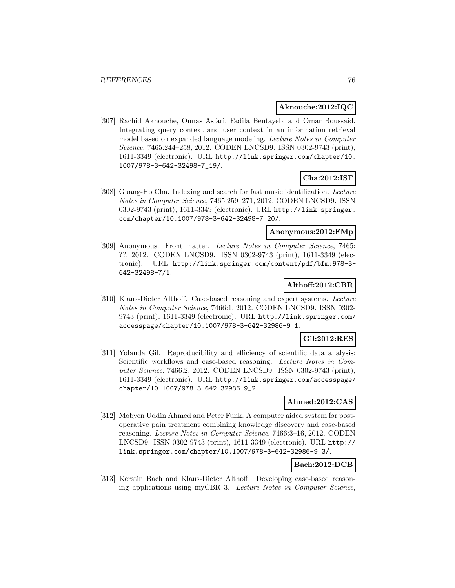### **Aknouche:2012:IQC**

[307] Rachid Aknouche, Ounas Asfari, Fadila Bentayeb, and Omar Boussaid. Integrating query context and user context in an information retrieval model based on expanded language modeling. Lecture Notes in Computer Science, 7465:244–258, 2012. CODEN LNCSD9. ISSN 0302-9743 (print), 1611-3349 (electronic). URL http://link.springer.com/chapter/10. 1007/978-3-642-32498-7\_19/.

## **Cha:2012:ISF**

[308] Guang-Ho Cha. Indexing and search for fast music identification. Lecture Notes in Computer Science, 7465:259–271, 2012. CODEN LNCSD9. ISSN 0302-9743 (print), 1611-3349 (electronic). URL http://link.springer. com/chapter/10.1007/978-3-642-32498-7\_20/.

### **Anonymous:2012:FMp**

[309] Anonymous. Front matter. Lecture Notes in Computer Science, 7465: ??, 2012. CODEN LNCSD9. ISSN 0302-9743 (print), 1611-3349 (electronic). URL http://link.springer.com/content/pdf/bfm:978-3- 642-32498-7/1.

## **Althoff:2012:CBR**

[310] Klaus-Dieter Althoff. Case-based reasoning and expert systems. Lecture Notes in Computer Science, 7466:1, 2012. CODEN LNCSD9. ISSN 0302- 9743 (print), 1611-3349 (electronic). URL http://link.springer.com/ accesspage/chapter/10.1007/978-3-642-32986-9\_1.

#### **Gil:2012:RES**

[311] Yolanda Gil. Reproducibility and efficiency of scientific data analysis: Scientific workflows and case-based reasoning. Lecture Notes in Computer Science, 7466:2, 2012. CODEN LNCSD9. ISSN 0302-9743 (print), 1611-3349 (electronic). URL http://link.springer.com/accesspage/ chapter/10.1007/978-3-642-32986-9\_2.

#### **Ahmed:2012:CAS**

[312] Mobyen Uddin Ahmed and Peter Funk. A computer aided system for postoperative pain treatment combining knowledge discovery and case-based reasoning. Lecture Notes in Computer Science, 7466:3–16, 2012. CODEN LNCSD9. ISSN 0302-9743 (print), 1611-3349 (electronic). URL http:// link.springer.com/chapter/10.1007/978-3-642-32986-9\_3/.

## **Bach:2012:DCB**

[313] Kerstin Bach and Klaus-Dieter Althoff. Developing case-based reasoning applications using myCBR 3. Lecture Notes in Computer Science,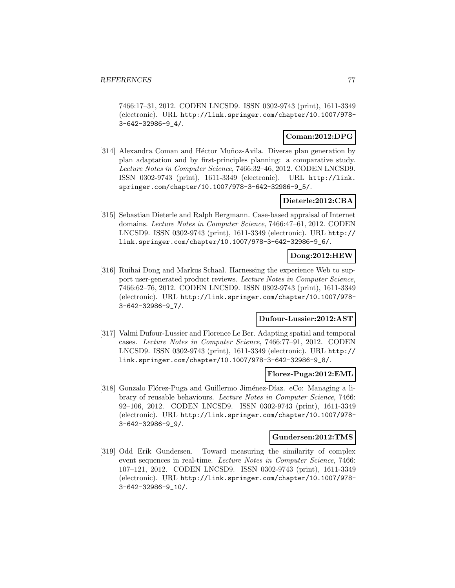7466:17–31, 2012. CODEN LNCSD9. ISSN 0302-9743 (print), 1611-3349 (electronic). URL http://link.springer.com/chapter/10.1007/978- 3-642-32986-9\_4/.

### **Coman:2012:DPG**

[314] Alexandra Coman and Héctor Muñoz-Avila. Diverse plan generation by plan adaptation and by first-principles planning: a comparative study. Lecture Notes in Computer Science, 7466:32–46, 2012. CODEN LNCSD9. ISSN 0302-9743 (print), 1611-3349 (electronic). URL http://link. springer.com/chapter/10.1007/978-3-642-32986-9\_5/.

### **Dieterle:2012:CBA**

[315] Sebastian Dieterle and Ralph Bergmann. Case-based appraisal of Internet domains. Lecture Notes in Computer Science, 7466:47–61, 2012. CODEN LNCSD9. ISSN 0302-9743 (print), 1611-3349 (electronic). URL http:// link.springer.com/chapter/10.1007/978-3-642-32986-9\_6/.

## **Dong:2012:HEW**

[316] Ruihai Dong and Markus Schaal. Harnessing the experience Web to support user-generated product reviews. Lecture Notes in Computer Science, 7466:62–76, 2012. CODEN LNCSD9. ISSN 0302-9743 (print), 1611-3349 (electronic). URL http://link.springer.com/chapter/10.1007/978- 3-642-32986-9\_7/.

## **Dufour-Lussier:2012:AST**

[317] Valmi Dufour-Lussier and Florence Le Ber. Adapting spatial and temporal cases. Lecture Notes in Computer Science, 7466:77–91, 2012. CODEN LNCSD9. ISSN 0302-9743 (print), 1611-3349 (electronic). URL http:// link.springer.com/chapter/10.1007/978-3-642-32986-9\_8/.

#### **Florez-Puga:2012:EML**

[318] Gonzalo Flórez-Puga and Guillermo Jiménez-Díaz. eCo: Managing a library of reusable behaviours. Lecture Notes in Computer Science, 7466: 92–106, 2012. CODEN LNCSD9. ISSN 0302-9743 (print), 1611-3349 (electronic). URL http://link.springer.com/chapter/10.1007/978- 3-642-32986-9\_9/.

#### **Gundersen:2012:TMS**

[319] Odd Erik Gundersen. Toward measuring the similarity of complex event sequences in real-time. Lecture Notes in Computer Science, 7466: 107–121, 2012. CODEN LNCSD9. ISSN 0302-9743 (print), 1611-3349 (electronic). URL http://link.springer.com/chapter/10.1007/978- 3-642-32986-9\_10/.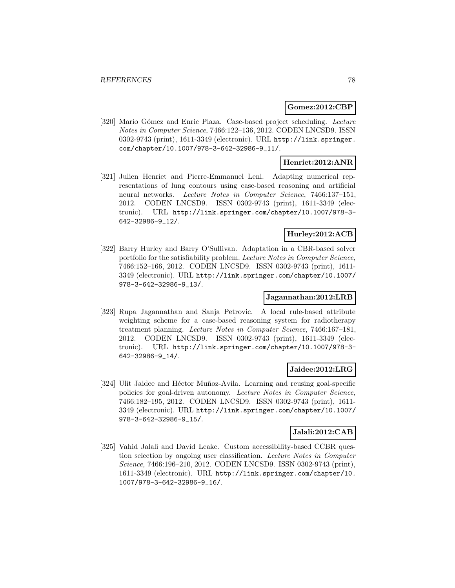#### **Gomez:2012:CBP**

[320] Mario Gómez and Enric Plaza. Case-based project scheduling. Lecture Notes in Computer Science, 7466:122–136, 2012. CODEN LNCSD9. ISSN 0302-9743 (print), 1611-3349 (electronic). URL http://link.springer. com/chapter/10.1007/978-3-642-32986-9\_11/.

### **Henriet:2012:ANR**

[321] Julien Henriet and Pierre-Emmanuel Leni. Adapting numerical representations of lung contours using case-based reasoning and artificial neural networks. Lecture Notes in Computer Science, 7466:137–151, 2012. CODEN LNCSD9. ISSN 0302-9743 (print), 1611-3349 (electronic). URL http://link.springer.com/chapter/10.1007/978-3- 642-32986-9\_12/.

#### **Hurley:2012:ACB**

[322] Barry Hurley and Barry O'Sullivan. Adaptation in a CBR-based solver portfolio for the satisfiability problem. Lecture Notes in Computer Science, 7466:152–166, 2012. CODEN LNCSD9. ISSN 0302-9743 (print), 1611- 3349 (electronic). URL http://link.springer.com/chapter/10.1007/ 978-3-642-32986-9\_13/.

## **Jagannathan:2012:LRB**

[323] Rupa Jagannathan and Sanja Petrovic. A local rule-based attribute weighting scheme for a case-based reasoning system for radiotherapy treatment planning. Lecture Notes in Computer Science, 7466:167–181, 2012. CODEN LNCSD9. ISSN 0302-9743 (print), 1611-3349 (electronic). URL http://link.springer.com/chapter/10.1007/978-3- 642-32986-9\_14/.

### **Jaidee:2012:LRG**

[324] Ulit Jaidee and Héctor Muñoz-Avila. Learning and reusing goal-specific policies for goal-driven autonomy. Lecture Notes in Computer Science, 7466:182–195, 2012. CODEN LNCSD9. ISSN 0302-9743 (print), 1611- 3349 (electronic). URL http://link.springer.com/chapter/10.1007/ 978-3-642-32986-9\_15/.

## **Jalali:2012:CAB**

[325] Vahid Jalali and David Leake. Custom accessibility-based CCBR question selection by ongoing user classification. Lecture Notes in Computer Science, 7466:196–210, 2012. CODEN LNCSD9. ISSN 0302-9743 (print), 1611-3349 (electronic). URL http://link.springer.com/chapter/10. 1007/978-3-642-32986-9\_16/.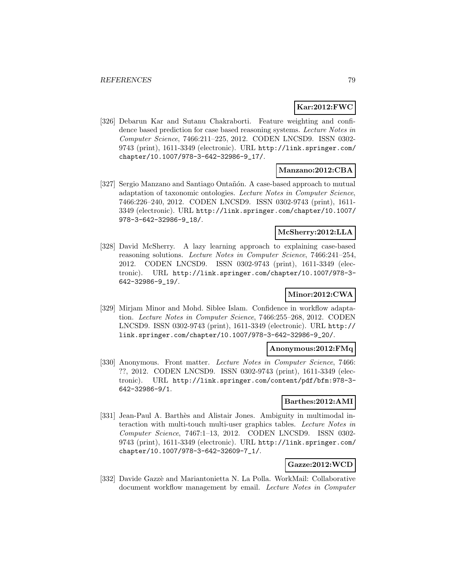## **Kar:2012:FWC**

[326] Debarun Kar and Sutanu Chakraborti. Feature weighting and confidence based prediction for case based reasoning systems. Lecture Notes in Computer Science, 7466:211–225, 2012. CODEN LNCSD9. ISSN 0302- 9743 (print), 1611-3349 (electronic). URL http://link.springer.com/ chapter/10.1007/978-3-642-32986-9\_17/.

## **Manzano:2012:CBA**

[327] Sergio Manzano and Santiago Ontañón. A case-based approach to mutual adaptation of taxonomic ontologies. Lecture Notes in Computer Science, 7466:226–240, 2012. CODEN LNCSD9. ISSN 0302-9743 (print), 1611- 3349 (electronic). URL http://link.springer.com/chapter/10.1007/ 978-3-642-32986-9\_18/.

## **McSherry:2012:LLA**

[328] David McSherry. A lazy learning approach to explaining case-based reasoning solutions. Lecture Notes in Computer Science, 7466:241–254, 2012. CODEN LNCSD9. ISSN 0302-9743 (print), 1611-3349 (electronic). URL http://link.springer.com/chapter/10.1007/978-3- 642-32986-9\_19/.

## **Minor:2012:CWA**

[329] Mirjam Minor and Mohd. Siblee Islam. Confidence in workflow adaptation. Lecture Notes in Computer Science, 7466:255–268, 2012. CODEN LNCSD9. ISSN 0302-9743 (print), 1611-3349 (electronic). URL http:// link.springer.com/chapter/10.1007/978-3-642-32986-9\_20/.

#### **Anonymous:2012:FMq**

[330] Anonymous. Front matter. Lecture Notes in Computer Science, 7466: ??, 2012. CODEN LNCSD9. ISSN 0302-9743 (print), 1611-3349 (electronic). URL http://link.springer.com/content/pdf/bfm:978-3- 642-32986-9/1.

#### **Barthes:2012:AMI**

[331] Jean-Paul A. Barthès and Alistair Jones. Ambiguity in multimodal interaction with multi-touch multi-user graphics tables. Lecture Notes in Computer Science, 7467:1–13, 2012. CODEN LNCSD9. ISSN 0302- 9743 (print), 1611-3349 (electronic). URL http://link.springer.com/ chapter/10.1007/978-3-642-32609-7\_1/.

## **Gazze:2012:WCD**

[332] Davide Gazzè and Mariantonietta N. La Polla. WorkMail: Collaborative document workflow management by email. Lecture Notes in Computer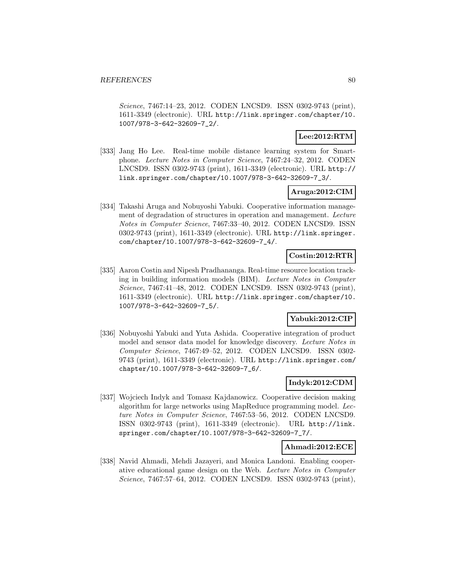Science, 7467:14–23, 2012. CODEN LNCSD9. ISSN 0302-9743 (print), 1611-3349 (electronic). URL http://link.springer.com/chapter/10. 1007/978-3-642-32609-7\_2/.

## **Lee:2012:RTM**

[333] Jang Ho Lee. Real-time mobile distance learning system for Smartphone. Lecture Notes in Computer Science, 7467:24–32, 2012. CODEN LNCSD9. ISSN 0302-9743 (print), 1611-3349 (electronic). URL http:// link.springer.com/chapter/10.1007/978-3-642-32609-7\_3/.

## **Aruga:2012:CIM**

[334] Takashi Aruga and Nobuyoshi Yabuki. Cooperative information management of degradation of structures in operation and management. Lecture Notes in Computer Science, 7467:33–40, 2012. CODEN LNCSD9. ISSN 0302-9743 (print), 1611-3349 (electronic). URL http://link.springer. com/chapter/10.1007/978-3-642-32609-7\_4/.

## **Costin:2012:RTR**

[335] Aaron Costin and Nipesh Pradhananga. Real-time resource location tracking in building information models (BIM). Lecture Notes in Computer Science, 7467:41–48, 2012. CODEN LNCSD9. ISSN 0302-9743 (print), 1611-3349 (electronic). URL http://link.springer.com/chapter/10. 1007/978-3-642-32609-7\_5/.

## **Yabuki:2012:CIP**

[336] Nobuyoshi Yabuki and Yuta Ashida. Cooperative integration of product model and sensor data model for knowledge discovery. Lecture Notes in Computer Science, 7467:49–52, 2012. CODEN LNCSD9. ISSN 0302- 9743 (print), 1611-3349 (electronic). URL http://link.springer.com/ chapter/10.1007/978-3-642-32609-7\_6/.

## **Indyk:2012:CDM**

[337] Wojciech Indyk and Tomasz Kajdanowicz. Cooperative decision making algorithm for large networks using MapReduce programming model. Lecture Notes in Computer Science, 7467:53–56, 2012. CODEN LNCSD9. ISSN 0302-9743 (print), 1611-3349 (electronic). URL http://link. springer.com/chapter/10.1007/978-3-642-32609-7\_7/.

#### **Ahmadi:2012:ECE**

[338] Navid Ahmadi, Mehdi Jazayeri, and Monica Landoni. Enabling cooperative educational game design on the Web. Lecture Notes in Computer Science, 7467:57–64, 2012. CODEN LNCSD9. ISSN 0302-9743 (print),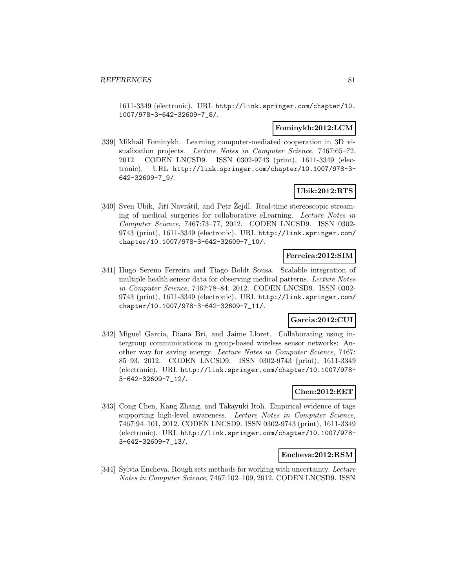1611-3349 (electronic). URL http://link.springer.com/chapter/10. 1007/978-3-642-32609-7\_8/.

### **Fominykh:2012:LCM**

[339] Mikhail Fominykh. Learning computer-mediated cooperation in 3D visualization projects. Lecture Notes in Computer Science, 7467:65-72, 2012. CODEN LNCSD9. ISSN 0302-9743 (print), 1611-3349 (electronic). URL http://link.springer.com/chapter/10.1007/978-3- 642-32609-7\_9/.

## **Ubik:2012:RTS**

[340] Sven Ubik, Jiří Navrátil, and Petr Zejdl. Real-time stereoscopic streaming of medical surgeries for collaborative eLearning. Lecture Notes in Computer Science, 7467:73–77, 2012. CODEN LNCSD9. ISSN 0302- 9743 (print), 1611-3349 (electronic). URL http://link.springer.com/ chapter/10.1007/978-3-642-32609-7\_10/.

## **Ferreira:2012:SIM**

[341] Hugo Sereno Ferreira and Tiago Boldt Sousa. Scalable integration of multiple health sensor data for observing medical patterns. Lecture Notes in Computer Science, 7467:78–84, 2012. CODEN LNCSD9. ISSN 0302- 9743 (print), 1611-3349 (electronic). URL http://link.springer.com/ chapter/10.1007/978-3-642-32609-7\_11/.

## **Garcia:2012:CUI**

[342] Miguel Garcia, Diana Bri, and Jaime Lloret. Collaborating using intergroup communications in group-based wireless sensor networks: Another way for saving energy. Lecture Notes in Computer Science, 7467: 85–93, 2012. CODEN LNCSD9. ISSN 0302-9743 (print), 1611-3349 (electronic). URL http://link.springer.com/chapter/10.1007/978- 3-642-32609-7\_12/.

## **Chen:2012:EET**

[343] Cong Chen, Kang Zhang, and Takayuki Itoh. Empirical evidence of tags supporting high-level awareness. Lecture Notes in Computer Science, 7467:94–101, 2012. CODEN LNCSD9. ISSN 0302-9743 (print), 1611-3349 (electronic). URL http://link.springer.com/chapter/10.1007/978- 3-642-32609-7\_13/.

#### **Encheva:2012:RSM**

[344] Sylvia Encheva. Rough sets methods for working with uncertainty. Lecture Notes in Computer Science, 7467:102–109, 2012. CODEN LNCSD9. ISSN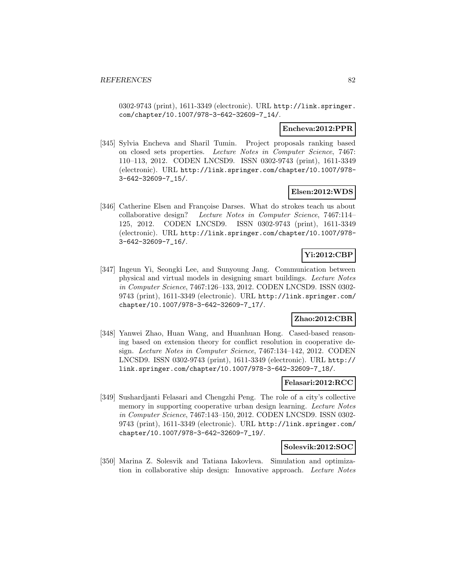0302-9743 (print), 1611-3349 (electronic). URL http://link.springer. com/chapter/10.1007/978-3-642-32609-7\_14/.

### **Encheva:2012:PPR**

[345] Sylvia Encheva and Sharil Tumin. Project proposals ranking based on closed sets properties. Lecture Notes in Computer Science, 7467: 110–113, 2012. CODEN LNCSD9. ISSN 0302-9743 (print), 1611-3349 (electronic). URL http://link.springer.com/chapter/10.1007/978- 3-642-32609-7\_15/.

### **Elsen:2012:WDS**

[346] Catherine Elsen and Françoise Darses. What do strokes teach us about collaborative design? Lecture Notes in Computer Science, 7467:114– 125, 2012. CODEN LNCSD9. ISSN 0302-9743 (print), 1611-3349 (electronic). URL http://link.springer.com/chapter/10.1007/978- 3-642-32609-7\_16/.

## **Yi:2012:CBP**

[347] Ingeun Yi, Seongki Lee, and Sunyoung Jang. Communication between physical and virtual models in designing smart buildings. Lecture Notes in Computer Science, 7467:126–133, 2012. CODEN LNCSD9. ISSN 0302- 9743 (print), 1611-3349 (electronic). URL http://link.springer.com/ chapter/10.1007/978-3-642-32609-7\_17/.

## **Zhao:2012:CBR**

[348] Yanwei Zhao, Huan Wang, and Huanhuan Hong. Cased-based reasoning based on extension theory for conflict resolution in cooperative design. Lecture Notes in Computer Science, 7467:134–142, 2012. CODEN LNCSD9. ISSN 0302-9743 (print), 1611-3349 (electronic). URL http:// link.springer.com/chapter/10.1007/978-3-642-32609-7\_18/.

#### **Felasari:2012:RCC**

[349] Sushardjanti Felasari and Chengzhi Peng. The role of a city's collective memory in supporting cooperative urban design learning. Lecture Notes in Computer Science, 7467:143–150, 2012. CODEN LNCSD9. ISSN 0302- 9743 (print), 1611-3349 (electronic). URL http://link.springer.com/ chapter/10.1007/978-3-642-32609-7\_19/.

#### **Solesvik:2012:SOC**

[350] Marina Z. Solesvik and Tatiana Iakovleva. Simulation and optimization in collaborative ship design: Innovative approach. Lecture Notes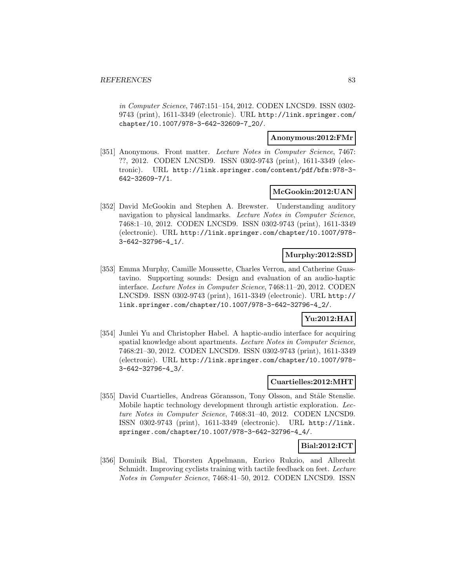in Computer Science, 7467:151–154, 2012. CODEN LNCSD9. ISSN 0302- 9743 (print), 1611-3349 (electronic). URL http://link.springer.com/ chapter/10.1007/978-3-642-32609-7\_20/.

## **Anonymous:2012:FMr**

[351] Anonymous. Front matter. Lecture Notes in Computer Science, 7467: ??, 2012. CODEN LNCSD9. ISSN 0302-9743 (print), 1611-3349 (electronic). URL http://link.springer.com/content/pdf/bfm:978-3- 642-32609-7/1.

#### **McGookin:2012:UAN**

[352] David McGookin and Stephen A. Brewster. Understanding auditory navigation to physical landmarks. Lecture Notes in Computer Science, 7468:1–10, 2012. CODEN LNCSD9. ISSN 0302-9743 (print), 1611-3349 (electronic). URL http://link.springer.com/chapter/10.1007/978- 3-642-32796-4\_1/.

## **Murphy:2012:SSD**

[353] Emma Murphy, Camille Moussette, Charles Verron, and Catherine Guastavino. Supporting sounds: Design and evaluation of an audio-haptic interface. Lecture Notes in Computer Science, 7468:11–20, 2012. CODEN LNCSD9. ISSN 0302-9743 (print), 1611-3349 (electronic). URL http:// link.springer.com/chapter/10.1007/978-3-642-32796-4\_2/.

## **Yu:2012:HAI**

[354] Junlei Yu and Christopher Habel. A haptic-audio interface for acquiring spatial knowledge about apartments. Lecture Notes in Computer Science, 7468:21–30, 2012. CODEN LNCSD9. ISSN 0302-9743 (print), 1611-3349 (electronic). URL http://link.springer.com/chapter/10.1007/978- 3-642-32796-4\_3/.

#### **Cuartielles:2012:MHT**

[355] David Cuartielles, Andreas Göransson, Tony Olsson, and Ståle Stenslie. Mobile haptic technology development through artistic exploration. Lecture Notes in Computer Science, 7468:31–40, 2012. CODEN LNCSD9. ISSN 0302-9743 (print), 1611-3349 (electronic). URL http://link. springer.com/chapter/10.1007/978-3-642-32796-4\_4/.

## **Bial:2012:ICT**

[356] Dominik Bial, Thorsten Appelmann, Enrico Rukzio, and Albrecht Schmidt. Improving cyclists training with tactile feedback on feet. Lecture Notes in Computer Science, 7468:41–50, 2012. CODEN LNCSD9. ISSN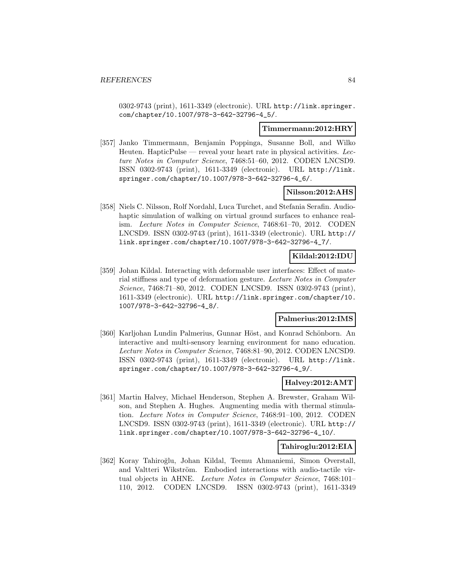0302-9743 (print), 1611-3349 (electronic). URL http://link.springer. com/chapter/10.1007/978-3-642-32796-4\_5/.

#### **Timmermann:2012:HRY**

[357] Janko Timmermann, Benjamin Poppinga, Susanne Boll, and Wilko Heuten. Haptic $P$ ulse — reveal your heart rate in physical activities. Lecture Notes in Computer Science, 7468:51–60, 2012. CODEN LNCSD9. ISSN 0302-9743 (print), 1611-3349 (electronic). URL http://link. springer.com/chapter/10.1007/978-3-642-32796-4\_6/.

## **Nilsson:2012:AHS**

[358] Niels C. Nilsson, Rolf Nordahl, Luca Turchet, and Stefania Serafin. Audiohaptic simulation of walking on virtual ground surfaces to enhance realism. Lecture Notes in Computer Science, 7468:61–70, 2012. CODEN LNCSD9. ISSN 0302-9743 (print), 1611-3349 (electronic). URL http:// link.springer.com/chapter/10.1007/978-3-642-32796-4\_7/.

## **Kildal:2012:IDU**

[359] Johan Kildal. Interacting with deformable user interfaces: Effect of material stiffness and type of deformation gesture. Lecture Notes in Computer Science, 7468:71–80, 2012. CODEN LNCSD9. ISSN 0302-9743 (print), 1611-3349 (electronic). URL http://link.springer.com/chapter/10. 1007/978-3-642-32796-4\_8/.

## **Palmerius:2012:IMS**

[360] Karljohan Lundin Palmerius, Gunnar Höst, and Konrad Schönborn. An interactive and multi-sensory learning environment for nano education. Lecture Notes in Computer Science, 7468:81–90, 2012. CODEN LNCSD9. ISSN 0302-9743 (print), 1611-3349 (electronic). URL http://link. springer.com/chapter/10.1007/978-3-642-32796-4\_9/.

#### **Halvey:2012:AMT**

[361] Martin Halvey, Michael Henderson, Stephen A. Brewster, Graham Wilson, and Stephen A. Hughes. Augmenting media with thermal stimulation. Lecture Notes in Computer Science, 7468:91–100, 2012. CODEN LNCSD9. ISSN 0302-9743 (print), 1611-3349 (electronic). URL http:// link.springer.com/chapter/10.1007/978-3-642-32796-4\_10/.

#### **Tahiroglu:2012:EIA**

[362] Koray Tahiroğlu, Johan Kildal, Teemu Ahmaniemi, Simon Overstall, and Valtteri Wikström. Embodied interactions with audio-tactile virtual objects in AHNE. Lecture Notes in Computer Science, 7468:101– 110, 2012. CODEN LNCSD9. ISSN 0302-9743 (print), 1611-3349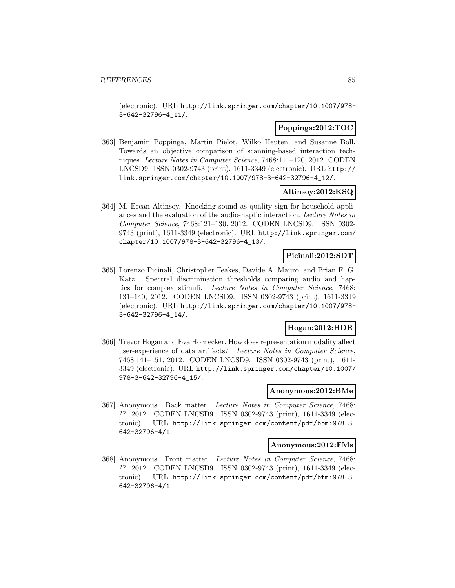(electronic). URL http://link.springer.com/chapter/10.1007/978- 3-642-32796-4\_11/.

## **Poppinga:2012:TOC**

[363] Benjamin Poppinga, Martin Pielot, Wilko Heuten, and Susanne Boll. Towards an objective comparison of scanning-based interaction techniques. Lecture Notes in Computer Science, 7468:111–120, 2012. CODEN LNCSD9. ISSN 0302-9743 (print), 1611-3349 (electronic). URL http:// link.springer.com/chapter/10.1007/978-3-642-32796-4\_12/.

### **Altinsoy:2012:KSQ**

[364] M. Ercan Altinsoy. Knocking sound as quality sign for household appliances and the evaluation of the audio-haptic interaction. Lecture Notes in Computer Science, 7468:121–130, 2012. CODEN LNCSD9. ISSN 0302- 9743 (print), 1611-3349 (electronic). URL http://link.springer.com/ chapter/10.1007/978-3-642-32796-4\_13/.

## **Picinali:2012:SDT**

[365] Lorenzo Picinali, Christopher Feakes, Davide A. Mauro, and Brian F. G. Katz. Spectral discrimination thresholds comparing audio and haptics for complex stimuli. Lecture Notes in Computer Science, 7468: 131–140, 2012. CODEN LNCSD9. ISSN 0302-9743 (print), 1611-3349 (electronic). URL http://link.springer.com/chapter/10.1007/978- 3-642-32796-4\_14/.

## **Hogan:2012:HDR**

[366] Trevor Hogan and Eva Hornecker. How does representation modality affect user-experience of data artifacts? Lecture Notes in Computer Science, 7468:141–151, 2012. CODEN LNCSD9. ISSN 0302-9743 (print), 1611- 3349 (electronic). URL http://link.springer.com/chapter/10.1007/ 978-3-642-32796-4\_15/.

## **Anonymous:2012:BMe**

[367] Anonymous. Back matter. Lecture Notes in Computer Science, 7468: ??, 2012. CODEN LNCSD9. ISSN 0302-9743 (print), 1611-3349 (electronic). URL http://link.springer.com/content/pdf/bbm:978-3- 642-32796-4/1.

### **Anonymous:2012:FMs**

[368] Anonymous. Front matter. Lecture Notes in Computer Science, 7468: ??, 2012. CODEN LNCSD9. ISSN 0302-9743 (print), 1611-3349 (electronic). URL http://link.springer.com/content/pdf/bfm:978-3- 642-32796-4/1.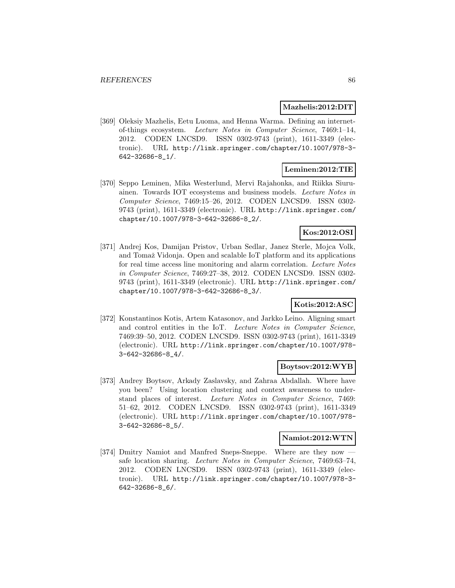#### **Mazhelis:2012:DIT**

[369] Oleksiy Mazhelis, Eetu Luoma, and Henna Warma. Defining an internetof-things ecosystem. Lecture Notes in Computer Science, 7469:1–14, 2012. CODEN LNCSD9. ISSN 0302-9743 (print), 1611-3349 (electronic). URL http://link.springer.com/chapter/10.1007/978-3- 642-32686-8\_1/.

#### **Leminen:2012:TIE**

[370] Seppo Leminen, Mika Westerlund, Mervi Rajahonka, and Riikka Siuruainen. Towards IOT ecosystems and business models. Lecture Notes in Computer Science, 7469:15–26, 2012. CODEN LNCSD9. ISSN 0302- 9743 (print), 1611-3349 (electronic). URL http://link.springer.com/ chapter/10.1007/978-3-642-32686-8\_2/.

## **Kos:2012:OSI**

[371] Andrej Kos, Damijan Pristov, Urban Sedlar, Janez Sterle, Mojca Volk, and Tomaˇz Vidonja. Open and scalable IoT platform and its applications for real time access line monitoring and alarm correlation. Lecture Notes in Computer Science, 7469:27–38, 2012. CODEN LNCSD9. ISSN 0302- 9743 (print), 1611-3349 (electronic). URL http://link.springer.com/ chapter/10.1007/978-3-642-32686-8\_3/.

## **Kotis:2012:ASC**

[372] Konstantinos Kotis, Artem Katasonov, and Jarkko Leino. Aligning smart and control entities in the IoT. Lecture Notes in Computer Science, 7469:39–50, 2012. CODEN LNCSD9. ISSN 0302-9743 (print), 1611-3349 (electronic). URL http://link.springer.com/chapter/10.1007/978- 3-642-32686-8\_4/.

## **Boytsov:2012:WYB**

[373] Andrey Boytsov, Arkady Zaslavsky, and Zahraa Abdallah. Where have you been? Using location clustering and context awareness to understand places of interest. Lecture Notes in Computer Science, 7469: 51–62, 2012. CODEN LNCSD9. ISSN 0302-9743 (print), 1611-3349 (electronic). URL http://link.springer.com/chapter/10.1007/978- 3-642-32686-8\_5/.

#### **Namiot:2012:WTN**

[374] Dmitry Namiot and Manfred Sneps-Sneppe. Where are they now safe location sharing. Lecture Notes in Computer Science, 7469:63–74, 2012. CODEN LNCSD9. ISSN 0302-9743 (print), 1611-3349 (electronic). URL http://link.springer.com/chapter/10.1007/978-3- 642-32686-8\_6/.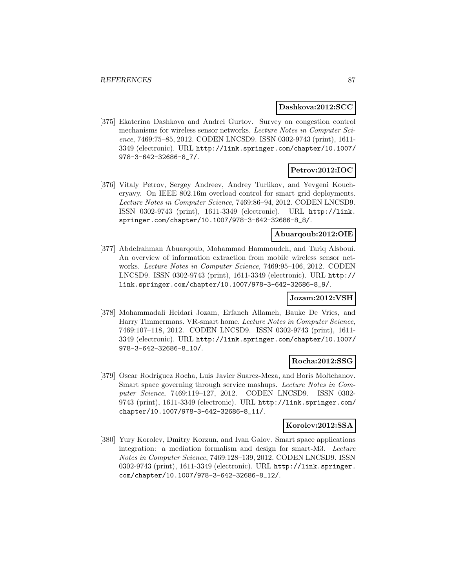#### **Dashkova:2012:SCC**

[375] Ekaterina Dashkova and Andrei Gurtov. Survey on congestion control mechanisms for wireless sensor networks. Lecture Notes in Computer Science, 7469:75–85, 2012. CODEN LNCSD9. ISSN 0302-9743 (print), 1611- 3349 (electronic). URL http://link.springer.com/chapter/10.1007/ 978-3-642-32686-8\_7/.

## **Petrov:2012:IOC**

[376] Vitaly Petrov, Sergey Andreev, Andrey Turlikov, and Yevgeni Koucheryavy. On IEEE 802.16m overload control for smart grid deployments. Lecture Notes in Computer Science, 7469:86–94, 2012. CODEN LNCSD9. ISSN 0302-9743 (print), 1611-3349 (electronic). URL http://link. springer.com/chapter/10.1007/978-3-642-32686-8\_8/.

### **Abuarqoub:2012:OIE**

[377] Abdelrahman Abuarqoub, Mohammad Hammoudeh, and Tariq Alsboui. An overview of information extraction from mobile wireless sensor networks. Lecture Notes in Computer Science, 7469:95–106, 2012. CODEN LNCSD9. ISSN 0302-9743 (print), 1611-3349 (electronic). URL http:// link.springer.com/chapter/10.1007/978-3-642-32686-8\_9/.

#### **Jozam:2012:VSH**

[378] Mohammadali Heidari Jozam, Erfaneh Allameh, Bauke De Vries, and Harry Timmermans. VR-smart home. Lecture Notes in Computer Science, 7469:107–118, 2012. CODEN LNCSD9. ISSN 0302-9743 (print), 1611- 3349 (electronic). URL http://link.springer.com/chapter/10.1007/ 978-3-642-32686-8\_10/.

#### **Rocha:2012:SSG**

[379] Oscar Rodríguez Rocha, Luis Javier Suarez-Meza, and Boris Moltchanov. Smart space governing through service mashups. Lecture Notes in Computer Science, 7469:119–127, 2012. CODEN LNCSD9. ISSN 0302- 9743 (print), 1611-3349 (electronic). URL http://link.springer.com/ chapter/10.1007/978-3-642-32686-8\_11/.

#### **Korolev:2012:SSA**

[380] Yury Korolev, Dmitry Korzun, and Ivan Galov. Smart space applications integration: a mediation formalism and design for smart-M3. Lecture Notes in Computer Science, 7469:128–139, 2012. CODEN LNCSD9. ISSN 0302-9743 (print), 1611-3349 (electronic). URL http://link.springer. com/chapter/10.1007/978-3-642-32686-8\_12/.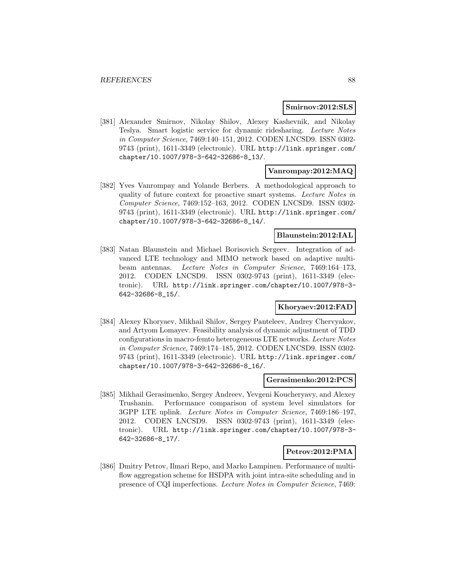#### **Smirnov:2012:SLS**

[381] Alexander Smirnov, Nikolay Shilov, Alexey Kashevnik, and Nikolay Teslya. Smart logistic service for dynamic ridesharing. Lecture Notes in Computer Science, 7469:140–151, 2012. CODEN LNCSD9. ISSN 0302- 9743 (print), 1611-3349 (electronic). URL http://link.springer.com/ chapter/10.1007/978-3-642-32686-8\_13/.

### **Vanrompay:2012:MAQ**

[382] Yves Vanrompay and Yolande Berbers. A methodological approach to quality of future context for proactive smart systems. Lecture Notes in Computer Science, 7469:152–163, 2012. CODEN LNCSD9. ISSN 0302- 9743 (print), 1611-3349 (electronic). URL http://link.springer.com/ chapter/10.1007/978-3-642-32686-8\_14/.

### **Blaunstein:2012:IAL**

[383] Natan Blaunstein and Michael Borisovich Sergeev. Integration of advanced LTE technology and MIMO network based on adaptive multibeam antennas. Lecture Notes in Computer Science, 7469:164–173, 2012. CODEN LNCSD9. ISSN 0302-9743 (print), 1611-3349 (electronic). URL http://link.springer.com/chapter/10.1007/978-3- 642-32686-8\_15/.

#### **Khoryaev:2012:FAD**

[384] Alexey Khoryaev, Mikhail Shilov, Sergey Panteleev, Andrey Chervyakov, and Artyom Lomayev. Feasibility analysis of dynamic adjustment of TDD configurations in macro-femto heterogeneous LTE networks. Lecture Notes in Computer Science, 7469:174–185, 2012. CODEN LNCSD9. ISSN 0302- 9743 (print), 1611-3349 (electronic). URL http://link.springer.com/ chapter/10.1007/978-3-642-32686-8\_16/.

#### **Gerasimenko:2012:PCS**

[385] Mikhail Gerasimenko, Sergey Andreev, Yevgeni Koucheryavy, and Alexey Trushanin. Performance comparison of system level simulators for 3GPP LTE uplink. Lecture Notes in Computer Science, 7469:186–197, 2012. CODEN LNCSD9. ISSN 0302-9743 (print), 1611-3349 (electronic). URL http://link.springer.com/chapter/10.1007/978-3- 642-32686-8\_17/.

#### **Petrov:2012:PMA**

[386] Dmitry Petrov, Ilmari Repo, and Marko Lampinen. Performance of multiflow aggregation scheme for HSDPA with joint intra-site scheduling and in presence of CQI imperfections. Lecture Notes in Computer Science, 7469: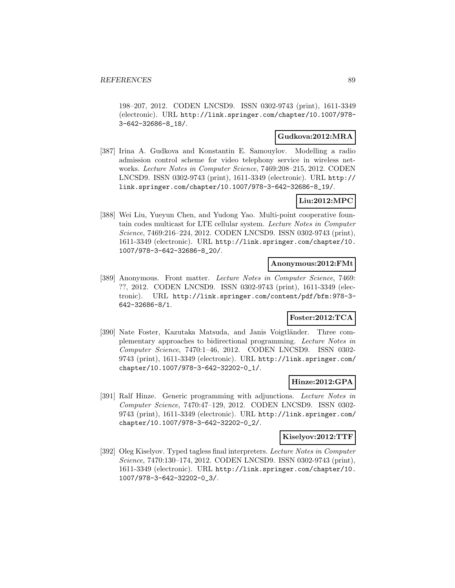198–207, 2012. CODEN LNCSD9. ISSN 0302-9743 (print), 1611-3349 (electronic). URL http://link.springer.com/chapter/10.1007/978- 3-642-32686-8\_18/.

#### **Gudkova:2012:MRA**

[387] Irina A. Gudkova and Konstantin E. Samouylov. Modelling a radio admission control scheme for video telephony service in wireless networks. Lecture Notes in Computer Science, 7469:208–215, 2012. CODEN LNCSD9. ISSN 0302-9743 (print), 1611-3349 (electronic). URL http:// link.springer.com/chapter/10.1007/978-3-642-32686-8\_19/.

## **Liu:2012:MPC**

[388] Wei Liu, Yueyun Chen, and Yudong Yao. Multi-point cooperative fountain codes multicast for LTE cellular system. Lecture Notes in Computer Science, 7469:216–224, 2012. CODEN LNCSD9. ISSN 0302-9743 (print), 1611-3349 (electronic). URL http://link.springer.com/chapter/10. 1007/978-3-642-32686-8\_20/.

#### **Anonymous:2012:FMt**

[389] Anonymous. Front matter. Lecture Notes in Computer Science, 7469: ??, 2012. CODEN LNCSD9. ISSN 0302-9743 (print), 1611-3349 (electronic). URL http://link.springer.com/content/pdf/bfm:978-3- 642-32686-8/1.

## **Foster:2012:TCA**

[390] Nate Foster, Kazutaka Matsuda, and Janis Voigtländer. Three complementary approaches to bidirectional programming. Lecture Notes in Computer Science, 7470:1–46, 2012. CODEN LNCSD9. ISSN 0302- 9743 (print), 1611-3349 (electronic). URL http://link.springer.com/ chapter/10.1007/978-3-642-32202-0\_1/.

## **Hinze:2012:GPA**

[391] Ralf Hinze. Generic programming with adjunctions. Lecture Notes in Computer Science, 7470:47–129, 2012. CODEN LNCSD9. ISSN 0302- 9743 (print), 1611-3349 (electronic). URL http://link.springer.com/ chapter/10.1007/978-3-642-32202-0\_2/.

#### **Kiselyov:2012:TTF**

[392] Oleg Kiselyov. Typed tagless final interpreters. Lecture Notes in Computer Science, 7470:130–174, 2012. CODEN LNCSD9. ISSN 0302-9743 (print), 1611-3349 (electronic). URL http://link.springer.com/chapter/10. 1007/978-3-642-32202-0\_3/.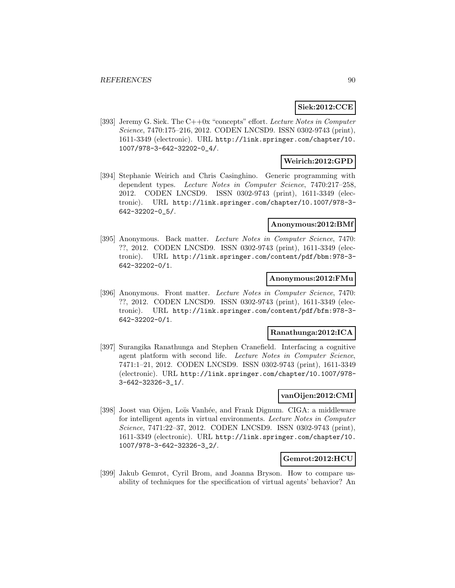## **Siek:2012:CCE**

[393] Jeremy G. Siek. The C++0x "concepts" effort. Lecture Notes in Computer Science, 7470:175–216, 2012. CODEN LNCSD9. ISSN 0302-9743 (print), 1611-3349 (electronic). URL http://link.springer.com/chapter/10. 1007/978-3-642-32202-0\_4/.

## **Weirich:2012:GPD**

[394] Stephanie Weirich and Chris Casinghino. Generic programming with dependent types. Lecture Notes in Computer Science, 7470:217–258, 2012. CODEN LNCSD9. ISSN 0302-9743 (print), 1611-3349 (electronic). URL http://link.springer.com/chapter/10.1007/978-3- 642-32202-0\_5/.

## **Anonymous:2012:BMf**

[395] Anonymous. Back matter. Lecture Notes in Computer Science, 7470: ??, 2012. CODEN LNCSD9. ISSN 0302-9743 (print), 1611-3349 (electronic). URL http://link.springer.com/content/pdf/bbm:978-3- 642-32202-0/1.

#### **Anonymous:2012:FMu**

[396] Anonymous. Front matter. Lecture Notes in Computer Science, 7470: ??, 2012. CODEN LNCSD9. ISSN 0302-9743 (print), 1611-3349 (electronic). URL http://link.springer.com/content/pdf/bfm:978-3- 642-32202-0/1.

## **Ranathunga:2012:ICA**

[397] Surangika Ranathunga and Stephen Cranefield. Interfacing a cognitive agent platform with second life. Lecture Notes in Computer Science, 7471:1–21, 2012. CODEN LNCSD9. ISSN 0302-9743 (print), 1611-3349 (electronic). URL http://link.springer.com/chapter/10.1007/978- 3-642-32326-3\_1/.

## **vanOijen:2012:CMI**

[398] Joost van Oijen, Loïs Vanhée, and Frank Dignum. CIGA: a middleware for intelligent agents in virtual environments. Lecture Notes in Computer Science, 7471:22–37, 2012. CODEN LNCSD9. ISSN 0302-9743 (print), 1611-3349 (electronic). URL http://link.springer.com/chapter/10. 1007/978-3-642-32326-3\_2/.

#### **Gemrot:2012:HCU**

[399] Jakub Gemrot, Cyril Brom, and Joanna Bryson. How to compare usability of techniques for the specification of virtual agents' behavior? An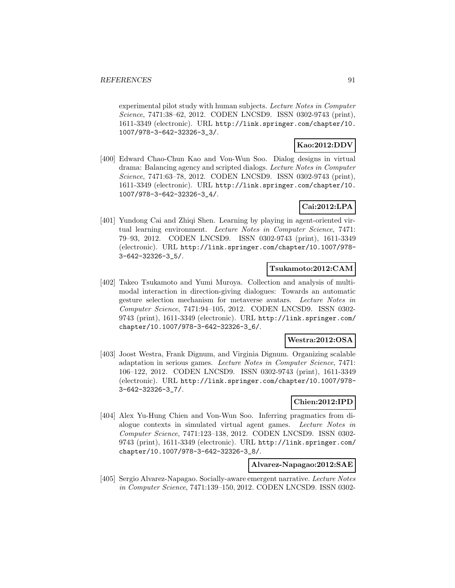experimental pilot study with human subjects. Lecture Notes in Computer Science, 7471:38–62, 2012. CODEN LNCSD9. ISSN 0302-9743 (print), 1611-3349 (electronic). URL http://link.springer.com/chapter/10. 1007/978-3-642-32326-3\_3/.

### **Kao:2012:DDV**

[400] Edward Chao-Chun Kao and Von-Wun Soo. Dialog designs in virtual drama: Balancing agency and scripted dialogs. Lecture Notes in Computer Science, 7471:63–78, 2012. CODEN LNCSD9. ISSN 0302-9743 (print), 1611-3349 (electronic). URL http://link.springer.com/chapter/10. 1007/978-3-642-32326-3\_4/.

## **Cai:2012:LPA**

[401] Yundong Cai and Zhiqi Shen. Learning by playing in agent-oriented virtual learning environment. Lecture Notes in Computer Science, 7471: 79–93, 2012. CODEN LNCSD9. ISSN 0302-9743 (print), 1611-3349 (electronic). URL http://link.springer.com/chapter/10.1007/978- 3-642-32326-3\_5/.

## **Tsukamoto:2012:CAM**

[402] Takeo Tsukamoto and Yumi Muroya. Collection and analysis of multimodal interaction in direction-giving dialogues: Towards an automatic gesture selection mechanism for metaverse avatars. Lecture Notes in Computer Science, 7471:94–105, 2012. CODEN LNCSD9. ISSN 0302- 9743 (print), 1611-3349 (electronic). URL http://link.springer.com/ chapter/10.1007/978-3-642-32326-3\_6/.

## **Westra:2012:OSA**

[403] Joost Westra, Frank Dignum, and Virginia Dignum. Organizing scalable adaptation in serious games. Lecture Notes in Computer Science, 7471: 106–122, 2012. CODEN LNCSD9. ISSN 0302-9743 (print), 1611-3349 (electronic). URL http://link.springer.com/chapter/10.1007/978- 3-642-32326-3\_7/.

## **Chien:2012:IPD**

[404] Alex Yu-Hung Chien and Von-Wun Soo. Inferring pragmatics from dialogue contexts in simulated virtual agent games. Lecture Notes in Computer Science, 7471:123–138, 2012. CODEN LNCSD9. ISSN 0302- 9743 (print), 1611-3349 (electronic). URL http://link.springer.com/ chapter/10.1007/978-3-642-32326-3\_8/.

## **Alvarez-Napagao:2012:SAE**

[405] Sergio Alvarez-Napagao. Socially-aware emergent narrative. Lecture Notes in Computer Science, 7471:139–150, 2012. CODEN LNCSD9. ISSN 0302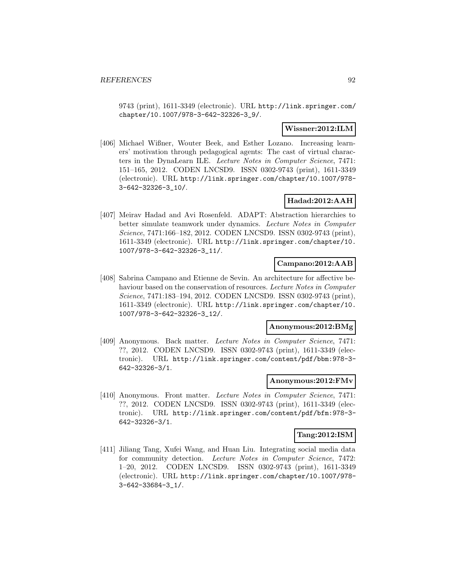9743 (print), 1611-3349 (electronic). URL http://link.springer.com/ chapter/10.1007/978-3-642-32326-3\_9/.

## **Wissner:2012:ILM**

[406] Michael Wißner, Wouter Beek, and Esther Lozano. Increasing learners' motivation through pedagogical agents: The cast of virtual characters in the DynaLearn ILE. Lecture Notes in Computer Science, 7471: 151–165, 2012. CODEN LNCSD9. ISSN 0302-9743 (print), 1611-3349 (electronic). URL http://link.springer.com/chapter/10.1007/978- 3-642-32326-3\_10/.

## **Hadad:2012:AAH**

[407] Meirav Hadad and Avi Rosenfeld. ADAPT: Abstraction hierarchies to better simulate teamwork under dynamics. Lecture Notes in Computer Science, 7471:166–182, 2012. CODEN LNCSD9. ISSN 0302-9743 (print), 1611-3349 (electronic). URL http://link.springer.com/chapter/10. 1007/978-3-642-32326-3\_11/.

### **Campano:2012:AAB**

[408] Sabrina Campano and Etienne de Sevin. An architecture for affective behaviour based on the conservation of resources. Lecture Notes in Computer Science, 7471:183–194, 2012. CODEN LNCSD9. ISSN 0302-9743 (print), 1611-3349 (electronic). URL http://link.springer.com/chapter/10. 1007/978-3-642-32326-3\_12/.

## **Anonymous:2012:BMg**

[409] Anonymous. Back matter. Lecture Notes in Computer Science, 7471: ??, 2012. CODEN LNCSD9. ISSN 0302-9743 (print), 1611-3349 (electronic). URL http://link.springer.com/content/pdf/bbm:978-3- 642-32326-3/1.

#### **Anonymous:2012:FMv**

[410] Anonymous. Front matter. Lecture Notes in Computer Science, 7471: ??, 2012. CODEN LNCSD9. ISSN 0302-9743 (print), 1611-3349 (electronic). URL http://link.springer.com/content/pdf/bfm:978-3- 642-32326-3/1.

#### **Tang:2012:ISM**

[411] Jiliang Tang, Xufei Wang, and Huan Liu. Integrating social media data for community detection. Lecture Notes in Computer Science, 7472: 1–20, 2012. CODEN LNCSD9. ISSN 0302-9743 (print), 1611-3349 (electronic). URL http://link.springer.com/chapter/10.1007/978- 3-642-33684-3\_1/.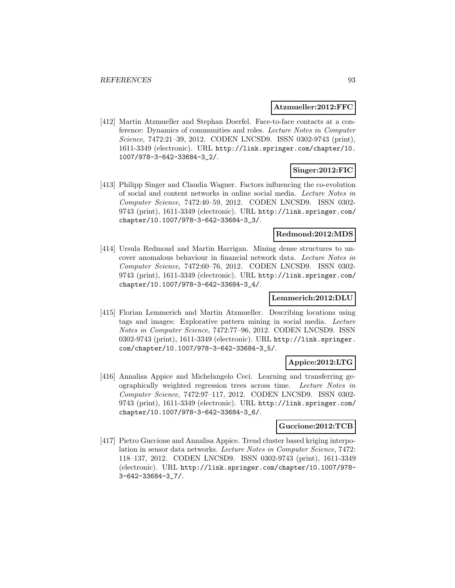#### **Atzmueller:2012:FFC**

[412] Martin Atzmueller and Stephan Doerfel. Face-to-face contacts at a conference: Dynamics of communities and roles. Lecture Notes in Computer Science, 7472:21–39, 2012. CODEN LNCSD9. ISSN 0302-9743 (print), 1611-3349 (electronic). URL http://link.springer.com/chapter/10. 1007/978-3-642-33684-3\_2/.

## **Singer:2012:FIC**

[413] Philipp Singer and Claudia Wagner. Factors influencing the co-evolution of social and content networks in online social media. Lecture Notes in Computer Science, 7472:40–59, 2012. CODEN LNCSD9. ISSN 0302- 9743 (print), 1611-3349 (electronic). URL http://link.springer.com/ chapter/10.1007/978-3-642-33684-3\_3/.

#### **Redmond:2012:MDS**

[414] Ursula Redmond and Martin Harrigan. Mining dense structures to uncover anomalous behaviour in financial network data. Lecture Notes in Computer Science, 7472:60–76, 2012. CODEN LNCSD9. ISSN 0302- 9743 (print), 1611-3349 (electronic). URL http://link.springer.com/ chapter/10.1007/978-3-642-33684-3\_4/.

## **Lemmerich:2012:DLU**

[415] Florian Lemmerich and Martin Atzmueller. Describing locations using tags and images: Explorative pattern mining in social media. Lecture Notes in Computer Science, 7472:77–96, 2012. CODEN LNCSD9. ISSN 0302-9743 (print), 1611-3349 (electronic). URL http://link.springer. com/chapter/10.1007/978-3-642-33684-3\_5/.

## **Appice:2012:LTG**

[416] Annalisa Appice and Michelangelo Ceci. Learning and transferring geographically weighted regression trees across time. Lecture Notes in Computer Science, 7472:97–117, 2012. CODEN LNCSD9. ISSN 0302- 9743 (print), 1611-3349 (electronic). URL http://link.springer.com/ chapter/10.1007/978-3-642-33684-3\_6/.

#### **Guccione:2012:TCB**

[417] Pietro Guccione and Annalisa Appice. Trend cluster based kriging interpolation in sensor data networks. Lecture Notes in Computer Science, 7472: 118–137, 2012. CODEN LNCSD9. ISSN 0302-9743 (print), 1611-3349 (electronic). URL http://link.springer.com/chapter/10.1007/978- 3-642-33684-3\_7/.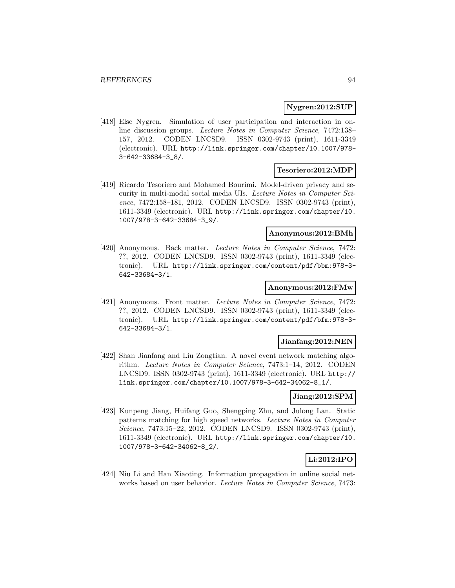#### **Nygren:2012:SUP**

[418] Else Nygren. Simulation of user participation and interaction in online discussion groups. Lecture Notes in Computer Science, 7472:138– 157, 2012. CODEN LNCSD9. ISSN 0302-9743 (print), 1611-3349 (electronic). URL http://link.springer.com/chapter/10.1007/978- 3-642-33684-3\_8/.

#### **Tesoriero:2012:MDP**

[419] Ricardo Tesoriero and Mohamed Bourimi. Model-driven privacy and security in multi-modal social media UIs. Lecture Notes in Computer Science, 7472:158–181, 2012. CODEN LNCSD9. ISSN 0302-9743 (print), 1611-3349 (electronic). URL http://link.springer.com/chapter/10. 1007/978-3-642-33684-3\_9/.

## **Anonymous:2012:BMh**

[420] Anonymous. Back matter. Lecture Notes in Computer Science, 7472: ??, 2012. CODEN LNCSD9. ISSN 0302-9743 (print), 1611-3349 (electronic). URL http://link.springer.com/content/pdf/bbm:978-3- 642-33684-3/1.

#### **Anonymous:2012:FMw**

[421] Anonymous. Front matter. Lecture Notes in Computer Science, 7472: ??, 2012. CODEN LNCSD9. ISSN 0302-9743 (print), 1611-3349 (electronic). URL http://link.springer.com/content/pdf/bfm:978-3- 642-33684-3/1.

### **Jianfang:2012:NEN**

[422] Shan Jianfang and Liu Zongtian. A novel event network matching algorithm. Lecture Notes in Computer Science, 7473:1–14, 2012. CODEN LNCSD9. ISSN 0302-9743 (print), 1611-3349 (electronic). URL http:// link.springer.com/chapter/10.1007/978-3-642-34062-8\_1/.

#### **Jiang:2012:SPM**

[423] Kunpeng Jiang, Huifang Guo, Shengping Zhu, and Julong Lan. Static patterns matching for high speed networks. Lecture Notes in Computer Science, 7473:15–22, 2012. CODEN LNCSD9. ISSN 0302-9743 (print), 1611-3349 (electronic). URL http://link.springer.com/chapter/10. 1007/978-3-642-34062-8\_2/.

## **Li:2012:IPO**

[424] Niu Li and Han Xiaoting. Information propagation in online social networks based on user behavior. Lecture Notes in Computer Science, 7473: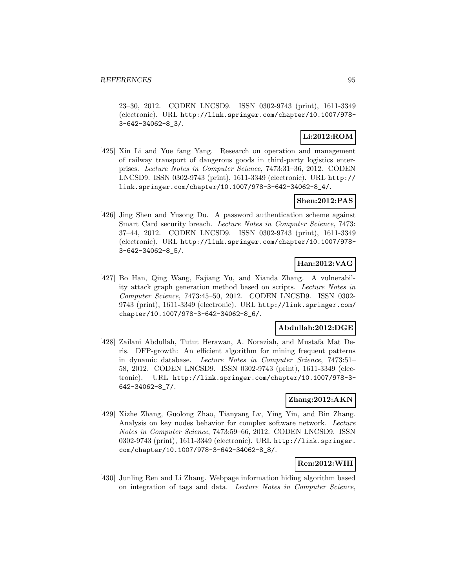23–30, 2012. CODEN LNCSD9. ISSN 0302-9743 (print), 1611-3349 (electronic). URL http://link.springer.com/chapter/10.1007/978- 3-642-34062-8\_3/.

## **Li:2012:ROM**

[425] Xin Li and Yue fang Yang. Research on operation and management of railway transport of dangerous goods in third-party logistics enterprises. Lecture Notes in Computer Science, 7473:31–36, 2012. CODEN LNCSD9. ISSN 0302-9743 (print), 1611-3349 (electronic). URL http:// link.springer.com/chapter/10.1007/978-3-642-34062-8\_4/.

## **Shen:2012:PAS**

[426] Jing Shen and Yusong Du. A password authentication scheme against Smart Card security breach. Lecture Notes in Computer Science, 7473: 37–44, 2012. CODEN LNCSD9. ISSN 0302-9743 (print), 1611-3349 (electronic). URL http://link.springer.com/chapter/10.1007/978- 3-642-34062-8\_5/.

## **Han:2012:VAG**

[427] Bo Han, Qing Wang, Fajiang Yu, and Xianda Zhang. A vulnerability attack graph generation method based on scripts. Lecture Notes in Computer Science, 7473:45–50, 2012. CODEN LNCSD9. ISSN 0302- 9743 (print), 1611-3349 (electronic). URL http://link.springer.com/ chapter/10.1007/978-3-642-34062-8\_6/.

## **Abdullah:2012:DGE**

[428] Zailani Abdullah, Tutut Herawan, A. Noraziah, and Mustafa Mat Deris. DFP-growth: An efficient algorithm for mining frequent patterns in dynamic database. Lecture Notes in Computer Science, 7473:51– 58, 2012. CODEN LNCSD9. ISSN 0302-9743 (print), 1611-3349 (electronic). URL http://link.springer.com/chapter/10.1007/978-3- 642-34062-8\_7/.

#### **Zhang:2012:AKN**

[429] Xizhe Zhang, Guolong Zhao, Tianyang Lv, Ying Yin, and Bin Zhang. Analysis on key nodes behavior for complex software network. Lecture Notes in Computer Science, 7473:59–66, 2012. CODEN LNCSD9. ISSN 0302-9743 (print), 1611-3349 (electronic). URL http://link.springer. com/chapter/10.1007/978-3-642-34062-8\_8/.

## **Ren:2012:WIH**

[430] Junling Ren and Li Zhang. Webpage information hiding algorithm based on integration of tags and data. Lecture Notes in Computer Science,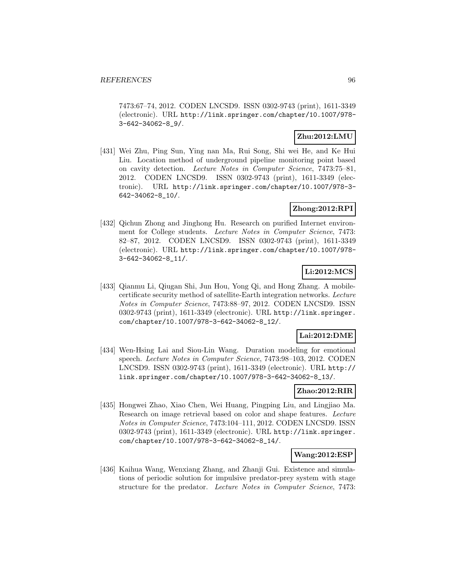7473:67–74, 2012. CODEN LNCSD9. ISSN 0302-9743 (print), 1611-3349 (electronic). URL http://link.springer.com/chapter/10.1007/978- 3-642-34062-8\_9/.

## **Zhu:2012:LMU**

[431] Wei Zhu, Ping Sun, Ying nan Ma, Rui Song, Shi wei He, and Ke Hui Liu. Location method of underground pipeline monitoring point based on cavity detection. Lecture Notes in Computer Science, 7473:75–81, 2012. CODEN LNCSD9. ISSN 0302-9743 (print), 1611-3349 (electronic). URL http://link.springer.com/chapter/10.1007/978-3- 642-34062-8\_10/.

## **Zhong:2012:RPI**

[432] Qichun Zhong and Jinghong Hu. Research on purified Internet environment for College students. Lecture Notes in Computer Science, 7473: 82–87, 2012. CODEN LNCSD9. ISSN 0302-9743 (print), 1611-3349 (electronic). URL http://link.springer.com/chapter/10.1007/978- 3-642-34062-8\_11/.

## **Li:2012:MCS**

[433] Qianmu Li, Qiugan Shi, Jun Hou, Yong Qi, and Hong Zhang. A mobilecertificate security method of satellite-Earth integration networks. Lecture Notes in Computer Science, 7473:88–97, 2012. CODEN LNCSD9. ISSN 0302-9743 (print), 1611-3349 (electronic). URL http://link.springer. com/chapter/10.1007/978-3-642-34062-8\_12/.

## **Lai:2012:DME**

[434] Wen-Hsing Lai and Siou-Lin Wang. Duration modeling for emotional speech. Lecture Notes in Computer Science, 7473:98–103, 2012. CODEN LNCSD9. ISSN 0302-9743 (print), 1611-3349 (electronic). URL http:// link.springer.com/chapter/10.1007/978-3-642-34062-8\_13/.

## **Zhao:2012:RIR**

[435] Hongwei Zhao, Xiao Chen, Wei Huang, Pingping Liu, and Lingjiao Ma. Research on image retrieval based on color and shape features. Lecture Notes in Computer Science, 7473:104–111, 2012. CODEN LNCSD9. ISSN 0302-9743 (print), 1611-3349 (electronic). URL http://link.springer. com/chapter/10.1007/978-3-642-34062-8\_14/.

#### **Wang:2012:ESP**

[436] Kaihua Wang, Wenxiang Zhang, and Zhanji Gui. Existence and simulations of periodic solution for impulsive predator-prey system with stage structure for the predator. Lecture Notes in Computer Science, 7473: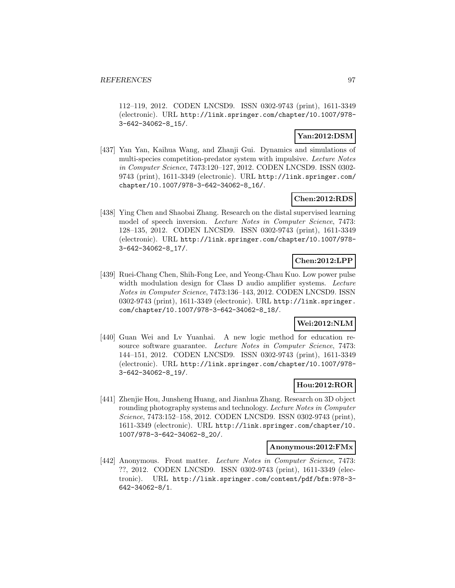112–119, 2012. CODEN LNCSD9. ISSN 0302-9743 (print), 1611-3349 (electronic). URL http://link.springer.com/chapter/10.1007/978- 3-642-34062-8\_15/.

## **Yan:2012:DSM**

[437] Yan Yan, Kaihua Wang, and Zhanji Gui. Dynamics and simulations of multi-species competition-predator system with impulsive. Lecture Notes in Computer Science, 7473:120–127, 2012. CODEN LNCSD9. ISSN 0302- 9743 (print), 1611-3349 (electronic). URL http://link.springer.com/ chapter/10.1007/978-3-642-34062-8\_16/.

## **Chen:2012:RDS**

[438] Ying Chen and Shaobai Zhang. Research on the distal supervised learning model of speech inversion. Lecture Notes in Computer Science, 7473: 128–135, 2012. CODEN LNCSD9. ISSN 0302-9743 (print), 1611-3349 (electronic). URL http://link.springer.com/chapter/10.1007/978- 3-642-34062-8\_17/.

## **Chen:2012:LPP**

[439] Ruei-Chang Chen, Shih-Fong Lee, and Yeong-Chau Kuo. Low power pulse width modulation design for Class D audio amplifier systems. Lecture Notes in Computer Science, 7473:136–143, 2012. CODEN LNCSD9. ISSN 0302-9743 (print), 1611-3349 (electronic). URL http://link.springer. com/chapter/10.1007/978-3-642-34062-8\_18/.

## **Wei:2012:NLM**

[440] Guan Wei and Lv Yuanhai. A new logic method for education resource software guarantee. Lecture Notes in Computer Science, 7473: 144–151, 2012. CODEN LNCSD9. ISSN 0302-9743 (print), 1611-3349 (electronic). URL http://link.springer.com/chapter/10.1007/978- 3-642-34062-8\_19/.

## **Hou:2012:ROR**

[441] Zhenjie Hou, Junsheng Huang, and Jianhua Zhang. Research on 3D object rounding photography systems and technology. Lecture Notes in Computer Science, 7473:152–158, 2012. CODEN LNCSD9. ISSN 0302-9743 (print), 1611-3349 (electronic). URL http://link.springer.com/chapter/10. 1007/978-3-642-34062-8\_20/.

## **Anonymous:2012:FMx**

[442] Anonymous. Front matter. Lecture Notes in Computer Science, 7473: ??, 2012. CODEN LNCSD9. ISSN 0302-9743 (print), 1611-3349 (electronic). URL http://link.springer.com/content/pdf/bfm:978-3- 642-34062-8/1.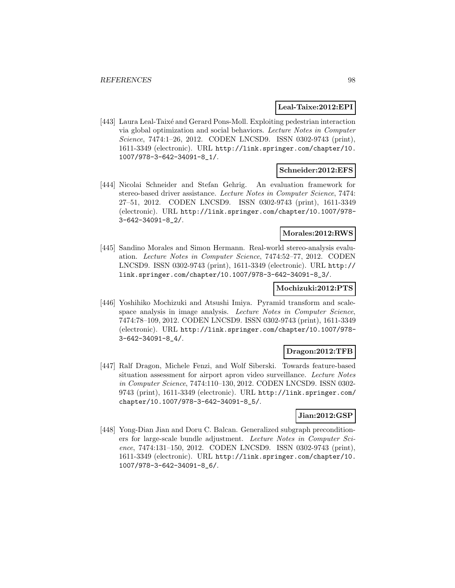#### **Leal-Taixe:2012:EPI**

[443] Laura Leal-Taixé and Gerard Pons-Moll. Exploiting pedestrian interaction via global optimization and social behaviors. Lecture Notes in Computer Science, 7474:1-26, 2012. CODEN LNCSD9. ISSN 0302-9743 (print), 1611-3349 (electronic). URL http://link.springer.com/chapter/10. 1007/978-3-642-34091-8\_1/.

#### **Schneider:2012:EFS**

[444] Nicolai Schneider and Stefan Gehrig. An evaluation framework for stereo-based driver assistance. Lecture Notes in Computer Science, 7474: 27–51, 2012. CODEN LNCSD9. ISSN 0302-9743 (print), 1611-3349 (electronic). URL http://link.springer.com/chapter/10.1007/978- 3-642-34091-8\_2/.

## **Morales:2012:RWS**

[445] Sandino Morales and Simon Hermann. Real-world stereo-analysis evaluation. Lecture Notes in Computer Science, 7474:52–77, 2012. CODEN LNCSD9. ISSN 0302-9743 (print), 1611-3349 (electronic). URL http:// link.springer.com/chapter/10.1007/978-3-642-34091-8\_3/.

#### **Mochizuki:2012:PTS**

[446] Yoshihiko Mochizuki and Atsushi Imiya. Pyramid transform and scalespace analysis in image analysis. Lecture Notes in Computer Science, 7474:78–109, 2012. CODEN LNCSD9. ISSN 0302-9743 (print), 1611-3349 (electronic). URL http://link.springer.com/chapter/10.1007/978- 3-642-34091-8\_4/.

#### **Dragon:2012:TFB**

[447] Ralf Dragon, Michele Fenzi, and Wolf Siberski. Towards feature-based situation assessment for airport apron video surveillance. Lecture Notes in Computer Science, 7474:110–130, 2012. CODEN LNCSD9. ISSN 0302- 9743 (print), 1611-3349 (electronic). URL http://link.springer.com/ chapter/10.1007/978-3-642-34091-8\_5/.

## **Jian:2012:GSP**

[448] Yong-Dian Jian and Doru C. Balcan. Generalized subgraph preconditioners for large-scale bundle adjustment. Lecture Notes in Computer Science, 7474:131–150, 2012. CODEN LNCSD9. ISSN 0302-9743 (print), 1611-3349 (electronic). URL http://link.springer.com/chapter/10. 1007/978-3-642-34091-8\_6/.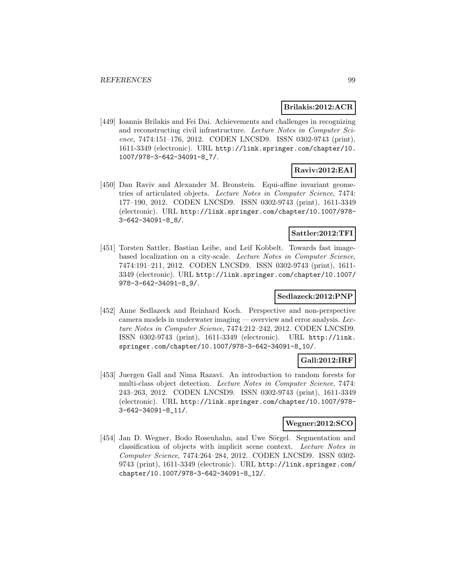### **Brilakis:2012:ACR**

[449] Ioannis Brilakis and Fei Dai. Achievements and challenges in recognizing and reconstructing civil infrastructure. Lecture Notes in Computer Science, 7474:151-176, 2012. CODEN LNCSD9. ISSN 0302-9743 (print), 1611-3349 (electronic). URL http://link.springer.com/chapter/10. 1007/978-3-642-34091-8\_7/.

## **Raviv:2012:EAI**

[450] Dan Raviv and Alexander M. Bronstein. Equi-affine invariant geometries of articulated objects. Lecture Notes in Computer Science, 7474: 177–190, 2012. CODEN LNCSD9. ISSN 0302-9743 (print), 1611-3349 (electronic). URL http://link.springer.com/chapter/10.1007/978- 3-642-34091-8\_8/.

## **Sattler:2012:TFI**

[451] Torsten Sattler, Bastian Leibe, and Leif Kobbelt. Towards fast imagebased localization on a city-scale. Lecture Notes in Computer Science, 7474:191–211, 2012. CODEN LNCSD9. ISSN 0302-9743 (print), 1611- 3349 (electronic). URL http://link.springer.com/chapter/10.1007/ 978-3-642-34091-8\_9/.

## **Sedlazeck:2012:PNP**

[452] Anne Sedlazeck and Reinhard Koch. Perspective and non-perspective camera models in underwater imaging — overview and error analysis. Lecture Notes in Computer Science, 7474:212–242, 2012. CODEN LNCSD9. ISSN 0302-9743 (print), 1611-3349 (electronic). URL http://link. springer.com/chapter/10.1007/978-3-642-34091-8\_10/.

## **Gall:2012:IRF**

[453] Juergen Gall and Nima Razavi. An introduction to random forests for multi-class object detection. Lecture Notes in Computer Science, 7474: 243–263, 2012. CODEN LNCSD9. ISSN 0302-9743 (print), 1611-3349 (electronic). URL http://link.springer.com/chapter/10.1007/978- 3-642-34091-8\_11/.

### **Wegner:2012:SCO**

[454] Jan D. Wegner, Bodo Rosenhahn, and Uwe Sörgel. Segmentation and classification of objects with implicit scene context. Lecture Notes in Computer Science, 7474:264–284, 2012. CODEN LNCSD9. ISSN 0302- 9743 (print), 1611-3349 (electronic). URL http://link.springer.com/ chapter/10.1007/978-3-642-34091-8\_12/.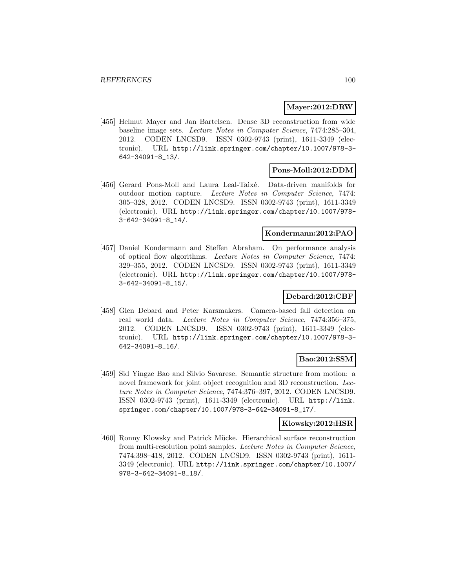#### **Mayer:2012:DRW**

[455] Helmut Mayer and Jan Bartelsen. Dense 3D reconstruction from wide baseline image sets. Lecture Notes in Computer Science, 7474:285–304, 2012. CODEN LNCSD9. ISSN 0302-9743 (print), 1611-3349 (electronic). URL http://link.springer.com/chapter/10.1007/978-3- 642-34091-8\_13/.

## **Pons-Moll:2012:DDM**

[456] Gerard Pons-Moll and Laura Leal-Taixé. Data-driven manifolds for outdoor motion capture. Lecture Notes in Computer Science, 7474: 305–328, 2012. CODEN LNCSD9. ISSN 0302-9743 (print), 1611-3349 (electronic). URL http://link.springer.com/chapter/10.1007/978- 3-642-34091-8\_14/.

## **Kondermann:2012:PAO**

[457] Daniel Kondermann and Steffen Abraham. On performance analysis of optical flow algorithms. Lecture Notes in Computer Science, 7474: 329–355, 2012. CODEN LNCSD9. ISSN 0302-9743 (print), 1611-3349 (electronic). URL http://link.springer.com/chapter/10.1007/978- 3-642-34091-8\_15/.

### **Debard:2012:CBF**

[458] Glen Debard and Peter Karsmakers. Camera-based fall detection on real world data. Lecture Notes in Computer Science, 7474:356–375, 2012. CODEN LNCSD9. ISSN 0302-9743 (print), 1611-3349 (electronic). URL http://link.springer.com/chapter/10.1007/978-3- 642-34091-8\_16/.

## **Bao:2012:SSM**

[459] Sid Yingze Bao and Silvio Savarese. Semantic structure from motion: a novel framework for joint object recognition and 3D reconstruction. Lecture Notes in Computer Science, 7474:376–397, 2012. CODEN LNCSD9. ISSN 0302-9743 (print), 1611-3349 (electronic). URL http://link. springer.com/chapter/10.1007/978-3-642-34091-8\_17/.

### **Klowsky:2012:HSR**

[460] Ronny Klowsky and Patrick M¨ucke. Hierarchical surface reconstruction from multi-resolution point samples. Lecture Notes in Computer Science, 7474:398–418, 2012. CODEN LNCSD9. ISSN 0302-9743 (print), 1611- 3349 (electronic). URL http://link.springer.com/chapter/10.1007/ 978-3-642-34091-8\_18/.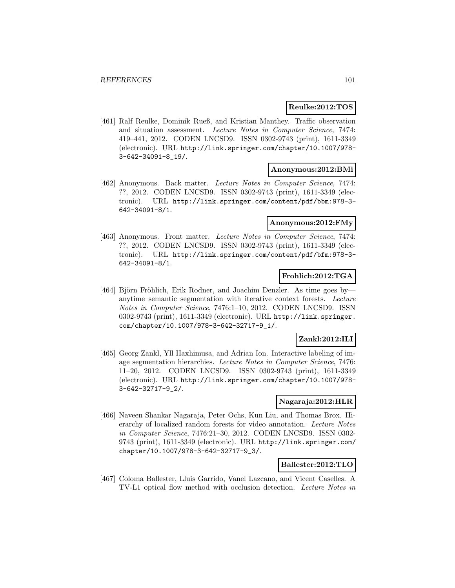### **Reulke:2012:TOS**

[461] Ralf Reulke, Dominik Rueß, and Kristian Manthey. Traffic observation and situation assessment. Lecture Notes in Computer Science, 7474: 419–441, 2012. CODEN LNCSD9. ISSN 0302-9743 (print), 1611-3349 (electronic). URL http://link.springer.com/chapter/10.1007/978- 3-642-34091-8\_19/.

#### **Anonymous:2012:BMi**

[462] Anonymous. Back matter. Lecture Notes in Computer Science, 7474: ??, 2012. CODEN LNCSD9. ISSN 0302-9743 (print), 1611-3349 (electronic). URL http://link.springer.com/content/pdf/bbm:978-3- 642-34091-8/1.

#### **Anonymous:2012:FMy**

[463] Anonymous. Front matter. Lecture Notes in Computer Science, 7474: ??, 2012. CODEN LNCSD9. ISSN 0302-9743 (print), 1611-3349 (electronic). URL http://link.springer.com/content/pdf/bfm:978-3- 642-34091-8/1.

## **Frohlich:2012:TGA**

[464] Björn Fröhlich, Erik Rodner, and Joachim Denzler. As time goes byanytime semantic segmentation with iterative context forests. Lecture Notes in Computer Science, 7476:1–10, 2012. CODEN LNCSD9. ISSN 0302-9743 (print), 1611-3349 (electronic). URL http://link.springer. com/chapter/10.1007/978-3-642-32717-9\_1/.

### **Zankl:2012:ILI**

[465] Georg Zankl, Yll Haxhimusa, and Adrian Ion. Interactive labeling of image segmentation hierarchies. Lecture Notes in Computer Science, 7476: 11–20, 2012. CODEN LNCSD9. ISSN 0302-9743 (print), 1611-3349 (electronic). URL http://link.springer.com/chapter/10.1007/978- 3-642-32717-9\_2/.

## **Nagaraja:2012:HLR**

[466] Naveen Shankar Nagaraja, Peter Ochs, Kun Liu, and Thomas Brox. Hierarchy of localized random forests for video annotation. Lecture Notes in Computer Science, 7476:21–30, 2012. CODEN LNCSD9. ISSN 0302- 9743 (print), 1611-3349 (electronic). URL http://link.springer.com/ chapter/10.1007/978-3-642-32717-9\_3/.

### **Ballester:2012:TLO**

[467] Coloma Ballester, Lluis Garrido, Vanel Lazcano, and Vicent Caselles. A TV-L1 optical flow method with occlusion detection. Lecture Notes in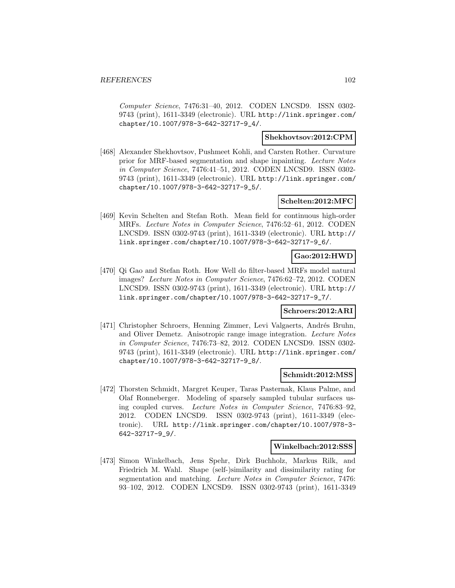Computer Science, 7476:31–40, 2012. CODEN LNCSD9. ISSN 0302- 9743 (print), 1611-3349 (electronic). URL http://link.springer.com/ chapter/10.1007/978-3-642-32717-9\_4/.

## **Shekhovtsov:2012:CPM**

[468] Alexander Shekhovtsov, Pushmeet Kohli, and Carsten Rother. Curvature prior for MRF-based segmentation and shape inpainting. Lecture Notes in Computer Science, 7476:41–51, 2012. CODEN LNCSD9. ISSN 0302- 9743 (print), 1611-3349 (electronic). URL http://link.springer.com/ chapter/10.1007/978-3-642-32717-9\_5/.

### **Schelten:2012:MFC**

[469] Kevin Schelten and Stefan Roth. Mean field for continuous high-order MRFs. Lecture Notes in Computer Science, 7476:52–61, 2012. CODEN LNCSD9. ISSN 0302-9743 (print), 1611-3349 (electronic). URL http:// link.springer.com/chapter/10.1007/978-3-642-32717-9\_6/.

## **Gao:2012:HWD**

[470] Qi Gao and Stefan Roth. How Well do filter-based MRFs model natural images? Lecture Notes in Computer Science, 7476:62–72, 2012. CODEN LNCSD9. ISSN 0302-9743 (print), 1611-3349 (electronic). URL http:// link.springer.com/chapter/10.1007/978-3-642-32717-9\_7/.

#### **Schroers:2012:ARI**

[471] Christopher Schroers, Henning Zimmer, Levi Valgaerts, Andrés Bruhn, and Oliver Demetz. Anisotropic range image integration. Lecture Notes in Computer Science, 7476:73–82, 2012. CODEN LNCSD9. ISSN 0302- 9743 (print), 1611-3349 (electronic). URL http://link.springer.com/ chapter/10.1007/978-3-642-32717-9\_8/.

#### **Schmidt:2012:MSS**

[472] Thorsten Schmidt, Margret Keuper, Taras Pasternak, Klaus Palme, and Olaf Ronneberger. Modeling of sparsely sampled tubular surfaces using coupled curves. Lecture Notes in Computer Science, 7476:83–92, 2012. CODEN LNCSD9. ISSN 0302-9743 (print), 1611-3349 (electronic). URL http://link.springer.com/chapter/10.1007/978-3- 642-32717-9\_9/.

#### **Winkelbach:2012:SSS**

[473] Simon Winkelbach, Jens Spehr, Dirk Buchholz, Markus Rilk, and Friedrich M. Wahl. Shape (self-)similarity and dissimilarity rating for segmentation and matching. Lecture Notes in Computer Science, 7476: 93–102, 2012. CODEN LNCSD9. ISSN 0302-9743 (print), 1611-3349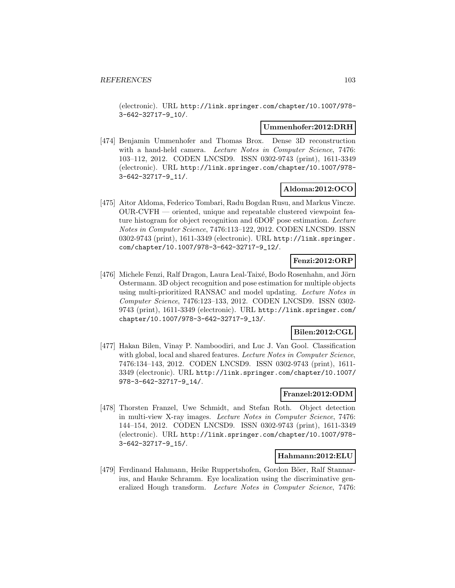(electronic). URL http://link.springer.com/chapter/10.1007/978- 3-642-32717-9\_10/.

#### **Ummenhofer:2012:DRH**

[474] Benjamin Ummenhofer and Thomas Brox. Dense 3D reconstruction with a hand-held camera. Lecture Notes in Computer Science, 7476: 103–112, 2012. CODEN LNCSD9. ISSN 0302-9743 (print), 1611-3349 (electronic). URL http://link.springer.com/chapter/10.1007/978- 3-642-32717-9\_11/.

## **Aldoma:2012:OCO**

[475] Aitor Aldoma, Federico Tombari, Radu Bogdan Rusu, and Markus Vincze. OUR-CVFH — oriented, unique and repeatable clustered viewpoint feature histogram for object recognition and 6DOF pose estimation. Lecture Notes in Computer Science, 7476:113–122, 2012. CODEN LNCSD9. ISSN 0302-9743 (print), 1611-3349 (electronic). URL http://link.springer. com/chapter/10.1007/978-3-642-32717-9\_12/.

## **Fenzi:2012:ORP**

[476] Michele Fenzi, Ralf Dragon, Laura Leal-Taixé, Bodo Rosenhahn, and Jörn Ostermann. 3D object recognition and pose estimation for multiple objects using multi-prioritized RANSAC and model updating. Lecture Notes in Computer Science, 7476:123–133, 2012. CODEN LNCSD9. ISSN 0302- 9743 (print), 1611-3349 (electronic). URL http://link.springer.com/ chapter/10.1007/978-3-642-32717-9\_13/.

## **Bilen:2012:CGL**

[477] Hakan Bilen, Vinay P. Namboodiri, and Luc J. Van Gool. Classification with global, local and shared features. Lecture Notes in Computer Science, 7476:134–143, 2012. CODEN LNCSD9. ISSN 0302-9743 (print), 1611- 3349 (electronic). URL http://link.springer.com/chapter/10.1007/ 978-3-642-32717-9\_14/.

## **Franzel:2012:ODM**

[478] Thorsten Franzel, Uwe Schmidt, and Stefan Roth. Object detection in multi-view X-ray images. Lecture Notes in Computer Science, 7476: 144–154, 2012. CODEN LNCSD9. ISSN 0302-9743 (print), 1611-3349 (electronic). URL http://link.springer.com/chapter/10.1007/978- 3-642-32717-9\_15/.

#### **Hahmann:2012:ELU**

[479] Ferdinand Hahmann, Heike Ruppertshofen, Gordon Böer, Ralf Stannarius, and Hauke Schramm. Eye localization using the discriminative generalized Hough transform. Lecture Notes in Computer Science, 7476: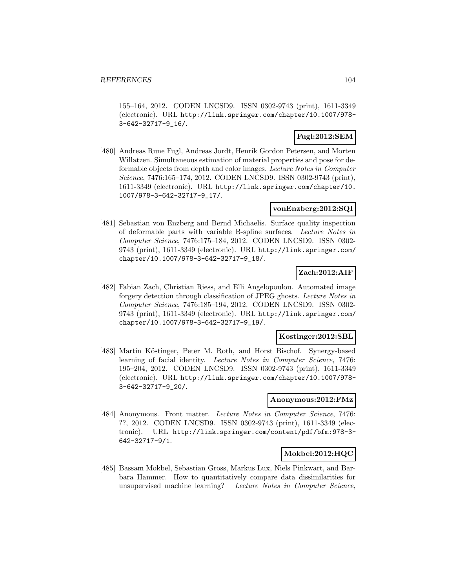155–164, 2012. CODEN LNCSD9. ISSN 0302-9743 (print), 1611-3349 (electronic). URL http://link.springer.com/chapter/10.1007/978- 3-642-32717-9\_16/.

## **Fugl:2012:SEM**

[480] Andreas Rune Fugl, Andreas Jordt, Henrik Gordon Petersen, and Morten Willatzen. Simultaneous estimation of material properties and pose for deformable objects from depth and color images. Lecture Notes in Computer Science, 7476:165–174, 2012. CODEN LNCSD9. ISSN 0302-9743 (print), 1611-3349 (electronic). URL http://link.springer.com/chapter/10. 1007/978-3-642-32717-9\_17/.

#### **vonEnzberg:2012:SQI**

[481] Sebastian von Enzberg and Bernd Michaelis. Surface quality inspection of deformable parts with variable B-spline surfaces. Lecture Notes in Computer Science, 7476:175–184, 2012. CODEN LNCSD9. ISSN 0302- 9743 (print), 1611-3349 (electronic). URL http://link.springer.com/ chapter/10.1007/978-3-642-32717-9\_18/.

### **Zach:2012:AIF**

[482] Fabian Zach, Christian Riess, and Elli Angelopoulou. Automated image forgery detection through classification of JPEG ghosts. Lecture Notes in Computer Science, 7476:185–194, 2012. CODEN LNCSD9. ISSN 0302- 9743 (print), 1611-3349 (electronic). URL http://link.springer.com/ chapter/10.1007/978-3-642-32717-9\_19/.

#### **Kostinger:2012:SBL**

[483] Martin Köstinger, Peter M. Roth, and Horst Bischof. Synergy-based learning of facial identity. Lecture Notes in Computer Science, 7476: 195–204, 2012. CODEN LNCSD9. ISSN 0302-9743 (print), 1611-3349 (electronic). URL http://link.springer.com/chapter/10.1007/978- 3-642-32717-9\_20/.

#### **Anonymous:2012:FMz**

[484] Anonymous. Front matter. Lecture Notes in Computer Science, 7476: ??, 2012. CODEN LNCSD9. ISSN 0302-9743 (print), 1611-3349 (electronic). URL http://link.springer.com/content/pdf/bfm:978-3- 642-32717-9/1.

### **Mokbel:2012:HQC**

[485] Bassam Mokbel, Sebastian Gross, Markus Lux, Niels Pinkwart, and Barbara Hammer. How to quantitatively compare data dissimilarities for unsupervised machine learning? Lecture Notes in Computer Science,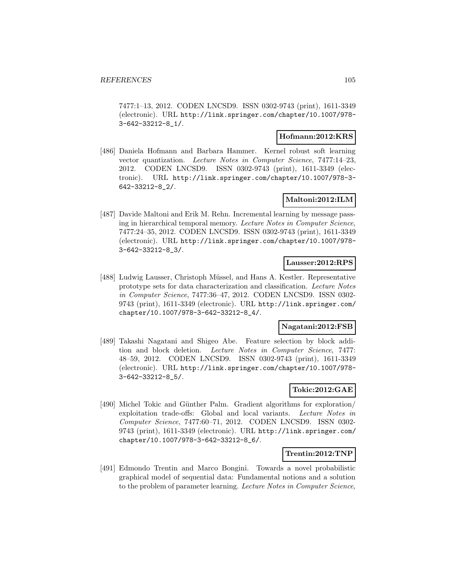7477:1–13, 2012. CODEN LNCSD9. ISSN 0302-9743 (print), 1611-3349 (electronic). URL http://link.springer.com/chapter/10.1007/978- 3-642-33212-8\_1/.

### **Hofmann:2012:KRS**

[486] Daniela Hofmann and Barbara Hammer. Kernel robust soft learning vector quantization. Lecture Notes in Computer Science, 7477:14–23, 2012. CODEN LNCSD9. ISSN 0302-9743 (print), 1611-3349 (electronic). URL http://link.springer.com/chapter/10.1007/978-3- 642-33212-8\_2/.

## **Maltoni:2012:ILM**

[487] Davide Maltoni and Erik M. Rehn. Incremental learning by message passing in hierarchical temporal memory. Lecture Notes in Computer Science, 7477:24–35, 2012. CODEN LNCSD9. ISSN 0302-9743 (print), 1611-3349 (electronic). URL http://link.springer.com/chapter/10.1007/978- 3-642-33212-8\_3/.

#### **Lausser:2012:RPS**

[488] Ludwig Lausser, Christoph Müssel, and Hans A. Kestler. Representative prototype sets for data characterization and classification. Lecture Notes in Computer Science, 7477:36–47, 2012. CODEN LNCSD9. ISSN 0302- 9743 (print), 1611-3349 (electronic). URL http://link.springer.com/ chapter/10.1007/978-3-642-33212-8\_4/.

#### **Nagatani:2012:FSB**

[489] Takashi Nagatani and Shigeo Abe. Feature selection by block addition and block deletion. Lecture Notes in Computer Science, 7477: 48–59, 2012. CODEN LNCSD9. ISSN 0302-9743 (print), 1611-3349 (electronic). URL http://link.springer.com/chapter/10.1007/978- 3-642-33212-8\_5/.

## **Tokic:2012:GAE**

[490] Michel Tokic and Günther Palm. Gradient algorithms for exploration/ exploitation trade-offs: Global and local variants. Lecture Notes in Computer Science, 7477:60–71, 2012. CODEN LNCSD9. ISSN 0302- 9743 (print), 1611-3349 (electronic). URL http://link.springer.com/ chapter/10.1007/978-3-642-33212-8\_6/.

### **Trentin:2012:TNP**

[491] Edmondo Trentin and Marco Bongini. Towards a novel probabilistic graphical model of sequential data: Fundamental notions and a solution to the problem of parameter learning. Lecture Notes in Computer Science,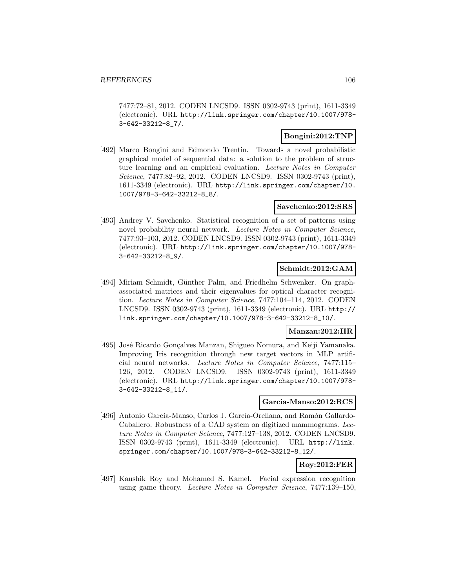7477:72–81, 2012. CODEN LNCSD9. ISSN 0302-9743 (print), 1611-3349 (electronic). URL http://link.springer.com/chapter/10.1007/978- 3-642-33212-8\_7/.

## **Bongini:2012:TNP**

[492] Marco Bongini and Edmondo Trentin. Towards a novel probabilistic graphical model of sequential data: a solution to the problem of structure learning and an empirical evaluation. Lecture Notes in Computer Science, 7477:82–92, 2012. CODEN LNCSD9. ISSN 0302-9743 (print), 1611-3349 (electronic). URL http://link.springer.com/chapter/10. 1007/978-3-642-33212-8\_8/.

### **Savchenko:2012:SRS**

[493] Andrey V. Savchenko. Statistical recognition of a set of patterns using novel probability neural network. Lecture Notes in Computer Science, 7477:93–103, 2012. CODEN LNCSD9. ISSN 0302-9743 (print), 1611-3349 (electronic). URL http://link.springer.com/chapter/10.1007/978- 3-642-33212-8\_9/.

## **Schmidt:2012:GAM**

[494] Miriam Schmidt, Günther Palm, and Friedhelm Schwenker. On graphassociated matrices and their eigenvalues for optical character recognition. Lecture Notes in Computer Science, 7477:104–114, 2012. CODEN LNCSD9. ISSN 0302-9743 (print), 1611-3349 (electronic). URL http:// link.springer.com/chapter/10.1007/978-3-642-33212-8\_10/.

## **Manzan:2012:IIR**

[495] José Ricardo Gonçalves Manzan, Shigueo Nomura, and Keiji Yamanaka. Improving Iris recognition through new target vectors in MLP artificial neural networks. Lecture Notes in Computer Science, 7477:115– 126, 2012. CODEN LNCSD9. ISSN 0302-9743 (print), 1611-3349 (electronic). URL http://link.springer.com/chapter/10.1007/978- 3-642-33212-8\_11/.

#### **Garcia-Manso:2012:RCS**

[496] Antonio García-Manso, Carlos J. García-Orellana, and Ramón Gallardo-Caballero. Robustness of a CAD system on digitized mammograms. Lecture Notes in Computer Science, 7477:127–138, 2012. CODEN LNCSD9. ISSN 0302-9743 (print), 1611-3349 (electronic). URL http://link. springer.com/chapter/10.1007/978-3-642-33212-8\_12/.

# **Roy:2012:FER**

[497] Kaushik Roy and Mohamed S. Kamel. Facial expression recognition using game theory. Lecture Notes in Computer Science, 7477:139–150,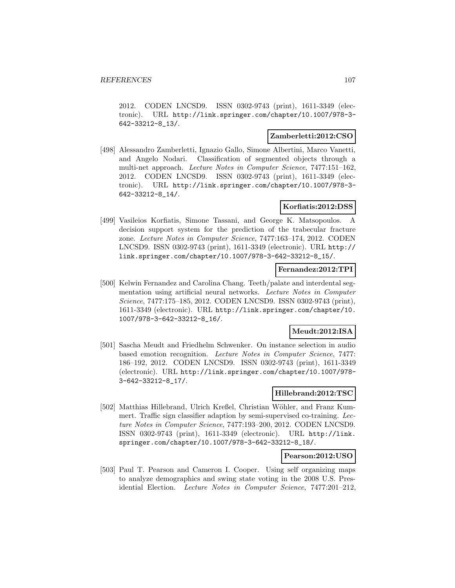2012. CODEN LNCSD9. ISSN 0302-9743 (print), 1611-3349 (electronic). URL http://link.springer.com/chapter/10.1007/978-3- 642-33212-8\_13/.

### **Zamberletti:2012:CSO**

[498] Alessandro Zamberletti, Ignazio Gallo, Simone Albertini, Marco Vanetti, and Angelo Nodari. Classification of segmented objects through a multi-net approach. Lecture Notes in Computer Science, 7477:151–162, 2012. CODEN LNCSD9. ISSN 0302-9743 (print), 1611-3349 (electronic). URL http://link.springer.com/chapter/10.1007/978-3- 642-33212-8\_14/.

### **Korfiatis:2012:DSS**

[499] Vasileios Korfiatis, Simone Tassani, and George K. Matsopoulos. A decision support system for the prediction of the trabecular fracture zone. Lecture Notes in Computer Science, 7477:163–174, 2012. CODEN LNCSD9. ISSN 0302-9743 (print), 1611-3349 (electronic). URL http:// link.springer.com/chapter/10.1007/978-3-642-33212-8\_15/.

### **Fernandez:2012:TPI**

[500] Kelwin Fernandez and Carolina Chang. Teeth/palate and interdental segmentation using artificial neural networks. Lecture Notes in Computer Science, 7477:175–185, 2012. CODEN LNCSD9. ISSN 0302-9743 (print), 1611-3349 (electronic). URL http://link.springer.com/chapter/10. 1007/978-3-642-33212-8\_16/.

## **Meudt:2012:ISA**

[501] Sascha Meudt and Friedhelm Schwenker. On instance selection in audio based emotion recognition. Lecture Notes in Computer Science, 7477: 186–192, 2012. CODEN LNCSD9. ISSN 0302-9743 (print), 1611-3349 (electronic). URL http://link.springer.com/chapter/10.1007/978- 3-642-33212-8\_17/.

## **Hillebrand:2012:TSC**

[502] Matthias Hillebrand, Ulrich Kreßel, Christian W¨ohler, and Franz Kummert. Traffic sign classifier adaption by semi-supervised co-training. Lecture Notes in Computer Science, 7477:193–200, 2012. CODEN LNCSD9. ISSN 0302-9743 (print), 1611-3349 (electronic). URL http://link. springer.com/chapter/10.1007/978-3-642-33212-8\_18/.

#### **Pearson:2012:USO**

[503] Paul T. Pearson and Cameron I. Cooper. Using self organizing maps to analyze demographics and swing state voting in the 2008 U.S. Presidential Election. Lecture Notes in Computer Science, 7477:201–212,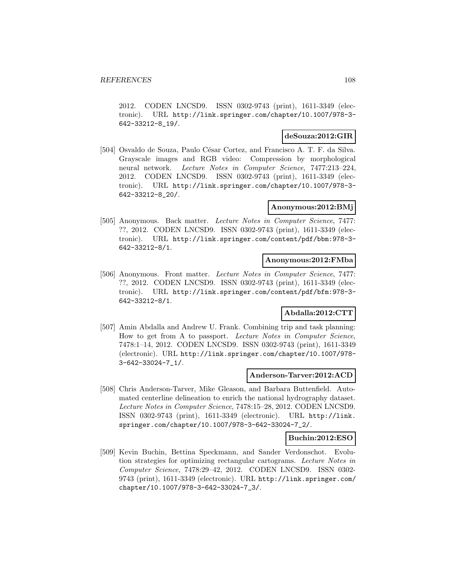2012. CODEN LNCSD9. ISSN 0302-9743 (print), 1611-3349 (electronic). URL http://link.springer.com/chapter/10.1007/978-3- 642-33212-8\_19/.

## **deSouza:2012:GIR**

[504] Osvaldo de Souza, Paulo César Cortez, and Francisco A. T. F. da Silva. Grayscale images and RGB video: Compression by morphological neural network. Lecture Notes in Computer Science, 7477:213–224, 2012. CODEN LNCSD9. ISSN 0302-9743 (print), 1611-3349 (electronic). URL http://link.springer.com/chapter/10.1007/978-3- 642-33212-8\_20/.

## **Anonymous:2012:BMj**

[505] Anonymous. Back matter. Lecture Notes in Computer Science, 7477: ??, 2012. CODEN LNCSD9. ISSN 0302-9743 (print), 1611-3349 (electronic). URL http://link.springer.com/content/pdf/bbm:978-3- 642-33212-8/1.

## **Anonymous:2012:FMba**

[506] Anonymous. Front matter. Lecture Notes in Computer Science, 7477: ??, 2012. CODEN LNCSD9. ISSN 0302-9743 (print), 1611-3349 (electronic). URL http://link.springer.com/content/pdf/bfm:978-3- 642-33212-8/1.

## **Abdalla:2012:CTT**

[507] Amin Abdalla and Andrew U. Frank. Combining trip and task planning: How to get from A to passport. Lecture Notes in Computer Science, 7478:1–14, 2012. CODEN LNCSD9. ISSN 0302-9743 (print), 1611-3349 (electronic). URL http://link.springer.com/chapter/10.1007/978- 3-642-33024-7\_1/.

#### **Anderson-Tarver:2012:ACD**

[508] Chris Anderson-Tarver, Mike Gleason, and Barbara Buttenfield. Automated centerline delineation to enrich the national hydrography dataset. Lecture Notes in Computer Science, 7478:15–28, 2012. CODEN LNCSD9. ISSN 0302-9743 (print), 1611-3349 (electronic). URL http://link. springer.com/chapter/10.1007/978-3-642-33024-7\_2/.

#### **Buchin:2012:ESO**

[509] Kevin Buchin, Bettina Speckmann, and Sander Verdonschot. Evolution strategies for optimizing rectangular cartograms. Lecture Notes in Computer Science, 7478:29–42, 2012. CODEN LNCSD9. ISSN 0302- 9743 (print), 1611-3349 (electronic). URL http://link.springer.com/ chapter/10.1007/978-3-642-33024-7\_3/.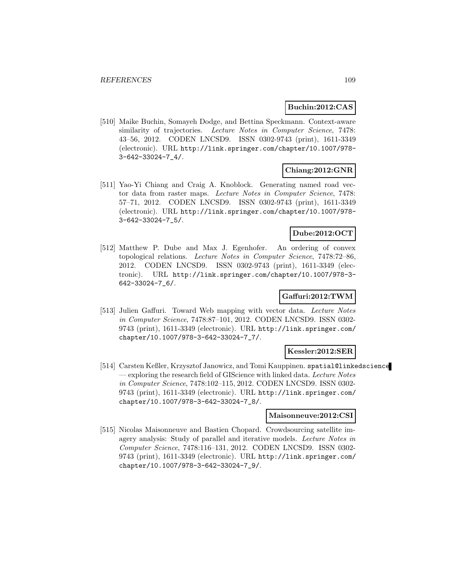## **Buchin:2012:CAS**

[510] Maike Buchin, Somayeh Dodge, and Bettina Speckmann. Context-aware similarity of trajectories. Lecture Notes in Computer Science, 7478: 43–56, 2012. CODEN LNCSD9. ISSN 0302-9743 (print), 1611-3349 (electronic). URL http://link.springer.com/chapter/10.1007/978- 3-642-33024-7\_4/.

## **Chiang:2012:GNR**

[511] Yao-Yi Chiang and Craig A. Knoblock. Generating named road vector data from raster maps. Lecture Notes in Computer Science, 7478: 57–71, 2012. CODEN LNCSD9. ISSN 0302-9743 (print), 1611-3349 (electronic). URL http://link.springer.com/chapter/10.1007/978- 3-642-33024-7\_5/.

## **Dube:2012:OCT**

[512] Matthew P. Dube and Max J. Egenhofer. An ordering of convex topological relations. Lecture Notes in Computer Science, 7478:72–86, 2012. CODEN LNCSD9. ISSN 0302-9743 (print), 1611-3349 (electronic). URL http://link.springer.com/chapter/10.1007/978-3- 642-33024-7\_6/.

## **Gaffuri:2012:TWM**

[513] Julien Gaffuri. Toward Web mapping with vector data. Lecture Notes in Computer Science, 7478:87–101, 2012. CODEN LNCSD9. ISSN 0302- 9743 (print), 1611-3349 (electronic). URL http://link.springer.com/ chapter/10.1007/978-3-642-33024-7\_7/.

### **Kessler:2012:SER**

[514] Carsten Keßler, Krzysztof Janowicz, and Tomi Kauppinen. spatial@linkedscience — exploring the research field of GIScience with linked data. Lecture Notes in Computer Science, 7478:102–115, 2012. CODEN LNCSD9. ISSN 0302- 9743 (print), 1611-3349 (electronic). URL http://link.springer.com/ chapter/10.1007/978-3-642-33024-7\_8/.

## **Maisonneuve:2012:CSI**

[515] Nicolas Maisonneuve and Bastien Chopard. Crowdsourcing satellite imagery analysis: Study of parallel and iterative models. Lecture Notes in Computer Science, 7478:116–131, 2012. CODEN LNCSD9. ISSN 0302- 9743 (print), 1611-3349 (electronic). URL http://link.springer.com/ chapter/10.1007/978-3-642-33024-7\_9/.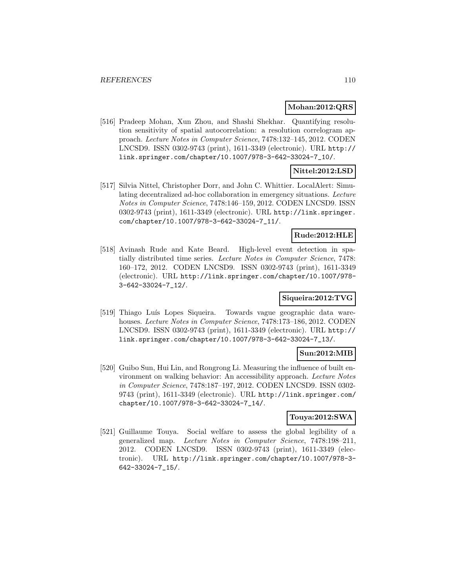### **Mohan:2012:QRS**

[516] Pradeep Mohan, Xun Zhou, and Shashi Shekhar. Quantifying resolution sensitivity of spatial autocorrelation: a resolution correlogram approach. Lecture Notes in Computer Science, 7478:132–145, 2012. CODEN LNCSD9. ISSN 0302-9743 (print), 1611-3349 (electronic). URL http:// link.springer.com/chapter/10.1007/978-3-642-33024-7\_10/.

## **Nittel:2012:LSD**

[517] Silvia Nittel, Christopher Dorr, and John C. Whittier. LocalAlert: Simulating decentralized ad-hoc collaboration in emergency situations. Lecture Notes in Computer Science, 7478:146–159, 2012. CODEN LNCSD9. ISSN 0302-9743 (print), 1611-3349 (electronic). URL http://link.springer. com/chapter/10.1007/978-3-642-33024-7\_11/.

## **Rude:2012:HLE**

[518] Avinash Rude and Kate Beard. High-level event detection in spatially distributed time series. Lecture Notes in Computer Science, 7478: 160–172, 2012. CODEN LNCSD9. ISSN 0302-9743 (print), 1611-3349 (electronic). URL http://link.springer.com/chapter/10.1007/978- 3-642-33024-7\_12/.

## **Siqueira:2012:TVG**

[519] Thiago Luís Lopes Siqueira. Towards vague geographic data warehouses. Lecture Notes in Computer Science, 7478:173-186, 2012. CODEN LNCSD9. ISSN 0302-9743 (print), 1611-3349 (electronic). URL http:// link.springer.com/chapter/10.1007/978-3-642-33024-7\_13/.

## **Sun:2012:MIB**

[520] Guibo Sun, Hui Lin, and Rongrong Li. Measuring the influence of built environment on walking behavior: An accessibility approach. Lecture Notes in Computer Science, 7478:187–197, 2012. CODEN LNCSD9. ISSN 0302- 9743 (print), 1611-3349 (electronic). URL http://link.springer.com/ chapter/10.1007/978-3-642-33024-7\_14/.

## **Touya:2012:SWA**

[521] Guillaume Touya. Social welfare to assess the global legibility of a generalized map. Lecture Notes in Computer Science, 7478:198–211, 2012. CODEN LNCSD9. ISSN 0302-9743 (print), 1611-3349 (electronic). URL http://link.springer.com/chapter/10.1007/978-3- 642-33024-7\_15/.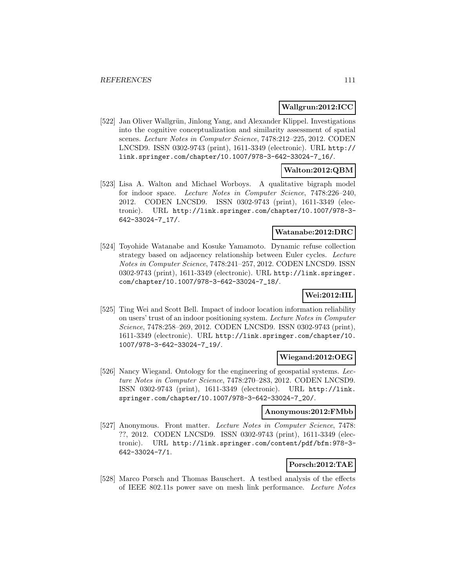## **Wallgrun:2012:ICC**

[522] Jan Oliver Wallgrün, Jinlong Yang, and Alexander Klippel. Investigations into the cognitive conceptualization and similarity assessment of spatial scenes. Lecture Notes in Computer Science, 7478:212–225, 2012. CODEN LNCSD9. ISSN 0302-9743 (print), 1611-3349 (electronic). URL http:// link.springer.com/chapter/10.1007/978-3-642-33024-7\_16/.

## **Walton:2012:QBM**

[523] Lisa A. Walton and Michael Worboys. A qualitative bigraph model for indoor space. Lecture Notes in Computer Science, 7478:226–240, 2012. CODEN LNCSD9. ISSN 0302-9743 (print), 1611-3349 (electronic). URL http://link.springer.com/chapter/10.1007/978-3- 642-33024-7\_17/.

### **Watanabe:2012:DRC**

[524] Toyohide Watanabe and Kosuke Yamamoto. Dynamic refuse collection strategy based on adjacency relationship between Euler cycles. Lecture Notes in Computer Science, 7478:241–257, 2012. CODEN LNCSD9. ISSN 0302-9743 (print), 1611-3349 (electronic). URL http://link.springer. com/chapter/10.1007/978-3-642-33024-7\_18/.

## **Wei:2012:IIL**

[525] Ting Wei and Scott Bell. Impact of indoor location information reliability on users' trust of an indoor positioning system. Lecture Notes in Computer Science, 7478:258–269, 2012. CODEN LNCSD9. ISSN 0302-9743 (print), 1611-3349 (electronic). URL http://link.springer.com/chapter/10. 1007/978-3-642-33024-7\_19/.

### **Wiegand:2012:OEG**

[526] Nancy Wiegand. Ontology for the engineering of geospatial systems. Lecture Notes in Computer Science, 7478:270–283, 2012. CODEN LNCSD9. ISSN 0302-9743 (print), 1611-3349 (electronic). URL http://link. springer.com/chapter/10.1007/978-3-642-33024-7\_20/.

### **Anonymous:2012:FMbb**

[527] Anonymous. Front matter. Lecture Notes in Computer Science, 7478: ??, 2012. CODEN LNCSD9. ISSN 0302-9743 (print), 1611-3349 (electronic). URL http://link.springer.com/content/pdf/bfm:978-3- 642-33024-7/1.

# **Porsch:2012:TAE**

[528] Marco Porsch and Thomas Bauschert. A testbed analysis of the effects of IEEE 802.11s power save on mesh link performance. Lecture Notes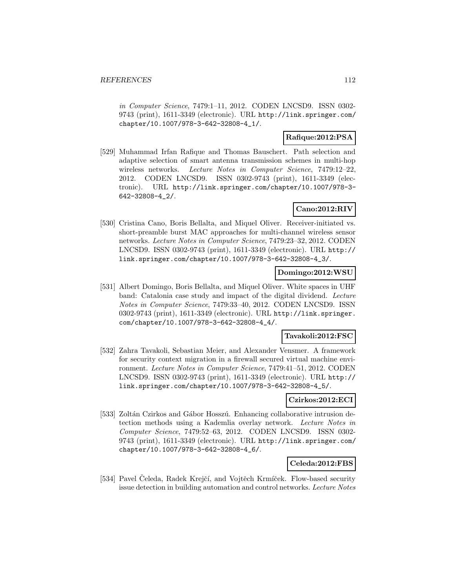in Computer Science, 7479:1–11, 2012. CODEN LNCSD9. ISSN 0302- 9743 (print), 1611-3349 (electronic). URL http://link.springer.com/ chapter/10.1007/978-3-642-32808-4\_1/.

## **Rafique:2012:PSA**

[529] Muhammad Irfan Rafique and Thomas Bauschert. Path selection and adaptive selection of smart antenna transmission schemes in multi-hop wireless networks. Lecture Notes in Computer Science, 7479:12-22, 2012. CODEN LNCSD9. ISSN 0302-9743 (print), 1611-3349 (electronic). URL http://link.springer.com/chapter/10.1007/978-3- 642-32808-4\_2/.

## **Cano:2012:RIV**

[530] Cristina Cano, Boris Bellalta, and Miquel Oliver. Receiver-initiated vs. short-preamble burst MAC approaches for multi-channel wireless sensor networks. Lecture Notes in Computer Science, 7479:23–32, 2012. CODEN LNCSD9. ISSN 0302-9743 (print), 1611-3349 (electronic). URL http:// link.springer.com/chapter/10.1007/978-3-642-32808-4\_3/.

## **Domingo:2012:WSU**

[531] Albert Domingo, Boris Bellalta, and Miquel Oliver. White spaces in UHF band: Catalonia case study and impact of the digital dividend. Lecture Notes in Computer Science, 7479:33–40, 2012. CODEN LNCSD9. ISSN 0302-9743 (print), 1611-3349 (electronic). URL http://link.springer. com/chapter/10.1007/978-3-642-32808-4\_4/.

### **Tavakoli:2012:FSC**

[532] Zahra Tavakoli, Sebastian Meier, and Alexander Vensmer. A framework for security context migration in a firewall secured virtual machine environment. Lecture Notes in Computer Science, 7479:41–51, 2012. CODEN LNCSD9. ISSN 0302-9743 (print), 1611-3349 (electronic). URL http:// link.springer.com/chapter/10.1007/978-3-642-32808-4\_5/.

### **Czirkos:2012:ECI**

[533] Zoltán Czirkos and Gábor Hosszú. Enhancing collaborative intrusion detection methods using a Kademlia overlay network. Lecture Notes in Computer Science, 7479:52–63, 2012. CODEN LNCSD9. ISSN 0302- 9743 (print), 1611-3349 (electronic). URL http://link.springer.com/ chapter/10.1007/978-3-642-32808-4\_6/.

### **Celeda:2012:FBS**

[534] Pavel Čeleda, Radek Krejčí, and Vojtěch Krmíček. Flow-based security issue detection in building automation and control networks. Lecture Notes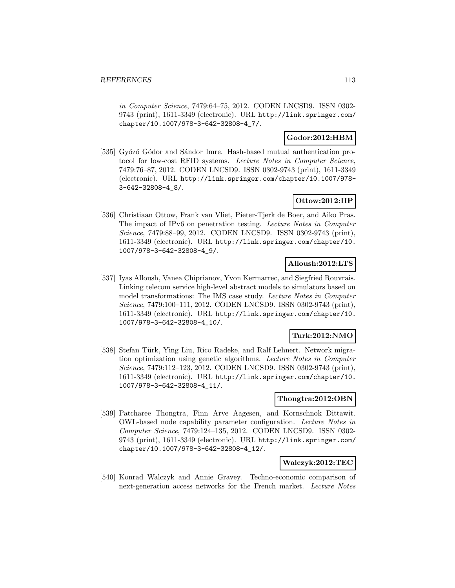in Computer Science, 7479:64–75, 2012. CODEN LNCSD9. ISSN 0302- 9743 (print), 1611-3349 (electronic). URL http://link.springer.com/ chapter/10.1007/978-3-642-32808-4\_7/.

### **Godor:2012:HBM**

[535] Győző Gódor and Sándor Imre. Hash-based mutual authentication protocol for low-cost RFID systems. Lecture Notes in Computer Science, 7479:76–87, 2012. CODEN LNCSD9. ISSN 0302-9743 (print), 1611-3349 (electronic). URL http://link.springer.com/chapter/10.1007/978- 3-642-32808-4\_8/.

## **Ottow:2012:IIP**

[536] Christiaan Ottow, Frank van Vliet, Pieter-Tjerk de Boer, and Aiko Pras. The impact of IPv6 on penetration testing. Lecture Notes in Computer Science, 7479:88–99, 2012. CODEN LNCSD9. ISSN 0302-9743 (print), 1611-3349 (electronic). URL http://link.springer.com/chapter/10. 1007/978-3-642-32808-4\_9/.

## **Alloush:2012:LTS**

[537] Iyas Alloush, Vanea Chiprianov, Yvon Kermarrec, and Siegfried Rouvrais. Linking telecom service high-level abstract models to simulators based on model transformations: The IMS case study. Lecture Notes in Computer Science, 7479:100–111, 2012. CODEN LNCSD9. ISSN 0302-9743 (print), 1611-3349 (electronic). URL http://link.springer.com/chapter/10. 1007/978-3-642-32808-4\_10/.

## **Turk:2012:NMO**

[538] Stefan Türk, Ying Liu, Rico Radeke, and Ralf Lehnert. Network migration optimization using genetic algorithms. Lecture Notes in Computer Science, 7479:112–123, 2012. CODEN LNCSD9. ISSN 0302-9743 (print), 1611-3349 (electronic). URL http://link.springer.com/chapter/10. 1007/978-3-642-32808-4\_11/.

### **Thongtra:2012:OBN**

[539] Patcharee Thongtra, Finn Arve Aagesen, and Kornschnok Dittawit. OWL-based node capability parameter configuration. Lecture Notes in Computer Science, 7479:124–135, 2012. CODEN LNCSD9. ISSN 0302- 9743 (print), 1611-3349 (electronic). URL http://link.springer.com/ chapter/10.1007/978-3-642-32808-4\_12/.

### **Walczyk:2012:TEC**

[540] Konrad Walczyk and Annie Gravey. Techno-economic comparison of next-generation access networks for the French market. Lecture Notes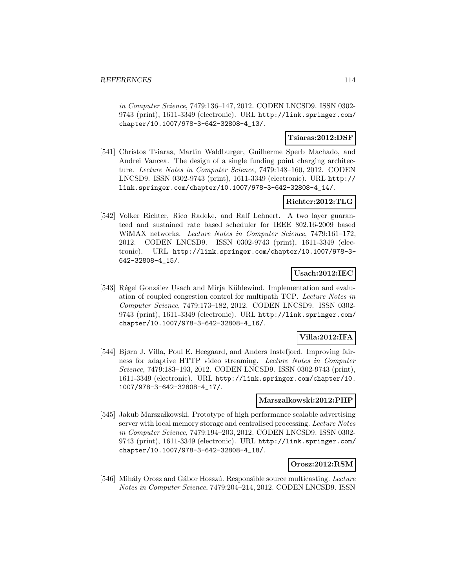in Computer Science, 7479:136–147, 2012. CODEN LNCSD9. ISSN 0302- 9743 (print), 1611-3349 (electronic). URL http://link.springer.com/ chapter/10.1007/978-3-642-32808-4\_13/.

## **Tsiaras:2012:DSF**

[541] Christos Tsiaras, Martin Waldburger, Guilherme Sperb Machado, and Andrei Vancea. The design of a single funding point charging architecture. Lecture Notes in Computer Science, 7479:148–160, 2012. CODEN LNCSD9. ISSN 0302-9743 (print), 1611-3349 (electronic). URL http:// link.springer.com/chapter/10.1007/978-3-642-32808-4\_14/.

## **Richter:2012:TLG**

[542] Volker Richter, Rico Radeke, and Ralf Lehnert. A two layer guaranteed and sustained rate based scheduler for IEEE 802.16-2009 based WiMAX networks. Lecture Notes in Computer Science, 7479:161–172, 2012. CODEN LNCSD9. ISSN 0302-9743 (print), 1611-3349 (electronic). URL http://link.springer.com/chapter/10.1007/978-3- 642-32808-4\_15/.

## **Usach:2012:IEC**

[543] Régel González Usach and Mirja Kühlewind. Implementation and evaluation of coupled congestion control for multipath TCP. Lecture Notes in Computer Science, 7479:173–182, 2012. CODEN LNCSD9. ISSN 0302- 9743 (print), 1611-3349 (electronic). URL http://link.springer.com/ chapter/10.1007/978-3-642-32808-4\_16/.

## **Villa:2012:IFA**

[544] Bjørn J. Villa, Poul E. Heegaard, and Anders Instefjord. Improving fairness for adaptive HTTP video streaming. Lecture Notes in Computer Science, 7479:183–193, 2012. CODEN LNCSD9. ISSN 0302-9743 (print), 1611-3349 (electronic). URL http://link.springer.com/chapter/10. 1007/978-3-642-32808-4\_17/.

### **Marszalkowski:2012:PHP**

[545] Jakub Marszałkowski. Prototype of high performance scalable advertising server with local memory storage and centralised processing. Lecture Notes in Computer Science, 7479:194–203, 2012. CODEN LNCSD9. ISSN 0302- 9743 (print), 1611-3349 (electronic). URL http://link.springer.com/ chapter/10.1007/978-3-642-32808-4\_18/.

### **Orosz:2012:RSM**

[546] Mihály Orosz and Gábor Hosszú. Responsible source multicasting. Lecture Notes in Computer Science, 7479:204–214, 2012. CODEN LNCSD9. ISSN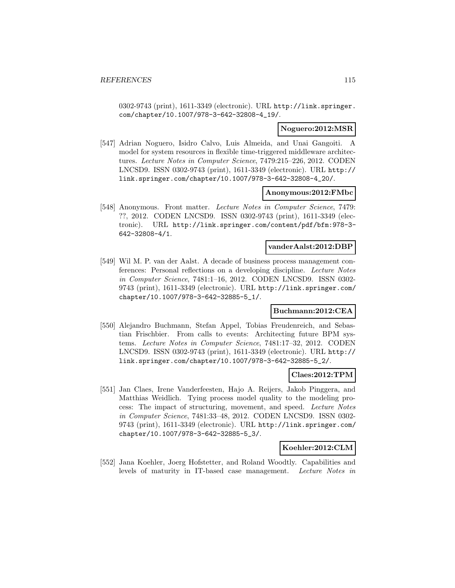0302-9743 (print), 1611-3349 (electronic). URL http://link.springer. com/chapter/10.1007/978-3-642-32808-4\_19/.

### **Noguero:2012:MSR**

[547] Adrian Noguero, Isidro Calvo, Luis Almeida, and Unai Gangoiti. A model for system resources in flexible time-triggered middleware architectures. Lecture Notes in Computer Science, 7479:215–226, 2012. CODEN LNCSD9. ISSN 0302-9743 (print), 1611-3349 (electronic). URL http:// link.springer.com/chapter/10.1007/978-3-642-32808-4\_20/.

#### **Anonymous:2012:FMbc**

[548] Anonymous. Front matter. Lecture Notes in Computer Science, 7479: ??, 2012. CODEN LNCSD9. ISSN 0302-9743 (print), 1611-3349 (electronic). URL http://link.springer.com/content/pdf/bfm:978-3- 642-32808-4/1.

## **vanderAalst:2012:DBP**

[549] Wil M. P. van der Aalst. A decade of business process management conferences: Personal reflections on a developing discipline. Lecture Notes in Computer Science, 7481:1–16, 2012. CODEN LNCSD9. ISSN 0302- 9743 (print), 1611-3349 (electronic). URL http://link.springer.com/ chapter/10.1007/978-3-642-32885-5\_1/.

### **Buchmann:2012:CEA**

[550] Alejandro Buchmann, Stefan Appel, Tobias Freudenreich, and Sebastian Frischbier. From calls to events: Architecting future BPM systems. Lecture Notes in Computer Science, 7481:17–32, 2012. CODEN LNCSD9. ISSN 0302-9743 (print), 1611-3349 (electronic). URL http:// link.springer.com/chapter/10.1007/978-3-642-32885-5\_2/.

### **Claes:2012:TPM**

[551] Jan Claes, Irene Vanderfeesten, Hajo A. Reijers, Jakob Pinggera, and Matthias Weidlich. Tying process model quality to the modeling process: The impact of structuring, movement, and speed. Lecture Notes in Computer Science, 7481:33–48, 2012. CODEN LNCSD9. ISSN 0302- 9743 (print), 1611-3349 (electronic). URL http://link.springer.com/ chapter/10.1007/978-3-642-32885-5\_3/.

## **Koehler:2012:CLM**

[552] Jana Koehler, Joerg Hofstetter, and Roland Woodtly. Capabilities and levels of maturity in IT-based case management. Lecture Notes in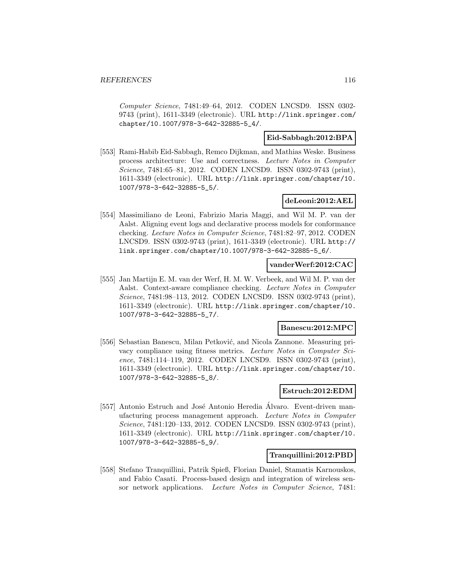Computer Science, 7481:49–64, 2012. CODEN LNCSD9. ISSN 0302- 9743 (print), 1611-3349 (electronic). URL http://link.springer.com/ chapter/10.1007/978-3-642-32885-5\_4/.

## **Eid-Sabbagh:2012:BPA**

[553] Rami-Habib Eid-Sabbagh, Remco Dijkman, and Mathias Weske. Business process architecture: Use and correctness. Lecture Notes in Computer Science, 7481:65–81, 2012. CODEN LNCSD9. ISSN 0302-9743 (print), 1611-3349 (electronic). URL http://link.springer.com/chapter/10. 1007/978-3-642-32885-5\_5/.

## **deLeoni:2012:AEL**

[554] Massimiliano de Leoni, Fabrizio Maria Maggi, and Wil M. P. van der Aalst. Aligning event logs and declarative process models for conformance checking. Lecture Notes in Computer Science, 7481:82–97, 2012. CODEN LNCSD9. ISSN 0302-9743 (print), 1611-3349 (electronic). URL http:// link.springer.com/chapter/10.1007/978-3-642-32885-5\_6/.

### **vanderWerf:2012:CAC**

[555] Jan Martijn E. M. van der Werf, H. M. W. Verbeek, and Wil M. P. van der Aalst. Context-aware compliance checking. Lecture Notes in Computer Science, 7481:98–113, 2012. CODEN LNCSD9. ISSN 0302-9743 (print), 1611-3349 (electronic). URL http://link.springer.com/chapter/10. 1007/978-3-642-32885-5\_7/.

### **Banescu:2012:MPC**

[556] Sebastian Banescu, Milan Petković, and Nicola Zannone. Measuring privacy compliance using fitness metrics. Lecture Notes in Computer Science, 7481:114–119, 2012. CODEN LNCSD9. ISSN 0302-9743 (print), 1611-3349 (electronic). URL http://link.springer.com/chapter/10. 1007/978-3-642-32885-5\_8/.

## **Estruch:2012:EDM**

[557] Antonio Estruch and José Antonio Heredia Alvaro. Event-driven manufacturing process management approach. Lecture Notes in Computer Science, 7481:120–133, 2012. CODEN LNCSD9. ISSN 0302-9743 (print), 1611-3349 (electronic). URL http://link.springer.com/chapter/10. 1007/978-3-642-32885-5\_9/.

## **Tranquillini:2012:PBD**

[558] Stefano Tranquillini, Patrik Spieß, Florian Daniel, Stamatis Karnouskos, and Fabio Casati. Process-based design and integration of wireless sensor network applications. Lecture Notes in Computer Science, 7481: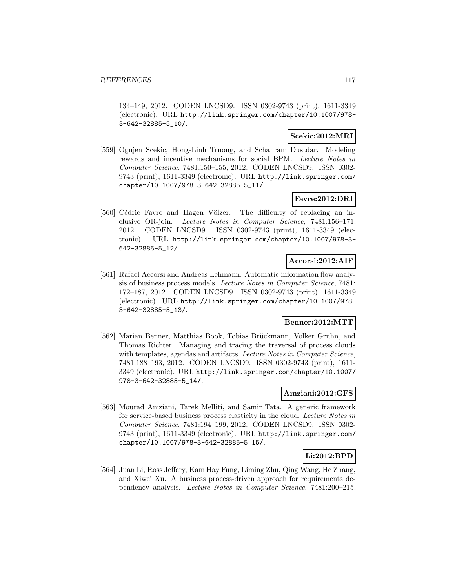134–149, 2012. CODEN LNCSD9. ISSN 0302-9743 (print), 1611-3349 (electronic). URL http://link.springer.com/chapter/10.1007/978- 3-642-32885-5\_10/.

## **Scekic:2012:MRI**

[559] Ognjen Scekic, Hong-Linh Truong, and Schahram Dustdar. Modeling rewards and incentive mechanisms for social BPM. Lecture Notes in Computer Science, 7481:150–155, 2012. CODEN LNCSD9. ISSN 0302- 9743 (print), 1611-3349 (electronic). URL http://link.springer.com/ chapter/10.1007/978-3-642-32885-5\_11/.

## **Favre:2012:DRI**

[560] Cédric Favre and Hagen Völzer. The difficulty of replacing an inclusive OR-join. Lecture Notes in Computer Science, 7481:156–171, 2012. CODEN LNCSD9. ISSN 0302-9743 (print), 1611-3349 (electronic). URL http://link.springer.com/chapter/10.1007/978-3- 642-32885-5\_12/.

## **Accorsi:2012:AIF**

[561] Rafael Accorsi and Andreas Lehmann. Automatic information flow analysis of business process models. Lecture Notes in Computer Science, 7481: 172–187, 2012. CODEN LNCSD9. ISSN 0302-9743 (print), 1611-3349 (electronic). URL http://link.springer.com/chapter/10.1007/978- 3-642-32885-5\_13/.

## **Benner:2012:MTT**

[562] Marian Benner, Matthias Book, Tobias Brückmann, Volker Gruhn, and Thomas Richter. Managing and tracing the traversal of process clouds with templates, agendas and artifacts. Lecture Notes in Computer Science, 7481:188–193, 2012. CODEN LNCSD9. ISSN 0302-9743 (print), 1611- 3349 (electronic). URL http://link.springer.com/chapter/10.1007/ 978-3-642-32885-5\_14/.

## **Amziani:2012:GFS**

[563] Mourad Amziani, Tarek Melliti, and Samir Tata. A generic framework for service-based business process elasticity in the cloud. Lecture Notes in Computer Science, 7481:194–199, 2012. CODEN LNCSD9. ISSN 0302- 9743 (print), 1611-3349 (electronic). URL http://link.springer.com/ chapter/10.1007/978-3-642-32885-5\_15/.

## **Li:2012:BPD**

[564] Juan Li, Ross Jeffery, Kam Hay Fung, Liming Zhu, Qing Wang, He Zhang, and Xiwei Xu. A business process-driven approach for requirements dependency analysis. Lecture Notes in Computer Science, 7481:200–215,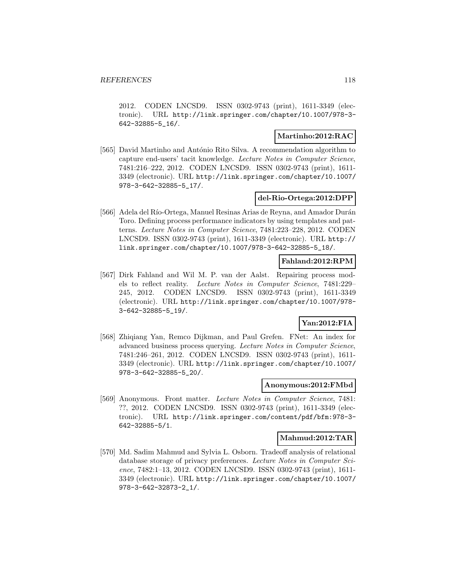2012. CODEN LNCSD9. ISSN 0302-9743 (print), 1611-3349 (electronic). URL http://link.springer.com/chapter/10.1007/978-3- 642-32885-5\_16/.

### **Martinho:2012:RAC**

[565] David Martinho and António Rito Silva. A recommendation algorithm to capture end-users' tacit knowledge. Lecture Notes in Computer Science, 7481:216–222, 2012. CODEN LNCSD9. ISSN 0302-9743 (print), 1611- 3349 (electronic). URL http://link.springer.com/chapter/10.1007/ 978-3-642-32885-5\_17/.

## **del-Rio-Ortega:2012:DPP**

[566] Adela del Río-Ortega, Manuel Resinas Arias de Reyna, and Amador Durán Toro. Defining process performance indicators by using templates and patterns. Lecture Notes in Computer Science, 7481:223–228, 2012. CODEN LNCSD9. ISSN 0302-9743 (print), 1611-3349 (electronic). URL http:// link.springer.com/chapter/10.1007/978-3-642-32885-5\_18/.

## **Fahland:2012:RPM**

[567] Dirk Fahland and Wil M. P. van der Aalst. Repairing process models to reflect reality. Lecture Notes in Computer Science, 7481:229– 245, 2012. CODEN LNCSD9. ISSN 0302-9743 (print), 1611-3349 (electronic). URL http://link.springer.com/chapter/10.1007/978- 3-642-32885-5\_19/.

# **Yan:2012:FIA**

[568] Zhiqiang Yan, Remco Dijkman, and Paul Grefen. FNet: An index for advanced business process querying. Lecture Notes in Computer Science, 7481:246–261, 2012. CODEN LNCSD9. ISSN 0302-9743 (print), 1611- 3349 (electronic). URL http://link.springer.com/chapter/10.1007/ 978-3-642-32885-5\_20/.

### **Anonymous:2012:FMbd**

[569] Anonymous. Front matter. Lecture Notes in Computer Science, 7481: ??, 2012. CODEN LNCSD9. ISSN 0302-9743 (print), 1611-3349 (electronic). URL http://link.springer.com/content/pdf/bfm:978-3- 642-32885-5/1.

### **Mahmud:2012:TAR**

[570] Md. Sadim Mahmud and Sylvia L. Osborn. Tradeoff analysis of relational database storage of privacy preferences. Lecture Notes in Computer Science, 7482:1–13, 2012. CODEN LNCSD9. ISSN 0302-9743 (print), 1611- 3349 (electronic). URL http://link.springer.com/chapter/10.1007/ 978-3-642-32873-2\_1/.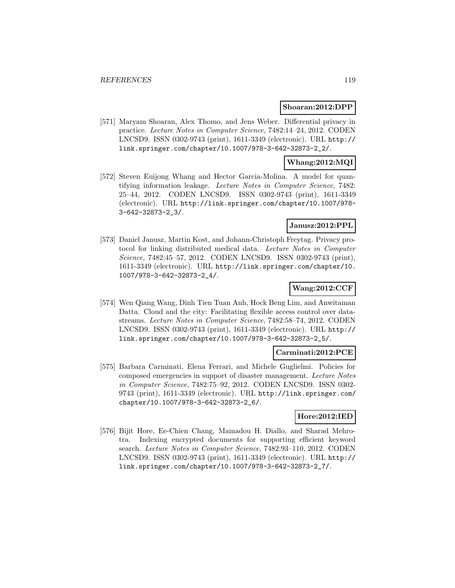### **Shoaran:2012:DPP**

[571] Maryam Shoaran, Alex Thomo, and Jens Weber. Differential privacy in practice. Lecture Notes in Computer Science, 7482:14–24, 2012. CODEN LNCSD9. ISSN 0302-9743 (print), 1611-3349 (electronic). URL http:// link.springer.com/chapter/10.1007/978-3-642-32873-2\_2/.

### **Whang:2012:MQI**

[572] Steven Euijong Whang and Hector Garcia-Molina. A model for quantifying information leakage. Lecture Notes in Computer Science, 7482: 25–44, 2012. CODEN LNCSD9. ISSN 0302-9743 (print), 1611-3349 (electronic). URL http://link.springer.com/chapter/10.1007/978- 3-642-32873-2\_3/.

## **Janusz:2012:PPL**

[573] Daniel Janusz, Martin Kost, and Johann-Christoph Freytag. Privacy protocol for linking distributed medical data. Lecture Notes in Computer Science, 7482:45–57, 2012. CODEN LNCSD9. ISSN 0302-9743 (print), 1611-3349 (electronic). URL http://link.springer.com/chapter/10. 1007/978-3-642-32873-2\_4/.

## **Wang:2012:CCF**

[574] Wen Qiang Wang, Dinh Tien Tuan Anh, Hock Beng Lim, and Anwitaman Datta. Cloud and the city: Facilitating flexible access control over datastreams. Lecture Notes in Computer Science, 7482:58–74, 2012. CODEN LNCSD9. ISSN 0302-9743 (print), 1611-3349 (electronic). URL http:// link.springer.com/chapter/10.1007/978-3-642-32873-2\_5/.

### **Carminati:2012:PCE**

[575] Barbara Carminati, Elena Ferrari, and Michele Guglielmi. Policies for composed emergencies in support of disaster management. Lecture Notes in Computer Science, 7482:75–92, 2012. CODEN LNCSD9. ISSN 0302- 9743 (print), 1611-3349 (electronic). URL http://link.springer.com/ chapter/10.1007/978-3-642-32873-2\_6/.

## **Hore:2012:IED**

[576] Bijit Hore, Ee-Chien Chang, Mamadou H. Diallo, and Sharad Mehrotra. Indexing encrypted documents for supporting efficient keyword search. Lecture Notes in Computer Science, 7482:93–110, 2012. CODEN LNCSD9. ISSN 0302-9743 (print), 1611-3349 (electronic). URL http:// link.springer.com/chapter/10.1007/978-3-642-32873-2\_7/.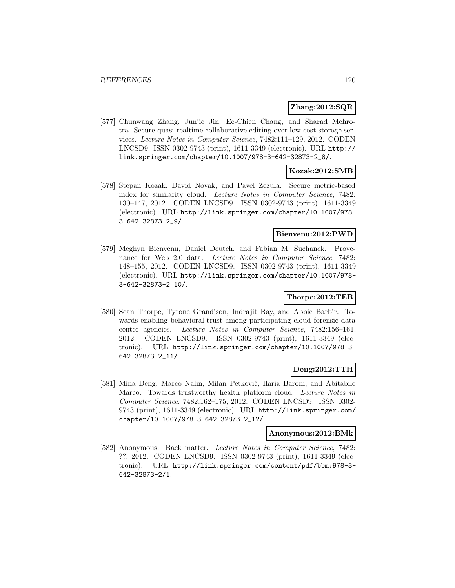### **Zhang:2012:SQR**

[577] Chunwang Zhang, Junjie Jin, Ee-Chien Chang, and Sharad Mehrotra. Secure quasi-realtime collaborative editing over low-cost storage services. Lecture Notes in Computer Science, 7482:111–129, 2012. CODEN LNCSD9. ISSN 0302-9743 (print), 1611-3349 (electronic). URL http:// link.springer.com/chapter/10.1007/978-3-642-32873-2\_8/.

## **Kozak:2012:SMB**

[578] Stepan Kozak, David Novak, and Pavel Zezula. Secure metric-based index for similarity cloud. Lecture Notes in Computer Science, 7482: 130–147, 2012. CODEN LNCSD9. ISSN 0302-9743 (print), 1611-3349 (electronic). URL http://link.springer.com/chapter/10.1007/978- 3-642-32873-2\_9/.

### **Bienvenu:2012:PWD**

[579] Meghyn Bienvenu, Daniel Deutch, and Fabian M. Suchanek. Provenance for Web 2.0 data. Lecture Notes in Computer Science, 7482: 148–155, 2012. CODEN LNCSD9. ISSN 0302-9743 (print), 1611-3349 (electronic). URL http://link.springer.com/chapter/10.1007/978- 3-642-32873-2\_10/.

## **Thorpe:2012:TEB**

[580] Sean Thorpe, Tyrone Grandison, Indrajit Ray, and Abbie Barbir. Towards enabling behavioral trust among participating cloud forensic data center agencies. Lecture Notes in Computer Science, 7482:156–161, 2012. CODEN LNCSD9. ISSN 0302-9743 (print), 1611-3349 (electronic). URL http://link.springer.com/chapter/10.1007/978-3- 642-32873-2\_11/.

### **Deng:2012:TTH**

[581] Mina Deng, Marco Nalin, Milan Petković, Ilaria Baroni, and Abitabile Marco. Towards trustworthy health platform cloud. Lecture Notes in Computer Science, 7482:162–175, 2012. CODEN LNCSD9. ISSN 0302- 9743 (print), 1611-3349 (electronic). URL http://link.springer.com/ chapter/10.1007/978-3-642-32873-2\_12/.

### **Anonymous:2012:BMk**

[582] Anonymous. Back matter. Lecture Notes in Computer Science, 7482: ??, 2012. CODEN LNCSD9. ISSN 0302-9743 (print), 1611-3349 (electronic). URL http://link.springer.com/content/pdf/bbm:978-3- 642-32873-2/1.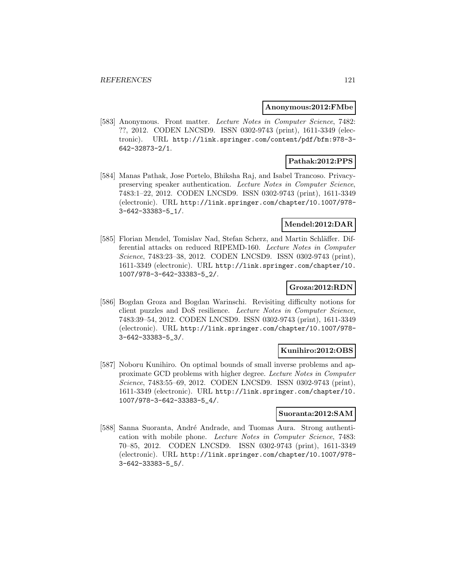#### **Anonymous:2012:FMbe**

[583] Anonymous. Front matter. Lecture Notes in Computer Science, 7482: ??, 2012. CODEN LNCSD9. ISSN 0302-9743 (print), 1611-3349 (electronic). URL http://link.springer.com/content/pdf/bfm:978-3- 642-32873-2/1.

## **Pathak:2012:PPS**

[584] Manas Pathak, Jose Portelo, Bhiksha Raj, and Isabel Trancoso. Privacypreserving speaker authentication. Lecture Notes in Computer Science, 7483:1–22, 2012. CODEN LNCSD9. ISSN 0302-9743 (print), 1611-3349 (electronic). URL http://link.springer.com/chapter/10.1007/978- 3-642-33383-5\_1/.

# **Mendel:2012:DAR**

[585] Florian Mendel, Tomislav Nad, Stefan Scherz, and Martin Schläffer. Differential attacks on reduced RIPEMD-160. Lecture Notes in Computer Science, 7483:23–38, 2012. CODEN LNCSD9. ISSN 0302-9743 (print), 1611-3349 (electronic). URL http://link.springer.com/chapter/10. 1007/978-3-642-33383-5\_2/.

## **Groza:2012:RDN**

[586] Bogdan Groza and Bogdan Warinschi. Revisiting difficulty notions for client puzzles and DoS resilience. Lecture Notes in Computer Science, 7483:39–54, 2012. CODEN LNCSD9. ISSN 0302-9743 (print), 1611-3349 (electronic). URL http://link.springer.com/chapter/10.1007/978- 3-642-33383-5\_3/.

### **Kunihiro:2012:OBS**

[587] Noboru Kunihiro. On optimal bounds of small inverse problems and approximate GCD problems with higher degree. Lecture Notes in Computer Science, 7483:55–69, 2012. CODEN LNCSD9. ISSN 0302-9743 (print), 1611-3349 (electronic). URL http://link.springer.com/chapter/10. 1007/978-3-642-33383-5\_4/.

#### **Suoranta:2012:SAM**

[588] Sanna Suoranta, André Andrade, and Tuomas Aura. Strong authentication with mobile phone. Lecture Notes in Computer Science, 7483: 70–85, 2012. CODEN LNCSD9. ISSN 0302-9743 (print), 1611-3349 (electronic). URL http://link.springer.com/chapter/10.1007/978- 3-642-33383-5\_5/.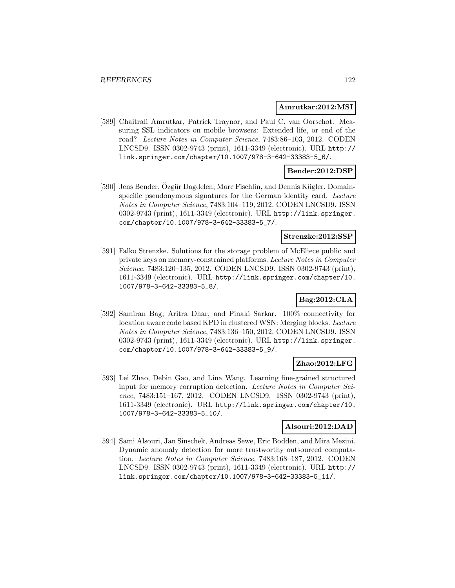### **Amrutkar:2012:MSI**

[589] Chaitrali Amrutkar, Patrick Traynor, and Paul C. van Oorschot. Measuring SSL indicators on mobile browsers: Extended life, or end of the road? Lecture Notes in Computer Science, 7483:86–103, 2012. CODEN LNCSD9. ISSN 0302-9743 (print), 1611-3349 (electronic). URL http:// link.springer.com/chapter/10.1007/978-3-642-33383-5\_6/.

## **Bender:2012:DSP**

[590] Jens Bender, Ozgür Dagdelen, Marc Fischlin, and Dennis Kügler. Domainspecific pseudonymous signatures for the German identity card. Lecture Notes in Computer Science, 7483:104–119, 2012. CODEN LNCSD9. ISSN 0302-9743 (print), 1611-3349 (electronic). URL http://link.springer. com/chapter/10.1007/978-3-642-33383-5\_7/.

### **Strenzke:2012:SSP**

[591] Falko Strenzke. Solutions for the storage problem of McEliece public and private keys on memory-constrained platforms. Lecture Notes in Computer Science, 7483:120–135, 2012. CODEN LNCSD9. ISSN 0302-9743 (print), 1611-3349 (electronic). URL http://link.springer.com/chapter/10. 1007/978-3-642-33383-5\_8/.

# **Bag:2012:CLA**

[592] Samiran Bag, Aritra Dhar, and Pinaki Sarkar. 100% connectivity for location aware code based KPD in clustered WSN: Merging blocks. Lecture Notes in Computer Science, 7483:136–150, 2012. CODEN LNCSD9. ISSN 0302-9743 (print), 1611-3349 (electronic). URL http://link.springer. com/chapter/10.1007/978-3-642-33383-5\_9/.

## **Zhao:2012:LFG**

[593] Lei Zhao, Debin Gao, and Lina Wang. Learning fine-grained structured input for memory corruption detection. Lecture Notes in Computer Science, 7483:151–167, 2012. CODEN LNCSD9. ISSN 0302-9743 (print), 1611-3349 (electronic). URL http://link.springer.com/chapter/10. 1007/978-3-642-33383-5\_10/.

#### **Alsouri:2012:DAD**

[594] Sami Alsouri, Jan Sinschek, Andreas Sewe, Eric Bodden, and Mira Mezini. Dynamic anomaly detection for more trustworthy outsourced computation. Lecture Notes in Computer Science, 7483:168–187, 2012. CODEN LNCSD9. ISSN 0302-9743 (print), 1611-3349 (electronic). URL http:// link.springer.com/chapter/10.1007/978-3-642-33383-5\_11/.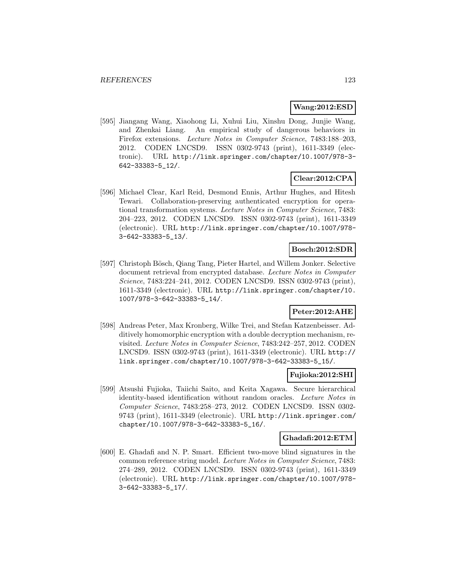### **Wang:2012:ESD**

[595] Jiangang Wang, Xiaohong Li, Xuhui Liu, Xinshu Dong, Junjie Wang, and Zhenkai Liang. An empirical study of dangerous behaviors in Firefox extensions. Lecture Notes in Computer Science, 7483:188–203, 2012. CODEN LNCSD9. ISSN 0302-9743 (print), 1611-3349 (electronic). URL http://link.springer.com/chapter/10.1007/978-3- 642-33383-5\_12/.

## **Clear:2012:CPA**

[596] Michael Clear, Karl Reid, Desmond Ennis, Arthur Hughes, and Hitesh Tewari. Collaboration-preserving authenticated encryption for operational transformation systems. Lecture Notes in Computer Science, 7483: 204–223, 2012. CODEN LNCSD9. ISSN 0302-9743 (print), 1611-3349 (electronic). URL http://link.springer.com/chapter/10.1007/978- 3-642-33383-5\_13/.

## **Bosch:2012:SDR**

[597] Christoph Bösch, Qiang Tang, Pieter Hartel, and Willem Jonker. Selective document retrieval from encrypted database. Lecture Notes in Computer Science, 7483:224–241, 2012. CODEN LNCSD9. ISSN 0302-9743 (print), 1611-3349 (electronic). URL http://link.springer.com/chapter/10. 1007/978-3-642-33383-5\_14/.

## **Peter:2012:AHE**

[598] Andreas Peter, Max Kronberg, Wilke Trei, and Stefan Katzenbeisser. Additively homomorphic encryption with a double decryption mechanism, revisited. Lecture Notes in Computer Science, 7483:242–257, 2012. CODEN LNCSD9. ISSN 0302-9743 (print), 1611-3349 (electronic). URL http:// link.springer.com/chapter/10.1007/978-3-642-33383-5\_15/.

### **Fujioka:2012:SHI**

[599] Atsushi Fujioka, Taiichi Saito, and Keita Xagawa. Secure hierarchical identity-based identification without random oracles. Lecture Notes in Computer Science, 7483:258–273, 2012. CODEN LNCSD9. ISSN 0302- 9743 (print), 1611-3349 (electronic). URL http://link.springer.com/ chapter/10.1007/978-3-642-33383-5\_16/.

### **Ghadafi:2012:ETM**

[600] E. Ghadafi and N. P. Smart. Efficient two-move blind signatures in the common reference string model. Lecture Notes in Computer Science, 7483: 274–289, 2012. CODEN LNCSD9. ISSN 0302-9743 (print), 1611-3349 (electronic). URL http://link.springer.com/chapter/10.1007/978- 3-642-33383-5\_17/.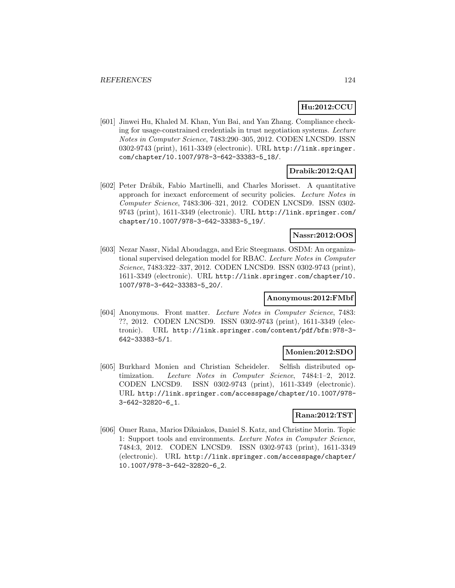# **Hu:2012:CCU**

[601] Jinwei Hu, Khaled M. Khan, Yun Bai, and Yan Zhang. Compliance checking for usage-constrained credentials in trust negotiation systems. Lecture Notes in Computer Science, 7483:290–305, 2012. CODEN LNCSD9. ISSN 0302-9743 (print), 1611-3349 (electronic). URL http://link.springer. com/chapter/10.1007/978-3-642-33383-5\_18/.

# **Drabik:2012:QAI**

[602] Peter Dr´abik, Fabio Martinelli, and Charles Morisset. A quantitative approach for inexact enforcement of security policies. Lecture Notes in Computer Science, 7483:306–321, 2012. CODEN LNCSD9. ISSN 0302- 9743 (print), 1611-3349 (electronic). URL http://link.springer.com/ chapter/10.1007/978-3-642-33383-5\_19/.

## **Nassr:2012:OOS**

[603] Nezar Nassr, Nidal Aboudagga, and Eric Steegmans. OSDM: An organizational supervised delegation model for RBAC. Lecture Notes in Computer Science, 7483:322–337, 2012. CODEN LNCSD9. ISSN 0302-9743 (print), 1611-3349 (electronic). URL http://link.springer.com/chapter/10. 1007/978-3-642-33383-5\_20/.

## **Anonymous:2012:FMbf**

[604] Anonymous. Front matter. Lecture Notes in Computer Science, 7483: ??, 2012. CODEN LNCSD9. ISSN 0302-9743 (print), 1611-3349 (electronic). URL http://link.springer.com/content/pdf/bfm:978-3- 642-33383-5/1.

### **Monien:2012:SDO**

[605] Burkhard Monien and Christian Scheideler. Selfish distributed optimization. Lecture Notes in Computer Science, 7484:1-2, 2012. CODEN LNCSD9. ISSN 0302-9743 (print), 1611-3349 (electronic). URL http://link.springer.com/accesspage/chapter/10.1007/978- 3-642-32820-6\_1.

## **Rana:2012:TST**

[606] Omer Rana, Marios Dikaiakos, Daniel S. Katz, and Christine Morin. Topic 1: Support tools and environments. Lecture Notes in Computer Science, 7484:3, 2012. CODEN LNCSD9. ISSN 0302-9743 (print), 1611-3349 (electronic). URL http://link.springer.com/accesspage/chapter/ 10.1007/978-3-642-32820-6\_2.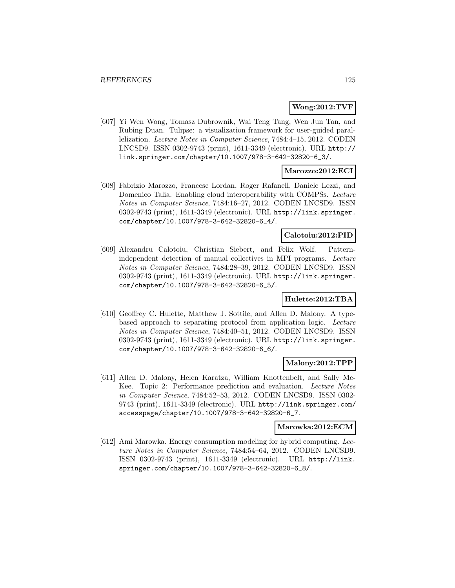## **Wong:2012:TVF**

[607] Yi Wen Wong, Tomasz Dubrownik, Wai Teng Tang, Wen Jun Tan, and Rubing Duan. Tulipse: a visualization framework for user-guided parallelization. Lecture Notes in Computer Science, 7484:4–15, 2012. CODEN LNCSD9. ISSN 0302-9743 (print), 1611-3349 (electronic). URL http:// link.springer.com/chapter/10.1007/978-3-642-32820-6\_3/.

## **Marozzo:2012:ECI**

[608] Fabrizio Marozzo, Francesc Lordan, Roger Rafanell, Daniele Lezzi, and Domenico Talia. Enabling cloud interoperability with COMPSs. Lecture Notes in Computer Science, 7484:16–27, 2012. CODEN LNCSD9. ISSN 0302-9743 (print), 1611-3349 (electronic). URL http://link.springer. com/chapter/10.1007/978-3-642-32820-6\_4/.

## **Calotoiu:2012:PID**

[609] Alexandru Calotoiu, Christian Siebert, and Felix Wolf. Patternindependent detection of manual collectives in MPI programs. Lecture Notes in Computer Science, 7484:28–39, 2012. CODEN LNCSD9. ISSN 0302-9743 (print), 1611-3349 (electronic). URL http://link.springer. com/chapter/10.1007/978-3-642-32820-6\_5/.

### **Hulette:2012:TBA**

[610] Geoffrey C. Hulette, Matthew J. Sottile, and Allen D. Malony. A typebased approach to separating protocol from application logic. Lecture Notes in Computer Science, 7484:40–51, 2012. CODEN LNCSD9. ISSN 0302-9743 (print), 1611-3349 (electronic). URL http://link.springer. com/chapter/10.1007/978-3-642-32820-6\_6/.

### **Malony:2012:TPP**

[611] Allen D. Malony, Helen Karatza, William Knottenbelt, and Sally Mc-Kee. Topic 2: Performance prediction and evaluation. Lecture Notes in Computer Science, 7484:52–53, 2012. CODEN LNCSD9. ISSN 0302- 9743 (print), 1611-3349 (electronic). URL http://link.springer.com/ accesspage/chapter/10.1007/978-3-642-32820-6\_7.

#### **Marowka:2012:ECM**

[612] Ami Marowka. Energy consumption modeling for hybrid computing. Lecture Notes in Computer Science, 7484:54–64, 2012. CODEN LNCSD9. ISSN 0302-9743 (print), 1611-3349 (electronic). URL http://link. springer.com/chapter/10.1007/978-3-642-32820-6\_8/.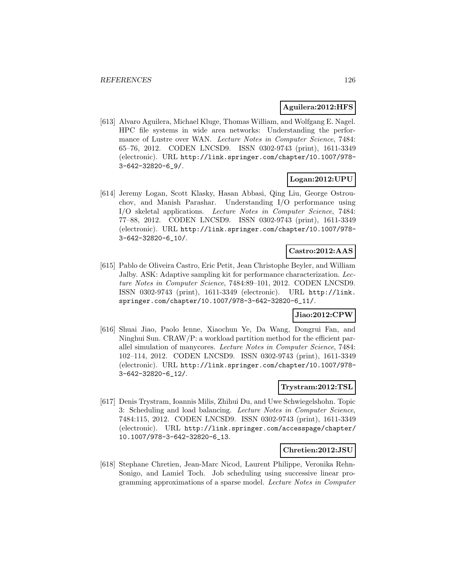### **Aguilera:2012:HFS**

[613] Alvaro Aguilera, Michael Kluge, Thomas William, and Wolfgang E. Nagel. HPC file systems in wide area networks: Understanding the performance of Lustre over WAN. Lecture Notes in Computer Science, 7484: 65–76, 2012. CODEN LNCSD9. ISSN 0302-9743 (print), 1611-3349 (electronic). URL http://link.springer.com/chapter/10.1007/978- 3-642-32820-6\_9/.

## **Logan:2012:UPU**

[614] Jeremy Logan, Scott Klasky, Hasan Abbasi, Qing Liu, George Ostrouchov, and Manish Parashar. Understanding I/O performance using I/O skeletal applications. Lecture Notes in Computer Science, 7484: 77–88, 2012. CODEN LNCSD9. ISSN 0302-9743 (print), 1611-3349 (electronic). URL http://link.springer.com/chapter/10.1007/978- 3-642-32820-6\_10/.

### **Castro:2012:AAS**

[615] Pablo de Oliveira Castro, Eric Petit, Jean Christophe Beyler, and William Jalby. ASK: Adaptive sampling kit for performance characterization. Lecture Notes in Computer Science, 7484:89–101, 2012. CODEN LNCSD9. ISSN 0302-9743 (print), 1611-3349 (electronic). URL http://link. springer.com/chapter/10.1007/978-3-642-32820-6\_11/.

### **Jiao:2012:CPW**

[616] Shuai Jiao, Paolo Ienne, Xiaochun Ye, Da Wang, Dongrui Fan, and Ninghui Sun. CRAW/P: a workload partition method for the efficient parallel simulation of manycores. Lecture Notes in Computer Science, 7484: 102–114, 2012. CODEN LNCSD9. ISSN 0302-9743 (print), 1611-3349 (electronic). URL http://link.springer.com/chapter/10.1007/978- 3-642-32820-6\_12/.

#### **Trystram:2012:TSL**

[617] Denis Trystram, Ioannis Milis, Zhihui Du, and Uwe Schwiegelshohn. Topic 3: Scheduling and load balancing. Lecture Notes in Computer Science, 7484:115, 2012. CODEN LNCSD9. ISSN 0302-9743 (print), 1611-3349 (electronic). URL http://link.springer.com/accesspage/chapter/ 10.1007/978-3-642-32820-6\_13.

#### **Chretien:2012:JSU**

[618] Stephane Chretien, Jean-Marc Nicod, Laurent Philippe, Veronika Rehn-Sonigo, and Lamiel Toch. Job scheduling using successive linear programming approximations of a sparse model. Lecture Notes in Computer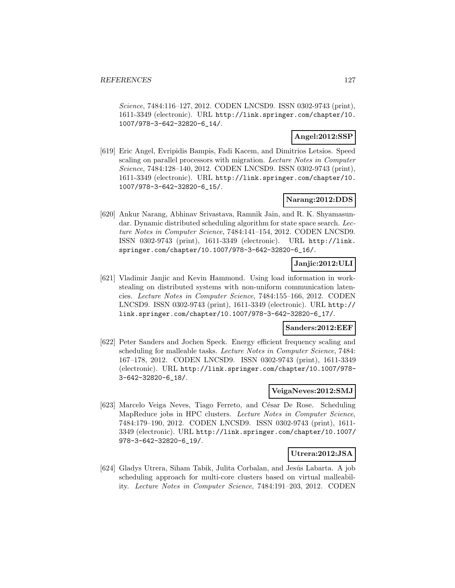Science, 7484:116–127, 2012. CODEN LNCSD9. ISSN 0302-9743 (print), 1611-3349 (electronic). URL http://link.springer.com/chapter/10. 1007/978-3-642-32820-6\_14/.

## **Angel:2012:SSP**

[619] Eric Angel, Evripidis Bampis, Fadi Kacem, and Dimitrios Letsios. Speed scaling on parallel processors with migration. Lecture Notes in Computer Science, 7484:128–140, 2012. CODEN LNCSD9. ISSN 0302-9743 (print), 1611-3349 (electronic). URL http://link.springer.com/chapter/10. 1007/978-3-642-32820-6\_15/.

## **Narang:2012:DDS**

[620] Ankur Narang, Abhinav Srivastava, Ramnik Jain, and R. K. Shyamasundar. Dynamic distributed scheduling algorithm for state space search. Lecture Notes in Computer Science, 7484:141–154, 2012. CODEN LNCSD9. ISSN 0302-9743 (print), 1611-3349 (electronic). URL http://link. springer.com/chapter/10.1007/978-3-642-32820-6\_16/.

## **Janjic:2012:ULI**

[621] Vladimir Janjic and Kevin Hammond. Using load information in workstealing on distributed systems with non-uniform communication latencies. Lecture Notes in Computer Science, 7484:155–166, 2012. CODEN LNCSD9. ISSN 0302-9743 (print), 1611-3349 (electronic). URL http:// link.springer.com/chapter/10.1007/978-3-642-32820-6\_17/.

### **Sanders:2012:EEF**

[622] Peter Sanders and Jochen Speck. Energy efficient frequency scaling and scheduling for malleable tasks. Lecture Notes in Computer Science, 7484: 167–178, 2012. CODEN LNCSD9. ISSN 0302-9743 (print), 1611-3349 (electronic). URL http://link.springer.com/chapter/10.1007/978- 3-642-32820-6\_18/.

### **VeigaNeves:2012:SMJ**

[623] Marcelo Veiga Neves, Tiago Ferreto, and César De Rose. Scheduling MapReduce jobs in HPC clusters. Lecture Notes in Computer Science, 7484:179–190, 2012. CODEN LNCSD9. ISSN 0302-9743 (print), 1611- 3349 (electronic). URL http://link.springer.com/chapter/10.1007/ 978-3-642-32820-6\_19/.

## **Utrera:2012:JSA**

[624] Gladys Utrera, Siham Tabik, Julita Corbalan, and Jesús Labarta. A job scheduling approach for multi-core clusters based on virtual malleability. Lecture Notes in Computer Science, 7484:191–203, 2012. CODEN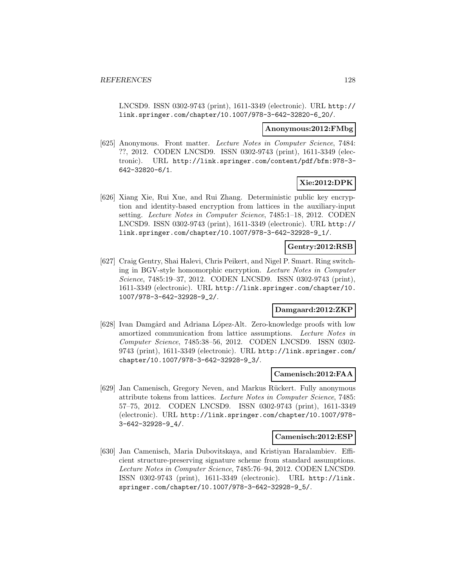LNCSD9. ISSN 0302-9743 (print), 1611-3349 (electronic). URL http:// link.springer.com/chapter/10.1007/978-3-642-32820-6\_20/.

#### **Anonymous:2012:FMbg**

[625] Anonymous. Front matter. Lecture Notes in Computer Science, 7484: ??, 2012. CODEN LNCSD9. ISSN 0302-9743 (print), 1611-3349 (electronic). URL http://link.springer.com/content/pdf/bfm:978-3- 642-32820-6/1.

## **Xie:2012:DPK**

[626] Xiang Xie, Rui Xue, and Rui Zhang. Deterministic public key encryption and identity-based encryption from lattices in the auxiliary-input setting. Lecture Notes in Computer Science, 7485:1–18, 2012. CODEN LNCSD9. ISSN 0302-9743 (print), 1611-3349 (electronic). URL http:// link.springer.com/chapter/10.1007/978-3-642-32928-9\_1/.

## **Gentry:2012:RSB**

[627] Craig Gentry, Shai Halevi, Chris Peikert, and Nigel P. Smart. Ring switching in BGV-style homomorphic encryption. Lecture Notes in Computer Science, 7485:19–37, 2012. CODEN LNCSD9. ISSN 0302-9743 (print), 1611-3349 (electronic). URL http://link.springer.com/chapter/10. 1007/978-3-642-32928-9\_2/.

## **Damgaard:2012:ZKP**

[628] Ivan Damgård and Adriana López-Alt. Zero-knowledge proofs with low amortized communication from lattice assumptions. Lecture Notes in Computer Science, 7485:38–56, 2012. CODEN LNCSD9. ISSN 0302- 9743 (print), 1611-3349 (electronic). URL http://link.springer.com/ chapter/10.1007/978-3-642-32928-9\_3/.

## **Camenisch:2012:FAA**

[629] Jan Camenisch, Gregory Neven, and Markus Rückert. Fully anonymous attribute tokens from lattices. Lecture Notes in Computer Science, 7485: 57–75, 2012. CODEN LNCSD9. ISSN 0302-9743 (print), 1611-3349 (electronic). URL http://link.springer.com/chapter/10.1007/978- 3-642-32928-9\_4/.

#### **Camenisch:2012:ESP**

[630] Jan Camenisch, Maria Dubovitskaya, and Kristiyan Haralambiev. Efficient structure-preserving signature scheme from standard assumptions. Lecture Notes in Computer Science, 7485:76–94, 2012. CODEN LNCSD9. ISSN 0302-9743 (print), 1611-3349 (electronic). URL http://link. springer.com/chapter/10.1007/978-3-642-32928-9\_5/.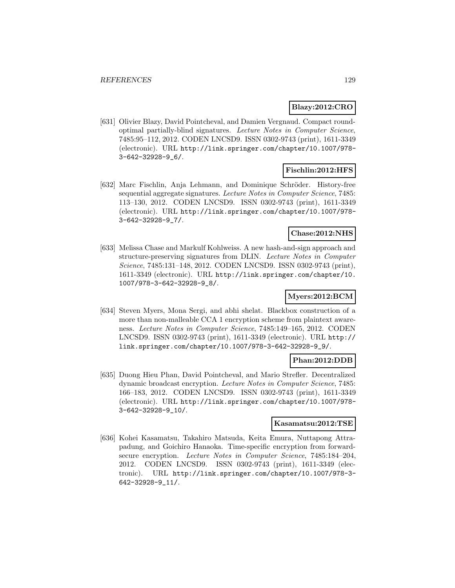## **Blazy:2012:CRO**

[631] Olivier Blazy, David Pointcheval, and Damien Vergnaud. Compact roundoptimal partially-blind signatures. Lecture Notes in Computer Science, 7485:95–112, 2012. CODEN LNCSD9. ISSN 0302-9743 (print), 1611-3349 (electronic). URL http://link.springer.com/chapter/10.1007/978- 3-642-32928-9\_6/.

## **Fischlin:2012:HFS**

[632] Marc Fischlin, Anja Lehmann, and Dominique Schröder. History-free sequential aggregate signatures. Lecture Notes in Computer Science, 7485: 113–130, 2012. CODEN LNCSD9. ISSN 0302-9743 (print), 1611-3349 (electronic). URL http://link.springer.com/chapter/10.1007/978- 3-642-32928-9\_7/.

## **Chase:2012:NHS**

[633] Melissa Chase and Markulf Kohlweiss. A new hash-and-sign approach and structure-preserving signatures from DLIN. Lecture Notes in Computer Science, 7485:131–148, 2012. CODEN LNCSD9. ISSN 0302-9743 (print), 1611-3349 (electronic). URL http://link.springer.com/chapter/10. 1007/978-3-642-32928-9\_8/.

## **Myers:2012:BCM**

[634] Steven Myers, Mona Sergi, and abhi shelat. Blackbox construction of a more than non-malleable CCA 1 encryption scheme from plaintext awareness. Lecture Notes in Computer Science, 7485:149–165, 2012. CODEN LNCSD9. ISSN 0302-9743 (print), 1611-3349 (electronic). URL http:// link.springer.com/chapter/10.1007/978-3-642-32928-9\_9/.

## **Phan:2012:DDB**

[635] Duong Hieu Phan, David Pointcheval, and Mario Strefler. Decentralized dynamic broadcast encryption. Lecture Notes in Computer Science, 7485: 166–183, 2012. CODEN LNCSD9. ISSN 0302-9743 (print), 1611-3349 (electronic). URL http://link.springer.com/chapter/10.1007/978- 3-642-32928-9\_10/.

### **Kasamatsu:2012:TSE**

[636] Kohei Kasamatsu, Takahiro Matsuda, Keita Emura, Nuttapong Attrapadung, and Goichiro Hanaoka. Time-specific encryption from forwardsecure encryption. Lecture Notes in Computer Science, 7485:184–204, 2012. CODEN LNCSD9. ISSN 0302-9743 (print), 1611-3349 (electronic). URL http://link.springer.com/chapter/10.1007/978-3- 642-32928-9\_11/.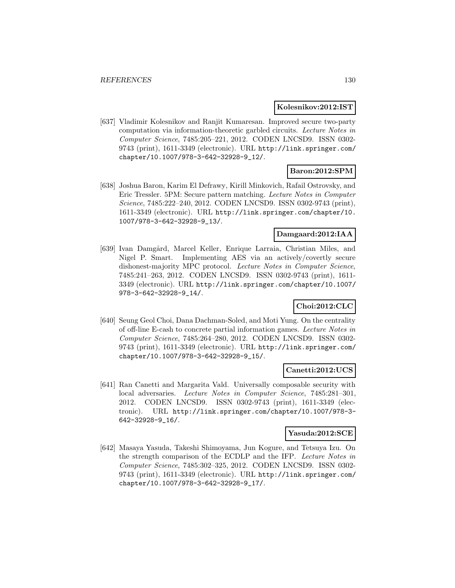### **Kolesnikov:2012:IST**

[637] Vladimir Kolesnikov and Ranjit Kumaresan. Improved secure two-party computation via information-theoretic garbled circuits. Lecture Notes in Computer Science, 7485:205–221, 2012. CODEN LNCSD9. ISSN 0302- 9743 (print), 1611-3349 (electronic). URL http://link.springer.com/ chapter/10.1007/978-3-642-32928-9\_12/.

## **Baron:2012:SPM**

[638] Joshua Baron, Karim El Defrawy, Kirill Minkovich, Rafail Ostrovsky, and Eric Tressler. 5PM: Secure pattern matching. Lecture Notes in Computer Science, 7485:222–240, 2012. CODEN LNCSD9. ISSN 0302-9743 (print), 1611-3349 (electronic). URL http://link.springer.com/chapter/10. 1007/978-3-642-32928-9\_13/.

### **Damgaard:2012:IAA**

[639] Ivan Damgård, Marcel Keller, Enrique Larraia, Christian Miles, and Nigel P. Smart. Implementing AES via an actively/covertly secure dishonest-majority MPC protocol. Lecture Notes in Computer Science, 7485:241–263, 2012. CODEN LNCSD9. ISSN 0302-9743 (print), 1611- 3349 (electronic). URL http://link.springer.com/chapter/10.1007/ 978-3-642-32928-9\_14/.

## **Choi:2012:CLC**

[640] Seung Geol Choi, Dana Dachman-Soled, and Moti Yung. On the centrality of off-line E-cash to concrete partial information games. Lecture Notes in Computer Science, 7485:264–280, 2012. CODEN LNCSD9. ISSN 0302- 9743 (print), 1611-3349 (electronic). URL http://link.springer.com/ chapter/10.1007/978-3-642-32928-9\_15/.

### **Canetti:2012:UCS**

[641] Ran Canetti and Margarita Vald. Universally composable security with local adversaries. Lecture Notes in Computer Science, 7485:281–301, 2012. CODEN LNCSD9. ISSN 0302-9743 (print), 1611-3349 (electronic). URL http://link.springer.com/chapter/10.1007/978-3- 642-32928-9\_16/.

#### **Yasuda:2012:SCE**

[642] Masaya Yasuda, Takeshi Shimoyama, Jun Kogure, and Tetsuya Izu. On the strength comparison of the ECDLP and the IFP. Lecture Notes in Computer Science, 7485:302–325, 2012. CODEN LNCSD9. ISSN 0302- 9743 (print), 1611-3349 (electronic). URL http://link.springer.com/ chapter/10.1007/978-3-642-32928-9\_17/.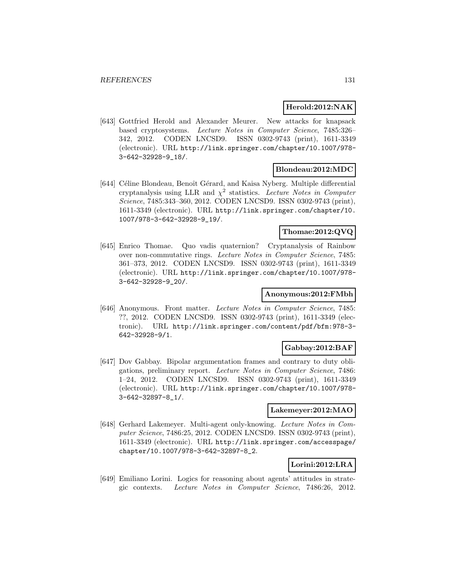### **Herold:2012:NAK**

[643] Gottfried Herold and Alexander Meurer. New attacks for knapsack based cryptosystems. Lecture Notes in Computer Science, 7485:326– 342, 2012. CODEN LNCSD9. ISSN 0302-9743 (print), 1611-3349 (electronic). URL http://link.springer.com/chapter/10.1007/978- 3-642-32928-9\_18/.

### **Blondeau:2012:MDC**

[644] Céline Blondeau, Benoît Gérard, and Kaisa Nyberg. Multiple differential cryptanalysis using LLR and  $\chi^2$  statistics. Lecture Notes in Computer Science, 7485:343–360, 2012. CODEN LNCSD9. ISSN 0302-9743 (print), 1611-3349 (electronic). URL http://link.springer.com/chapter/10. 1007/978-3-642-32928-9\_19/.

## **Thomae:2012:QVQ**

[645] Enrico Thomae. Quo vadis quaternion? Cryptanalysis of Rainbow over non-commutative rings. Lecture Notes in Computer Science, 7485: 361–373, 2012. CODEN LNCSD9. ISSN 0302-9743 (print), 1611-3349 (electronic). URL http://link.springer.com/chapter/10.1007/978- 3-642-32928-9\_20/.

## **Anonymous:2012:FMbh**

[646] Anonymous. Front matter. Lecture Notes in Computer Science, 7485: ??, 2012. CODEN LNCSD9. ISSN 0302-9743 (print), 1611-3349 (electronic). URL http://link.springer.com/content/pdf/bfm:978-3- 642-32928-9/1.

## **Gabbay:2012:BAF**

[647] Dov Gabbay. Bipolar argumentation frames and contrary to duty obligations, preliminary report. Lecture Notes in Computer Science, 7486: 1–24, 2012. CODEN LNCSD9. ISSN 0302-9743 (print), 1611-3349 (electronic). URL http://link.springer.com/chapter/10.1007/978- 3-642-32897-8\_1/.

### **Lakemeyer:2012:MAO**

[648] Gerhard Lakemeyer. Multi-agent only-knowing. Lecture Notes in Computer Science, 7486:25, 2012. CODEN LNCSD9. ISSN 0302-9743 (print), 1611-3349 (electronic). URL http://link.springer.com/accesspage/ chapter/10.1007/978-3-642-32897-8\_2.

## **Lorini:2012:LRA**

[649] Emiliano Lorini. Logics for reasoning about agents' attitudes in strategic contexts. Lecture Notes in Computer Science, 7486:26, 2012.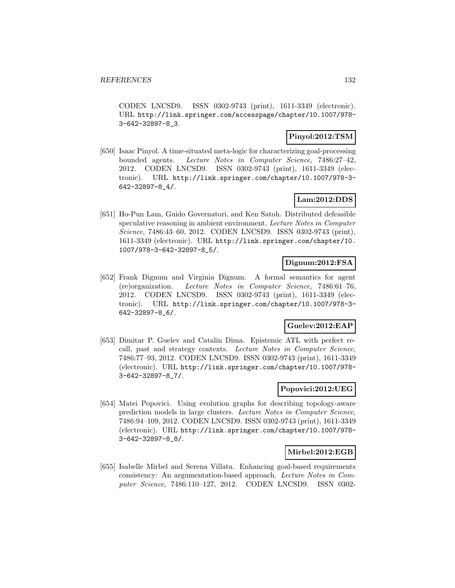CODEN LNCSD9. ISSN 0302-9743 (print), 1611-3349 (electronic). URL http://link.springer.com/accesspage/chapter/10.1007/978- 3-642-32897-8\_3.

## **Pinyol:2012:TSM**

[650] Isaac Pinyol. A time-situated meta-logic for characterizing goal-processing bounded agents. Lecture Notes in Computer Science, 7486:27–42, 2012. CODEN LNCSD9. ISSN 0302-9743 (print), 1611-3349 (electronic). URL http://link.springer.com/chapter/10.1007/978-3- 642-32897-8\_4/.

## **Lam:2012:DDS**

[651] Ho-Pun Lam, Guido Governatori, and Ken Satoh. Distributed defeasible speculative reasoning in ambient environment. Lecture Notes in Computer Science, 7486:43–60, 2012. CODEN LNCSD9. ISSN 0302-9743 (print), 1611-3349 (electronic). URL http://link.springer.com/chapter/10. 1007/978-3-642-32897-8\_5/.

## **Dignum:2012:FSA**

[652] Frank Dignum and Virginia Dignum. A formal semantics for agent (re)organization. Lecture Notes in Computer Science, 7486:61–76, 2012. CODEN LNCSD9. ISSN 0302-9743 (print), 1611-3349 (electronic). URL http://link.springer.com/chapter/10.1007/978-3- 642-32897-8\_6/.

## **Guelev:2012:EAP**

[653] Dimitar P. Guelev and Catalin Dima. Epistemic ATL with perfect recall, past and strategy contexts. Lecture Notes in Computer Science, 7486:77–93, 2012. CODEN LNCSD9. ISSN 0302-9743 (print), 1611-3349 (electronic). URL http://link.springer.com/chapter/10.1007/978- 3-642-32897-8\_7/.

### **Popovici:2012:UEG**

[654] Matei Popovici. Using evolution graphs for describing topology-aware prediction models in large clusters. Lecture Notes in Computer Science, 7486:94–109, 2012. CODEN LNCSD9. ISSN 0302-9743 (print), 1611-3349 (electronic). URL http://link.springer.com/chapter/10.1007/978- 3-642-32897-8\_8/.

### **Mirbel:2012:EGB**

[655] Isabelle Mirbel and Serena Villata. Enhancing goal-based requirements consistency: An argumentation-based approach. Lecture Notes in Computer Science, 7486:110–127, 2012. CODEN LNCSD9. ISSN 0302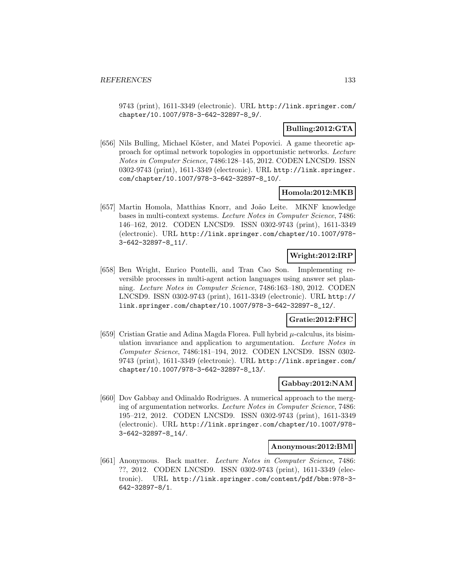9743 (print), 1611-3349 (electronic). URL http://link.springer.com/ chapter/10.1007/978-3-642-32897-8\_9/.

## **Bulling:2012:GTA**

[656] Nils Bulling, Michael Köster, and Matei Popovici. A game theoretic approach for optimal network topologies in opportunistic networks. Lecture Notes in Computer Science, 7486:128–145, 2012. CODEN LNCSD9. ISSN 0302-9743 (print), 1611-3349 (electronic). URL http://link.springer. com/chapter/10.1007/978-3-642-32897-8\_10/.

## **Homola:2012:MKB**

[657] Martin Homola, Matthias Knorr, and João Leite. MKNF knowledge bases in multi-context systems. Lecture Notes in Computer Science, 7486: 146–162, 2012. CODEN LNCSD9. ISSN 0302-9743 (print), 1611-3349 (electronic). URL http://link.springer.com/chapter/10.1007/978- 3-642-32897-8\_11/.

## **Wright:2012:IRP**

[658] Ben Wright, Enrico Pontelli, and Tran Cao Son. Implementing reversible processes in multi-agent action languages using answer set planning. Lecture Notes in Computer Science, 7486:163–180, 2012. CODEN LNCSD9. ISSN 0302-9743 (print), 1611-3349 (electronic). URL http:// link.springer.com/chapter/10.1007/978-3-642-32897-8\_12/.

## **Gratie:2012:FHC**

[659] Cristian Gratie and Adina Magda Florea. Full hybrid  $\mu$ -calculus, its bisimulation invariance and application to argumentation. Lecture Notes in Computer Science, 7486:181–194, 2012. CODEN LNCSD9. ISSN 0302- 9743 (print), 1611-3349 (electronic). URL http://link.springer.com/ chapter/10.1007/978-3-642-32897-8\_13/.

### **Gabbay:2012:NAM**

[660] Dov Gabbay and Odinaldo Rodrigues. A numerical approach to the merging of argumentation networks. Lecture Notes in Computer Science, 7486: 195–212, 2012. CODEN LNCSD9. ISSN 0302-9743 (print), 1611-3349 (electronic). URL http://link.springer.com/chapter/10.1007/978- 3-642-32897-8\_14/.

#### **Anonymous:2012:BMl**

[661] Anonymous. Back matter. Lecture Notes in Computer Science, 7486: ??, 2012. CODEN LNCSD9. ISSN 0302-9743 (print), 1611-3349 (electronic). URL http://link.springer.com/content/pdf/bbm:978-3- 642-32897-8/1.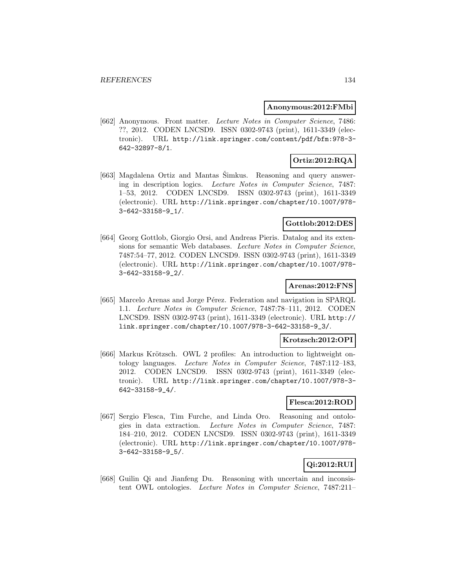#### **Anonymous:2012:FMbi**

[662] Anonymous. Front matter. Lecture Notes in Computer Science, 7486: ??, 2012. CODEN LNCSD9. ISSN 0302-9743 (print), 1611-3349 (electronic). URL http://link.springer.com/content/pdf/bfm:978-3- 642-32897-8/1.

# **Ortiz:2012:RQA**

[663] Magdalena Ortiz and Mantas Šimkus. Reasoning and query answering in description logics. Lecture Notes in Computer Science, 7487: 1–53, 2012. CODEN LNCSD9. ISSN 0302-9743 (print), 1611-3349 (electronic). URL http://link.springer.com/chapter/10.1007/978- 3-642-33158-9\_1/.

## **Gottlob:2012:DES**

[664] Georg Gottlob, Giorgio Orsi, and Andreas Pieris. Datalog and its extensions for semantic Web databases. Lecture Notes in Computer Science, 7487:54–77, 2012. CODEN LNCSD9. ISSN 0302-9743 (print), 1611-3349 (electronic). URL http://link.springer.com/chapter/10.1007/978- 3-642-33158-9\_2/.

## **Arenas:2012:FNS**

[665] Marcelo Arenas and Jorge Pérez. Federation and navigation in SPARQL 1.1. Lecture Notes in Computer Science, 7487:78–111, 2012. CODEN LNCSD9. ISSN 0302-9743 (print), 1611-3349 (electronic). URL http:// link.springer.com/chapter/10.1007/978-3-642-33158-9\_3/.

## **Krotzsch:2012:OPI**

[666] Markus Krötzsch. OWL 2 profiles: An introduction to lightweight ontology languages. Lecture Notes in Computer Science, 7487:112–183, 2012. CODEN LNCSD9. ISSN 0302-9743 (print), 1611-3349 (electronic). URL http://link.springer.com/chapter/10.1007/978-3- 642-33158-9\_4/.

### **Flesca:2012:ROD**

[667] Sergio Flesca, Tim Furche, and Linda Oro. Reasoning and ontologies in data extraction. Lecture Notes in Computer Science, 7487: 184–210, 2012. CODEN LNCSD9. ISSN 0302-9743 (print), 1611-3349 (electronic). URL http://link.springer.com/chapter/10.1007/978- 3-642-33158-9\_5/.

# **Qi:2012:RUI**

[668] Guilin Qi and Jianfeng Du. Reasoning with uncertain and inconsistent OWL ontologies. Lecture Notes in Computer Science, 7487:211–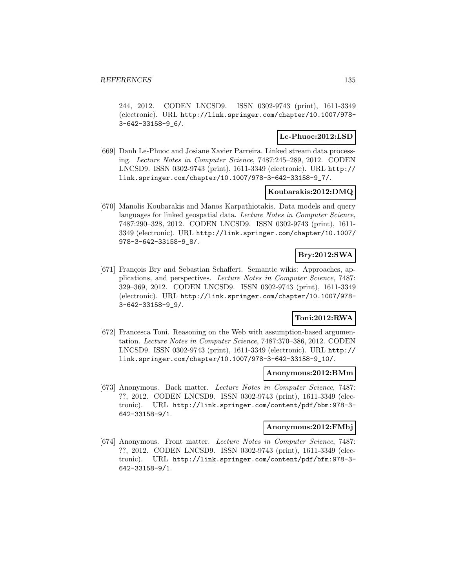244, 2012. CODEN LNCSD9. ISSN 0302-9743 (print), 1611-3349 (electronic). URL http://link.springer.com/chapter/10.1007/978- 3-642-33158-9\_6/.

## **Le-Phuoc:2012:LSD**

[669] Danh Le-Phuoc and Josiane Xavier Parreira. Linked stream data processing. Lecture Notes in Computer Science, 7487:245–289, 2012. CODEN LNCSD9. ISSN 0302-9743 (print), 1611-3349 (electronic). URL http:// link.springer.com/chapter/10.1007/978-3-642-33158-9\_7/.

## **Koubarakis:2012:DMQ**

[670] Manolis Koubarakis and Manos Karpathiotakis. Data models and query languages for linked geospatial data. Lecture Notes in Computer Science, 7487:290–328, 2012. CODEN LNCSD9. ISSN 0302-9743 (print), 1611- 3349 (electronic). URL http://link.springer.com/chapter/10.1007/ 978-3-642-33158-9\_8/.

# **Bry:2012:SWA**

[671] François Bry and Sebastian Schaffert. Semantic wikis: Approaches, applications, and perspectives. Lecture Notes in Computer Science, 7487: 329–369, 2012. CODEN LNCSD9. ISSN 0302-9743 (print), 1611-3349 (electronic). URL http://link.springer.com/chapter/10.1007/978- 3-642-33158-9\_9/.

# **Toni:2012:RWA**

[672] Francesca Toni. Reasoning on the Web with assumption-based argumentation. Lecture Notes in Computer Science, 7487:370–386, 2012. CODEN LNCSD9. ISSN 0302-9743 (print), 1611-3349 (electronic). URL http:// link.springer.com/chapter/10.1007/978-3-642-33158-9\_10/.

### **Anonymous:2012:BMm**

[673] Anonymous. Back matter. Lecture Notes in Computer Science, 7487: ??, 2012. CODEN LNCSD9. ISSN 0302-9743 (print), 1611-3349 (electronic). URL http://link.springer.com/content/pdf/bbm:978-3- 642-33158-9/1.

#### **Anonymous:2012:FMbj**

[674] Anonymous. Front matter. Lecture Notes in Computer Science, 7487: ??, 2012. CODEN LNCSD9. ISSN 0302-9743 (print), 1611-3349 (electronic). URL http://link.springer.com/content/pdf/bfm:978-3- 642-33158-9/1.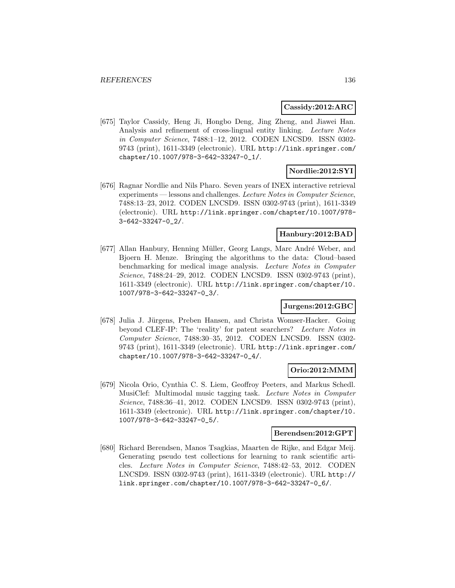### **Cassidy:2012:ARC**

[675] Taylor Cassidy, Heng Ji, Hongbo Deng, Jing Zheng, and Jiawei Han. Analysis and refinement of cross-lingual entity linking. Lecture Notes in Computer Science, 7488:1–12, 2012. CODEN LNCSD9. ISSN 0302- 9743 (print), 1611-3349 (electronic). URL http://link.springer.com/ chapter/10.1007/978-3-642-33247-0\_1/.

## **Nordlie:2012:SYI**

[676] Ragnar Nordlie and Nils Pharo. Seven years of INEX interactive retrieval experiments — lessons and challenges. Lecture Notes in Computer Science, 7488:13–23, 2012. CODEN LNCSD9. ISSN 0302-9743 (print), 1611-3349 (electronic). URL http://link.springer.com/chapter/10.1007/978- 3-642-33247-0\_2/.

## **Hanbury:2012:BAD**

[677] Allan Hanbury, Henning Müller, Georg Langs, Marc André Weber, and Bjoern H. Menze. Bringing the algorithms to the data: Cloud–based benchmarking for medical image analysis. Lecture Notes in Computer Science, 7488:24–29, 2012. CODEN LNCSD9. ISSN 0302-9743 (print), 1611-3349 (electronic). URL http://link.springer.com/chapter/10. 1007/978-3-642-33247-0\_3/.

## **Jurgens:2012:GBC**

[678] Julia J. Jürgens, Preben Hansen, and Christa Womser-Hacker. Going beyond CLEF-IP: The 'reality' for patent searchers? Lecture Notes in Computer Science, 7488:30–35, 2012. CODEN LNCSD9. ISSN 0302- 9743 (print), 1611-3349 (electronic). URL http://link.springer.com/ chapter/10.1007/978-3-642-33247-0\_4/.

### **Orio:2012:MMM**

[679] Nicola Orio, Cynthia C. S. Liem, Geoffroy Peeters, and Markus Schedl. MusiClef: Multimodal music tagging task. Lecture Notes in Computer Science, 7488:36–41, 2012. CODEN LNCSD9. ISSN 0302-9743 (print), 1611-3349 (electronic). URL http://link.springer.com/chapter/10. 1007/978-3-642-33247-0\_5/.

### **Berendsen:2012:GPT**

[680] Richard Berendsen, Manos Tsagkias, Maarten de Rijke, and Edgar Meij. Generating pseudo test collections for learning to rank scientific articles. Lecture Notes in Computer Science, 7488:42–53, 2012. CODEN LNCSD9. ISSN 0302-9743 (print), 1611-3349 (electronic). URL http:// link.springer.com/chapter/10.1007/978-3-642-33247-0\_6/.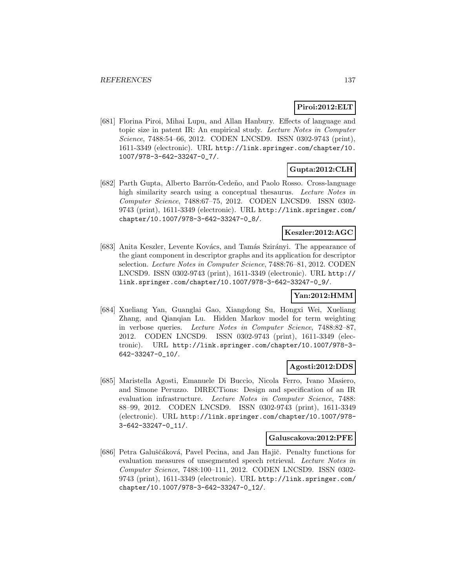## **Piroi:2012:ELT**

[681] Florina Piroi, Mihai Lupu, and Allan Hanbury. Effects of language and topic size in patent IR: An empirical study. Lecture Notes in Computer Science, 7488:54–66, 2012. CODEN LNCSD9. ISSN 0302-9743 (print), 1611-3349 (electronic). URL http://link.springer.com/chapter/10. 1007/978-3-642-33247-0\_7/.

## **Gupta:2012:CLH**

[682] Parth Gupta, Alberto Barrón-Cedeño, and Paolo Rosso. Cross-language high similarity search using a conceptual thesaurus. Lecture Notes in Computer Science, 7488:67–75, 2012. CODEN LNCSD9. ISSN 0302- 9743 (print), 1611-3349 (electronic). URL http://link.springer.com/ chapter/10.1007/978-3-642-33247-0\_8/.

## **Keszler:2012:AGC**

[683] Anita Keszler, Levente Kovács, and Tamás Szirányi. The appearance of the giant component in descriptor graphs and its application for descriptor selection. Lecture Notes in Computer Science, 7488:76–81, 2012. CODEN LNCSD9. ISSN 0302-9743 (print), 1611-3349 (electronic). URL http:// link.springer.com/chapter/10.1007/978-3-642-33247-0\_9/.

## **Yan:2012:HMM**

[684] Xueliang Yan, Guanglai Gao, Xiangdong Su, Hongxi Wei, Xueliang Zhang, and Qianqian Lu. Hidden Markov model for term weighting in verbose queries. Lecture Notes in Computer Science, 7488:82–87, 2012. CODEN LNCSD9. ISSN 0302-9743 (print), 1611-3349 (electronic). URL http://link.springer.com/chapter/10.1007/978-3- 642-33247-0\_10/.

## **Agosti:2012:DDS**

[685] Maristella Agosti, Emanuele Di Buccio, Nicola Ferro, Ivano Masiero, and Simone Peruzzo. DIRECTions: Design and specification of an IR evaluation infrastructure. Lecture Notes in Computer Science, 7488: 88–99, 2012. CODEN LNCSD9. ISSN 0302-9743 (print), 1611-3349 (electronic). URL http://link.springer.com/chapter/10.1007/978- 3-642-33247-0\_11/.

#### **Galuscakova:2012:PFE**

[686] Petra Galuščáková, Pavel Pecina, and Jan Hajič. Penalty functions for evaluation measures of unsegmented speech retrieval. Lecture Notes in Computer Science, 7488:100–111, 2012. CODEN LNCSD9. ISSN 0302- 9743 (print), 1611-3349 (electronic). URL http://link.springer.com/ chapter/10.1007/978-3-642-33247-0\_12/.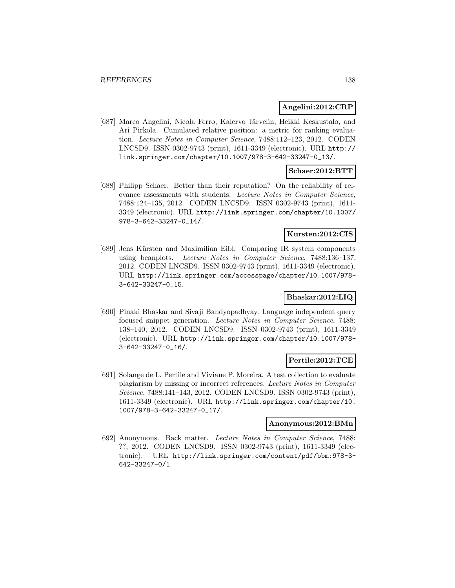## **Angelini:2012:CRP**

[687] Marco Angelini, Nicola Ferro, Kalervo Järvelin, Heikki Keskustalo, and Ari Pirkola. Cumulated relative position: a metric for ranking evaluation. Lecture Notes in Computer Science, 7488:112–123, 2012. CODEN LNCSD9. ISSN 0302-9743 (print), 1611-3349 (electronic). URL http:// link.springer.com/chapter/10.1007/978-3-642-33247-0\_13/.

## **Schaer:2012:BTT**

[688] Philipp Schaer. Better than their reputation? On the reliability of relevance assessments with students. Lecture Notes in Computer Science, 7488:124–135, 2012. CODEN LNCSD9. ISSN 0302-9743 (print), 1611- 3349 (electronic). URL http://link.springer.com/chapter/10.1007/ 978-3-642-33247-0\_14/.

### **Kursten:2012:CIS**

[689] Jens Kürsten and Maximilian Eibl. Comparing IR system components using beanplots. Lecture Notes in Computer Science, 7488:136–137, 2012. CODEN LNCSD9. ISSN 0302-9743 (print), 1611-3349 (electronic). URL http://link.springer.com/accesspage/chapter/10.1007/978- 3-642-33247-0\_15.

## **Bhaskar:2012:LIQ**

[690] Pinaki Bhaskar and Sivaji Bandyopadhyay. Language independent query focused snippet generation. Lecture Notes in Computer Science, 7488: 138–140, 2012. CODEN LNCSD9. ISSN 0302-9743 (print), 1611-3349 (electronic). URL http://link.springer.com/chapter/10.1007/978- 3-642-33247-0\_16/.

## **Pertile:2012:TCE**

[691] Solange de L. Pertile and Viviane P. Moreira. A test collection to evaluate plagiarism by missing or incorrect references. Lecture Notes in Computer Science, 7488:141–143, 2012. CODEN LNCSD9. ISSN 0302-9743 (print), 1611-3349 (electronic). URL http://link.springer.com/chapter/10. 1007/978-3-642-33247-0\_17/.

### **Anonymous:2012:BMn**

[692] Anonymous. Back matter. Lecture Notes in Computer Science, 7488: ??, 2012. CODEN LNCSD9. ISSN 0302-9743 (print), 1611-3349 (electronic). URL http://link.springer.com/content/pdf/bbm:978-3- 642-33247-0/1.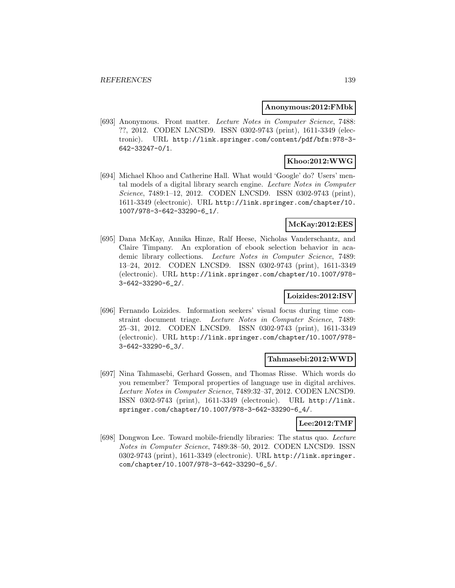### **Anonymous:2012:FMbk**

[693] Anonymous. Front matter. Lecture Notes in Computer Science, 7488: ??, 2012. CODEN LNCSD9. ISSN 0302-9743 (print), 1611-3349 (electronic). URL http://link.springer.com/content/pdf/bfm:978-3- 642-33247-0/1.

## **Khoo:2012:WWG**

[694] Michael Khoo and Catherine Hall. What would 'Google' do? Users' mental models of a digital library search engine. Lecture Notes in Computer Science, 7489:1–12, 2012. CODEN LNCSD9. ISSN 0302-9743 (print), 1611-3349 (electronic). URL http://link.springer.com/chapter/10. 1007/978-3-642-33290-6\_1/.

## **McKay:2012:EES**

[695] Dana McKay, Annika Hinze, Ralf Heese, Nicholas Vanderschantz, and Claire Timpany. An exploration of ebook selection behavior in academic library collections. Lecture Notes in Computer Science, 7489: 13–24, 2012. CODEN LNCSD9. ISSN 0302-9743 (print), 1611-3349 (electronic). URL http://link.springer.com/chapter/10.1007/978- 3-642-33290-6\_2/.

## **Loizides:2012:ISV**

[696] Fernando Loizides. Information seekers' visual focus during time constraint document triage. Lecture Notes in Computer Science, 7489: 25–31, 2012. CODEN LNCSD9. ISSN 0302-9743 (print), 1611-3349 (electronic). URL http://link.springer.com/chapter/10.1007/978- 3-642-33290-6\_3/.

### **Tahmasebi:2012:WWD**

[697] Nina Tahmasebi, Gerhard Gossen, and Thomas Risse. Which words do you remember? Temporal properties of language use in digital archives. Lecture Notes in Computer Science, 7489:32–37, 2012. CODEN LNCSD9. ISSN 0302-9743 (print), 1611-3349 (electronic). URL http://link. springer.com/chapter/10.1007/978-3-642-33290-6\_4/.

## **Lee:2012:TMF**

[698] Dongwon Lee. Toward mobile-friendly libraries: The status quo. Lecture Notes in Computer Science, 7489:38–50, 2012. CODEN LNCSD9. ISSN 0302-9743 (print), 1611-3349 (electronic). URL http://link.springer. com/chapter/10.1007/978-3-642-33290-6\_5/.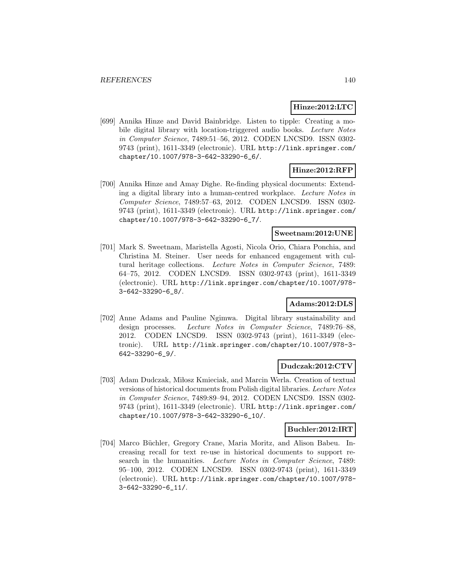## **Hinze:2012:LTC**

[699] Annika Hinze and David Bainbridge. Listen to tipple: Creating a mobile digital library with location-triggered audio books. Lecture Notes in Computer Science, 7489:51–56, 2012. CODEN LNCSD9. ISSN 0302- 9743 (print), 1611-3349 (electronic). URL http://link.springer.com/ chapter/10.1007/978-3-642-33290-6\_6/.

# **Hinze:2012:RFP**

[700] Annika Hinze and Amay Dighe. Re-finding physical documents: Extending a digital library into a human-centred workplace. Lecture Notes in Computer Science, 7489:57–63, 2012. CODEN LNCSD9. ISSN 0302- 9743 (print), 1611-3349 (electronic). URL http://link.springer.com/ chapter/10.1007/978-3-642-33290-6\_7/.

## **Sweetnam:2012:UNE**

[701] Mark S. Sweetnam, Maristella Agosti, Nicola Orio, Chiara Ponchia, and Christina M. Steiner. User needs for enhanced engagement with cultural heritage collections. Lecture Notes in Computer Science, 7489: 64–75, 2012. CODEN LNCSD9. ISSN 0302-9743 (print), 1611-3349 (electronic). URL http://link.springer.com/chapter/10.1007/978- 3-642-33290-6\_8/.

### **Adams:2012:DLS**

[702] Anne Adams and Pauline Ngimwa. Digital library sustainability and design processes. Lecture Notes in Computer Science, 7489:76–88, 2012. CODEN LNCSD9. ISSN 0302-9743 (print), 1611-3349 (electronic). URL http://link.springer.com/chapter/10.1007/978-3- 642-33290-6\_9/.

### **Dudczak:2012:CTV**

[703] Adam Dudczak, Miłosz Kmieciak, and Marcin Werla. Creation of textual versions of historical documents from Polish digital libraries. Lecture Notes in Computer Science, 7489:89–94, 2012. CODEN LNCSD9. ISSN 0302- 9743 (print), 1611-3349 (electronic). URL http://link.springer.com/ chapter/10.1007/978-3-642-33290-6\_10/.

## **Buchler:2012:IRT**

[704] Marco Büchler, Gregory Crane, Maria Moritz, and Alison Babeu. Increasing recall for text re-use in historical documents to support research in the humanities. Lecture Notes in Computer Science, 7489: 95–100, 2012. CODEN LNCSD9. ISSN 0302-9743 (print), 1611-3349 (electronic). URL http://link.springer.com/chapter/10.1007/978- 3-642-33290-6\_11/.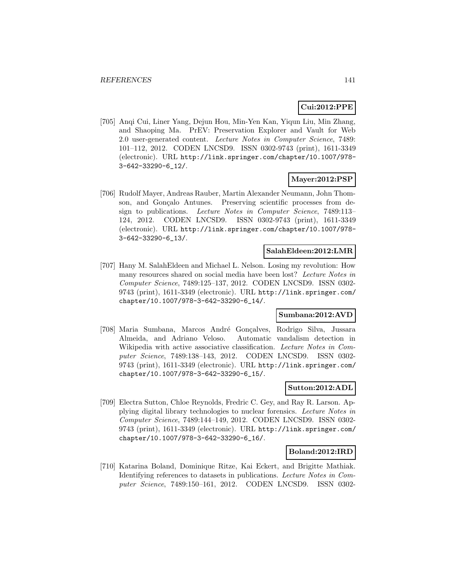## **Cui:2012:PPE**

[705] Anqi Cui, Liner Yang, Dejun Hou, Min-Yen Kan, Yiqun Liu, Min Zhang, and Shaoping Ma. PrEV: Preservation Explorer and Vault for Web 2.0 user-generated content. Lecture Notes in Computer Science, 7489: 101–112, 2012. CODEN LNCSD9. ISSN 0302-9743 (print), 1611-3349 (electronic). URL http://link.springer.com/chapter/10.1007/978- 3-642-33290-6\_12/.

## **Mayer:2012:PSP**

[706] Rudolf Mayer, Andreas Rauber, Martin Alexander Neumann, John Thomson, and Gonçalo Antunes. Preserving scientific processes from design to publications. Lecture Notes in Computer Science, 7489:113– 124, 2012. CODEN LNCSD9. ISSN 0302-9743 (print), 1611-3349 (electronic). URL http://link.springer.com/chapter/10.1007/978- 3-642-33290-6\_13/.

### **SalahEldeen:2012:LMR**

[707] Hany M. SalahEldeen and Michael L. Nelson. Losing my revolution: How many resources shared on social media have been lost? Lecture Notes in Computer Science, 7489:125–137, 2012. CODEN LNCSD9. ISSN 0302- 9743 (print), 1611-3349 (electronic). URL http://link.springer.com/ chapter/10.1007/978-3-642-33290-6\_14/.

### **Sumbana:2012:AVD**

[708] Maria Sumbana, Marcos André Gonçalves, Rodrigo Silva, Jussara Almeida, and Adriano Veloso. Automatic vandalism detection in Wikipedia with active associative classification. Lecture Notes in Computer Science, 7489:138–143, 2012. CODEN LNCSD9. ISSN 0302- 9743 (print), 1611-3349 (electronic). URL http://link.springer.com/ chapter/10.1007/978-3-642-33290-6\_15/.

## **Sutton:2012:ADL**

[709] Electra Sutton, Chloe Reynolds, Fredric C. Gey, and Ray R. Larson. Applying digital library technologies to nuclear forensics. Lecture Notes in Computer Science, 7489:144–149, 2012. CODEN LNCSD9. ISSN 0302- 9743 (print), 1611-3349 (electronic). URL http://link.springer.com/ chapter/10.1007/978-3-642-33290-6\_16/.

### **Boland:2012:IRD**

[710] Katarina Boland, Dominique Ritze, Kai Eckert, and Brigitte Mathiak. Identifying references to datasets in publications. Lecture Notes in Computer Science, 7489:150–161, 2012. CODEN LNCSD9. ISSN 0302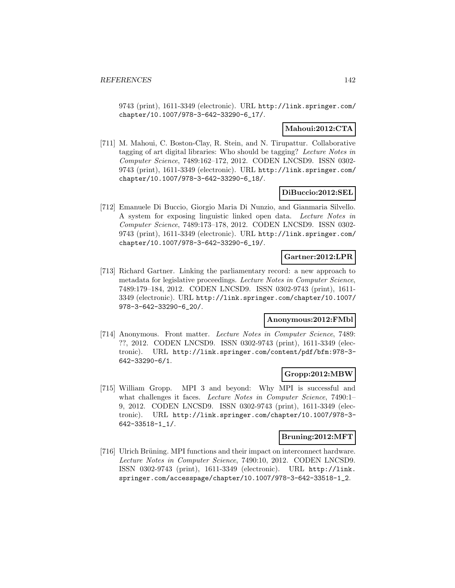9743 (print), 1611-3349 (electronic). URL http://link.springer.com/ chapter/10.1007/978-3-642-33290-6\_17/.

## **Mahoui:2012:CTA**

[711] M. Mahoui, C. Boston-Clay, R. Stein, and N. Tirupattur. Collaborative tagging of art digital libraries: Who should be tagging? Lecture Notes in Computer Science, 7489:162–172, 2012. CODEN LNCSD9. ISSN 0302- 9743 (print), 1611-3349 (electronic). URL http://link.springer.com/ chapter/10.1007/978-3-642-33290-6\_18/.

## **DiBuccio:2012:SEL**

[712] Emanuele Di Buccio, Giorgio Maria Di Nunzio, and Gianmaria Silvello. A system for exposing linguistic linked open data. Lecture Notes in Computer Science, 7489:173–178, 2012. CODEN LNCSD9. ISSN 0302- 9743 (print), 1611-3349 (electronic). URL http://link.springer.com/ chapter/10.1007/978-3-642-33290-6\_19/.

## **Gartner:2012:LPR**

[713] Richard Gartner. Linking the parliamentary record: a new approach to metadata for legislative proceedings. Lecture Notes in Computer Science, 7489:179–184, 2012. CODEN LNCSD9. ISSN 0302-9743 (print), 1611- 3349 (electronic). URL http://link.springer.com/chapter/10.1007/ 978-3-642-33290-6\_20/.

### **Anonymous:2012:FMbl**

[714] Anonymous. Front matter. Lecture Notes in Computer Science, 7489: ??, 2012. CODEN LNCSD9. ISSN 0302-9743 (print), 1611-3349 (electronic). URL http://link.springer.com/content/pdf/bfm:978-3- 642-33290-6/1.

## **Gropp:2012:MBW**

[715] William Gropp. MPI 3 and beyond: Why MPI is successful and what challenges it faces. Lecture Notes in Computer Science, 7490:1– 9, 2012. CODEN LNCSD9. ISSN 0302-9743 (print), 1611-3349 (electronic). URL http://link.springer.com/chapter/10.1007/978-3- 642-33518-1\_1/.

### **Bruning:2012:MFT**

[716] Ulrich Brüning. MPI functions and their impact on interconnect hardware. Lecture Notes in Computer Science, 7490:10, 2012. CODEN LNCSD9. ISSN 0302-9743 (print), 1611-3349 (electronic). URL http://link. springer.com/accesspage/chapter/10.1007/978-3-642-33518-1\_2.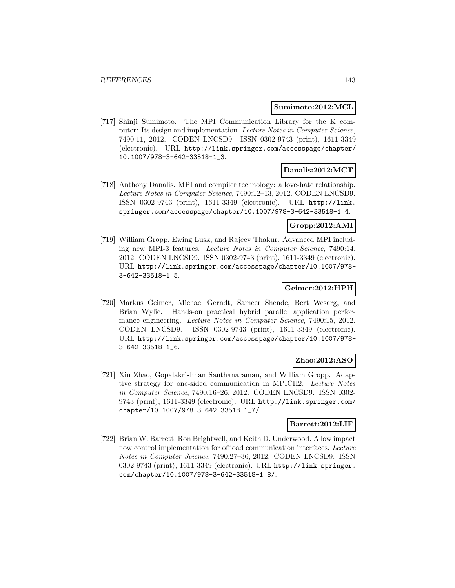### **Sumimoto:2012:MCL**

[717] Shinji Sumimoto. The MPI Communication Library for the K computer: Its design and implementation. Lecture Notes in Computer Science, 7490:11, 2012. CODEN LNCSD9. ISSN 0302-9743 (print), 1611-3349 (electronic). URL http://link.springer.com/accesspage/chapter/ 10.1007/978-3-642-33518-1\_3.

### **Danalis:2012:MCT**

[718] Anthony Danalis. MPI and compiler technology: a love-hate relationship. Lecture Notes in Computer Science, 7490:12–13, 2012. CODEN LNCSD9. ISSN 0302-9743 (print), 1611-3349 (electronic). URL http://link. springer.com/accesspage/chapter/10.1007/978-3-642-33518-1\_4.

## **Gropp:2012:AMI**

[719] William Gropp, Ewing Lusk, and Rajeev Thakur. Advanced MPI including new MPI-3 features. Lecture Notes in Computer Science, 7490:14, 2012. CODEN LNCSD9. ISSN 0302-9743 (print), 1611-3349 (electronic). URL http://link.springer.com/accesspage/chapter/10.1007/978- 3-642-33518-1\_5.

## **Geimer:2012:HPH**

[720] Markus Geimer, Michael Gerndt, Sameer Shende, Bert Wesarg, and Brian Wylie. Hands-on practical hybrid parallel application performance engineering. Lecture Notes in Computer Science, 7490:15, 2012. CODEN LNCSD9. ISSN 0302-9743 (print), 1611-3349 (electronic). URL http://link.springer.com/accesspage/chapter/10.1007/978- 3-642-33518-1\_6.

### **Zhao:2012:ASO**

[721] Xin Zhao, Gopalakrishnan Santhanaraman, and William Gropp. Adaptive strategy for one-sided communication in MPICH2. Lecture Notes in Computer Science, 7490:16–26, 2012. CODEN LNCSD9. ISSN 0302- 9743 (print), 1611-3349 (electronic). URL http://link.springer.com/ chapter/10.1007/978-3-642-33518-1\_7/.

## **Barrett:2012:LIF**

[722] Brian W. Barrett, Ron Brightwell, and Keith D. Underwood. A low impact flow control implementation for offload communication interfaces. Lecture Notes in Computer Science, 7490:27–36, 2012. CODEN LNCSD9. ISSN 0302-9743 (print), 1611-3349 (electronic). URL http://link.springer. com/chapter/10.1007/978-3-642-33518-1\_8/.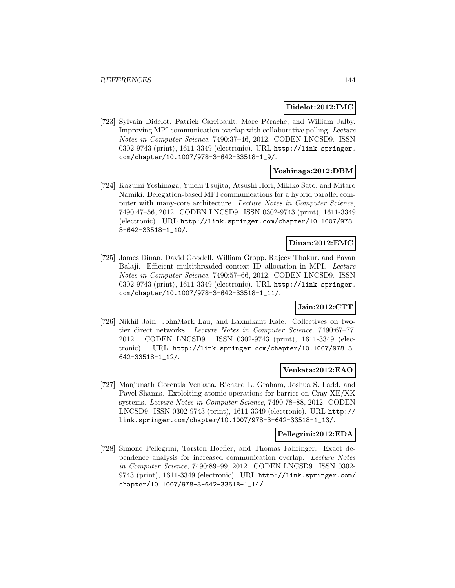### **Didelot:2012:IMC**

[723] Sylvain Didelot, Patrick Carribault, Marc Pérache, and William Jalby. Improving MPI communication overlap with collaborative polling. Lecture Notes in Computer Science, 7490:37–46, 2012. CODEN LNCSD9. ISSN 0302-9743 (print), 1611-3349 (electronic). URL http://link.springer. com/chapter/10.1007/978-3-642-33518-1\_9/.

## **Yoshinaga:2012:DBM**

[724] Kazumi Yoshinaga, Yuichi Tsujita, Atsushi Hori, Mikiko Sato, and Mitaro Namiki. Delegation-based MPI communications for a hybrid parallel computer with many-core architecture. Lecture Notes in Computer Science, 7490:47–56, 2012. CODEN LNCSD9. ISSN 0302-9743 (print), 1611-3349 (electronic). URL http://link.springer.com/chapter/10.1007/978- 3-642-33518-1\_10/.

## **Dinan:2012:EMC**

[725] James Dinan, David Goodell, William Gropp, Rajeev Thakur, and Pavan Balaji. Efficient multithreaded context ID allocation in MPI. Lecture Notes in Computer Science, 7490:57–66, 2012. CODEN LNCSD9. ISSN 0302-9743 (print), 1611-3349 (electronic). URL http://link.springer. com/chapter/10.1007/978-3-642-33518-1\_11/.

## **Jain:2012:CTT**

[726] Nikhil Jain, JohnMark Lau, and Laxmikant Kale. Collectives on twotier direct networks. Lecture Notes in Computer Science, 7490:67–77, 2012. CODEN LNCSD9. ISSN 0302-9743 (print), 1611-3349 (electronic). URL http://link.springer.com/chapter/10.1007/978-3- 642-33518-1\_12/.

## **Venkata:2012:EAO**

[727] Manjunath Gorentla Venkata, Richard L. Graham, Joshua S. Ladd, and Pavel Shamis. Exploiting atomic operations for barrier on Cray XE/XK systems. Lecture Notes in Computer Science, 7490:78–88, 2012. CODEN LNCSD9. ISSN 0302-9743 (print), 1611-3349 (electronic). URL http:// link.springer.com/chapter/10.1007/978-3-642-33518-1\_13/.

### **Pellegrini:2012:EDA**

[728] Simone Pellegrini, Torsten Hoefler, and Thomas Fahringer. Exact dependence analysis for increased communication overlap. Lecture Notes in Computer Science, 7490:89–99, 2012. CODEN LNCSD9. ISSN 0302- 9743 (print), 1611-3349 (electronic). URL http://link.springer.com/ chapter/10.1007/978-3-642-33518-1\_14/.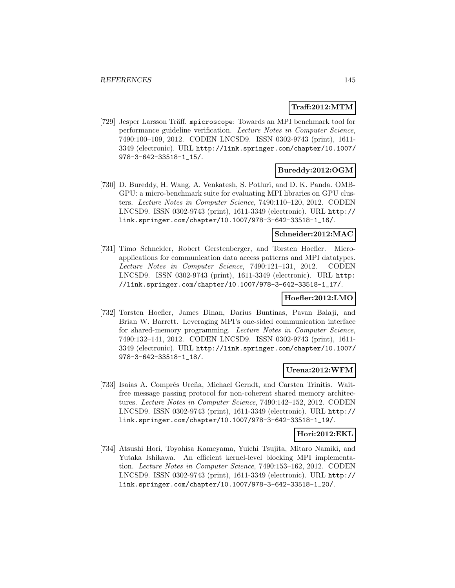### **Traff:2012:MTM**

[729] Jesper Larsson Träff. mpicroscope: Towards an MPI benchmark tool for performance guideline verification. Lecture Notes in Computer Science, 7490:100–109, 2012. CODEN LNCSD9. ISSN 0302-9743 (print), 1611- 3349 (electronic). URL http://link.springer.com/chapter/10.1007/ 978-3-642-33518-1\_15/.

### **Bureddy:2012:OGM**

[730] D. Bureddy, H. Wang, A. Venkatesh, S. Potluri, and D. K. Panda. OMB-GPU: a micro-benchmark suite for evaluating MPI libraries on GPU clusters. Lecture Notes in Computer Science, 7490:110–120, 2012. CODEN LNCSD9. ISSN 0302-9743 (print), 1611-3349 (electronic). URL http:// link.springer.com/chapter/10.1007/978-3-642-33518-1\_16/.

#### **Schneider:2012:MAC**

[731] Timo Schneider, Robert Gerstenberger, and Torsten Hoefler. Microapplications for communication data access patterns and MPI datatypes. Lecture Notes in Computer Science, 7490:121–131, 2012. CODEN LNCSD9. ISSN 0302-9743 (print), 1611-3349 (electronic). URL http: //link.springer.com/chapter/10.1007/978-3-642-33518-1\_17/.

### **Hoefler:2012:LMO**

[732] Torsten Hoefler, James Dinan, Darius Buntinas, Pavan Balaji, and Brian W. Barrett. Leveraging MPI's one-sided communication interface for shared-memory programming. Lecture Notes in Computer Science, 7490:132–141, 2012. CODEN LNCSD9. ISSN 0302-9743 (print), 1611- 3349 (electronic). URL http://link.springer.com/chapter/10.1007/ 978-3-642-33518-1\_18/.

### **Urena:2012:WFM**

[733] Isaías A. Comprés Ureña, Michael Gerndt, and Carsten Trinitis. Waitfree message passing protocol for non-coherent shared memory architectures. Lecture Notes in Computer Science, 7490:142–152, 2012. CODEN LNCSD9. ISSN 0302-9743 (print), 1611-3349 (electronic). URL http:// link.springer.com/chapter/10.1007/978-3-642-33518-1\_19/.

### **Hori:2012:EKL**

[734] Atsushi Hori, Toyohisa Kameyama, Yuichi Tsujita, Mitaro Namiki, and Yutaka Ishikawa. An efficient kernel-level blocking MPI implementation. Lecture Notes in Computer Science, 7490:153–162, 2012. CODEN LNCSD9. ISSN 0302-9743 (print), 1611-3349 (electronic). URL http:// link.springer.com/chapter/10.1007/978-3-642-33518-1\_20/.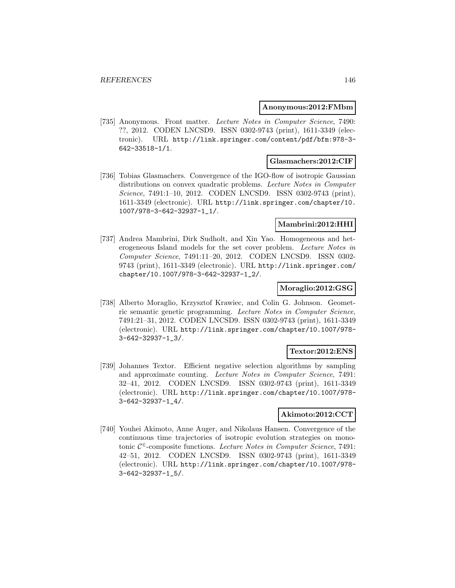#### **Anonymous:2012:FMbm**

[735] Anonymous. Front matter. Lecture Notes in Computer Science, 7490: ??, 2012. CODEN LNCSD9. ISSN 0302-9743 (print), 1611-3349 (electronic). URL http://link.springer.com/content/pdf/bfm:978-3- 642-33518-1/1.

### **Glasmachers:2012:CIF**

[736] Tobias Glasmachers. Convergence of the IGO-flow of isotropic Gaussian distributions on convex quadratic problems. Lecture Notes in Computer Science, 7491:1–10, 2012. CODEN LNCSD9. ISSN 0302-9743 (print), 1611-3349 (electronic). URL http://link.springer.com/chapter/10. 1007/978-3-642-32937-1\_1/.

### **Mambrini:2012:HHI**

[737] Andrea Mambrini, Dirk Sudholt, and Xin Yao. Homogeneous and heterogeneous Island models for the set cover problem. Lecture Notes in Computer Science, 7491:11–20, 2012. CODEN LNCSD9. ISSN 0302- 9743 (print), 1611-3349 (electronic). URL http://link.springer.com/ chapter/10.1007/978-3-642-32937-1\_2/.

### **Moraglio:2012:GSG**

[738] Alberto Moraglio, Krzysztof Krawiec, and Colin G. Johnson. Geometric semantic genetic programming. Lecture Notes in Computer Science, 7491:21–31, 2012. CODEN LNCSD9. ISSN 0302-9743 (print), 1611-3349 (electronic). URL http://link.springer.com/chapter/10.1007/978- 3-642-32937-1\_3/.

### **Textor:2012:ENS**

[739] Johannes Textor. Efficient negative selection algorithms by sampling and approximate counting. Lecture Notes in Computer Science, 7491: 32–41, 2012. CODEN LNCSD9. ISSN 0302-9743 (print), 1611-3349 (electronic). URL http://link.springer.com/chapter/10.1007/978- 3-642-32937-1\_4/.

### **Akimoto:2012:CCT**

[740] Youhei Akimoto, Anne Auger, and Nikolaus Hansen. Convergence of the continuous time trajectories of isotropic evolution strategies on monotonic  $C^{\epsilon}$ -composite functions. Lecture Notes in Computer Science, 7491: 42–51, 2012. CODEN LNCSD9. ISSN 0302-9743 (print), 1611-3349 (electronic). URL http://link.springer.com/chapter/10.1007/978- 3-642-32937-1\_5/.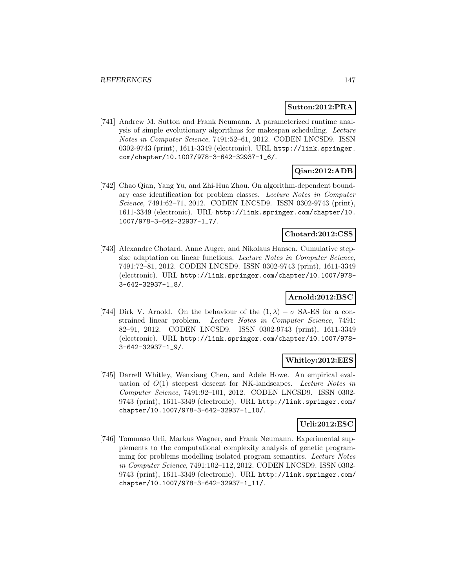### **Sutton:2012:PRA**

[741] Andrew M. Sutton and Frank Neumann. A parameterized runtime analysis of simple evolutionary algorithms for makespan scheduling. Lecture Notes in Computer Science, 7491:52–61, 2012. CODEN LNCSD9. ISSN 0302-9743 (print), 1611-3349 (electronic). URL http://link.springer. com/chapter/10.1007/978-3-642-32937-1\_6/.

## **Qian:2012:ADB**

[742] Chao Qian, Yang Yu, and Zhi-Hua Zhou. On algorithm-dependent boundary case identification for problem classes. Lecture Notes in Computer Science, 7491:62–71, 2012. CODEN LNCSD9. ISSN 0302-9743 (print), 1611-3349 (electronic). URL http://link.springer.com/chapter/10. 1007/978-3-642-32937-1\_7/.

#### **Chotard:2012:CSS**

[743] Alexandre Chotard, Anne Auger, and Nikolaus Hansen. Cumulative stepsize adaptation on linear functions. Lecture Notes in Computer Science, 7491:72–81, 2012. CODEN LNCSD9. ISSN 0302-9743 (print), 1611-3349 (electronic). URL http://link.springer.com/chapter/10.1007/978- 3-642-32937-1\_8/.

### **Arnold:2012:BSC**

[744] Dirk V. Arnold. On the behaviour of the  $(1, \lambda) - \sigma$  SA-ES for a constrained linear problem. Lecture Notes in Computer Science, 7491: 82–91, 2012. CODEN LNCSD9. ISSN 0302-9743 (print), 1611-3349 (electronic). URL http://link.springer.com/chapter/10.1007/978- 3-642-32937-1\_9/.

### **Whitley:2012:EES**

[745] Darrell Whitley, Wenxiang Chen, and Adele Howe. An empirical evaluation of  $O(1)$  steepest descent for NK-landscapes. Lecture Notes in Computer Science, 7491:92–101, 2012. CODEN LNCSD9. ISSN 0302- 9743 (print), 1611-3349 (electronic). URL http://link.springer.com/ chapter/10.1007/978-3-642-32937-1\_10/.

## **Urli:2012:ESC**

[746] Tommaso Urli, Markus Wagner, and Frank Neumann. Experimental supplements to the computational complexity analysis of genetic programming for problems modelling isolated program semantics. Lecture Notes in Computer Science, 7491:102–112, 2012. CODEN LNCSD9. ISSN 0302- 9743 (print), 1611-3349 (electronic). URL http://link.springer.com/ chapter/10.1007/978-3-642-32937-1\_11/.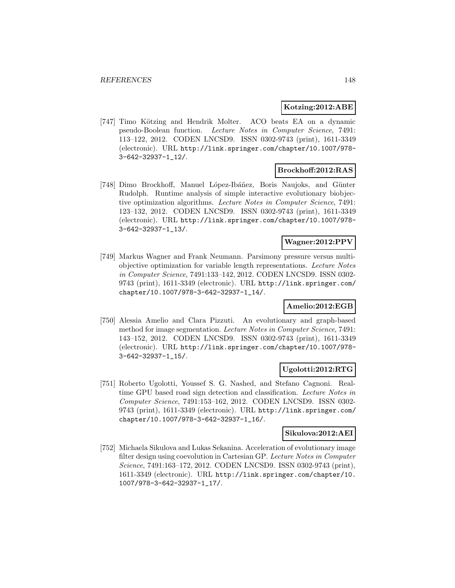### **Kotzing:2012:ABE**

[747] Timo Kötzing and Hendrik Molter. ACO beats EA on a dynamic pseudo-Boolean function. Lecture Notes in Computer Science, 7491: 113–122, 2012. CODEN LNCSD9. ISSN 0302-9743 (print), 1611-3349 (electronic). URL http://link.springer.com/chapter/10.1007/978- 3-642-32937-1\_12/.

### **Brockhoff:2012:RAS**

[748] Dimo Brockhoff, Manuel López-Ibáñez, Boris Naujoks, and Günter Rudolph. Runtime analysis of simple interactive evolutionary biobjective optimization algorithms. Lecture Notes in Computer Science, 7491: 123–132, 2012. CODEN LNCSD9. ISSN 0302-9743 (print), 1611-3349 (electronic). URL http://link.springer.com/chapter/10.1007/978- 3-642-32937-1\_13/.

### **Wagner:2012:PPV**

[749] Markus Wagner and Frank Neumann. Parsimony pressure versus multiobjective optimization for variable length representations. Lecture Notes in Computer Science, 7491:133–142, 2012. CODEN LNCSD9. ISSN 0302- 9743 (print), 1611-3349 (electronic). URL http://link.springer.com/ chapter/10.1007/978-3-642-32937-1\_14/.

## **Amelio:2012:EGB**

[750] Alessia Amelio and Clara Pizzuti. An evolutionary and graph-based method for image segmentation. Lecture Notes in Computer Science, 7491: 143–152, 2012. CODEN LNCSD9. ISSN 0302-9743 (print), 1611-3349 (electronic). URL http://link.springer.com/chapter/10.1007/978- 3-642-32937-1\_15/.

## **Ugolotti:2012:RTG**

[751] Roberto Ugolotti, Youssef S. G. Nashed, and Stefano Cagnoni. Realtime GPU based road sign detection and classification. Lecture Notes in Computer Science, 7491:153–162, 2012. CODEN LNCSD9. ISSN 0302- 9743 (print), 1611-3349 (electronic). URL http://link.springer.com/ chapter/10.1007/978-3-642-32937-1\_16/.

### **Sikulova:2012:AEI**

[752] Michaela Sikulova and Lukas Sekanina. Acceleration of evolutionary image filter design using coevolution in Cartesian GP. Lecture Notes in Computer Science, 7491:163–172, 2012. CODEN LNCSD9. ISSN 0302-9743 (print), 1611-3349 (electronic). URL http://link.springer.com/chapter/10. 1007/978-3-642-32937-1\_17/.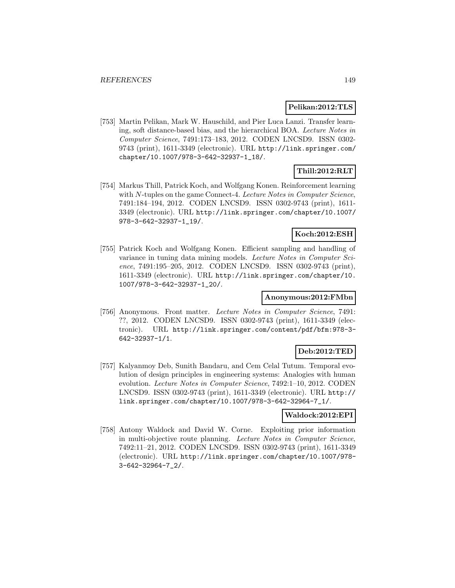### **Pelikan:2012:TLS**

[753] Martin Pelikan, Mark W. Hauschild, and Pier Luca Lanzi. Transfer learning, soft distance-based bias, and the hierarchical BOA. Lecture Notes in Computer Science, 7491:173–183, 2012. CODEN LNCSD9. ISSN 0302- 9743 (print), 1611-3349 (electronic). URL http://link.springer.com/ chapter/10.1007/978-3-642-32937-1\_18/.

# **Thill:2012:RLT**

[754] Markus Thill, Patrick Koch, and Wolfgang Konen. Reinforcement learning with N-tuples on the game Connect-4. Lecture Notes in Computer Science, 7491:184–194, 2012. CODEN LNCSD9. ISSN 0302-9743 (print), 1611- 3349 (electronic). URL http://link.springer.com/chapter/10.1007/ 978-3-642-32937-1\_19/.

### **Koch:2012:ESH**

[755] Patrick Koch and Wolfgang Konen. Efficient sampling and handling of variance in tuning data mining models. Lecture Notes in Computer Science, 7491:195–205, 2012. CODEN LNCSD9. ISSN 0302-9743 (print), 1611-3349 (electronic). URL http://link.springer.com/chapter/10. 1007/978-3-642-32937-1\_20/.

### **Anonymous:2012:FMbn**

[756] Anonymous. Front matter. Lecture Notes in Computer Science, 7491: ??, 2012. CODEN LNCSD9. ISSN 0302-9743 (print), 1611-3349 (electronic). URL http://link.springer.com/content/pdf/bfm:978-3- 642-32937-1/1.

### **Deb:2012:TED**

[757] Kalyanmoy Deb, Sunith Bandaru, and Cem Celal Tutum. Temporal evolution of design principles in engineering systems: Analogies with human evolution. Lecture Notes in Computer Science, 7492:1–10, 2012. CODEN LNCSD9. ISSN 0302-9743 (print), 1611-3349 (electronic). URL http:// link.springer.com/chapter/10.1007/978-3-642-32964-7\_1/.

### **Waldock:2012:EPI**

[758] Antony Waldock and David W. Corne. Exploiting prior information in multi-objective route planning. Lecture Notes in Computer Science, 7492:11–21, 2012. CODEN LNCSD9. ISSN 0302-9743 (print), 1611-3349 (electronic). URL http://link.springer.com/chapter/10.1007/978- 3-642-32964-7\_2/.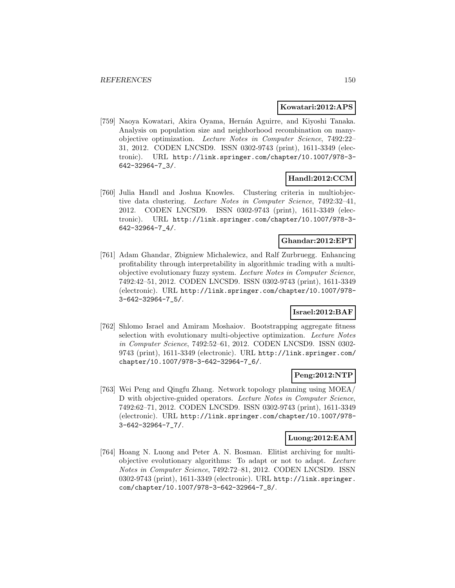### **Kowatari:2012:APS**

[759] Naoya Kowatari, Akira Oyama, Hernán Aguirre, and Kiyoshi Tanaka. Analysis on population size and neighborhood recombination on manyobjective optimization. Lecture Notes in Computer Science, 7492:22– 31, 2012. CODEN LNCSD9. ISSN 0302-9743 (print), 1611-3349 (electronic). URL http://link.springer.com/chapter/10.1007/978-3- 642-32964-7\_3/.

## **Handl:2012:CCM**

[760] Julia Handl and Joshua Knowles. Clustering criteria in multiobjective data clustering. Lecture Notes in Computer Science, 7492:32–41, 2012. CODEN LNCSD9. ISSN 0302-9743 (print), 1611-3349 (electronic). URL http://link.springer.com/chapter/10.1007/978-3- 642-32964-7\_4/.

### **Ghandar:2012:EPT**

[761] Adam Ghandar, Zbigniew Michalewicz, and Ralf Zurbruegg. Enhancing profitability through interpretability in algorithmic trading with a multiobjective evolutionary fuzzy system. Lecture Notes in Computer Science, 7492:42–51, 2012. CODEN LNCSD9. ISSN 0302-9743 (print), 1611-3349 (electronic). URL http://link.springer.com/chapter/10.1007/978- 3-642-32964-7\_5/.

### **Israel:2012:BAF**

[762] Shlomo Israel and Amiram Moshaiov. Bootstrapping aggregate fitness selection with evolutionary multi-objective optimization. Lecture Notes in Computer Science, 7492:52–61, 2012. CODEN LNCSD9. ISSN 0302- 9743 (print), 1611-3349 (electronic). URL http://link.springer.com/ chapter/10.1007/978-3-642-32964-7\_6/.

### **Peng:2012:NTP**

[763] Wei Peng and Qingfu Zhang. Network topology planning using MOEA/ D with objective-guided operators. Lecture Notes in Computer Science, 7492:62–71, 2012. CODEN LNCSD9. ISSN 0302-9743 (print), 1611-3349 (electronic). URL http://link.springer.com/chapter/10.1007/978- 3-642-32964-7\_7/.

### **Luong:2012:EAM**

[764] Hoang N. Luong and Peter A. N. Bosman. Elitist archiving for multiobjective evolutionary algorithms: To adapt or not to adapt. Lecture Notes in Computer Science, 7492:72–81, 2012. CODEN LNCSD9. ISSN 0302-9743 (print), 1611-3349 (electronic). URL http://link.springer. com/chapter/10.1007/978-3-642-32964-7\_8/.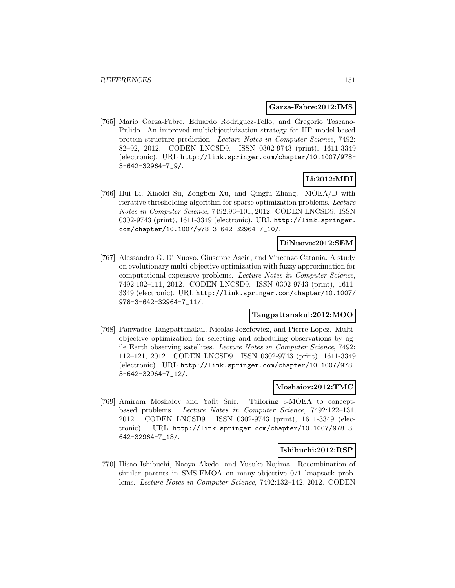#### **Garza-Fabre:2012:IMS**

[765] Mario Garza-Fabre, Eduardo Rodriguez-Tello, and Gregorio Toscano-Pulido. An improved multiobjectivization strategy for HP model-based protein structure prediction. Lecture Notes in Computer Science, 7492: 82–92, 2012. CODEN LNCSD9. ISSN 0302-9743 (print), 1611-3349 (electronic). URL http://link.springer.com/chapter/10.1007/978- 3-642-32964-7\_9/.

## **Li:2012:MDI**

[766] Hui Li, Xiaolei Su, Zongben Xu, and Qingfu Zhang. MOEA/D with iterative thresholding algorithm for sparse optimization problems. Lecture Notes in Computer Science, 7492:93–101, 2012. CODEN LNCSD9. ISSN 0302-9743 (print), 1611-3349 (electronic). URL http://link.springer. com/chapter/10.1007/978-3-642-32964-7\_10/.

### **DiNuovo:2012:SEM**

[767] Alessandro G. Di Nuovo, Giuseppe Ascia, and Vincenzo Catania. A study on evolutionary multi-objective optimization with fuzzy approximation for computational expensive problems. Lecture Notes in Computer Science, 7492:102–111, 2012. CODEN LNCSD9. ISSN 0302-9743 (print), 1611- 3349 (electronic). URL http://link.springer.com/chapter/10.1007/ 978-3-642-32964-7\_11/.

#### **Tangpattanakul:2012:MOO**

[768] Panwadee Tangpattanakul, Nicolas Jozefowiez, and Pierre Lopez. Multiobjective optimization for selecting and scheduling observations by agile Earth observing satellites. Lecture Notes in Computer Science, 7492: 112–121, 2012. CODEN LNCSD9. ISSN 0302-9743 (print), 1611-3349 (electronic). URL http://link.springer.com/chapter/10.1007/978- 3-642-32964-7\_12/.

#### **Moshaiov:2012:TMC**

[769] Amiram Moshaiov and Yafit Snir. Tailoring  $\epsilon$ -MOEA to conceptbased problems. Lecture Notes in Computer Science, 7492:122–131, 2012. CODEN LNCSD9. ISSN 0302-9743 (print), 1611-3349 (electronic). URL http://link.springer.com/chapter/10.1007/978-3- 642-32964-7\_13/.

#### **Ishibuchi:2012:RSP**

[770] Hisao Ishibuchi, Naoya Akedo, and Yusuke Nojima. Recombination of similar parents in SMS-EMOA on many-objective 0/1 knapsack problems. Lecture Notes in Computer Science, 7492:132–142, 2012. CODEN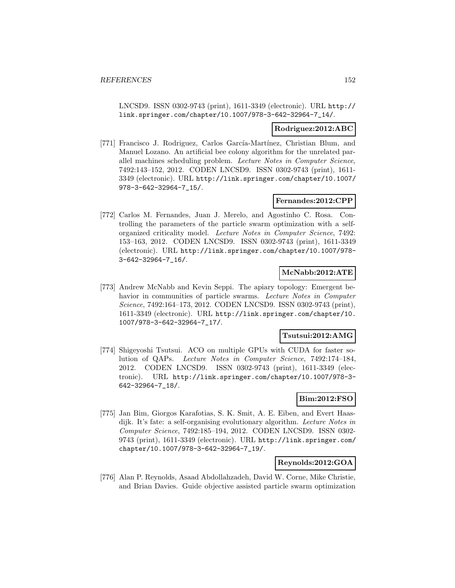LNCSD9. ISSN 0302-9743 (print), 1611-3349 (electronic). URL http:// link.springer.com/chapter/10.1007/978-3-642-32964-7\_14/.

#### **Rodriguez:2012:ABC**

[771] Francisco J. Rodriguez, Carlos García-Martínez, Christian Blum, and Manuel Lozano. An artificial bee colony algorithm for the unrelated parallel machines scheduling problem. Lecture Notes in Computer Science, 7492:143–152, 2012. CODEN LNCSD9. ISSN 0302-9743 (print), 1611- 3349 (electronic). URL http://link.springer.com/chapter/10.1007/ 978-3-642-32964-7\_15/.

### **Fernandes:2012:CPP**

[772] Carlos M. Fernandes, Juan J. Merelo, and Agostinho C. Rosa. Controlling the parameters of the particle swarm optimization with a selforganized criticality model. Lecture Notes in Computer Science, 7492: 153–163, 2012. CODEN LNCSD9. ISSN 0302-9743 (print), 1611-3349 (electronic). URL http://link.springer.com/chapter/10.1007/978- 3-642-32964-7\_16/.

### **McNabb:2012:ATE**

[773] Andrew McNabb and Kevin Seppi. The apiary topology: Emergent behavior in communities of particle swarms. Lecture Notes in Computer Science, 7492:164–173, 2012. CODEN LNCSD9. ISSN 0302-9743 (print), 1611-3349 (electronic). URL http://link.springer.com/chapter/10. 1007/978-3-642-32964-7\_17/.

#### **Tsutsui:2012:AMG**

[774] Shigeyoshi Tsutsui. ACO on multiple GPUs with CUDA for faster solution of QAPs. Lecture Notes in Computer Science, 7492:174–184, 2012. CODEN LNCSD9. ISSN 0302-9743 (print), 1611-3349 (electronic). URL http://link.springer.com/chapter/10.1007/978-3- 642-32964-7\_18/.

### **Bim:2012:FSO**

[775] Jan Bim, Giorgos Karafotias, S. K. Smit, A. E. Eiben, and Evert Haasdijk. It's fate: a self-organising evolutionary algorithm. Lecture Notes in Computer Science, 7492:185–194, 2012. CODEN LNCSD9. ISSN 0302- 9743 (print), 1611-3349 (electronic). URL http://link.springer.com/ chapter/10.1007/978-3-642-32964-7\_19/.

#### **Reynolds:2012:GOA**

[776] Alan P. Reynolds, Asaad Abdollahzadeh, David W. Corne, Mike Christie, and Brian Davies. Guide objective assisted particle swarm optimization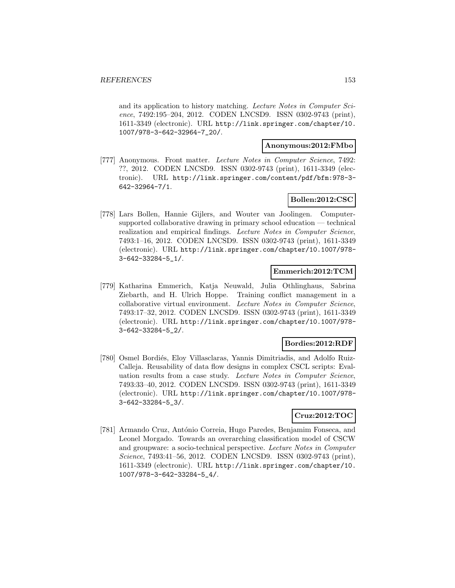and its application to history matching. Lecture Notes in Computer Science, 7492:195-204, 2012. CODEN LNCSD9. ISSN 0302-9743 (print), 1611-3349 (electronic). URL http://link.springer.com/chapter/10. 1007/978-3-642-32964-7\_20/.

#### **Anonymous:2012:FMbo**

[777] Anonymous. Front matter. Lecture Notes in Computer Science, 7492: ??, 2012. CODEN LNCSD9. ISSN 0302-9743 (print), 1611-3349 (electronic). URL http://link.springer.com/content/pdf/bfm:978-3- 642-32964-7/1.

## **Bollen:2012:CSC**

[778] Lars Bollen, Hannie Gijlers, and Wouter van Joolingen. Computersupported collaborative drawing in primary school education — technical realization and empirical findings. Lecture Notes in Computer Science, 7493:1–16, 2012. CODEN LNCSD9. ISSN 0302-9743 (print), 1611-3349 (electronic). URL http://link.springer.com/chapter/10.1007/978- 3-642-33284-5\_1/.

## **Emmerich:2012:TCM**

[779] Katharina Emmerich, Katja Neuwald, Julia Othlinghaus, Sabrina Ziebarth, and H. Ulrich Hoppe. Training conflict management in a collaborative virtual environment. Lecture Notes in Computer Science, 7493:17–32, 2012. CODEN LNCSD9. ISSN 0302-9743 (print), 1611-3349 (electronic). URL http://link.springer.com/chapter/10.1007/978- 3-642-33284-5\_2/.

### **Bordies:2012:RDF**

[780] Osmel Bordiés, Eloy Villasclaras, Yannis Dimitriadis, and Adolfo Ruiz-Calleja. Reusability of data flow designs in complex CSCL scripts: Evaluation results from a case study. Lecture Notes in Computer Science, 7493:33–40, 2012. CODEN LNCSD9. ISSN 0302-9743 (print), 1611-3349 (electronic). URL http://link.springer.com/chapter/10.1007/978- 3-642-33284-5\_3/.

### **Cruz:2012:TOC**

[781] Armando Cruz, António Correia, Hugo Paredes, Benjamim Fonseca, and Leonel Morgado. Towards an overarching classification model of CSCW and groupware: a socio-technical perspective. Lecture Notes in Computer Science, 7493:41–56, 2012. CODEN LNCSD9. ISSN 0302-9743 (print), 1611-3349 (electronic). URL http://link.springer.com/chapter/10. 1007/978-3-642-33284-5\_4/.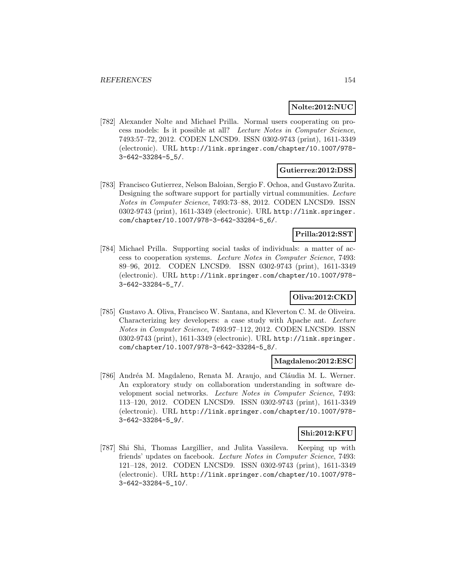### **Nolte:2012:NUC**

[782] Alexander Nolte and Michael Prilla. Normal users cooperating on process models: Is it possible at all? Lecture Notes in Computer Science, 7493:57–72, 2012. CODEN LNCSD9. ISSN 0302-9743 (print), 1611-3349 (electronic). URL http://link.springer.com/chapter/10.1007/978- 3-642-33284-5\_5/.

### **Gutierrez:2012:DSS**

[783] Francisco Gutierrez, Nelson Baloian, Sergio F. Ochoa, and Gustavo Zurita. Designing the software support for partially virtual communities. Lecture Notes in Computer Science, 7493:73–88, 2012. CODEN LNCSD9. ISSN 0302-9743 (print), 1611-3349 (electronic). URL http://link.springer. com/chapter/10.1007/978-3-642-33284-5\_6/.

### **Prilla:2012:SST**

[784] Michael Prilla. Supporting social tasks of individuals: a matter of access to cooperation systems. Lecture Notes in Computer Science, 7493: 89–96, 2012. CODEN LNCSD9. ISSN 0302-9743 (print), 1611-3349 (electronic). URL http://link.springer.com/chapter/10.1007/978- 3-642-33284-5\_7/.

## **Oliva:2012:CKD**

[785] Gustavo A. Oliva, Francisco W. Santana, and Kleverton C. M. de Oliveira. Characterizing key developers: a case study with Apache ant. Lecture Notes in Computer Science, 7493:97–112, 2012. CODEN LNCSD9. ISSN 0302-9743 (print), 1611-3349 (electronic). URL http://link.springer. com/chapter/10.1007/978-3-642-33284-5\_8/.

### **Magdaleno:2012:ESC**

[786] Andréa M. Magdaleno, Renata M. Araujo, and Cláudia M. L. Werner. An exploratory study on collaboration understanding in software development social networks. Lecture Notes in Computer Science, 7493: 113–120, 2012. CODEN LNCSD9. ISSN 0302-9743 (print), 1611-3349 (electronic). URL http://link.springer.com/chapter/10.1007/978- 3-642-33284-5\_9/.

### **Shi:2012:KFU**

[787] Shi Shi, Thomas Largillier, and Julita Vassileva. Keeping up with friends' updates on facebook. Lecture Notes in Computer Science, 7493: 121–128, 2012. CODEN LNCSD9. ISSN 0302-9743 (print), 1611-3349 (electronic). URL http://link.springer.com/chapter/10.1007/978- 3-642-33284-5\_10/.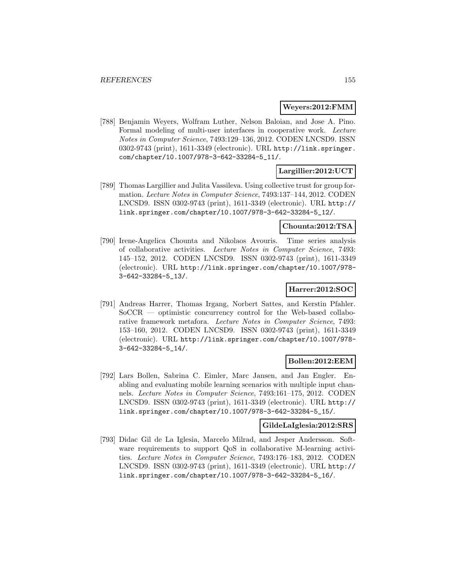### **Weyers:2012:FMM**

[788] Benjamin Weyers, Wolfram Luther, Nelson Baloian, and Jose A. Pino. Formal modeling of multi-user interfaces in cooperative work. Lecture Notes in Computer Science, 7493:129–136, 2012. CODEN LNCSD9. ISSN 0302-9743 (print), 1611-3349 (electronic). URL http://link.springer. com/chapter/10.1007/978-3-642-33284-5\_11/.

## **Largillier:2012:UCT**

[789] Thomas Largillier and Julita Vassileva. Using collective trust for group formation. Lecture Notes in Computer Science, 7493:137–144, 2012. CODEN LNCSD9. ISSN 0302-9743 (print), 1611-3349 (electronic). URL http:// link.springer.com/chapter/10.1007/978-3-642-33284-5\_12/.

#### **Chounta:2012:TSA**

[790] Irene-Angelica Chounta and Nikolaos Avouris. Time series analysis of collaborative activities. Lecture Notes in Computer Science, 7493: 145–152, 2012. CODEN LNCSD9. ISSN 0302-9743 (print), 1611-3349 (electronic). URL http://link.springer.com/chapter/10.1007/978- 3-642-33284-5\_13/.

### **Harrer:2012:SOC**

[791] Andreas Harrer, Thomas Irgang, Norbert Sattes, and Kerstin Pfahler. SoCCR — optimistic concurrency control for the Web-based collaborative framework metafora. Lecture Notes in Computer Science, 7493: 153–160, 2012. CODEN LNCSD9. ISSN 0302-9743 (print), 1611-3349 (electronic). URL http://link.springer.com/chapter/10.1007/978- 3-642-33284-5\_14/.

### **Bollen:2012:EEM**

[792] Lars Bollen, Sabrina C. Eimler, Marc Jansen, and Jan Engler. Enabling and evaluating mobile learning scenarios with multiple input channels. Lecture Notes in Computer Science, 7493:161–175, 2012. CODEN LNCSD9. ISSN 0302-9743 (print), 1611-3349 (electronic). URL http:// link.springer.com/chapter/10.1007/978-3-642-33284-5\_15/.

#### **GildeLaIglesia:2012:SRS**

[793] Didac Gil de La Iglesia, Marcelo Milrad, and Jesper Andersson. Software requirements to support QoS in collaborative M-learning activities. Lecture Notes in Computer Science, 7493:176–183, 2012. CODEN LNCSD9. ISSN 0302-9743 (print), 1611-3349 (electronic). URL http:// link.springer.com/chapter/10.1007/978-3-642-33284-5\_16/.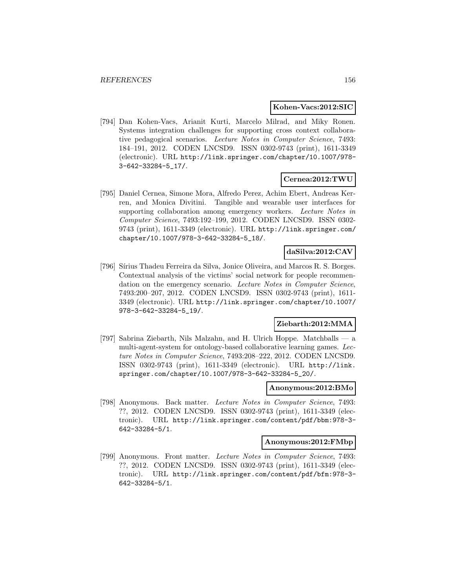#### **Kohen-Vacs:2012:SIC**

[794] Dan Kohen-Vacs, Arianit Kurti, Marcelo Milrad, and Miky Ronen. Systems integration challenges for supporting cross context collaborative pedagogical scenarios. Lecture Notes in Computer Science, 7493: 184–191, 2012. CODEN LNCSD9. ISSN 0302-9743 (print), 1611-3349 (electronic). URL http://link.springer.com/chapter/10.1007/978- 3-642-33284-5\_17/.

### **Cernea:2012:TWU**

[795] Daniel Cernea, Simone Mora, Alfredo Perez, Achim Ebert, Andreas Kerren, and Monica Divitini. Tangible and wearable user interfaces for supporting collaboration among emergency workers. Lecture Notes in Computer Science, 7493:192–199, 2012. CODEN LNCSD9. ISSN 0302- 9743 (print), 1611-3349 (electronic). URL http://link.springer.com/ chapter/10.1007/978-3-642-33284-5\_18/.

### **daSilva:2012:CAV**

[796] Sírius Thadeu Ferreira da Silva, Jonice Oliveira, and Marcos R. S. Borges. Contextual analysis of the victims' social network for people recommendation on the emergency scenario. Lecture Notes in Computer Science, 7493:200–207, 2012. CODEN LNCSD9. ISSN 0302-9743 (print), 1611- 3349 (electronic). URL http://link.springer.com/chapter/10.1007/ 978-3-642-33284-5\_19/.

### **Ziebarth:2012:MMA**

[797] Sabrina Ziebarth, Nils Malzahn, and H. Ulrich Hoppe. Matchballs — a multi-agent-system for ontology-based collaborative learning games. Lecture Notes in Computer Science, 7493:208–222, 2012. CODEN LNCSD9. ISSN 0302-9743 (print), 1611-3349 (electronic). URL http://link. springer.com/chapter/10.1007/978-3-642-33284-5\_20/.

#### **Anonymous:2012:BMo**

[798] Anonymous. Back matter. Lecture Notes in Computer Science, 7493: ??, 2012. CODEN LNCSD9. ISSN 0302-9743 (print), 1611-3349 (electronic). URL http://link.springer.com/content/pdf/bbm:978-3- 642-33284-5/1.

### **Anonymous:2012:FMbp**

[799] Anonymous. Front matter. Lecture Notes in Computer Science, 7493: ??, 2012. CODEN LNCSD9. ISSN 0302-9743 (print), 1611-3349 (electronic). URL http://link.springer.com/content/pdf/bfm:978-3- 642-33284-5/1.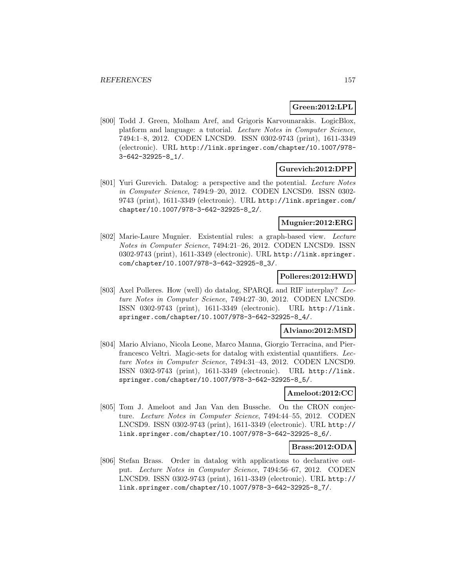## **Green:2012:LPL**

[800] Todd J. Green, Molham Aref, and Grigoris Karvounarakis. LogicBlox, platform and language: a tutorial. Lecture Notes in Computer Science, 7494:1–8, 2012. CODEN LNCSD9. ISSN 0302-9743 (print), 1611-3349 (electronic). URL http://link.springer.com/chapter/10.1007/978- 3-642-32925-8\_1/.

### **Gurevich:2012:DPP**

[801] Yuri Gurevich. Datalog: a perspective and the potential. Lecture Notes in Computer Science, 7494:9–20, 2012. CODEN LNCSD9. ISSN 0302- 9743 (print), 1611-3349 (electronic). URL http://link.springer.com/ chapter/10.1007/978-3-642-32925-8\_2/.

### **Mugnier:2012:ERG**

[802] Marie-Laure Mugnier. Existential rules: a graph-based view. Lecture Notes in Computer Science, 7494:21–26, 2012. CODEN LNCSD9. ISSN 0302-9743 (print), 1611-3349 (electronic). URL http://link.springer. com/chapter/10.1007/978-3-642-32925-8\_3/.

## **Polleres:2012:HWD**

[803] Axel Polleres. How (well) do datalog, SPARQL and RIF interplay? Lecture Notes in Computer Science, 7494:27–30, 2012. CODEN LNCSD9. ISSN 0302-9743 (print), 1611-3349 (electronic). URL http://link. springer.com/chapter/10.1007/978-3-642-32925-8\_4/.

### **Alviano:2012:MSD**

[804] Mario Alviano, Nicola Leone, Marco Manna, Giorgio Terracina, and Pierfrancesco Veltri. Magic-sets for datalog with existential quantifiers. Lecture Notes in Computer Science, 7494:31–43, 2012. CODEN LNCSD9. ISSN 0302-9743 (print), 1611-3349 (electronic). URL http://link. springer.com/chapter/10.1007/978-3-642-32925-8\_5/.

### **Ameloot:2012:CC**

[805] Tom J. Ameloot and Jan Van den Bussche. On the CRON conjecture. Lecture Notes in Computer Science, 7494:44–55, 2012. CODEN LNCSD9. ISSN 0302-9743 (print), 1611-3349 (electronic). URL http:// link.springer.com/chapter/10.1007/978-3-642-32925-8\_6/.

### **Brass:2012:ODA**

[806] Stefan Brass. Order in datalog with applications to declarative output. Lecture Notes in Computer Science, 7494:56–67, 2012. CODEN LNCSD9. ISSN 0302-9743 (print), 1611-3349 (electronic). URL http:// link.springer.com/chapter/10.1007/978-3-642-32925-8\_7/.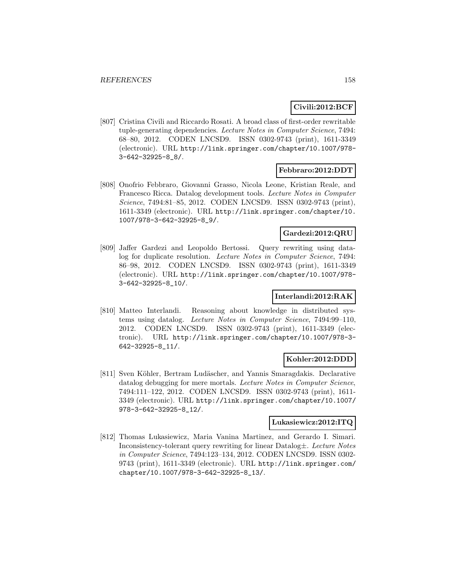## **Civili:2012:BCF**

[807] Cristina Civili and Riccardo Rosati. A broad class of first-order rewritable tuple-generating dependencies. Lecture Notes in Computer Science, 7494: 68–80, 2012. CODEN LNCSD9. ISSN 0302-9743 (print), 1611-3349 (electronic). URL http://link.springer.com/chapter/10.1007/978- 3-642-32925-8\_8/.

### **Febbraro:2012:DDT**

[808] Onofrio Febbraro, Giovanni Grasso, Nicola Leone, Kristian Reale, and Francesco Ricca. Datalog development tools. Lecture Notes in Computer Science, 7494:81–85, 2012. CODEN LNCSD9. ISSN 0302-9743 (print), 1611-3349 (electronic). URL http://link.springer.com/chapter/10. 1007/978-3-642-32925-8\_9/.

### **Gardezi:2012:QRU**

[809] Jaffer Gardezi and Leopoldo Bertossi. Query rewriting using datalog for duplicate resolution. Lecture Notes in Computer Science, 7494: 86–98, 2012. CODEN LNCSD9. ISSN 0302-9743 (print), 1611-3349 (electronic). URL http://link.springer.com/chapter/10.1007/978- 3-642-32925-8\_10/.

### **Interlandi:2012:RAK**

[810] Matteo Interlandi. Reasoning about knowledge in distributed systems using datalog. Lecture Notes in Computer Science, 7494:99–110, 2012. CODEN LNCSD9. ISSN 0302-9743 (print), 1611-3349 (electronic). URL http://link.springer.com/chapter/10.1007/978-3- 642-32925-8\_11/.

### **Kohler:2012:DDD**

[811] Sven Köhler, Bertram Ludäscher, and Yannis Smaragdakis. Declarative datalog debugging for mere mortals. Lecture Notes in Computer Science, 7494:111–122, 2012. CODEN LNCSD9. ISSN 0302-9743 (print), 1611- 3349 (electronic). URL http://link.springer.com/chapter/10.1007/ 978-3-642-32925-8\_12/.

#### **Lukasiewicz:2012:ITQ**

[812] Thomas Lukasiewicz, Maria Vanina Martinez, and Gerardo I. Simari. Inconsistency-tolerant query rewriting for linear Datalog±. Lecture Notes in Computer Science, 7494:123–134, 2012. CODEN LNCSD9. ISSN 0302- 9743 (print), 1611-3349 (electronic). URL http://link.springer.com/ chapter/10.1007/978-3-642-32925-8\_13/.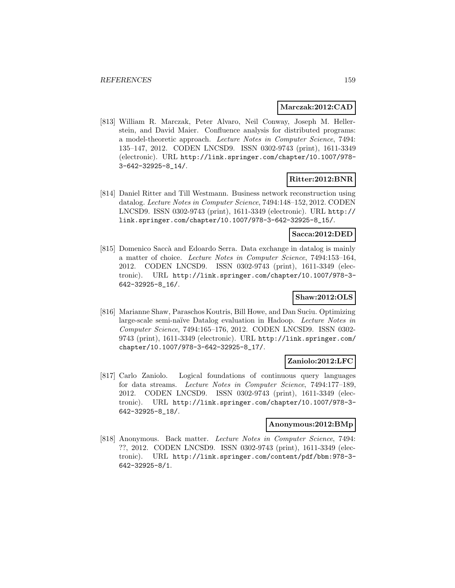### **Marczak:2012:CAD**

[813] William R. Marczak, Peter Alvaro, Neil Conway, Joseph M. Hellerstein, and David Maier. Confluence analysis for distributed programs: a model-theoretic approach. Lecture Notes in Computer Science, 7494: 135–147, 2012. CODEN LNCSD9. ISSN 0302-9743 (print), 1611-3349 (electronic). URL http://link.springer.com/chapter/10.1007/978- 3-642-32925-8\_14/.

### **Ritter:2012:BNR**

[814] Daniel Ritter and Till Westmann. Business network reconstruction using datalog. Lecture Notes in Computer Science, 7494:148–152, 2012. CODEN LNCSD9. ISSN 0302-9743 (print), 1611-3349 (electronic). URL http:// link.springer.com/chapter/10.1007/978-3-642-32925-8\_15/.

#### **Sacca:2012:DED**

[815] Domenico Saccà and Edoardo Serra. Data exchange in datalog is mainly a matter of choice. Lecture Notes in Computer Science, 7494:153–164, 2012. CODEN LNCSD9. ISSN 0302-9743 (print), 1611-3349 (electronic). URL http://link.springer.com/chapter/10.1007/978-3- 642-32925-8\_16/.

### **Shaw:2012:OLS**

[816] Marianne Shaw, Paraschos Koutris, Bill Howe, and Dan Suciu. Optimizing large-scale semi-naïve Datalog evaluation in Hadoop. Lecture Notes in Computer Science, 7494:165–176, 2012. CODEN LNCSD9. ISSN 0302- 9743 (print), 1611-3349 (electronic). URL http://link.springer.com/ chapter/10.1007/978-3-642-32925-8\_17/.

### **Zaniolo:2012:LFC**

[817] Carlo Zaniolo. Logical foundations of continuous query languages for data streams. Lecture Notes in Computer Science, 7494:177–189, 2012. CODEN LNCSD9. ISSN 0302-9743 (print), 1611-3349 (electronic). URL http://link.springer.com/chapter/10.1007/978-3- 642-32925-8\_18/.

#### **Anonymous:2012:BMp**

[818] Anonymous. Back matter. Lecture Notes in Computer Science, 7494: ??, 2012. CODEN LNCSD9. ISSN 0302-9743 (print), 1611-3349 (electronic). URL http://link.springer.com/content/pdf/bbm:978-3- 642-32925-8/1.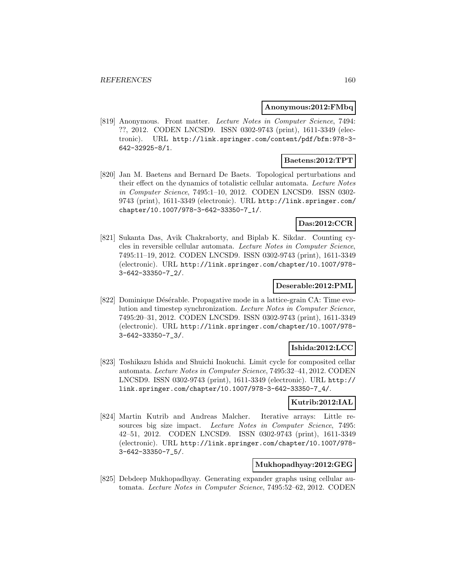#### **Anonymous:2012:FMbq**

[819] Anonymous. Front matter. Lecture Notes in Computer Science, 7494: ??, 2012. CODEN LNCSD9. ISSN 0302-9743 (print), 1611-3349 (electronic). URL http://link.springer.com/content/pdf/bfm:978-3- 642-32925-8/1.

## **Baetens:2012:TPT**

[820] Jan M. Baetens and Bernard De Baets. Topological perturbations and their effect on the dynamics of totalistic cellular automata. Lecture Notes in Computer Science, 7495:1–10, 2012. CODEN LNCSD9. ISSN 0302- 9743 (print), 1611-3349 (electronic). URL http://link.springer.com/ chapter/10.1007/978-3-642-33350-7\_1/.

## **Das:2012:CCR**

[821] Sukanta Das, Avik Chakraborty, and Biplab K. Sikdar. Counting cycles in reversible cellular automata. Lecture Notes in Computer Science, 7495:11–19, 2012. CODEN LNCSD9. ISSN 0302-9743 (print), 1611-3349 (electronic). URL http://link.springer.com/chapter/10.1007/978- 3-642-33350-7\_2/.

### **Deserable:2012:PML**

[822] Dominique Désérable. Propagative mode in a lattice-grain CA: Time evolution and timestep synchronization. Lecture Notes in Computer Science, 7495:20–31, 2012. CODEN LNCSD9. ISSN 0302-9743 (print), 1611-3349 (electronic). URL http://link.springer.com/chapter/10.1007/978- 3-642-33350-7\_3/.

### **Ishida:2012:LCC**

[823] Toshikazu Ishida and Shuichi Inokuchi. Limit cycle for composited cellar automata. Lecture Notes in Computer Science, 7495:32–41, 2012. CODEN LNCSD9. ISSN 0302-9743 (print), 1611-3349 (electronic). URL http:// link.springer.com/chapter/10.1007/978-3-642-33350-7\_4/.

### **Kutrib:2012:IAL**

[824] Martin Kutrib and Andreas Malcher. Iterative arrays: Little resources big size impact. Lecture Notes in Computer Science, 7495: 42–51, 2012. CODEN LNCSD9. ISSN 0302-9743 (print), 1611-3349 (electronic). URL http://link.springer.com/chapter/10.1007/978- 3-642-33350-7\_5/.

### **Mukhopadhyay:2012:GEG**

[825] Debdeep Mukhopadhyay. Generating expander graphs using cellular automata. Lecture Notes in Computer Science, 7495:52–62, 2012. CODEN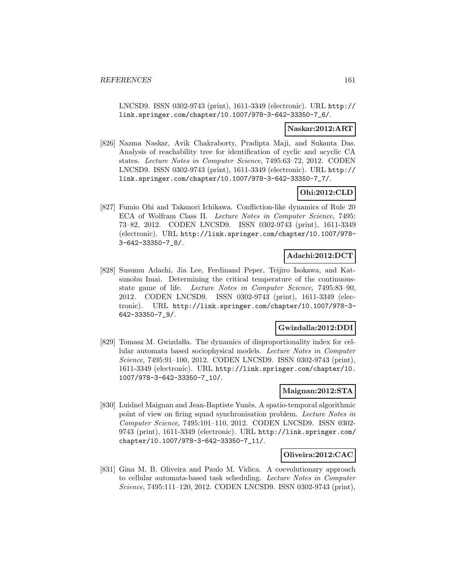LNCSD9. ISSN 0302-9743 (print), 1611-3349 (electronic). URL http:// link.springer.com/chapter/10.1007/978-3-642-33350-7\_6/.

### **Naskar:2012:ART**

[826] Nazma Naskar, Avik Chakraborty, Pradipta Maji, and Sukanta Das. Analysis of reachability tree for identification of cyclic and acyclic CA states. Lecture Notes in Computer Science, 7495:63–72, 2012. CODEN LNCSD9. ISSN 0302-9743 (print), 1611-3349 (electronic). URL http:// link.springer.com/chapter/10.1007/978-3-642-33350-7\_7/.

# **Ohi:2012:CLD**

[827] Fumio Ohi and Takanori Ichikawa. Confliction-like dynamics of Rule 20 ECA of Wolfram Class II. Lecture Notes in Computer Science, 7495: 73–82, 2012. CODEN LNCSD9. ISSN 0302-9743 (print), 1611-3349 (electronic). URL http://link.springer.com/chapter/10.1007/978- 3-642-33350-7\_8/.

## **Adachi:2012:DCT**

[828] Susumu Adachi, Jia Lee, Ferdinand Peper, Teijiro Isokawa, and Katsunobu Imai. Determining the critical temperature of the continuousstate game of life. Lecture Notes in Computer Science, 7495:83–90, 2012. CODEN LNCSD9. ISSN 0302-9743 (print), 1611-3349 (electronic). URL http://link.springer.com/chapter/10.1007/978-3- 642-33350-7\_9/.

## **Gwizdalla:2012:DDI**

[829] Tomasz M. Gwizda la. The dynamics of disproportionality index for cellular automata based sociophysical models. Lecture Notes in Computer Science, 7495:91–100, 2012. CODEN LNCSD9. ISSN 0302-9743 (print), 1611-3349 (electronic). URL http://link.springer.com/chapter/10. 1007/978-3-642-33350-7\_10/.

### **Maignan:2012:STA**

[830] Luidnel Maignan and Jean-Baptiste Yunès. A spatio-temporal algorithmic point of view on firing squad synchronisation problem. Lecture Notes in Computer Science, 7495:101–110, 2012. CODEN LNCSD9. ISSN 0302- 9743 (print), 1611-3349 (electronic). URL http://link.springer.com/ chapter/10.1007/978-3-642-33350-7\_11/.

### **Oliveira:2012:CAC**

[831] Gina M. B. Oliveira and Paulo M. Vidica. A coevolutionary approach to cellular automata-based task scheduling. Lecture Notes in Computer Science, 7495:111–120, 2012. CODEN LNCSD9. ISSN 0302-9743 (print),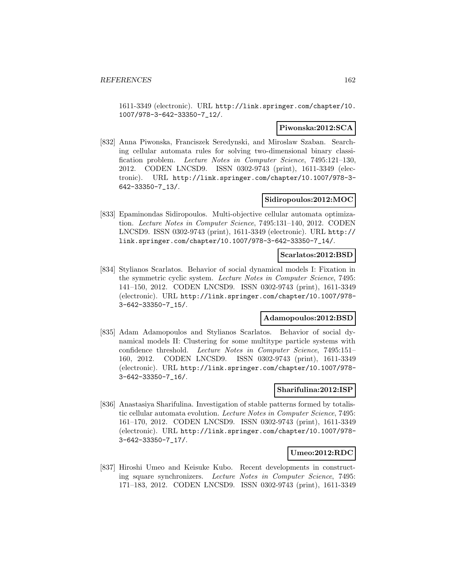1611-3349 (electronic). URL http://link.springer.com/chapter/10. 1007/978-3-642-33350-7\_12/.

### **Piwonska:2012:SCA**

[832] Anna Piwonska, Franciszek Seredynski, and Miroslaw Szaban. Searching cellular automata rules for solving two-dimensional binary classification problem. Lecture Notes in Computer Science, 7495:121–130, 2012. CODEN LNCSD9. ISSN 0302-9743 (print), 1611-3349 (electronic). URL http://link.springer.com/chapter/10.1007/978-3- 642-33350-7\_13/.

### **Sidiropoulos:2012:MOC**

[833] Epaminondas Sidiropoulos. Multi-objective cellular automata optimization. Lecture Notes in Computer Science, 7495:131–140, 2012. CODEN LNCSD9. ISSN 0302-9743 (print), 1611-3349 (electronic). URL http:// link.springer.com/chapter/10.1007/978-3-642-33350-7\_14/.

#### **Scarlatos:2012:BSD**

[834] Stylianos Scarlatos. Behavior of social dynamical models I: Fixation in the symmetric cyclic system. Lecture Notes in Computer Science, 7495: 141–150, 2012. CODEN LNCSD9. ISSN 0302-9743 (print), 1611-3349 (electronic). URL http://link.springer.com/chapter/10.1007/978- 3-642-33350-7\_15/.

### **Adamopoulos:2012:BSD**

[835] Adam Adamopoulos and Stylianos Scarlatos. Behavior of social dynamical models II: Clustering for some multitype particle systems with confidence threshold. Lecture Notes in Computer Science, 7495:151– 160, 2012. CODEN LNCSD9. ISSN 0302-9743 (print), 1611-3349 (electronic). URL http://link.springer.com/chapter/10.1007/978- 3-642-33350-7\_16/.

### **Sharifulina:2012:ISP**

[836] Anastasiya Sharifulina. Investigation of stable patterns formed by totalistic cellular automata evolution. Lecture Notes in Computer Science, 7495: 161–170, 2012. CODEN LNCSD9. ISSN 0302-9743 (print), 1611-3349 (electronic). URL http://link.springer.com/chapter/10.1007/978- 3-642-33350-7\_17/.

### **Umeo:2012:RDC**

[837] Hiroshi Umeo and Keisuke Kubo. Recent developments in constructing square synchronizers. Lecture Notes in Computer Science, 7495: 171–183, 2012. CODEN LNCSD9. ISSN 0302-9743 (print), 1611-3349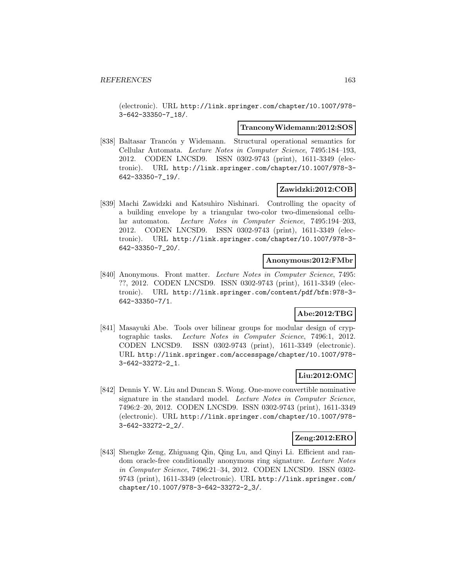(electronic). URL http://link.springer.com/chapter/10.1007/978- 3-642-33350-7\_18/.

#### **TranconyWidemann:2012:SOS**

[838] Baltasar Trancón y Widemann. Structural operational semantics for Cellular Automata. Lecture Notes in Computer Science, 7495:184–193, 2012. CODEN LNCSD9. ISSN 0302-9743 (print), 1611-3349 (electronic). URL http://link.springer.com/chapter/10.1007/978-3- 642-33350-7\_19/.

### **Zawidzki:2012:COB**

[839] Machi Zawidzki and Katsuhiro Nishinari. Controlling the opacity of a building envelope by a triangular two-color two-dimensional cellular automaton. Lecture Notes in Computer Science, 7495:194–203, 2012. CODEN LNCSD9. ISSN 0302-9743 (print), 1611-3349 (electronic). URL http://link.springer.com/chapter/10.1007/978-3- 642-33350-7\_20/.

## **Anonymous:2012:FMbr**

[840] Anonymous. Front matter. Lecture Notes in Computer Science, 7495: ??, 2012. CODEN LNCSD9. ISSN 0302-9743 (print), 1611-3349 (electronic). URL http://link.springer.com/content/pdf/bfm:978-3- 642-33350-7/1.

## **Abe:2012:TBG**

[841] Masayuki Abe. Tools over bilinear groups for modular design of cryptographic tasks. Lecture Notes in Computer Science, 7496:1, 2012. CODEN LNCSD9. ISSN 0302-9743 (print), 1611-3349 (electronic). URL http://link.springer.com/accesspage/chapter/10.1007/978- 3-642-33272-2\_1.

### **Liu:2012:OMC**

[842] Dennis Y. W. Liu and Duncan S. Wong. One-move convertible nominative signature in the standard model. Lecture Notes in Computer Science, 7496:2–20, 2012. CODEN LNCSD9. ISSN 0302-9743 (print), 1611-3349 (electronic). URL http://link.springer.com/chapter/10.1007/978- 3-642-33272-2\_2/.

### **Zeng:2012:ERO**

[843] Shengke Zeng, Zhiguang Qin, Qing Lu, and Qinyi Li. Efficient and random oracle-free conditionally anonymous ring signature. Lecture Notes in Computer Science, 7496:21–34, 2012. CODEN LNCSD9. ISSN 0302- 9743 (print), 1611-3349 (electronic). URL http://link.springer.com/ chapter/10.1007/978-3-642-33272-2\_3/.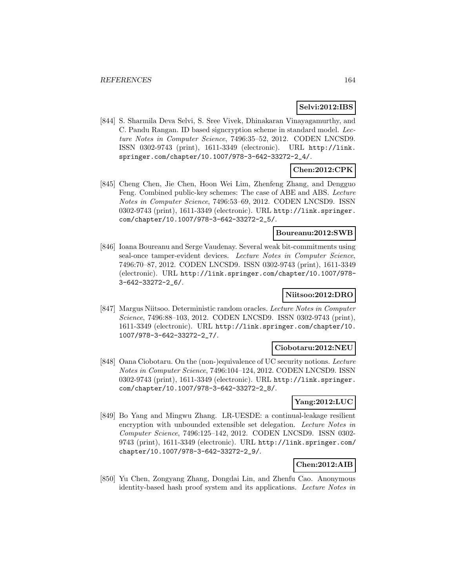## **Selvi:2012:IBS**

[844] S. Sharmila Deva Selvi, S. Sree Vivek, Dhinakaran Vinayagamurthy, and C. Pandu Rangan. ID based signcryption scheme in standard model. Lecture Notes in Computer Science, 7496:35–52, 2012. CODEN LNCSD9. ISSN 0302-9743 (print), 1611-3349 (electronic). URL http://link. springer.com/chapter/10.1007/978-3-642-33272-2\_4/.

### **Chen:2012:CPK**

[845] Cheng Chen, Jie Chen, Hoon Wei Lim, Zhenfeng Zhang, and Dengguo Feng. Combined public-key schemes: The case of ABE and ABS. Lecture Notes in Computer Science, 7496:53–69, 2012. CODEN LNCSD9. ISSN 0302-9743 (print), 1611-3349 (electronic). URL http://link.springer. com/chapter/10.1007/978-3-642-33272-2\_5/.

### **Boureanu:2012:SWB**

[846] Ioana Boureanu and Serge Vaudenay. Several weak bit-commitments using seal-once tamper-evident devices. Lecture Notes in Computer Science, 7496:70–87, 2012. CODEN LNCSD9. ISSN 0302-9743 (print), 1611-3349 (electronic). URL http://link.springer.com/chapter/10.1007/978- 3-642-33272-2\_6/.

## **Niitsoo:2012:DRO**

[847] Margus Niitsoo. Deterministic random oracles. Lecture Notes in Computer Science, 7496:88–103, 2012. CODEN LNCSD9. ISSN 0302-9743 (print), 1611-3349 (electronic). URL http://link.springer.com/chapter/10. 1007/978-3-642-33272-2\_7/.

### **Ciobotaru:2012:NEU**

[848] Oana Ciobotaru. On the (non-)equivalence of UC security notions. Lecture Notes in Computer Science, 7496:104–124, 2012. CODEN LNCSD9. ISSN 0302-9743 (print), 1611-3349 (electronic). URL http://link.springer. com/chapter/10.1007/978-3-642-33272-2\_8/.

### **Yang:2012:LUC**

[849] Bo Yang and Mingwu Zhang. LR-UESDE: a continual-leakage resilient encryption with unbounded extensible set delegation. Lecture Notes in Computer Science, 7496:125–142, 2012. CODEN LNCSD9. ISSN 0302- 9743 (print), 1611-3349 (electronic). URL http://link.springer.com/ chapter/10.1007/978-3-642-33272-2\_9/.

## **Chen:2012:AIB**

[850] Yu Chen, Zongyang Zhang, Dongdai Lin, and Zhenfu Cao. Anonymous identity-based hash proof system and its applications. Lecture Notes in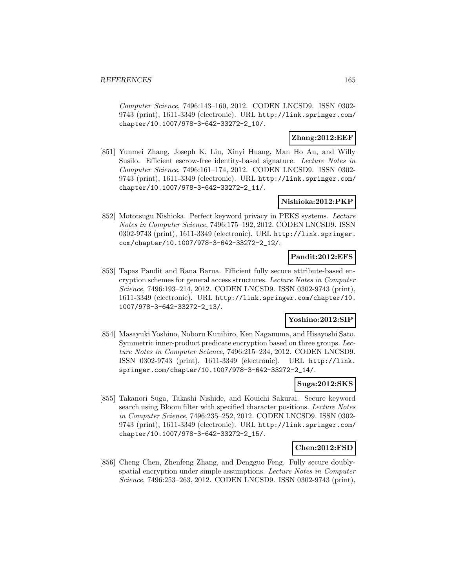Computer Science, 7496:143–160, 2012. CODEN LNCSD9. ISSN 0302- 9743 (print), 1611-3349 (electronic). URL http://link.springer.com/ chapter/10.1007/978-3-642-33272-2\_10/.

## **Zhang:2012:EEF**

[851] Yunmei Zhang, Joseph K. Liu, Xinyi Huang, Man Ho Au, and Willy Susilo. Efficient escrow-free identity-based signature. Lecture Notes in Computer Science, 7496:161–174, 2012. CODEN LNCSD9. ISSN 0302- 9743 (print), 1611-3349 (electronic). URL http://link.springer.com/ chapter/10.1007/978-3-642-33272-2\_11/.

### **Nishioka:2012:PKP**

[852] Mototsugu Nishioka. Perfect keyword privacy in PEKS systems. Lecture Notes in Computer Science, 7496:175–192, 2012. CODEN LNCSD9. ISSN 0302-9743 (print), 1611-3349 (electronic). URL http://link.springer. com/chapter/10.1007/978-3-642-33272-2\_12/.

## **Pandit:2012:EFS**

[853] Tapas Pandit and Rana Barua. Efficient fully secure attribute-based encryption schemes for general access structures. Lecture Notes in Computer Science, 7496:193–214, 2012. CODEN LNCSD9. ISSN 0302-9743 (print), 1611-3349 (electronic). URL http://link.springer.com/chapter/10. 1007/978-3-642-33272-2\_13/.

### **Yoshino:2012:SIP**

[854] Masayuki Yoshino, Noboru Kunihiro, Ken Naganuma, and Hisayoshi Sato. Symmetric inner-product predicate encryption based on three groups. Lecture Notes in Computer Science, 7496:215–234, 2012. CODEN LNCSD9. ISSN 0302-9743 (print), 1611-3349 (electronic). URL http://link. springer.com/chapter/10.1007/978-3-642-33272-2\_14/.

### **Suga:2012:SKS**

[855] Takanori Suga, Takashi Nishide, and Kouichi Sakurai. Secure keyword search using Bloom filter with specified character positions. Lecture Notes in Computer Science, 7496:235–252, 2012. CODEN LNCSD9. ISSN 0302- 9743 (print), 1611-3349 (electronic). URL http://link.springer.com/ chapter/10.1007/978-3-642-33272-2\_15/.

### **Chen:2012:FSD**

[856] Cheng Chen, Zhenfeng Zhang, and Dengguo Feng. Fully secure doublyspatial encryption under simple assumptions. Lecture Notes in Computer Science, 7496:253–263, 2012. CODEN LNCSD9. ISSN 0302-9743 (print),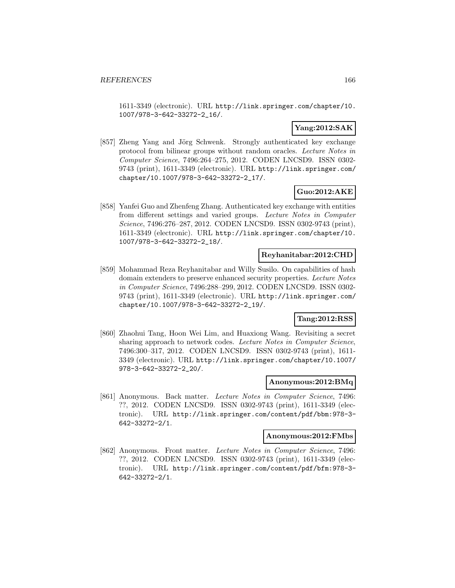1611-3349 (electronic). URL http://link.springer.com/chapter/10. 1007/978-3-642-33272-2\_16/.

## **Yang:2012:SAK**

[857] Zheng Yang and Jörg Schwenk. Strongly authenticated key exchange protocol from bilinear groups without random oracles. Lecture Notes in Computer Science, 7496:264–275, 2012. CODEN LNCSD9. ISSN 0302- 9743 (print), 1611-3349 (electronic). URL http://link.springer.com/ chapter/10.1007/978-3-642-33272-2\_17/.

### **Guo:2012:AKE**

[858] Yanfei Guo and Zhenfeng Zhang. Authenticated key exchange with entities from different settings and varied groups. Lecture Notes in Computer Science, 7496:276–287, 2012. CODEN LNCSD9. ISSN 0302-9743 (print), 1611-3349 (electronic). URL http://link.springer.com/chapter/10. 1007/978-3-642-33272-2\_18/.

### **Reyhanitabar:2012:CHD**

[859] Mohammad Reza Reyhanitabar and Willy Susilo. On capabilities of hash domain extenders to preserve enhanced security properties. Lecture Notes in Computer Science, 7496:288–299, 2012. CODEN LNCSD9. ISSN 0302- 9743 (print), 1611-3349 (electronic). URL http://link.springer.com/ chapter/10.1007/978-3-642-33272-2\_19/.

## **Tang:2012:RSS**

[860] Zhaohui Tang, Hoon Wei Lim, and Huaxiong Wang. Revisiting a secret sharing approach to network codes. Lecture Notes in Computer Science, 7496:300–317, 2012. CODEN LNCSD9. ISSN 0302-9743 (print), 1611- 3349 (electronic). URL http://link.springer.com/chapter/10.1007/ 978-3-642-33272-2\_20/.

### **Anonymous:2012:BMq**

[861] Anonymous. Back matter. Lecture Notes in Computer Science, 7496: ??, 2012. CODEN LNCSD9. ISSN 0302-9743 (print), 1611-3349 (electronic). URL http://link.springer.com/content/pdf/bbm:978-3- 642-33272-2/1.

#### **Anonymous:2012:FMbs**

[862] Anonymous. Front matter. Lecture Notes in Computer Science, 7496: ??, 2012. CODEN LNCSD9. ISSN 0302-9743 (print), 1611-3349 (electronic). URL http://link.springer.com/content/pdf/bfm:978-3- 642-33272-2/1.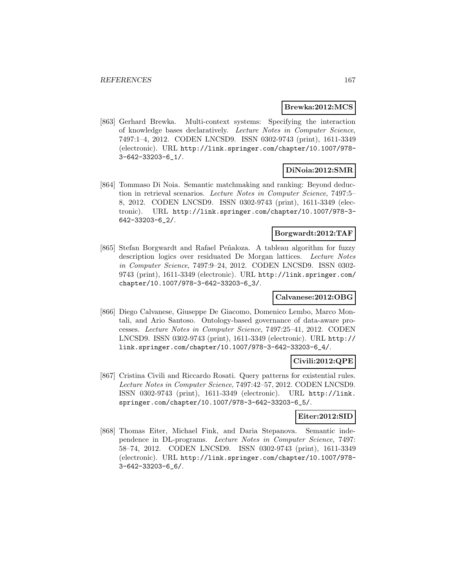#### **Brewka:2012:MCS**

[863] Gerhard Brewka. Multi-context systems: Specifying the interaction of knowledge bases declaratively. Lecture Notes in Computer Science, 7497:1–4, 2012. CODEN LNCSD9. ISSN 0302-9743 (print), 1611-3349 (electronic). URL http://link.springer.com/chapter/10.1007/978- 3-642-33203-6\_1/.

### **DiNoia:2012:SMR**

[864] Tommaso Di Noia. Semantic matchmaking and ranking: Beyond deduction in retrieval scenarios. Lecture Notes in Computer Science, 7497:5– 8, 2012. CODEN LNCSD9. ISSN 0302-9743 (print), 1611-3349 (electronic). URL http://link.springer.com/chapter/10.1007/978-3- 642-33203-6\_2/.

### **Borgwardt:2012:TAF**

[865] Stefan Borgwardt and Rafael Peñaloza. A tableau algorithm for fuzzy description logics over residuated De Morgan lattices. Lecture Notes in Computer Science, 7497:9–24, 2012. CODEN LNCSD9. ISSN 0302- 9743 (print), 1611-3349 (electronic). URL http://link.springer.com/ chapter/10.1007/978-3-642-33203-6\_3/.

### **Calvanese:2012:OBG**

[866] Diego Calvanese, Giuseppe De Giacomo, Domenico Lembo, Marco Montali, and Ario Santoso. Ontology-based governance of data-aware processes. Lecture Notes in Computer Science, 7497:25–41, 2012. CODEN LNCSD9. ISSN 0302-9743 (print), 1611-3349 (electronic). URL http:// link.springer.com/chapter/10.1007/978-3-642-33203-6\_4/.

### **Civili:2012:QPE**

[867] Cristina Civili and Riccardo Rosati. Query patterns for existential rules. Lecture Notes in Computer Science, 7497:42–57, 2012. CODEN LNCSD9. ISSN 0302-9743 (print), 1611-3349 (electronic). URL http://link. springer.com/chapter/10.1007/978-3-642-33203-6\_5/.

## **Eiter:2012:SID**

[868] Thomas Eiter, Michael Fink, and Daria Stepanova. Semantic independence in DL-programs. Lecture Notes in Computer Science, 7497: 58–74, 2012. CODEN LNCSD9. ISSN 0302-9743 (print), 1611-3349 (electronic). URL http://link.springer.com/chapter/10.1007/978- 3-642-33203-6\_6/.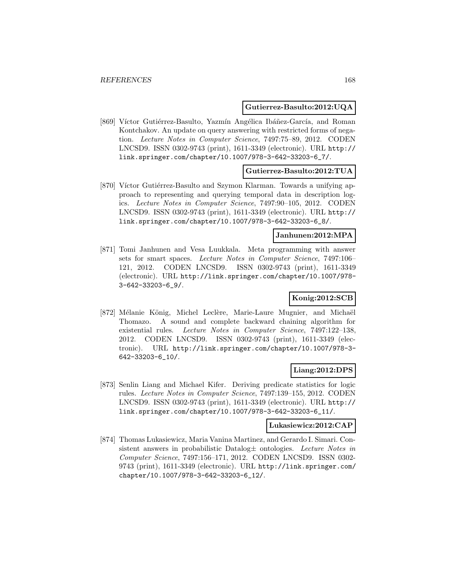#### **Gutierrez-Basulto:2012:UQA**

[869] Víctor Gutiérrez-Basulto, Yazmín Angélica Ibáñez-García, and Roman Kontchakov. An update on query answering with restricted forms of negation. Lecture Notes in Computer Science, 7497:75–89, 2012. CODEN LNCSD9. ISSN 0302-9743 (print), 1611-3349 (electronic). URL http:// link.springer.com/chapter/10.1007/978-3-642-33203-6\_7/.

### **Gutierrez-Basulto:2012:TUA**

[870] Víctor Gutiérrez-Basulto and Szymon Klarman. Towards a unifying approach to representing and querying temporal data in description logics. Lecture Notes in Computer Science, 7497:90–105, 2012. CODEN LNCSD9. ISSN 0302-9743 (print), 1611-3349 (electronic). URL http:// link.springer.com/chapter/10.1007/978-3-642-33203-6\_8/.

## **Janhunen:2012:MPA**

[871] Tomi Janhunen and Vesa Luukkala. Meta programming with answer sets for smart spaces. Lecture Notes in Computer Science, 7497:106– 121, 2012. CODEN LNCSD9. ISSN 0302-9743 (print), 1611-3349 (electronic). URL http://link.springer.com/chapter/10.1007/978- 3-642-33203-6\_9/.

## **Konig:2012:SCB**

[872] Mélanie König, Michel Leclère, Marie-Laure Mugnier, and Michaël Thomazo. A sound and complete backward chaining algorithm for existential rules. Lecture Notes in Computer Science, 7497:122–138, 2012. CODEN LNCSD9. ISSN 0302-9743 (print), 1611-3349 (electronic). URL http://link.springer.com/chapter/10.1007/978-3- 642-33203-6\_10/.

### **Liang:2012:DPS**

[873] Senlin Liang and Michael Kifer. Deriving predicate statistics for logic rules. Lecture Notes in Computer Science, 7497:139–155, 2012. CODEN LNCSD9. ISSN 0302-9743 (print), 1611-3349 (electronic). URL http:// link.springer.com/chapter/10.1007/978-3-642-33203-6\_11/.

#### **Lukasiewicz:2012:CAP**

[874] Thomas Lukasiewicz, Maria Vanina Martinez, and Gerardo I. Simari. Consistent answers in probabilistic Datalog± ontologies. Lecture Notes in Computer Science, 7497:156–171, 2012. CODEN LNCSD9. ISSN 0302- 9743 (print), 1611-3349 (electronic). URL http://link.springer.com/ chapter/10.1007/978-3-642-33203-6\_12/.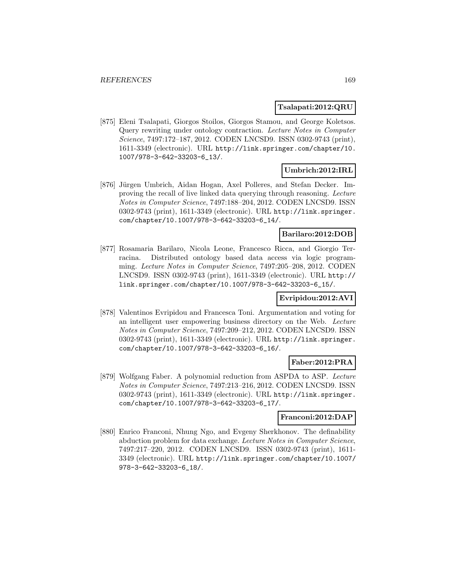### **Tsalapati:2012:QRU**

[875] Eleni Tsalapati, Giorgos Stoilos, Giorgos Stamou, and George Koletsos. Query rewriting under ontology contraction. Lecture Notes in Computer Science, 7497:172–187, 2012. CODEN LNCSD9. ISSN 0302-9743 (print), 1611-3349 (electronic). URL http://link.springer.com/chapter/10. 1007/978-3-642-33203-6\_13/.

### **Umbrich:2012:IRL**

[876] Jürgen Umbrich, Aidan Hogan, Axel Polleres, and Stefan Decker. Improving the recall of live linked data querying through reasoning. Lecture Notes in Computer Science, 7497:188–204, 2012. CODEN LNCSD9. ISSN 0302-9743 (print), 1611-3349 (electronic). URL http://link.springer. com/chapter/10.1007/978-3-642-33203-6\_14/.

### **Barilaro:2012:DOB**

[877] Rosamaria Barilaro, Nicola Leone, Francesco Ricca, and Giorgio Terracina. Distributed ontology based data access via logic programming. Lecture Notes in Computer Science, 7497:205–208, 2012. CODEN LNCSD9. ISSN 0302-9743 (print), 1611-3349 (electronic). URL http:// link.springer.com/chapter/10.1007/978-3-642-33203-6\_15/.

### **Evripidou:2012:AVI**

[878] Valentinos Evripidou and Francesca Toni. Argumentation and voting for an intelligent user empowering business directory on the Web. Lecture Notes in Computer Science, 7497:209–212, 2012. CODEN LNCSD9. ISSN 0302-9743 (print), 1611-3349 (electronic). URL http://link.springer. com/chapter/10.1007/978-3-642-33203-6\_16/.

### **Faber:2012:PRA**

[879] Wolfgang Faber. A polynomial reduction from ASPDA to ASP. Lecture Notes in Computer Science, 7497:213–216, 2012. CODEN LNCSD9. ISSN 0302-9743 (print), 1611-3349 (electronic). URL http://link.springer. com/chapter/10.1007/978-3-642-33203-6\_17/.

### **Franconi:2012:DAP**

[880] Enrico Franconi, Nhung Ngo, and Evgeny Sherkhonov. The definability abduction problem for data exchange. Lecture Notes in Computer Science, 7497:217–220, 2012. CODEN LNCSD9. ISSN 0302-9743 (print), 1611- 3349 (electronic). URL http://link.springer.com/chapter/10.1007/ 978-3-642-33203-6\_18/.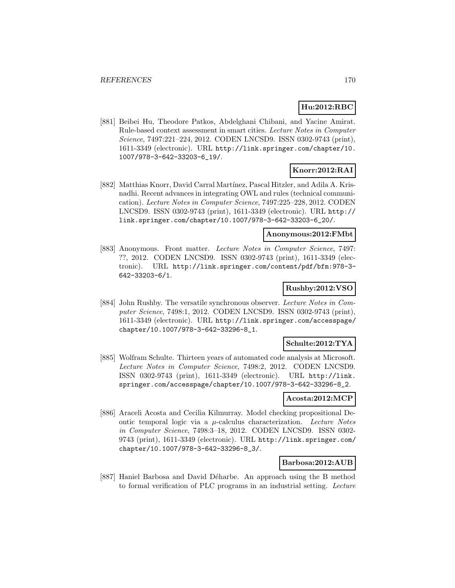## **Hu:2012:RBC**

[881] Beibei Hu, Theodore Patkos, Abdelghani Chibani, and Yacine Amirat. Rule-based context assessment in smart cities. Lecture Notes in Computer Science, 7497:221–224, 2012. CODEN LNCSD9. ISSN 0302-9743 (print), 1611-3349 (electronic). URL http://link.springer.com/chapter/10. 1007/978-3-642-33203-6\_19/.

# **Knorr:2012:RAI**

[882] Matthias Knorr, David Carral Martínez, Pascal Hitzler, and Adila A. Krisnadhi. Recent advances in integrating OWL and rules (technical communication). Lecture Notes in Computer Science, 7497:225–228, 2012. CODEN LNCSD9. ISSN 0302-9743 (print), 1611-3349 (electronic). URL http:// link.springer.com/chapter/10.1007/978-3-642-33203-6\_20/.

### **Anonymous:2012:FMbt**

[883] Anonymous. Front matter. Lecture Notes in Computer Science, 7497: ??, 2012. CODEN LNCSD9. ISSN 0302-9743 (print), 1611-3349 (electronic). URL http://link.springer.com/content/pdf/bfm:978-3- 642-33203-6/1.

### **Rushby:2012:VSO**

[884] John Rushby. The versatile synchronous observer. Lecture Notes in Computer Science, 7498:1, 2012. CODEN LNCSD9. ISSN 0302-9743 (print), 1611-3349 (electronic). URL http://link.springer.com/accesspage/ chapter/10.1007/978-3-642-33296-8\_1.

### **Schulte:2012:TYA**

[885] Wolfram Schulte. Thirteen years of automated code analysis at Microsoft. Lecture Notes in Computer Science, 7498:2, 2012. CODEN LNCSD9. ISSN 0302-9743 (print), 1611-3349 (electronic). URL http://link. springer.com/accesspage/chapter/10.1007/978-3-642-33296-8\_2.

### **Acosta:2012:MCP**

[886] Araceli Acosta and Cecilia Kilmurray. Model checking propositional Deontic temporal logic via a  $\mu$ -calculus characterization. Lecture Notes in Computer Science, 7498:3–18, 2012. CODEN LNCSD9. ISSN 0302- 9743 (print), 1611-3349 (electronic). URL http://link.springer.com/ chapter/10.1007/978-3-642-33296-8\_3/.

### **Barbosa:2012:AUB**

[887] Haniel Barbosa and David Déharbe. An approach using the B method to formal verification of PLC programs in an industrial setting. Lecture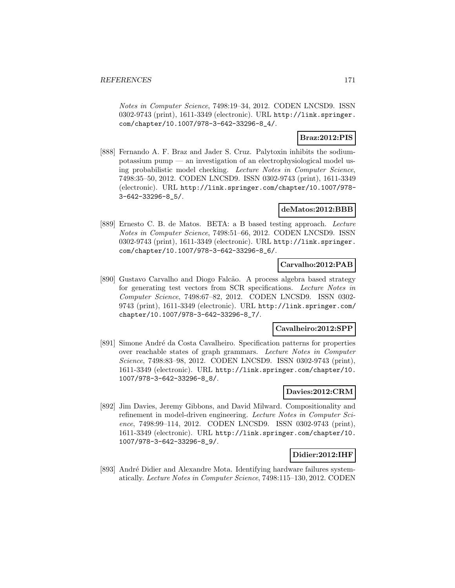Notes in Computer Science, 7498:19–34, 2012. CODEN LNCSD9. ISSN 0302-9743 (print), 1611-3349 (electronic). URL http://link.springer. com/chapter/10.1007/978-3-642-33296-8\_4/.

### **Braz:2012:PIS**

[888] Fernando A. F. Braz and Jader S. Cruz. Palytoxin inhibits the sodiumpotassium pump — an investigation of an electrophysiological model using probabilistic model checking. Lecture Notes in Computer Science, 7498:35–50, 2012. CODEN LNCSD9. ISSN 0302-9743 (print), 1611-3349 (electronic). URL http://link.springer.com/chapter/10.1007/978- 3-642-33296-8\_5/.

### **deMatos:2012:BBB**

[889] Ernesto C. B. de Matos. BETA: a B based testing approach. Lecture Notes in Computer Science, 7498:51–66, 2012. CODEN LNCSD9. ISSN 0302-9743 (print), 1611-3349 (electronic). URL http://link.springer. com/chapter/10.1007/978-3-642-33296-8\_6/.

### **Carvalho:2012:PAB**

[890] Gustavo Carvalho and Diogo Falcão. A process algebra based strategy for generating test vectors from SCR specifications. Lecture Notes in Computer Science, 7498:67–82, 2012. CODEN LNCSD9. ISSN 0302- 9743 (print), 1611-3349 (electronic). URL http://link.springer.com/ chapter/10.1007/978-3-642-33296-8\_7/.

### **Cavalheiro:2012:SPP**

[891] Simone André da Costa Cavalheiro. Specification patterns for properties over reachable states of graph grammars. Lecture Notes in Computer Science, 7498:83–98, 2012. CODEN LNCSD9. ISSN 0302-9743 (print), 1611-3349 (electronic). URL http://link.springer.com/chapter/10. 1007/978-3-642-33296-8\_8/.

### **Davies:2012:CRM**

[892] Jim Davies, Jeremy Gibbons, and David Milward. Compositionality and refinement in model-driven engineering. Lecture Notes in Computer Science, 7498:99–114, 2012. CODEN LNCSD9. ISSN 0302-9743 (print), 1611-3349 (electronic). URL http://link.springer.com/chapter/10. 1007/978-3-642-33296-8\_9/.

### **Didier:2012:IHF**

[893] André Didier and Alexandre Mota. Identifying hardware failures systematically. Lecture Notes in Computer Science, 7498:115–130, 2012. CODEN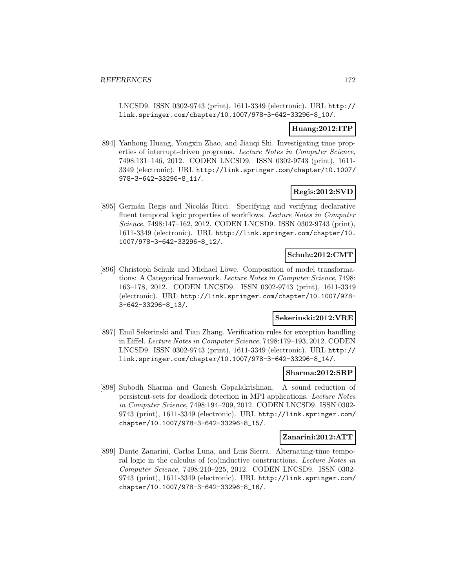LNCSD9. ISSN 0302-9743 (print), 1611-3349 (electronic). URL http:// link.springer.com/chapter/10.1007/978-3-642-33296-8\_10/.

## **Huang:2012:ITP**

[894] Yanhong Huang, Yongxin Zhao, and Jianqi Shi. Investigating time properties of interrupt-driven programs. Lecture Notes in Computer Science, 7498:131–146, 2012. CODEN LNCSD9. ISSN 0302-9743 (print), 1611- 3349 (electronic). URL http://link.springer.com/chapter/10.1007/ 978-3-642-33296-8\_11/.

## **Regis:2012:SVD**

[895] Germán Regis and Nicolás Ricci. Specifying and verifying declarative fluent temporal logic properties of workflows. Lecture Notes in Computer Science, 7498:147–162, 2012. CODEN LNCSD9. ISSN 0302-9743 (print), 1611-3349 (electronic). URL http://link.springer.com/chapter/10. 1007/978-3-642-33296-8\_12/.

### **Schulz:2012:CMT**

[896] Christoph Schulz and Michael Löwe. Composition of model transformations: A Categorical framework. Lecture Notes in Computer Science, 7498: 163–178, 2012. CODEN LNCSD9. ISSN 0302-9743 (print), 1611-3349 (electronic). URL http://link.springer.com/chapter/10.1007/978- 3-642-33296-8\_13/.

### **Sekerinski:2012:VRE**

[897] Emil Sekerinski and Tian Zhang. Verification rules for exception handling in Eiffel. Lecture Notes in Computer Science, 7498:179–193, 2012. CODEN LNCSD9. ISSN 0302-9743 (print), 1611-3349 (electronic). URL http:// link.springer.com/chapter/10.1007/978-3-642-33296-8\_14/.

### **Sharma:2012:SRP**

[898] Subodh Sharma and Ganesh Gopalakrishnan. A sound reduction of persistent-sets for deadlock detection in MPI applications. Lecture Notes in Computer Science, 7498:194–209, 2012. CODEN LNCSD9. ISSN 0302- 9743 (print), 1611-3349 (electronic). URL http://link.springer.com/ chapter/10.1007/978-3-642-33296-8\_15/.

### **Zanarini:2012:ATT**

[899] Dante Zanarini, Carlos Luna, and Luis Sierra. Alternating-time temporal logic in the calculus of (co)inductive constructions. Lecture Notes in Computer Science, 7498:210–225, 2012. CODEN LNCSD9. ISSN 0302- 9743 (print), 1611-3349 (electronic). URL http://link.springer.com/ chapter/10.1007/978-3-642-33296-8\_16/.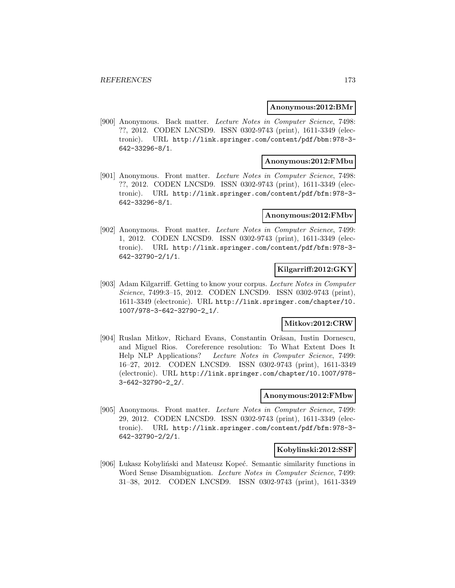#### **Anonymous:2012:BMr**

[900] Anonymous. Back matter. Lecture Notes in Computer Science, 7498: ??, 2012. CODEN LNCSD9. ISSN 0302-9743 (print), 1611-3349 (electronic). URL http://link.springer.com/content/pdf/bbm:978-3- 642-33296-8/1.

### **Anonymous:2012:FMbu**

[901] Anonymous. Front matter. Lecture Notes in Computer Science, 7498: ??, 2012. CODEN LNCSD9. ISSN 0302-9743 (print), 1611-3349 (electronic). URL http://link.springer.com/content/pdf/bfm:978-3- 642-33296-8/1.

#### **Anonymous:2012:FMbv**

[902] Anonymous. Front matter. Lecture Notes in Computer Science, 7499: 1, 2012. CODEN LNCSD9. ISSN 0302-9743 (print), 1611-3349 (electronic). URL http://link.springer.com/content/pdf/bfm:978-3- 642-32790-2/1/1.

### **Kilgarriff:2012:GKY**

[903] Adam Kilgarriff. Getting to know your corpus. Lecture Notes in Computer Science, 7499:3-15, 2012. CODEN LNCSD9. ISSN 0302-9743 (print), 1611-3349 (electronic). URL http://link.springer.com/chapter/10. 1007/978-3-642-32790-2\_1/.

### **Mitkov:2012:CRW**

[904] Ruslan Mitkov, Richard Evans, Constantin Orăsan, Iustin Dornescu, and Miguel Rios. Coreference resolution: To What Extent Does It Help NLP Applications? Lecture Notes in Computer Science, 7499: 16–27, 2012. CODEN LNCSD9. ISSN 0302-9743 (print), 1611-3349 (electronic). URL http://link.springer.com/chapter/10.1007/978- 3-642-32790-2\_2/.

### **Anonymous:2012:FMbw**

[905] Anonymous. Front matter. Lecture Notes in Computer Science, 7499: 29, 2012. CODEN LNCSD9. ISSN 0302-9743 (print), 1611-3349 (electronic). URL http://link.springer.com/content/pdf/bfm:978-3- 642-32790-2/2/1.

### **Kobylinski:2012:SSF**

[906] Lukasz Kobyliński and Mateusz Kopeć. Semantic similarity functions in Word Sense Disambiguation. Lecture Notes in Computer Science, 7499: 31–38, 2012. CODEN LNCSD9. ISSN 0302-9743 (print), 1611-3349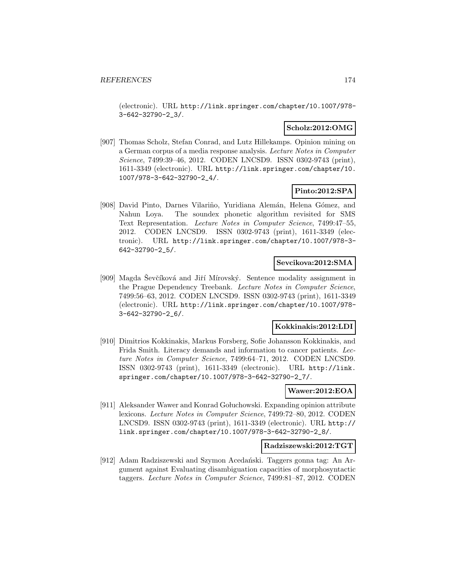(electronic). URL http://link.springer.com/chapter/10.1007/978- 3-642-32790-2\_3/.

### **Scholz:2012:OMG**

[907] Thomas Scholz, Stefan Conrad, and Lutz Hillekamps. Opinion mining on a German corpus of a media response analysis. Lecture Notes in Computer Science, 7499:39–46, 2012. CODEN LNCSD9. ISSN 0302-9743 (print), 1611-3349 (electronic). URL http://link.springer.com/chapter/10. 1007/978-3-642-32790-2\_4/.

### **Pinto:2012:SPA**

[908] David Pinto, Darnes Vilariño, Yuridiana Alemán, Helena Gómez, and Nahun Loya. The soundex phonetic algorithm revisited for SMS Text Representation. Lecture Notes in Computer Science, 7499:47–55, 2012. CODEN LNCSD9. ISSN 0302-9743 (print), 1611-3349 (electronic). URL http://link.springer.com/chapter/10.1007/978-3- 642-32790-2\_5/.

### **Sevcikova:2012:SMA**

[909] Magda Ševčíková and Jiří Mírovský. Sentence modality assignment in the Prague Dependency Treebank. Lecture Notes in Computer Science, 7499:56–63, 2012. CODEN LNCSD9. ISSN 0302-9743 (print), 1611-3349 (electronic). URL http://link.springer.com/chapter/10.1007/978- 3-642-32790-2\_6/.

### **Kokkinakis:2012:LDI**

[910] Dimitrios Kokkinakis, Markus Forsberg, Sofie Johansson Kokkinakis, and Frida Smith. Literacy demands and information to cancer patients. Lecture Notes in Computer Science, 7499:64–71, 2012. CODEN LNCSD9. ISSN 0302-9743 (print), 1611-3349 (electronic). URL http://link. springer.com/chapter/10.1007/978-3-642-32790-2\_7/.

## **Wawer:2012:EOA**

[911] Aleksander Wawer and Konrad Goluchowski. Expanding opinion attribute lexicons. Lecture Notes in Computer Science, 7499:72–80, 2012. CODEN LNCSD9. ISSN 0302-9743 (print), 1611-3349 (electronic). URL http:// link.springer.com/chapter/10.1007/978-3-642-32790-2\_8/.

### **Radziszewski:2012:TGT**

[912] Adam Radziszewski and Szymon Acedański. Taggers gonna tag: An Argument against Evaluating disambiguation capacities of morphosyntactic taggers. Lecture Notes in Computer Science, 7499:81–87, 2012. CODEN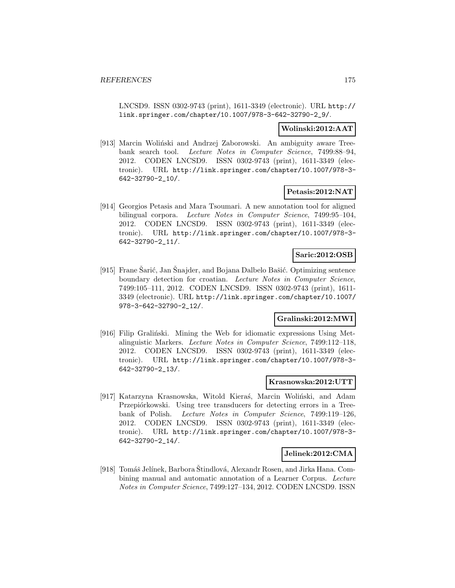LNCSD9. ISSN 0302-9743 (print), 1611-3349 (electronic). URL http:// link.springer.com/chapter/10.1007/978-3-642-32790-2\_9/.

### **Wolinski:2012:AAT**

[913] Marcin Woliński and Andrzej Zaborowski. An ambiguity aware Treebank search tool. Lecture Notes in Computer Science, 7499:88–94, 2012. CODEN LNCSD9. ISSN 0302-9743 (print), 1611-3349 (electronic). URL http://link.springer.com/chapter/10.1007/978-3- 642-32790-2\_10/.

### **Petasis:2012:NAT**

[914] Georgios Petasis and Mara Tsoumari. A new annotation tool for aligned bilingual corpora. Lecture Notes in Computer Science, 7499:95–104, 2012. CODEN LNCSD9. ISSN 0302-9743 (print), 1611-3349 (electronic). URL http://link.springer.com/chapter/10.1007/978-3- 642-32790-2\_11/.

### **Saric:2012:OSB**

[915] Frane Sarić, Jan Snajder, and Bojana Dalbelo Bašić. Optimizing sentence boundary detection for croatian. Lecture Notes in Computer Science, 7499:105–111, 2012. CODEN LNCSD9. ISSN 0302-9743 (print), 1611- 3349 (electronic). URL http://link.springer.com/chapter/10.1007/ 978-3-642-32790-2\_12/.

## **Gralinski:2012:MWI**

[916] Filip Graliński. Mining the Web for idiomatic expressions Using Metalinguistic Markers. Lecture Notes in Computer Science, 7499:112–118, 2012. CODEN LNCSD9. ISSN 0302-9743 (print), 1611-3349 (electronic). URL http://link.springer.com/chapter/10.1007/978-3- 642-32790-2\_13/.

### **Krasnowska:2012:UTT**

[917] Katarzyna Krasnowska, Witold Kieraś, Marcin Woliński, and Adam Przepiórkowski. Using tree transducers for detecting errors in a Treebank of Polish. Lecture Notes in Computer Science, 7499:119–126, 2012. CODEN LNCSD9. ISSN 0302-9743 (print), 1611-3349 (electronic). URL http://link.springer.com/chapter/10.1007/978-3- 642-32790-2\_14/.

### **Jelinek:2012:CMA**

[918] Tomáš Jelínek, Barbora Štindlová, Alexandr Rosen, and Jirka Hana. Combining manual and automatic annotation of a Learner Corpus. Lecture Notes in Computer Science, 7499:127–134, 2012. CODEN LNCSD9. ISSN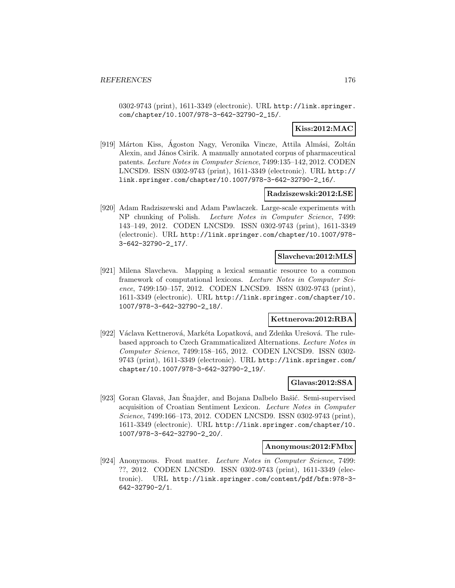0302-9743 (print), 1611-3349 (electronic). URL http://link.springer. com/chapter/10.1007/978-3-642-32790-2\_15/.

### **Kiss:2012:MAC**

[919] Márton Kiss, Agoston Nagy, Veronika Vincze, Attila Almási, Zoltán Alexin, and János Csirik. A manually annotated corpus of pharmaceutical patents. Lecture Notes in Computer Science, 7499:135–142, 2012. CODEN LNCSD9. ISSN 0302-9743 (print), 1611-3349 (electronic). URL http:// link.springer.com/chapter/10.1007/978-3-642-32790-2\_16/.

### **Radziszewski:2012:LSE**

[920] Adam Radziszewski and Adam Pawlaczek. Large-scale experiments with NP chunking of Polish. Lecture Notes in Computer Science, 7499: 143–149, 2012. CODEN LNCSD9. ISSN 0302-9743 (print), 1611-3349 (electronic). URL http://link.springer.com/chapter/10.1007/978- 3-642-32790-2\_17/.

### **Slavcheva:2012:MLS**

[921] Milena Slavcheva. Mapping a lexical semantic resource to a common framework of computational lexicons. Lecture Notes in Computer Science, 7499:150–157, 2012. CODEN LNCSD9. ISSN 0302-9743 (print), 1611-3349 (electronic). URL http://link.springer.com/chapter/10. 1007/978-3-642-32790-2\_18/.

## **Kettnerova:2012:RBA**

[922] Václava Kettnerová, Markéta Lopatková, and Zdeňka Urešová. The rulebased approach to Czech Grammaticalized Alternations. Lecture Notes in Computer Science, 7499:158–165, 2012. CODEN LNCSD9. ISSN 0302- 9743 (print), 1611-3349 (electronic). URL http://link.springer.com/ chapter/10.1007/978-3-642-32790-2\_19/.

### **Glavas:2012:SSA**

[923] Goran Glavaš, Jan Snajder, and Bojana Dalbelo Bašić. Semi-supervised acquisition of Croatian Sentiment Lexicon. Lecture Notes in Computer Science, 7499:166–173, 2012. CODEN LNCSD9. ISSN 0302-9743 (print), 1611-3349 (electronic). URL http://link.springer.com/chapter/10. 1007/978-3-642-32790-2\_20/.

#### **Anonymous:2012:FMbx**

[924] Anonymous. Front matter. Lecture Notes in Computer Science, 7499: ??, 2012. CODEN LNCSD9. ISSN 0302-9743 (print), 1611-3349 (electronic). URL http://link.springer.com/content/pdf/bfm:978-3- 642-32790-2/1.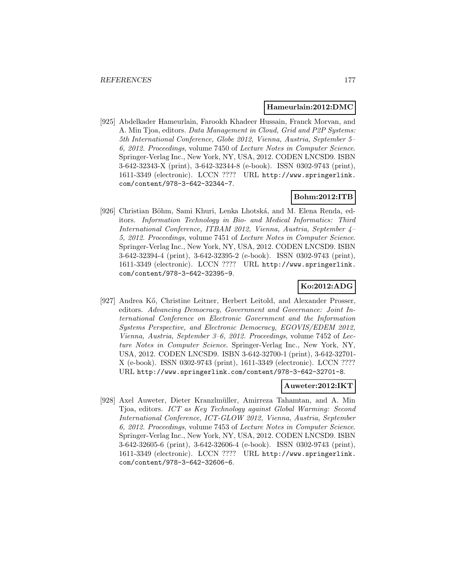#### **Hameurlain:2012:DMC**

[925] Abdelkader Hameurlain, Farookh Khadeer Hussain, Franck Morvan, and A. Min Tjoa, editors. Data Management in Cloud, Grid and P2P Systems: 5th International Conference, Globe 2012, Vienna, Austria, September 5– 6, 2012. Proceedings, volume 7450 of Lecture Notes in Computer Science. Springer-Verlag Inc., New York, NY, USA, 2012. CODEN LNCSD9. ISBN 3-642-32343-X (print), 3-642-32344-8 (e-book). ISSN 0302-9743 (print), 1611-3349 (electronic). LCCN ???? URL http://www.springerlink. com/content/978-3-642-32344-7.

## **Bohm:2012:ITB**

[926] Christian Böhm, Sami Khuri, Lenka Lhotská, and M. Elena Renda, editors. Information Technology in Bio- and Medical Informatics: Third International Conference, ITBAM 2012, Vienna, Austria, September 4– 5, 2012. Proceedings, volume 7451 of Lecture Notes in Computer Science. Springer-Verlag Inc., New York, NY, USA, 2012. CODEN LNCSD9. ISBN 3-642-32394-4 (print), 3-642-32395-2 (e-book). ISSN 0302-9743 (print), 1611-3349 (electronic). LCCN ???? URL http://www.springerlink. com/content/978-3-642-32395-9.

## **Ko:2012:ADG**

[927] Andrea Kő, Christine Leitner, Herbert Leitold, and Alexander Prosser, editors. Advancing Democracy, Government and Governance: Joint International Conference on Electronic Government and the Information Systems Perspective, and Electronic Democracy, EGOVIS/EDEM 2012, Vienna, Austria, September 3–6, 2012. Proceedings, volume 7452 of Lecture Notes in Computer Science. Springer-Verlag Inc., New York, NY, USA, 2012. CODEN LNCSD9. ISBN 3-642-32700-1 (print), 3-642-32701- X (e-book). ISSN 0302-9743 (print), 1611-3349 (electronic). LCCN ???? URL http://www.springerlink.com/content/978-3-642-32701-8.

#### **Auweter:2012:IKT**

[928] Axel Auweter, Dieter Kranzlmüller, Amirreza Tahamtan, and A. Min Tjoa, editors. ICT as Key Technology against Global Warming: Second International Conference, ICT-GLOW 2012, Vienna, Austria, September 6, 2012. Proceedings, volume 7453 of Lecture Notes in Computer Science. Springer-Verlag Inc., New York, NY, USA, 2012. CODEN LNCSD9. ISBN 3-642-32605-6 (print), 3-642-32606-4 (e-book). ISSN 0302-9743 (print), 1611-3349 (electronic). LCCN ???? URL http://www.springerlink. com/content/978-3-642-32606-6.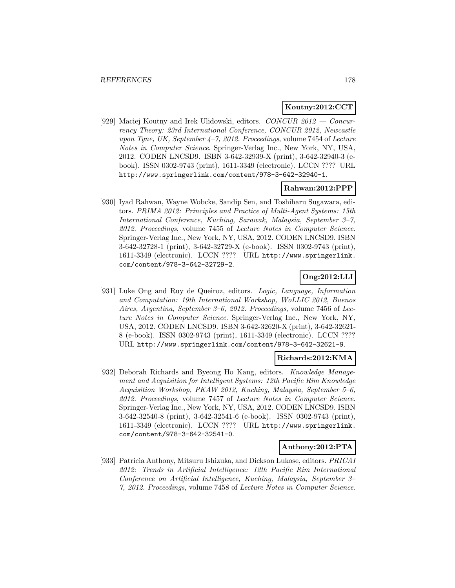### **Koutny:2012:CCT**

[929] Maciej Koutny and Irek Ulidowski, editors. CONCUR 2012 — Concurrency Theory: 23rd International Conference, CONCUR 2012, Newcastle upon Tyne, UK, September  $4-7$ , 2012. Proceedings, volume 7454 of Lecture Notes in Computer Science. Springer-Verlag Inc., New York, NY, USA, 2012. CODEN LNCSD9. ISBN 3-642-32939-X (print), 3-642-32940-3 (ebook). ISSN 0302-9743 (print), 1611-3349 (electronic). LCCN ???? URL http://www.springerlink.com/content/978-3-642-32940-1.

#### **Rahwan:2012:PPP**

[930] Iyad Rahwan, Wayne Wobcke, Sandip Sen, and Toshiharu Sugawara, editors. PRIMA 2012: Principles and Practice of Multi-Agent Systems: 15th International Conference, Kuching, Sarawak, Malaysia, September 3–7, 2012. Proceedings, volume 7455 of Lecture Notes in Computer Science. Springer-Verlag Inc., New York, NY, USA, 2012. CODEN LNCSD9. ISBN 3-642-32728-1 (print), 3-642-32729-X (e-book). ISSN 0302-9743 (print), 1611-3349 (electronic). LCCN ???? URL http://www.springerlink. com/content/978-3-642-32729-2.

## **Ong:2012:LLI**

[931] Luke Ong and Ruy de Queiroz, editors. Logic, Language, Information and Computation: 19th International Workshop, WoLLIC 2012, Buenos Aires, Argentina, September 3–6, 2012. Proceedings, volume 7456 of Lecture Notes in Computer Science. Springer-Verlag Inc., New York, NY, USA, 2012. CODEN LNCSD9. ISBN 3-642-32620-X (print), 3-642-32621- 8 (e-book). ISSN 0302-9743 (print), 1611-3349 (electronic). LCCN ???? URL http://www.springerlink.com/content/978-3-642-32621-9.

### **Richards:2012:KMA**

[932] Deborah Richards and Byeong Ho Kang, editors. Knowledge Management and Acquisition for Intelligent Systems: 12th Pacific Rim Knowledge Acquisition Workshop, PKAW 2012, Kuching, Malaysia, September 5–6, 2012. Proceedings, volume 7457 of Lecture Notes in Computer Science. Springer-Verlag Inc., New York, NY, USA, 2012. CODEN LNCSD9. ISBN 3-642-32540-8 (print), 3-642-32541-6 (e-book). ISSN 0302-9743 (print), 1611-3349 (electronic). LCCN ???? URL http://www.springerlink. com/content/978-3-642-32541-0.

### **Anthony:2012:PTA**

[933] Patricia Anthony, Mitsuru Ishizuka, and Dickson Lukose, editors. PRICAI 2012: Trends in Artificial Intelligence: 12th Pacific Rim International Conference on Artificial Intelligence, Kuching, Malaysia, September 3– 7, 2012. Proceedings, volume 7458 of Lecture Notes in Computer Science.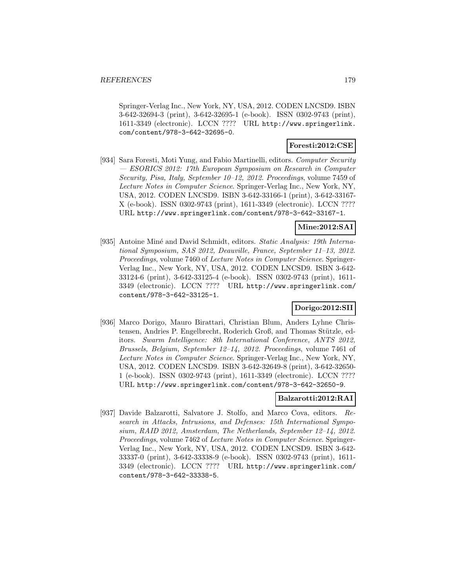Springer-Verlag Inc., New York, NY, USA, 2012. CODEN LNCSD9. ISBN 3-642-32694-3 (print), 3-642-32695-1 (e-book). ISSN 0302-9743 (print), 1611-3349 (electronic). LCCN ???? URL http://www.springerlink. com/content/978-3-642-32695-0.

### **Foresti:2012:CSE**

[934] Sara Foresti, Moti Yung, and Fabio Martinelli, editors. Computer Security — ESORICS 2012: 17th European Symposium on Research in Computer Security, Pisa, Italy, September 10–12, 2012. Proceedings, volume 7459 of Lecture Notes in Computer Science. Springer-Verlag Inc., New York, NY, USA, 2012. CODEN LNCSD9. ISBN 3-642-33166-1 (print), 3-642-33167- X (e-book). ISSN 0302-9743 (print), 1611-3349 (electronic). LCCN ???? URL http://www.springerlink.com/content/978-3-642-33167-1.

### **Mine:2012:SAI**

[935] Antoine Miné and David Schmidt, editors. Static Analysis: 19th International Symposium, SAS 2012, Deauville, France, September 11–13, 2012. Proceedings, volume 7460 of Lecture Notes in Computer Science. Springer-Verlag Inc., New York, NY, USA, 2012. CODEN LNCSD9. ISBN 3-642- 33124-6 (print), 3-642-33125-4 (e-book). ISSN 0302-9743 (print), 1611- 3349 (electronic). LCCN ???? URL http://www.springerlink.com/ content/978-3-642-33125-1.

### **Dorigo:2012:SII**

[936] Marco Dorigo, Mauro Birattari, Christian Blum, Anders Lyhne Christensen, Andries P. Engelbrecht, Roderich Groß, and Thomas Stützle, editors. Swarm Intelligence: 8th International Conference, ANTS 2012, Brussels, Belgium, September 12–14, 2012. Proceedings, volume 7461 of Lecture Notes in Computer Science. Springer-Verlag Inc., New York, NY, USA, 2012. CODEN LNCSD9. ISBN 3-642-32649-8 (print), 3-642-32650- 1 (e-book). ISSN 0302-9743 (print), 1611-3349 (electronic). LCCN ???? URL http://www.springerlink.com/content/978-3-642-32650-9.

### **Balzarotti:2012:RAI**

[937] Davide Balzarotti, Salvatore J. Stolfo, and Marco Cova, editors. Research in Attacks, Intrusions, and Defenses: 15th International Symposium, RAID 2012, Amsterdam, The Netherlands, September 12–14, 2012. Proceedings, volume 7462 of Lecture Notes in Computer Science. Springer-Verlag Inc., New York, NY, USA, 2012. CODEN LNCSD9. ISBN 3-642- 33337-0 (print), 3-642-33338-9 (e-book). ISSN 0302-9743 (print), 1611- 3349 (electronic). LCCN ???? URL http://www.springerlink.com/ content/978-3-642-33338-5.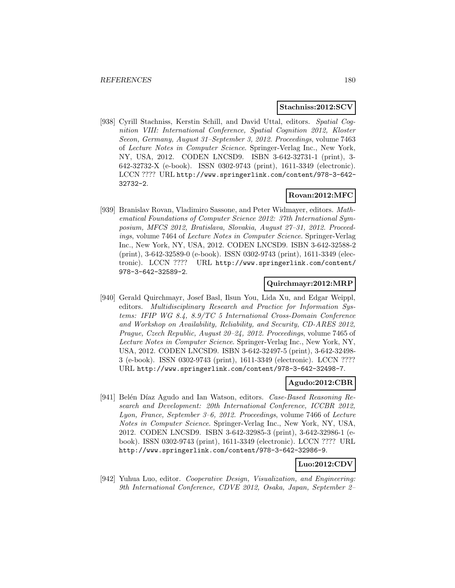### **Stachniss:2012:SCV**

[938] Cyrill Stachniss, Kerstin Schill, and David Uttal, editors. Spatial Cognition VIII: International Conference, Spatial Cognition 2012, Kloster Seeon, Germany, August 31–September 3, 2012. Proceedings, volume 7463 of Lecture Notes in Computer Science. Springer-Verlag Inc., New York, NY, USA, 2012. CODEN LNCSD9. ISBN 3-642-32731-1 (print), 3- 642-32732-X (e-book). ISSN 0302-9743 (print), 1611-3349 (electronic). LCCN ???? URL http://www.springerlink.com/content/978-3-642- 32732-2.

# **Rovan:2012:MFC**

[939] Branislav Rovan, Vladimiro Sassone, and Peter Widmayer, editors. Mathematical Foundations of Computer Science 2012: 37th International Symposium, MFCS 2012, Bratislava, Slovakia, August 27–31, 2012. Proceedings, volume 7464 of Lecture Notes in Computer Science. Springer-Verlag Inc., New York, NY, USA, 2012. CODEN LNCSD9. ISBN 3-642-32588-2 (print), 3-642-32589-0 (e-book). ISSN 0302-9743 (print), 1611-3349 (electronic). LCCN ???? URL http://www.springerlink.com/content/ 978-3-642-32589-2.

### **Quirchmayr:2012:MRP**

[940] Gerald Quirchmayr, Josef Basl, Ilsun You, Lida Xu, and Edgar Weippl, editors. Multidisciplinary Research and Practice for Information Systems: IFIP WG 8.4, 8.9/TC 5 International Cross-Domain Conference and Workshop on Availability, Reliability, and Security, CD-ARES 2012, Prague, Czech Republic, August 20–24, 2012. Proceedings, volume 7465 of Lecture Notes in Computer Science. Springer-Verlag Inc., New York, NY, USA, 2012. CODEN LNCSD9. ISBN 3-642-32497-5 (print), 3-642-32498- 3 (e-book). ISSN 0302-9743 (print), 1611-3349 (electronic). LCCN ???? URL http://www.springerlink.com/content/978-3-642-32498-7.

### **Agudo:2012:CBR**

[941] Belén Díaz Agudo and Ian Watson, editors. Case-Based Reasoning Research and Development: 20th International Conference, ICCBR 2012, Lyon, France, September 3–6, 2012. Proceedings, volume 7466 of Lecture Notes in Computer Science. Springer-Verlag Inc., New York, NY, USA, 2012. CODEN LNCSD9. ISBN 3-642-32985-3 (print), 3-642-32986-1 (ebook). ISSN 0302-9743 (print), 1611-3349 (electronic). LCCN ???? URL http://www.springerlink.com/content/978-3-642-32986-9.

# **Luo:2012:CDV**

[942] Yuhua Luo, editor. Cooperative Design, Visualization, and Engineering: 9th International Conference, CDVE 2012, Osaka, Japan, September 2–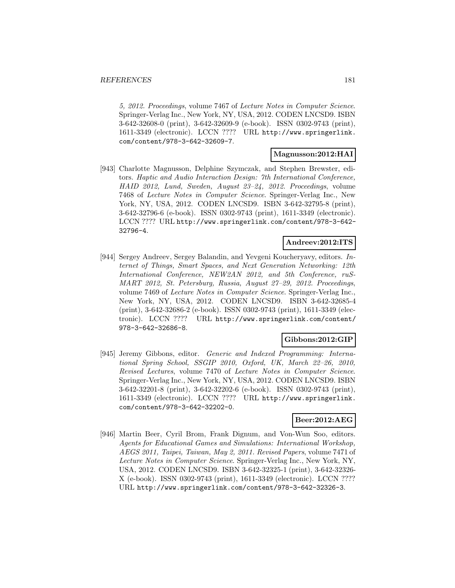5, 2012. Proceedings, volume 7467 of Lecture Notes in Computer Science. Springer-Verlag Inc., New York, NY, USA, 2012. CODEN LNCSD9. ISBN 3-642-32608-0 (print), 3-642-32609-9 (e-book). ISSN 0302-9743 (print), 1611-3349 (electronic). LCCN ???? URL http://www.springerlink. com/content/978-3-642-32609-7.

## **Magnusson:2012:HAI**

[943] Charlotte Magnusson, Delphine Szymczak, and Stephen Brewster, editors. Haptic and Audio Interaction Design: 7th International Conference, HAID 2012, Lund, Sweden, August 23–24, 2012. Proceedings, volume 7468 of Lecture Notes in Computer Science. Springer-Verlag Inc., New York, NY, USA, 2012. CODEN LNCSD9. ISBN 3-642-32795-8 (print), 3-642-32796-6 (e-book). ISSN 0302-9743 (print), 1611-3349 (electronic). LCCN ???? URL http://www.springerlink.com/content/978-3-642- 32796-4.

#### **Andreev:2012:ITS**

[944] Sergey Andreev, Sergey Balandin, and Yevgeni Koucheryavy, editors. Internet of Things, Smart Spaces, and Next Generation Networking: 12th International Conference, NEW2AN 2012, and 5th Conference, ruS-MART 2012, St. Petersburg, Russia, August 27–29, 2012. Proceedings, volume 7469 of Lecture Notes in Computer Science. Springer-Verlag Inc., New York, NY, USA, 2012. CODEN LNCSD9. ISBN 3-642-32685-4 (print), 3-642-32686-2 (e-book). ISSN 0302-9743 (print), 1611-3349 (electronic). LCCN ???? URL http://www.springerlink.com/content/ 978-3-642-32686-8.

#### **Gibbons:2012:GIP**

[945] Jeremy Gibbons, editor. Generic and Indexed Programming: International Spring School, SSGIP 2010, Oxford, UK, March 22–26, 2010, Revised Lectures, volume 7470 of Lecture Notes in Computer Science. Springer-Verlag Inc., New York, NY, USA, 2012. CODEN LNCSD9. ISBN 3-642-32201-8 (print), 3-642-32202-6 (e-book). ISSN 0302-9743 (print), 1611-3349 (electronic). LCCN ???? URL http://www.springerlink. com/content/978-3-642-32202-0.

## **Beer:2012:AEG**

[946] Martin Beer, Cyril Brom, Frank Dignum, and Von-Wun Soo, editors. Agents for Educational Games and Simulations: International Workshop, AEGS 2011, Taipei, Taiwan, May 2, 2011. Revised Papers, volume 7471 of Lecture Notes in Computer Science. Springer-Verlag Inc., New York, NY, USA, 2012. CODEN LNCSD9. ISBN 3-642-32325-1 (print), 3-642-32326- X (e-book). ISSN 0302-9743 (print), 1611-3349 (electronic). LCCN ???? URL http://www.springerlink.com/content/978-3-642-32326-3.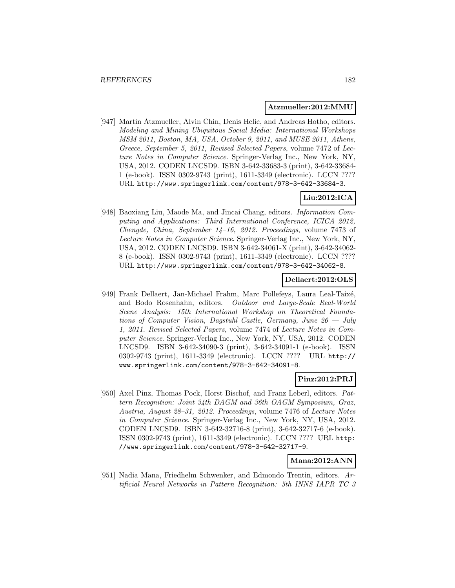### **Atzmueller:2012:MMU**

[947] Martin Atzmueller, Alvin Chin, Denis Helic, and Andreas Hotho, editors. Modeling and Mining Ubiquitous Social Media: International Workshops MSM 2011, Boston, MA, USA, October 9, 2011, and MUSE 2011, Athens, Greece, September 5, 2011, Revised Selected Papers, volume 7472 of Lecture Notes in Computer Science. Springer-Verlag Inc., New York, NY, USA, 2012. CODEN LNCSD9. ISBN 3-642-33683-3 (print), 3-642-33684- 1 (e-book). ISSN 0302-9743 (print), 1611-3349 (electronic). LCCN ???? URL http://www.springerlink.com/content/978-3-642-33684-3.

# **Liu:2012:ICA**

[948] Baoxiang Liu, Maode Ma, and Jincai Chang, editors. Information Computing and Applications: Third International Conference, ICICA 2012, Chengde, China, September 14–16, 2012. Proceedings, volume 7473 of Lecture Notes in Computer Science. Springer-Verlag Inc., New York, NY, USA, 2012. CODEN LNCSD9. ISBN 3-642-34061-X (print), 3-642-34062- 8 (e-book). ISSN 0302-9743 (print), 1611-3349 (electronic). LCCN ???? URL http://www.springerlink.com/content/978-3-642-34062-8.

#### **Dellaert:2012:OLS**

[949] Frank Dellaert, Jan-Michael Frahm, Marc Pollefeys, Laura Leal-Taixé, and Bodo Rosenhahn, editors. Outdoor and Large-Scale Real-World Scene Analysis: 15th International Workshop on Theoretical Foundations of Computer Vision, Dagstuhl Castle, Germany, June  $26 - July$ 1, 2011. Revised Selected Papers, volume 7474 of Lecture Notes in Computer Science. Springer-Verlag Inc., New York, NY, USA, 2012. CODEN LNCSD9. ISBN 3-642-34090-3 (print), 3-642-34091-1 (e-book). ISSN 0302-9743 (print), 1611-3349 (electronic). LCCN ???? URL http:// www.springerlink.com/content/978-3-642-34091-8.

# **Pinz:2012:PRJ**

[950] Axel Pinz, Thomas Pock, Horst Bischof, and Franz Leberl, editors. Pattern Recognition: Joint 34th DAGM and 36th OAGM Symposium, Graz, Austria, August 28–31, 2012. Proceedings, volume 7476 of Lecture Notes in Computer Science. Springer-Verlag Inc., New York, NY, USA, 2012. CODEN LNCSD9. ISBN 3-642-32716-8 (print), 3-642-32717-6 (e-book). ISSN 0302-9743 (print), 1611-3349 (electronic). LCCN ???? URL http: //www.springerlink.com/content/978-3-642-32717-9.

# **Mana:2012:ANN**

[951] Nadia Mana, Friedhelm Schwenker, and Edmondo Trentin, editors. Artificial Neural Networks in Pattern Recognition: 5th INNS IAPR TC 3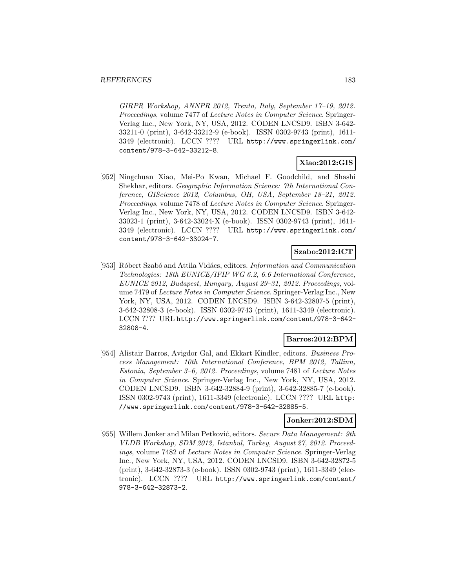GIRPR Workshop, ANNPR 2012, Trento, Italy, September 17–19, 2012. Proceedings, volume 7477 of Lecture Notes in Computer Science. Springer-Verlag Inc., New York, NY, USA, 2012. CODEN LNCSD9. ISBN 3-642- 33211-0 (print), 3-642-33212-9 (e-book). ISSN 0302-9743 (print), 1611- 3349 (electronic). LCCN ???? URL http://www.springerlink.com/ content/978-3-642-33212-8.

# **Xiao:2012:GIS**

[952] Ningchuan Xiao, Mei-Po Kwan, Michael F. Goodchild, and Shashi Shekhar, editors. Geographic Information Science: 7th International Conference, GIScience 2012, Columbus, OH, USA, September 18–21, 2012. Proceedings, volume 7478 of Lecture Notes in Computer Science. Springer-Verlag Inc., New York, NY, USA, 2012. CODEN LNCSD9. ISBN 3-642- 33023-1 (print), 3-642-33024-X (e-book). ISSN 0302-9743 (print), 1611- 3349 (electronic). LCCN ???? URL http://www.springerlink.com/ content/978-3-642-33024-7.

# **Szabo:2012:ICT**

[953] Róbert Szabó and Attila Vidács, editors. Information and Communication Technologies: 18th EUNICE/IFIP WG 6.2, 6.6 International Conference, EUNICE 2012, Budapest, Hungary, August 29–31, 2012. Proceedings, volume 7479 of Lecture Notes in Computer Science. Springer-Verlag Inc., New York, NY, USA, 2012. CODEN LNCSD9. ISBN 3-642-32807-5 (print), 3-642-32808-3 (e-book). ISSN 0302-9743 (print), 1611-3349 (electronic). LCCN ???? URL http://www.springerlink.com/content/978-3-642- 32808-4.

# **Barros:2012:BPM**

[954] Alistair Barros, Avigdor Gal, and Ekkart Kindler, editors. Business Process Management: 10th International Conference, BPM 2012, Tallinn, Estonia, September 3–6, 2012. Proceedings, volume 7481 of Lecture Notes in Computer Science. Springer-Verlag Inc., New York, NY, USA, 2012. CODEN LNCSD9. ISBN 3-642-32884-9 (print), 3-642-32885-7 (e-book). ISSN 0302-9743 (print), 1611-3349 (electronic). LCCN ???? URL http: //www.springerlink.com/content/978-3-642-32885-5.

#### **Jonker:2012:SDM**

[955] Willem Jonker and Milan Petković, editors. Secure Data Management: 9th VLDB Workshop, SDM 2012, Istanbul, Turkey, August 27, 2012. Proceedings, volume 7482 of Lecture Notes in Computer Science. Springer-Verlag Inc., New York, NY, USA, 2012. CODEN LNCSD9. ISBN 3-642-32872-5 (print), 3-642-32873-3 (e-book). ISSN 0302-9743 (print), 1611-3349 (electronic). LCCN ???? URL http://www.springerlink.com/content/ 978-3-642-32873-2.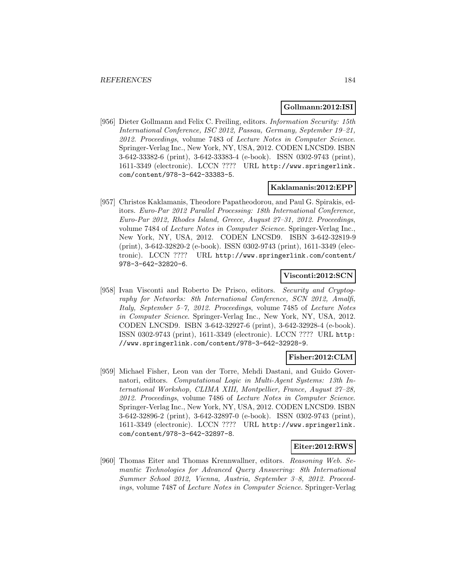#### **Gollmann:2012:ISI**

[956] Dieter Gollmann and Felix C. Freiling, editors. Information Security: 15th International Conference, ISC 2012, Passau, Germany, September 19–21, 2012. Proceedings, volume 7483 of Lecture Notes in Computer Science. Springer-Verlag Inc., New York, NY, USA, 2012. CODEN LNCSD9. ISBN 3-642-33382-6 (print), 3-642-33383-4 (e-book). ISSN 0302-9743 (print), 1611-3349 (electronic). LCCN ???? URL http://www.springerlink. com/content/978-3-642-33383-5.

#### **Kaklamanis:2012:EPP**

[957] Christos Kaklamanis, Theodore Papatheodorou, and Paul G. Spirakis, editors. Euro-Par 2012 Parallel Processing: 18th International Conference, Euro-Par 2012, Rhodes Island, Greece, August 27–31, 2012. Proceedings, volume 7484 of Lecture Notes in Computer Science. Springer-Verlag Inc., New York, NY, USA, 2012. CODEN LNCSD9. ISBN 3-642-32819-9 (print), 3-642-32820-2 (e-book). ISSN 0302-9743 (print), 1611-3349 (electronic). LCCN ???? URL http://www.springerlink.com/content/ 978-3-642-32820-6.

### **Visconti:2012:SCN**

[958] Ivan Visconti and Roberto De Prisco, editors. Security and Cryptography for Networks: 8th International Conference, SCN 2012, Amalfi, Italy, September 5–7, 2012. Proceedings, volume 7485 of Lecture Notes in Computer Science. Springer-Verlag Inc., New York, NY, USA, 2012. CODEN LNCSD9. ISBN 3-642-32927-6 (print), 3-642-32928-4 (e-book). ISSN 0302-9743 (print), 1611-3349 (electronic). LCCN ???? URL http: //www.springerlink.com/content/978-3-642-32928-9.

#### **Fisher:2012:CLM**

[959] Michael Fisher, Leon van der Torre, Mehdi Dastani, and Guido Governatori, editors. Computational Logic in Multi-Agent Systems: 13th International Workshop, CLIMA XIII, Montpellier, France, August 27–28, 2012. Proceedings, volume 7486 of Lecture Notes in Computer Science. Springer-Verlag Inc., New York, NY, USA, 2012. CODEN LNCSD9. ISBN 3-642-32896-2 (print), 3-642-32897-0 (e-book). ISSN 0302-9743 (print), 1611-3349 (electronic). LCCN ???? URL http://www.springerlink. com/content/978-3-642-32897-8.

#### **Eiter:2012:RWS**

[960] Thomas Eiter and Thomas Krennwallner, editors. Reasoning Web. Semantic Technologies for Advanced Query Answering: 8th International Summer School 2012, Vienna, Austria, September 3–8, 2012. Proceedings, volume 7487 of Lecture Notes in Computer Science. Springer-Verlag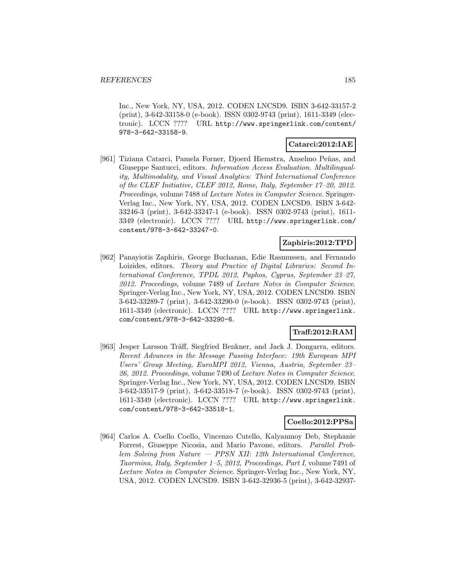Inc., New York, NY, USA, 2012. CODEN LNCSD9. ISBN 3-642-33157-2 (print), 3-642-33158-0 (e-book). ISSN 0302-9743 (print), 1611-3349 (electronic). LCCN ???? URL http://www.springerlink.com/content/ 978-3-642-33158-9.

## **Catarci:2012:IAE**

[961] Tiziana Catarci, Pamela Forner, Djoerd Hiemstra, Anselmo Peñas, and Giuseppe Santucci, editors. Information Access Evaluation. Multilinguality, Multimodality, and Visual Analytics: Third International Conference of the CLEF Initiative, CLEF 2012, Rome, Italy, September 17–20, 2012. Proceedings, volume 7488 of Lecture Notes in Computer Science. Springer-Verlag Inc., New York, NY, USA, 2012. CODEN LNCSD9. ISBN 3-642- 33246-3 (print), 3-642-33247-1 (e-book). ISSN 0302-9743 (print), 1611- 3349 (electronic). LCCN ???? URL http://www.springerlink.com/ content/978-3-642-33247-0.

# **Zaphiris:2012:TPD**

[962] Panayiotis Zaphiris, George Buchanan, Edie Rasmussen, and Fernando Loizides, editors. Theory and Practice of Digital Libraries: Second International Conference, TPDL 2012, Paphos, Cyprus, September 23–27, 2012. Proceedings, volume 7489 of Lecture Notes in Computer Science. Springer-Verlag Inc., New York, NY, USA, 2012. CODEN LNCSD9. ISBN 3-642-33289-7 (print), 3-642-33290-0 (e-book). ISSN 0302-9743 (print), 1611-3349 (electronic). LCCN ???? URL http://www.springerlink. com/content/978-3-642-33290-6.

# **Traff:2012:RAM**

[963] Jesper Larsson Träff, Siegfried Benkner, and Jack J. Dongarra, editors. Recent Advances in the Message Passing Interface: 19th European MPI Users' Group Meeting, EuroMPI 2012, Vienna, Austria, September 23– 26, 2012. Proceedings, volume 7490 of Lecture Notes in Computer Science. Springer-Verlag Inc., New York, NY, USA, 2012. CODEN LNCSD9. ISBN 3-642-33517-9 (print), 3-642-33518-7 (e-book). ISSN 0302-9743 (print), 1611-3349 (electronic). LCCN ???? URL http://www.springerlink. com/content/978-3-642-33518-1.

#### **Coello:2012:PPSa**

[964] Carlos A. Coello Coello, Vincenzo Cutello, Kalyanmoy Deb, Stephanie Forrest, Giuseppe Nicosia, and Mario Pavone, editors. Parallel Problem Solving from Nature — PPSN XII: 12th International Conference, Taormina, Italy, September 1–5, 2012, Proceedings, Part I, volume 7491 of Lecture Notes in Computer Science. Springer-Verlag Inc., New York, NY, USA, 2012. CODEN LNCSD9. ISBN 3-642-32936-5 (print), 3-642-32937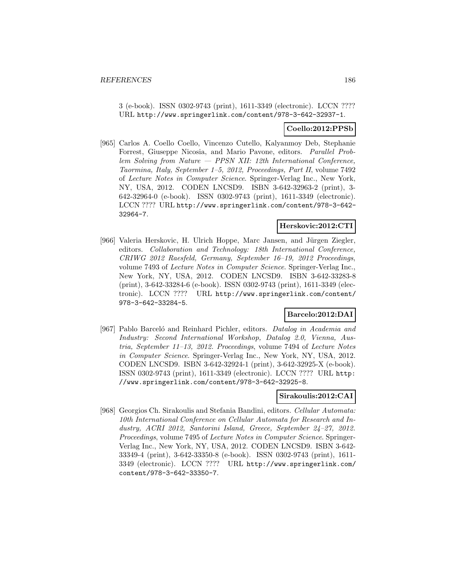3 (e-book). ISSN 0302-9743 (print), 1611-3349 (electronic). LCCN ???? URL http://www.springerlink.com/content/978-3-642-32937-1.

### **Coello:2012:PPSb**

[965] Carlos A. Coello Coello, Vincenzo Cutello, Kalyanmoy Deb, Stephanie Forrest, Giuseppe Nicosia, and Mario Pavone, editors. Parallel Problem Solving from Nature — PPSN XII: 12th International Conference, Taormina, Italy, September 1–5, 2012, Proceedings, Part II, volume 7492 of Lecture Notes in Computer Science. Springer-Verlag Inc., New York, NY, USA, 2012. CODEN LNCSD9. ISBN 3-642-32963-2 (print), 3- 642-32964-0 (e-book). ISSN 0302-9743 (print), 1611-3349 (electronic). LCCN ???? URL http://www.springerlink.com/content/978-3-642- 32964-7.

#### **Herskovic:2012:CTI**

[966] Valeria Herskovic, H. Ulrich Hoppe, Marc Jansen, and Jürgen Ziegler, editors. Collaboration and Technology: 18th International Conference, CRIWG 2012 Raesfeld, Germany, September 16–19, 2012 Proceedings, volume 7493 of Lecture Notes in Computer Science. Springer-Verlag Inc., New York, NY, USA, 2012. CODEN LNCSD9. ISBN 3-642-33283-8 (print), 3-642-33284-6 (e-book). ISSN 0302-9743 (print), 1611-3349 (electronic). LCCN ???? URL http://www.springerlink.com/content/ 978-3-642-33284-5.

# **Barcelo:2012:DAI**

[967] Pablo Barcelo and Reinhard Pichler, editors. Datalog in Academia and Industry: Second International Workshop, Datalog 2.0, Vienna, Austria, September 11–13, 2012. Proceedings, volume 7494 of Lecture Notes in Computer Science. Springer-Verlag Inc., New York, NY, USA, 2012. CODEN LNCSD9. ISBN 3-642-32924-1 (print), 3-642-32925-X (e-book). ISSN 0302-9743 (print), 1611-3349 (electronic). LCCN ???? URL http: //www.springerlink.com/content/978-3-642-32925-8.

#### **Sirakoulis:2012:CAI**

[968] Georgios Ch. Sirakoulis and Stefania Bandini, editors. Cellular Automata: 10th International Conference on Cellular Automata for Research and Industry, ACRI 2012, Santorini Island, Greece, September 24–27, 2012. Proceedings, volume 7495 of Lecture Notes in Computer Science. Springer-Verlag Inc., New York, NY, USA, 2012. CODEN LNCSD9. ISBN 3-642- 33349-4 (print), 3-642-33350-8 (e-book). ISSN 0302-9743 (print), 1611- 3349 (electronic). LCCN ???? URL http://www.springerlink.com/ content/978-3-642-33350-7.